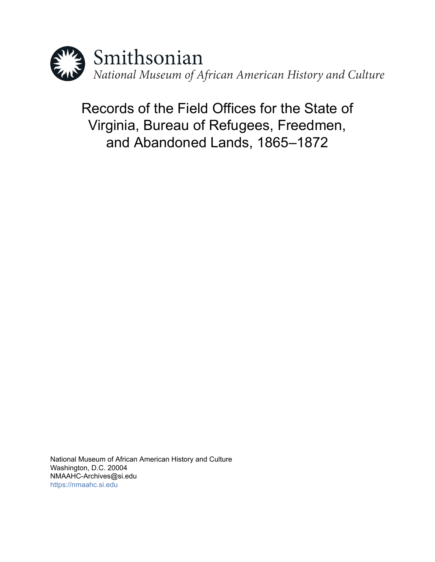

Records of the Field Offices for the State of Virginia, Bureau of Refugees, Freedmen, and Abandoned Lands, 1865–1872

National Museum of African American History and Culture Washington, D.C. 20004 NMAAHC-Archives@si.edu <https://nmaahc.si.edu>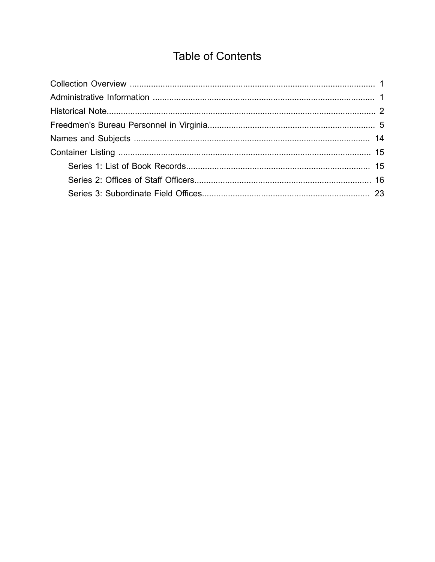# **Table of Contents**

<span id="page-1-0"></span>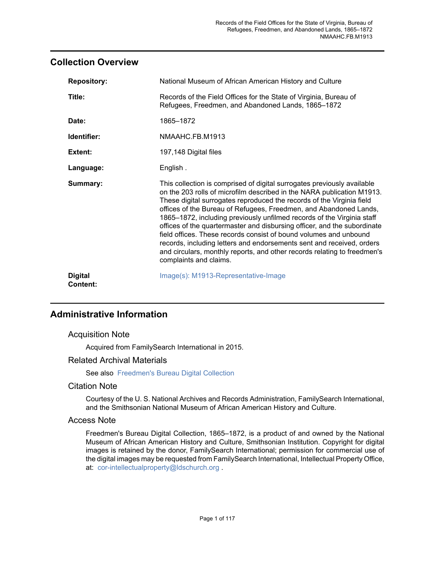# <span id="page-2-0"></span>**Collection Overview**

| <b>Repository:</b>         | National Museum of African American History and Culture                                                                                                                                                                                                                                                                                                                                                                                                                                                                                                                                                                                                                                                   |
|----------------------------|-----------------------------------------------------------------------------------------------------------------------------------------------------------------------------------------------------------------------------------------------------------------------------------------------------------------------------------------------------------------------------------------------------------------------------------------------------------------------------------------------------------------------------------------------------------------------------------------------------------------------------------------------------------------------------------------------------------|
| Title:                     | Records of the Field Offices for the State of Virginia, Bureau of<br>Refugees, Freedmen, and Abandoned Lands, 1865-1872                                                                                                                                                                                                                                                                                                                                                                                                                                                                                                                                                                                   |
| Date:                      | 1865-1872                                                                                                                                                                                                                                                                                                                                                                                                                                                                                                                                                                                                                                                                                                 |
| Identifier:                | NMAAHC.FB.M1913                                                                                                                                                                                                                                                                                                                                                                                                                                                                                                                                                                                                                                                                                           |
| Extent:                    | 197,148 Digital files                                                                                                                                                                                                                                                                                                                                                                                                                                                                                                                                                                                                                                                                                     |
| Language:                  | English.                                                                                                                                                                                                                                                                                                                                                                                                                                                                                                                                                                                                                                                                                                  |
| Summary:                   | This collection is comprised of digital surrogates previously available<br>on the 203 rolls of microfilm described in the NARA publication M1913.<br>These digital surrogates reproduced the records of the Virginia field<br>offices of the Bureau of Refugees, Freedmen, and Abandoned Lands,<br>1865–1872, including previously unfilmed records of the Virginia staff<br>offices of the quartermaster and disbursing officer, and the subordinate<br>field offices. These records consist of bound volumes and unbound<br>records, including letters and endorsements sent and received, orders<br>and circulars, monthly reports, and other records relating to freedmen's<br>complaints and claims. |
| <b>Digital</b><br>Content: | Image(s): M1913-Representative-Image                                                                                                                                                                                                                                                                                                                                                                                                                                                                                                                                                                                                                                                                      |

# <span id="page-2-1"></span>**Administrative Information**

# Acquisition Note

Acquired from FamilySearch International in 2015.

## Related Archival Materials

See also [Freedmen's Bureau Digital Collection](http://sova.si.edu/record/NMAAHC.FB)

## Citation Note

Courtesy of the U. S. National Archives and Records Administration, FamilySearch International, and the Smithsonian National Museum of African American History and Culture.

## Access Note

Freedmen's Bureau Digital Collection, 1865–1872, is a product of and owned by the National Museum of African American History and Culture, Smithsonian Institution. Copyright for digital images is retained by the donor, FamilySearch International; permission for commercial use of the digital images may be requested from FamilySearch International, Intellectual Property Office, at: <cor-intellectualproperty@ldschurch.org> .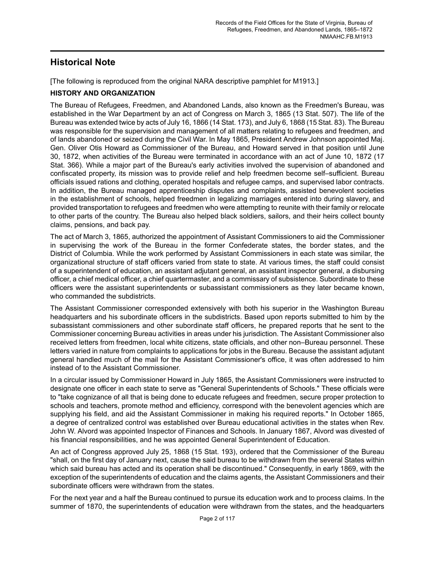# <span id="page-3-0"></span>**Historical Note**

[The following is reproduced from the original NARA descriptive pamphlet for M1913.]

## **HISTORY AND ORGANIZATION**

The Bureau of Refugees, Freedmen, and Abandoned Lands, also known as the Freedmen's Bureau, was established in the War Department by an act of Congress on March 3, 1865 (13 Stat. 507). The life of the Bureau was extended twice by acts of July 16, 1866 (14 Stat. 173), and July 6, 1868 (15 Stat. 83). The Bureau was responsible for the supervision and management of all matters relating to refugees and freedmen, and of lands abandoned or seized during the Civil War. In May 1865, President Andrew Johnson appointed Maj. Gen. Oliver Otis Howard as Commissioner of the Bureau, and Howard served in that position until June 30, 1872, when activities of the Bureau were terminated in accordance with an act of June 10, 1872 (17 Stat. 366). While a major part of the Bureau's early activities involved the supervision of abandoned and confiscated property, its mission was to provide relief and help freedmen become self–sufficient. Bureau officials issued rations and clothing, operated hospitals and refugee camps, and supervised labor contracts. In addition, the Bureau managed apprenticeship disputes and complaints, assisted benevolent societies in the establishment of schools, helped freedmen in legalizing marriages entered into during slavery, and provided transportation to refugees and freedmen who were attempting to reunite with their family or relocate to other parts of the country. The Bureau also helped black soldiers, sailors, and their heirs collect bounty claims, pensions, and back pay.

The act of March 3, 1865, authorized the appointment of Assistant Commissioners to aid the Commissioner in supervising the work of the Bureau in the former Confederate states, the border states, and the District of Columbia. While the work performed by Assistant Commissioners in each state was similar, the organizational structure of staff officers varied from state to state. At various times, the staff could consist of a superintendent of education, an assistant adjutant general, an assistant inspector general, a disbursing officer, a chief medical officer, a chief quartermaster, and a commissary of subsistence. Subordinate to these officers were the assistant superintendents or subassistant commissioners as they later became known, who commanded the subdistricts.

The Assistant Commissioner corresponded extensively with both his superior in the Washington Bureau headquarters and his subordinate officers in the subdistricts. Based upon reports submitted to him by the subassistant commissioners and other subordinate staff officers, he prepared reports that he sent to the Commissioner concerning Bureau activities in areas under his jurisdiction. The Assistant Commissioner also received letters from freedmen, local white citizens, state officials, and other non–Bureau personnel. These letters varied in nature from complaints to applications for jobs in the Bureau. Because the assistant adjutant general handled much of the mail for the Assistant Commissioner's office, it was often addressed to him instead of to the Assistant Commissioner.

In a circular issued by Commissioner Howard in July 1865, the Assistant Commissioners were instructed to designate one officer in each state to serve as "General Superintendents of Schools." These officials were to "take cognizance of all that is being done to educate refugees and freedmen, secure proper protection to schools and teachers, promote method and efficiency, correspond with the benevolent agencies which are supplying his field, and aid the Assistant Commissioner in making his required reports." In October 1865, a degree of centralized control was established over Bureau educational activities in the states when Rev. John W. Alvord was appointed Inspector of Finances and Schools. In January 1867, Alvord was divested of his financial responsibilities, and he was appointed General Superintendent of Education.

An act of Congress approved July 25, 1868 (15 Stat. 193), ordered that the Commissioner of the Bureau "shall, on the first day of January next, cause the said bureau to be withdrawn from the several States within which said bureau has acted and its operation shall be discontinued." Consequently, in early 1869, with the exception of the superintendents of education and the claims agents, the Assistant Commissioners and their subordinate officers were withdrawn from the states.

For the next year and a half the Bureau continued to pursue its education work and to process claims. In the summer of 1870, the superintendents of education were withdrawn from the states, and the headquarters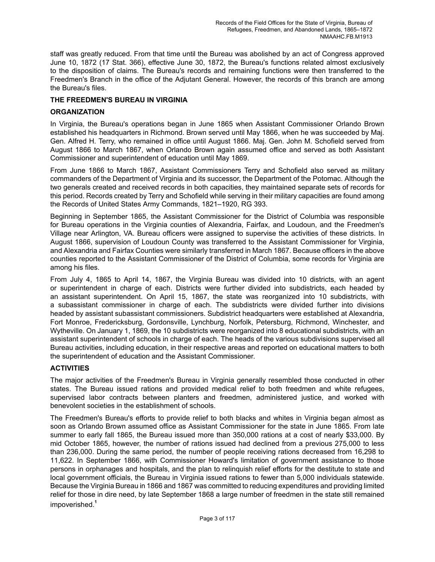staff was greatly reduced. From that time until the Bureau was abolished by an act of Congress approved June 10, 1872 (17 Stat. 366), effective June 30, 1872, the Bureau's functions related almost exclusively to the disposition of claims. The Bureau's records and remaining functions were then transferred to the Freedmen's Branch in the office of the Adjutant General. However, the records of this branch are among the Bureau's files.

#### **THE FREEDMEN'S BUREAU IN VIRGINIA**

#### **ORGANIZATION**

In Virginia, the Bureau's operations began in June 1865 when Assistant Commissioner Orlando Brown established his headquarters in Richmond. Brown served until May 1866, when he was succeeded by Maj. Gen. Alfred H. Terry, who remained in office until August 1866. Maj. Gen. John M. Schofield served from August 1866 to March 1867, when Orlando Brown again assumed office and served as both Assistant Commissioner and superintendent of education until May 1869.

From June 1866 to March 1867, Assistant Commissioners Terry and Schofield also served as military commanders of the Department of Virginia and its successor, the Department of the Potomac. Although the two generals created and received records in both capacities, they maintained separate sets of records for this period. Records created by Terry and Schofield while serving in their military capacities are found among the Records of United States Army Commands, 1821–1920, RG 393.

Beginning in September 1865, the Assistant Commissioner for the District of Columbia was responsible for Bureau operations in the Virginia counties of Alexandria, Fairfax, and Loudoun, and the Freedmen's Village near Arlington, VA. Bureau officers were assigned to supervise the activities of these districts. In August 1866, supervision of Loudoun County was transferred to the Assistant Commissioner for Virginia, and Alexandria and Fairfax Counties were similarly transferred in March 1867. Because officers in the above counties reported to the Assistant Commissioner of the District of Columbia, some records for Virginia are among his files.

From July 4, 1865 to April 14, 1867, the Virginia Bureau was divided into 10 districts, with an agent or superintendent in charge of each. Districts were further divided into subdistricts, each headed by an assistant superintendent. On April 15, 1867, the state was reorganized into 10 subdistricts, with a subassistant commissioner in charge of each. The subdistricts were divided further into divisions headed by assistant subassistant commissioners. Subdistrict headquarters were established at Alexandria, Fort Monroe, Fredericksburg, Gordonsville, Lynchburg, Norfolk, Petersburg, Richmond, Winchester, and Wytheville. On January 1, 1869, the 10 subdistricts were reorganized into 8 educational subdistricts, with an assistant superintendent of schools in charge of each. The heads of the various subdivisions supervised all Bureau activities, including education, in their respective areas and reported on educational matters to both the superintendent of education and the Assistant Commissioner.

#### **ACTIVITIES**

The major activities of the Freedmen's Bureau in Virginia generally resembled those conducted in other states. The Bureau issued rations and provided medical relief to both freedmen and white refugees, supervised labor contracts between planters and freedmen, administered justice, and worked with benevolent societies in the establishment of schools.

The Freedmen's Bureau's efforts to provide relief to both blacks and whites in Virginia began almost as soon as Orlando Brown assumed office as Assistant Commissioner for the state in June 1865. From late summer to early fall 1865, the Bureau issued more than 350,000 rations at a cost of nearly \$33,000. By mid October 1865, however, the number of rations issued had declined from a previous 275,000 to less than 236,000. During the same period, the number of people receiving rations decreased from 16,298 to 11,622. In September 1866, with Commissioner Howard's limitation of government assistance to those persons in orphanages and hospitals, and the plan to relinquish relief efforts for the destitute to state and local government officials, the Bureau in Virginia issued rations to fewer than 5,000 individuals statewide. Because the Virginia Bureau in 1866 and 1867 was committed to reducing expenditures and providing limited relief for those in dire need, by late September 1868 a large number of freedmen in the state still remained impoverished.**<sup>1</sup>**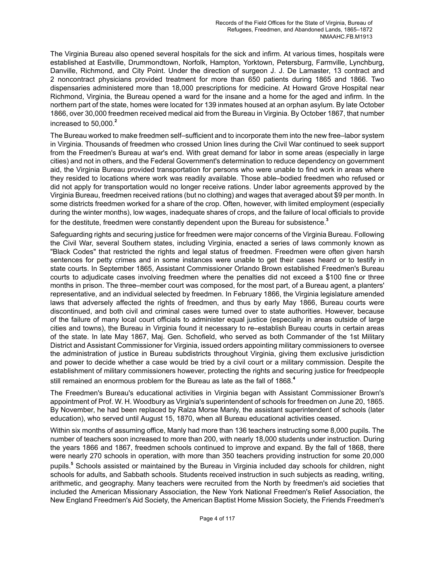The Virginia Bureau also opened several hospitals for the sick and infirm. At various times, hospitals were established at Eastville, Drummondtown, Norfolk, Hampton, Yorktown, Petersburg, Farmville, Lynchburg, Danville, Richmond, and City Point. Under the direction of surgeon J. J. De Lamaster, 13 contract and 2 noncontract physicians provided treatment for more than 650 patients during 1865 and 1866. Two dispensaries administered more than 18,000 prescriptions for medicine. At Howard Grove Hospital near Richmond, Virginia, the Bureau opened a ward for the insane and a home for the aged and infirm. In the northern part of the state, homes were located for 139 inmates housed at an orphan asylum. By late October 1866, over 30,000 freedmen received medical aid from the Bureau in Virginia. By October 1867, that number increased to 50,000.**<sup>2</sup>**

The Bureau worked to make freedmen self–sufficient and to incorporate them into the new free–labor system in Virginia. Thousands of freedmen who crossed Union lines during the Civil War continued to seek support from the Freedmen's Bureau at war's end. With great demand for labor in some areas (especially in large cities) and not in others, and the Federal Government's determination to reduce dependency on government aid, the Virginia Bureau provided transportation for persons who were unable to find work in areas where they resided to locations where work was readily available. Those able–bodied freedmen who refused or did not apply for transportation would no longer receive rations. Under labor agreements approved by the Virginia Bureau, freedmen received rations (but no clothing) and wages that averaged about \$9 per month. In some districts freedmen worked for a share of the crop. Often, however, with limited employment (especially during the winter months), low wages, inadequate shares of crops, and the failure of local officials to provide for the destitute, freedmen were constantly dependent upon the Bureau for subsistence.**<sup>3</sup>**

Safeguarding rights and securing justice for freedmen were major concerns of the Virginia Bureau. Following the Civil War, several Southern states, including Virginia, enacted a series of laws commonly known as "Black Codes" that restricted the rights and legal status of freedmen. Freedmen were often given harsh sentences for petty crimes and in some instances were unable to get their cases heard or to testify in state courts. In September 1865, Assistant Commissioner Orlando Brown established Freedmen's Bureau courts to adjudicate cases involving freedmen where the penalties did not exceed a \$100 fine or three months in prison. The three–member court was composed, for the most part, of a Bureau agent, a planters' representative, and an individual selected by freedmen. In February 1866, the Virginia legislature amended laws that adversely affected the rights of freedmen, and thus by early May 1866, Bureau courts were discontinued, and both civil and criminal cases were turned over to state authorities. However, because of the failure of many local court officials to administer equal justice (especially in areas outside of large cities and towns), the Bureau in Virginia found it necessary to re–establish Bureau courts in certain areas of the state. In late May 1867, Maj. Gen. Schofield, who served as both Commander of the 1st Military District and Assistant Commissioner for Virginia, issued orders appointing military commissioners to oversee the administration of justice in Bureau subdistricts throughout Virginia, giving them exclusive jurisdiction and power to decide whether a case would be tried by a civil court or a military commission. Despite the establishment of military commissioners however, protecting the rights and securing justice for freedpeople still remained an enormous problem for the Bureau as late as the fall of 1868.**<sup>4</sup>**

The Freedmen's Bureau's educational activities in Virginia began with Assistant Commissioner Brown's appointment of Prof. W. H. Woodbury as Virginia's superintendent of schools for freedmen on June 20, 1865. By November, he had been replaced by Ralza Morse Manly, the assistant superintendent of schools (later education), who served until August 15, 1870, when all Bureau educational activities ceased.

Within six months of assuming office, Manly had more than 136 teachers instructing some 8,000 pupils. The number of teachers soon increased to more than 200, with nearly 18,000 students under instruction. During the years 1866 and 1867, freedmen schools continued to improve and expand. By the fall of 1868, there were nearly 270 schools in operation, with more than 350 teachers providing instruction for some 20,000 pupils.**<sup>5</sup>** Schools assisted or maintained by the Bureau in Virginia included day schools for children, night schools for adults, and Sabbath schools. Students received instruction in such subjects as reading, writing, arithmetic, and geography. Many teachers were recruited from the North by freedmen's aid societies that included the American Missionary Association, the New York National Freedmen's Relief Association, the New England Freedmen's Aid Society, the American Baptist Home Mission Society, the Friends Freedmen's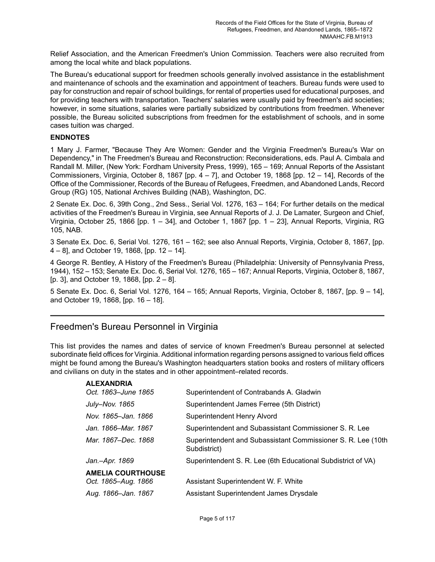Relief Association, and the American Freedmen's Union Commission. Teachers were also recruited from among the local white and black populations.

The Bureau's educational support for freedmen schools generally involved assistance in the establishment and maintenance of schools and the examination and appointment of teachers. Bureau funds were used to pay for construction and repair of school buildings, for rental of properties used for educational purposes, and for providing teachers with transportation. Teachers' salaries were usually paid by freedmen's aid societies; however, in some situations, salaries were partially subsidized by contributions from freedmen. Whenever possible, the Bureau solicited subscriptions from freedmen for the establishment of schools, and in some cases tuition was charged.

#### **ENDNOTES**

1 Mary J. Farmer, "Because They Are Women: Gender and the Virginia Freedmen's Bureau's War on Dependency," in The Freedmen's Bureau and Reconstruction: Reconsiderations, eds. Paul A. Cimbala and Randall M. Miller, (New York: Fordham University Press, 1999), 165 – 169; Annual Reports of the Assistant Commissioners, Virginia, October 8, 1867 [pp. 4 – 7], and October 19, 1868 [pp. 12 – 14], Records of the Office of the Commissioner, Records of the Bureau of Refugees, Freedmen, and Abandoned Lands, Record Group (RG) 105, National Archives Building (NAB), Washington, DC.

2 Senate Ex. Doc. 6, 39th Cong., 2nd Sess., Serial Vol. 1276, 163 – 164; For further details on the medical activities of the Freedmen's Bureau in Virginia, see Annual Reports of J. J. De Lamater, Surgeon and Chief, Virginia, October 25, 1866 [pp. 1 – 34], and October 1, 1867 [pp. 1 – 23], Annual Reports, Virginia, RG 105, NAB.

3 Senate Ex. Doc. 6, Serial Vol. 1276, 161 – 162; see also Annual Reports, Virginia, October 8, 1867, [pp. 4 – 8], and October 19, 1868, [pp. 12 – 14].

4 George R. Bentley, A History of the Freedmen's Bureau (Philadelphia: University of Pennsylvania Press, 1944), 152 – 153; Senate Ex. Doc. 6, Serial Vol. 1276, 165 – 167; Annual Reports, Virginia, October 8, 1867, [p. 3], and October 19, 1868, [pp. 2 – 8].

5 Senate Ex. Doc. 6, Serial Vol. 1276, 164 – 165; Annual Reports, Virginia, October 8, 1867, [pp. 9 – 14], and October 19, 1868, [pp. 16 – 18].

# <span id="page-6-0"></span>Freedmen's Bureau Personnel in Virginia

This list provides the names and dates of service of known Freedmen's Bureau personnel at selected subordinate field offices for Virginia. Additional information regarding persons assigned to various field offices might be found among the Bureau's Washington headquarters station books and rosters of military officers and civilians on duty in the states and in other appointment–related records.

| <b>ALEXANDRIA</b>        |                                                                              |
|--------------------------|------------------------------------------------------------------------------|
| Oct. 1863–June 1865      | Superintendent of Contrabands A. Gladwin                                     |
| <b>July–Nov. 1865</b>    | Superintendent James Ferree (5th District)                                   |
| Nov. 1865–Jan. 1866      | Superintendent Henry Alvord                                                  |
| Jan. 1866–Mar. 1867      | Superintendent and Subassistant Commissioner S. R. Lee                       |
| Mar. 1867–Dec. 1868      | Superintendent and Subassistant Commissioner S. R. Lee (10th<br>Subdistrict) |
| Jan.-Apr. 1869           | Superintendent S. R. Lee (6th Educational Subdistrict of VA)                 |
| <b>AMELIA COURTHOUSE</b> |                                                                              |
| Oct. 1865–Aug. 1866      | Assistant Superintendent W. F. White                                         |
| Aug. 1866-Jan. 1867      | Assistant Superintendent James Drysdale                                      |
|                          |                                                                              |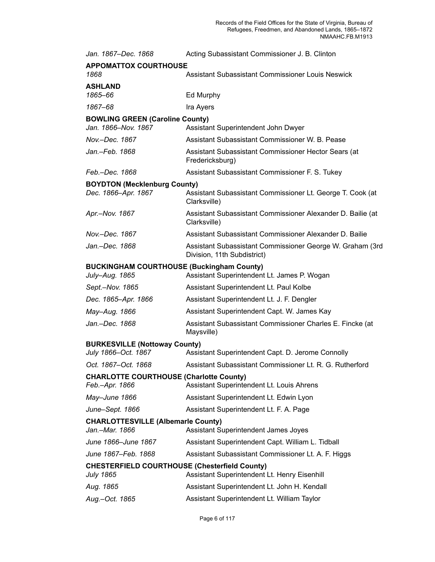| Jan. 1867-Dec. 1868                                               | Acting Subassistant Commissioner J. B. Clinton                                           |
|-------------------------------------------------------------------|------------------------------------------------------------------------------------------|
| <b>APPOMATTOX COURTHOUSE</b>                                      |                                                                                          |
| 1868                                                              | Assistant Subassistant Commissioner Louis Neswick                                        |
| ASHLAND<br>1865–66                                                | Ed Murphy                                                                                |
| 1867-68                                                           | Ira Ayers                                                                                |
| <b>BOWLING GREEN (Caroline County)</b>                            |                                                                                          |
| Jan. 1866–Nov. 1867                                               | Assistant Superintendent John Dwyer                                                      |
| Nov.–Dec. 1867                                                    | Assistant Subassistant Commissioner W. B. Pease                                          |
| Jan.–Feb. 1868                                                    | Assistant Subassistant Commissioner Hector Sears (at<br>Fredericksburg)                  |
| Feb.–Dec. 1868                                                    | Assistant Subassistant Commissioner F. S. Tukey                                          |
| <b>BOYDTON (Mecklenburg County)</b>                               |                                                                                          |
| Dec. 1866–Apr. 1867                                               | Assistant Subassistant Commissioner Lt. George T. Cook (at<br>Clarksville)               |
| Apr.–Nov. 1867                                                    | Assistant Subassistant Commissioner Alexander D. Bailie (at<br>Clarksville)              |
| Nov.–Dec. 1867                                                    | Assistant Subassistant Commissioner Alexander D. Bailie                                  |
| Jan.–Dec. 1868                                                    | Assistant Subassistant Commissioner George W. Graham (3rd<br>Division, 11th Subdistrict) |
| <b>BUCKINGHAM COURTHOUSE (Buckingham County)</b>                  |                                                                                          |
| July–Aug. 1865                                                    | Assistant Superintendent Lt. James P. Wogan                                              |
| Sept.-Nov. 1865                                                   | Assistant Superintendent Lt. Paul Kolbe                                                  |
| Dec. 1865–Apr. 1866                                               | Assistant Superintendent Lt. J. F. Dengler                                               |
| May–Aug. 1866                                                     | Assistant Superintendent Capt. W. James Kay                                              |
| Jan.–Dec. 1868                                                    | Assistant Subassistant Commissioner Charles E. Fincke (at<br>Maysville)                  |
| <b>BURKESVILLE (Nottoway County)</b>                              |                                                                                          |
| July 1866–Oct. 1867                                               | Assistant Superintendent Capt. D. Jerome Connolly                                        |
| Oct. 1867-Oct. 1868                                               | Assistant Subassistant Commissioner Lt. R. G. Rutherford                                 |
| <b>CHARLOTTE COURTHOUSE (Charlotte County)</b><br>Feb.–Apr. 1866  | Assistant Superintendent Lt. Louis Ahrens                                                |
| May–June 1866                                                     | Assistant Superintendent Lt. Edwin Lyon                                                  |
| June–Sept. 1866                                                   | Assistant Superintendent Lt. F. A. Page                                                  |
| <b>CHARLOTTESVILLE (Albemarle County)</b>                         |                                                                                          |
| Jan.–Mar. 1866                                                    | <b>Assistant Superintendent James Joyes</b>                                              |
| June 1866–June 1867                                               | Assistant Superintendent Capt. William L. Tidball                                        |
| June 1867–Feb. 1868                                               | Assistant Subassistant Commissioner Lt. A. F. Higgs                                      |
| CHESTERFIELD COURTHOUSE (Chesterfield County)<br><b>July 1865</b> | Assistant Superintendent Lt. Henry Eisenhill                                             |
| Aug. 1865                                                         | Assistant Superintendent Lt. John H. Kendall                                             |
| Aug.–Oct. 1865                                                    | Assistant Superintendent Lt. William Taylor                                              |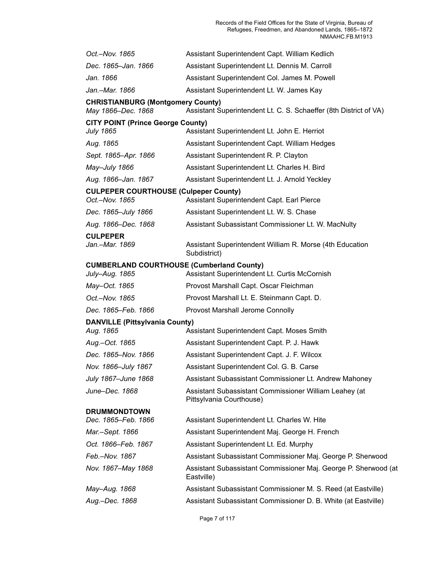| Oct.—Nov. 1865                                                 | Assistant Superintendent Capt. William Kedlich                                                    |
|----------------------------------------------------------------|---------------------------------------------------------------------------------------------------|
| Dec. 1865–Jan. 1866                                            | Assistant Superintendent Lt. Dennis M. Carroll                                                    |
| Jan. 1866                                                      | Assistant Superintendent Col. James M. Powell                                                     |
| Jan.–Mar. 1866                                                 | Assistant Superintendent Lt. W. James Kay                                                         |
| <b>CHRISTIANBURG (Montgomery County)</b><br>May 1866–Dec. 1868 | Assistant Superintendent Lt. C. S. Schaeffer (8th District of VA)                                 |
| <b>CITY POINT (Prince George County)</b><br>July 1865          | Assistant Superintendent Lt. John E. Herriot                                                      |
| Aug. 1865                                                      | Assistant Superintendent Capt. William Hedges                                                     |
| Sept. 1865–Apr. 1866                                           | Assistant Superintendent R. P. Clayton                                                            |
| May–July 1866                                                  | Assistant Superintendent Lt. Charles H. Bird                                                      |
| Aug. 1866–Jan. 1867                                            | Assistant Superintendent Lt. J. Arnold Yeckley                                                    |
| <b>CULPEPER COURTHOUSE (Culpeper County)</b><br>Oct.-Nov. 1865 | Assistant Superintendent Capt. Earl Pierce                                                        |
| Dec. 1865–July 1866                                            | Assistant Superintendent Lt. W. S. Chase                                                          |
| Aug. 1866–Dec. 1868                                            | Assistant Subassistant Commissioner Lt. W. MacNulty                                               |
| <b>CULPEPER</b>                                                |                                                                                                   |
| Jan.–Mar. 1869                                                 | Assistant Superintendent William R. Morse (4th Education<br>Subdistrict)                          |
| July–Aug. 1865                                                 | <b>CUMBERLAND COURTHOUSE (Cumberland County)</b><br>Assistant Superintendent Lt. Curtis McCornish |
| May–Oct. 1865                                                  | Provost Marshall Capt. Oscar Fleichman                                                            |
| Oct.-Nov. 1865                                                 | Provost Marshall Lt. E. Steinmann Capt. D.                                                        |
| Dec. 1865–Feb. 1866                                            | Provost Marshall Jerome Connolly                                                                  |
| <b>DANVILLE (Pittsylvania County)</b><br>Aug. 1865             | Assistant Superintendent Capt. Moses Smith                                                        |
| Aug.–Oct. 1865                                                 | Assistant Superintendent Capt. P. J. Hawk                                                         |
| Dec. 1865–Nov. 1866                                            | Assistant Superintendent Capt. J. F. Wilcox                                                       |
| Nov. 1866-July 1867                                            | Assistant Superintendent Col. G. B. Carse                                                         |
| July 1867–June 1868                                            | Assistant Subassistant Commissioner Lt. Andrew Mahoney                                            |
| June–Dec. 1868                                                 | Assistant Subassistant Commissioner William Leahey (at<br>Pittsylvania Courthouse)                |
| <b>DRUMMONDTOWN</b><br>Dec. 1865–Feb. 1866                     | Assistant Superintendent Lt. Charles W. Hite                                                      |
| Mar.–Sept. 1866                                                | Assistant Superintendent Maj. George H. French                                                    |
| Oct. 1866–Feb. 1867                                            | Assistant Superintendent Lt. Ed. Murphy                                                           |
| Feb.–Nov. 1867                                                 | Assistant Subassistant Commissioner Maj. George P. Sherwood                                       |
| Nov. 1867–May 1868                                             | Assistant Subassistant Commissioner Maj. George P. Sherwood (at<br>Eastville)                     |
| May–Aug. 1868                                                  | Assistant Subassistant Commissioner M. S. Reed (at Eastville)                                     |
| Aug.–Dec. 1868                                                 | Assistant Subassistant Commissioner D. B. White (at Eastville)                                    |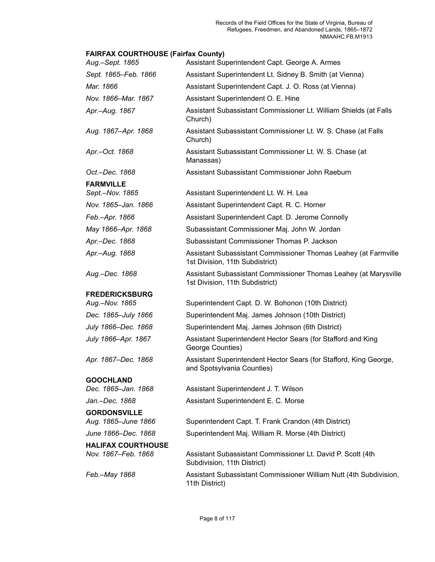# **FAIRFAX COURTHOUSE (Fairfax County)**

| Aug.-Sept. 1865                                  | Assistant Superintendent Capt. George A. Armes                                                      |
|--------------------------------------------------|-----------------------------------------------------------------------------------------------------|
| Sept. 1865–Feb. 1866                             | Assistant Superintendent Lt. Sidney B. Smith (at Vienna)                                            |
| Mar. 1866                                        | Assistant Superintendent Capt. J. O. Ross (at Vienna)                                               |
| Nov. 1866–Mar. 1867                              | Assistant Superintendent O. E. Hine                                                                 |
| Apr.-Aug. 1867                                   | Assistant Subassistant Commissioner Lt. William Shields (at Falls<br>Church)                        |
| Aug. 1867-Apr. 1868                              | Assistant Subassistant Commissioner Lt. W. S. Chase (at Falls<br>Church)                            |
| Apr.—Oct. 1868                                   | Assistant Subassistant Commissioner Lt. W. S. Chase (at<br>Manassas)                                |
| Oct.-Dec. 1868                                   | Assistant Subassistant Commissioner John Raeburn                                                    |
| <b>FARMVILLE</b><br>Sept.-Nov. 1865              | Assistant Superintendent Lt. W. H. Lea                                                              |
| Nov. 1865-Jan. 1866                              | Assistant Superintendent Capt. R. C. Horner                                                         |
| Feb.-Apr. 1866                                   | Assistant Superintendent Capt. D. Jerome Connolly                                                   |
| May 1866-Apr. 1868                               | Subassistant Commissioner Maj. John W. Jordan                                                       |
| Apr.-Dec. 1868                                   | Subassistant Commissioner Thomas P. Jackson                                                         |
| Apr.-Aug. 1868                                   | Assistant Subassistant Commissioner Thomas Leahey (at Farmville<br>1st Division, 11th Subdistrict)  |
| Aug.-Dec. 1868                                   | Assistant Subassistant Commissioner Thomas Leahey (at Marysville<br>1st Division, 11th Subdistrict) |
| <b>FREDERICKSBURG</b>                            |                                                                                                     |
| Aug.-Nov. 1865                                   | Superintendent Capt. D. W. Bohonon (10th District)                                                  |
| Dec. 1865-July 1866                              | Superintendent Maj. James Johnson (10th District)                                                   |
| July 1866–Dec. 1868                              | Superintendent Maj. James Johnson (6th District)                                                    |
| July 1866-Apr. 1867                              | Assistant Superintendent Hector Sears (for Stafford and King<br>George Counties)                    |
| Apr. 1867-Dec. 1868                              | Assistant Superintendent Hector Sears (for Stafford, King George,<br>and Spotsylvania Counties)     |
| <b>GOOCHLAND</b><br>Dec. 1865-Jan. 1868          | Assistant Superintendent J. T. Wilson                                                               |
| Jan.–Dec. 1868                                   | Assistant Superintendent E. C. Morse                                                                |
| <b>GORDONSVILLE</b>                              |                                                                                                     |
| Aug. 1865-June 1866                              | Superintendent Capt. T. Frank Crandon (4th District)                                                |
| June 1866-Dec. 1868                              | Superintendent Maj. William R. Morse (4th District)                                                 |
| <b>HALIFAX COURTHOUSE</b><br>Nov. 1867-Feb. 1868 | Assistant Subassistant Commissioner Lt. David P. Scott (4th<br>Subdivision, 11th District)          |
| Feb.-May 1868                                    | Assistant Subassistant Commissioner William Nutt (4th Subdivision,<br>11th District)                |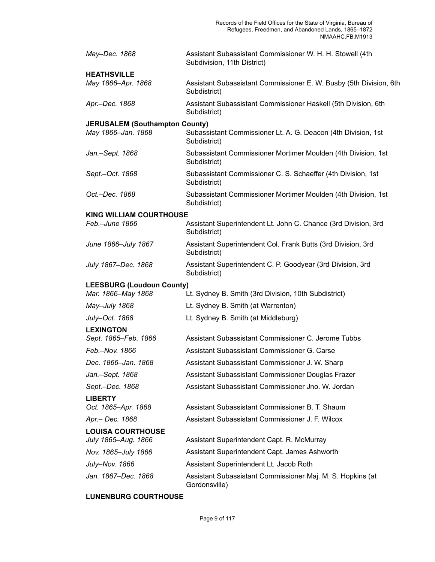| May-Dec. 1868                         | Assistant Subassistant Commissioner W. H. H. Stowell (4th<br>Subdivision, 11th District) |
|---------------------------------------|------------------------------------------------------------------------------------------|
| <b>HEATHSVILLE</b>                    |                                                                                          |
| May 1866-Apr. 1868                    | Assistant Subassistant Commissioner E. W. Busby (5th Division, 6th<br>Subdistrict)       |
| Apr.-Dec. 1868                        | Assistant Subassistant Commissioner Haskell (5th Division, 6th<br>Subdistrict)           |
| <b>JERUSALEM (Southampton County)</b> |                                                                                          |
| May 1866-Jan. 1868                    | Subassistant Commissioner Lt. A. G. Deacon (4th Division, 1st<br>Subdistrict)            |
| Jan.-Sept. 1868                       | Subassistant Commissioner Mortimer Moulden (4th Division, 1st<br>Subdistrict)            |
| Sept.-Oct. 1868                       | Subassistant Commissioner C. S. Schaeffer (4th Division, 1st<br>Subdistrict)             |
| Oct.-Dec. 1868                        | Subassistant Commissioner Mortimer Moulden (4th Division, 1st<br>Subdistrict)            |
| <b>KING WILLIAM COURTHOUSE</b>        |                                                                                          |
| Feb.-June 1866                        | Assistant Superintendent Lt. John C. Chance (3rd Division, 3rd<br>Subdistrict)           |
| June 1866-July 1867                   | Assistant Superintendent Col. Frank Butts (3rd Division, 3rd<br>Subdistrict)             |
| July 1867-Dec. 1868                   | Assistant Superintendent C. P. Goodyear (3rd Division, 3rd<br>Subdistrict)               |
| <b>LEESBURG (Loudoun County)</b>      |                                                                                          |
| Mar. 1866-May 1868                    | Lt. Sydney B. Smith (3rd Division, 10th Subdistrict)                                     |
| May-July 1868                         | Lt. Sydney B. Smith (at Warrenton)                                                       |
| July-Oct. 1868                        | Lt. Sydney B. Smith (at Middleburg)                                                      |
| <b>LEXINGTON</b>                      |                                                                                          |
| Sept. 1865-Feb. 1866                  | Assistant Subassistant Commissioner C. Jerome Tubbs                                      |
| Feb.-Nov. 1866                        | Assistant Subassistant Commissioner G. Carse                                             |
| Dec. 1866-Jan. 1868                   | Assistant Subassistant Commissioner J. W. Sharp                                          |
| Jan.-Sept. 1868                       | Assistant Subassistant Commissioner Douglas Frazer                                       |
| Sept.-Dec. 1868                       | Assistant Subassistant Commissioner Jno. W. Jordan                                       |
| <b>LIBERTY</b>                        |                                                                                          |
| Oct. 1865-Apr. 1868                   | Assistant Subassistant Commissioner B. T. Shaum                                          |
| Apr.- Dec. 1868                       | Assistant Subassistant Commissioner J. F. Wilcox                                         |
| <b>LOUISA COURTHOUSE</b>              |                                                                                          |
| July 1865-Aug. 1866                   | Assistant Superintendent Capt. R. McMurray                                               |
| Nov. 1865-July 1866                   | Assistant Superintendent Capt. James Ashworth                                            |
| July-Nov. 1866                        | Assistant Superintendent Lt. Jacob Roth                                                  |
| Jan. 1867–Dec. 1868                   | Assistant Subassistant Commissioner Maj. M. S. Hopkins (at<br>Gordonsville)              |

## **LUNENBURG COURTHOUSE**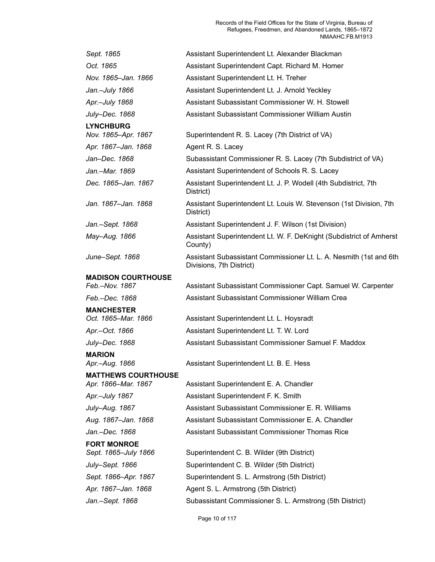| Sept. 1865                                        | Assistant Superintendent Lt. Alexander Blackman                                                |
|---------------------------------------------------|------------------------------------------------------------------------------------------------|
| Oct. 1865                                         | Assistant Superintendent Capt. Richard M. Homer                                                |
| Nov. 1865-Jan. 1866                               | Assistant Superintendent Lt. H. Treher                                                         |
| Jan.–July 1866                                    | Assistant Superintendent Lt. J. Arnold Yeckley                                                 |
| Apr.-July 1868                                    | Assistant Subassistant Commissioner W. H. Stowell                                              |
| July-Dec. 1868                                    | Assistant Subassistant Commissioner William Austin                                             |
| <b>LYNCHBURG</b><br>Nov. 1865-Apr. 1867           | Superintendent R. S. Lacey (7th District of VA)                                                |
| Apr. 1867–Jan. 1868                               | Agent R. S. Lacey                                                                              |
| Jan-Dec. 1868                                     | Subassistant Commissioner R. S. Lacey (7th Subdistrict of VA)                                  |
| Jan.–Mar. 1869                                    | Assistant Superintendent of Schools R. S. Lacey                                                |
| Dec. 1865-Jan. 1867                               | Assistant Superintendent Lt. J. P. Wodell (4th Subdistrict, 7th<br>District)                   |
| Jan. 1867–Jan. 1868                               | Assistant Superintendent Lt. Louis W. Stevenson (1st Division, 7th<br>District)                |
| Jan.–Sept. 1868                                   | Assistant Superintendent J. F. Wilson (1st Division)                                           |
| May-Aug. 1866                                     | Assistant Superintendent Lt. W. F. DeKnight (Subdistrict of Amherst<br>County)                 |
| June–Sept. 1868                                   | Assistant Subassistant Commissioner Lt. L. A. Nesmith (1st and 6th<br>Divisions, 7th District) |
| <b>MADISON COURTHOUSE</b><br>Feb.-Nov. 1867       | Assistant Subassistant Commissioner Capt. Samuel W. Carpenter                                  |
| Feb.–Dec. 1868                                    | Assistant Subassistant Commissioner William Crea                                               |
| <b>MANCHESTER</b><br>Oct. 1865-Mar. 1866          | Assistant Superintendent Lt. L. Hoysradt                                                       |
| Apr.–Oct. 1866                                    | Assistant Superintendent Lt. T. W. Lord                                                        |
| July–Dec. 1868                                    | Assistant Subassistant Commissioner Samuel F. Maddox                                           |
| <b>MARION</b>                                     |                                                                                                |
| Apr.–Aug. 1866                                    | Assistant Superintendent Lt. B. E. Hess                                                        |
| <b>MATTHEWS COURTHOUSE</b><br>Apr. 1866–Mar. 1867 | Assistant Superintendent E. A. Chandler                                                        |
| Apr.–July 1867                                    | Assistant Superintendent F. K. Smith                                                           |
| July–Aug. 1867                                    | Assistant Subassistant Commissioner E. R. Williams                                             |
| Aug. 1867–Jan. 1868                               | Assistant Subassistant Commissioner E. A. Chandler                                             |
| Jan.–Dec. 1868                                    | Assistant Subassistant Commissioner Thomas Rice                                                |
| <b>FORT MONROE</b><br>Sept. 1865–July 1866        | Superintendent C. B. Wilder (9th District)                                                     |
| July–Sept. 1866                                   | Superintendent C. B. Wilder (5th District)                                                     |
| Sept. 1866–Apr. 1867                              | Superintendent S. L. Armstrong (5th District)                                                  |
| Apr. 1867–Jan. 1868                               | Agent S. L. Armstrong (5th District)                                                           |
| Jan.–Sept. 1868                                   | Subassistant Commissioner S. L. Armstrong (5th District)                                       |
|                                                   |                                                                                                |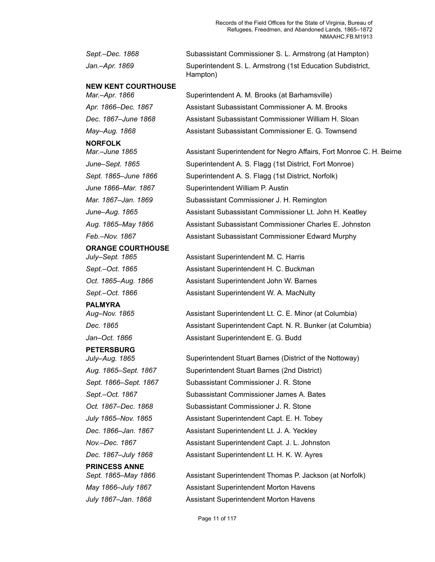Records of the Field Offices for the State of Virginia, Bureau of Refugees, Freedmen, and Abandoned Lands, 1865–1872 NMAAHC.FB.M1913

*Sept.–Dec. 1868* Subassistant Commissioner S. L. Armstrong (at Hampton) *Jan.–Apr. 1869* Superintendent S. L. Armstrong (1st Education Subdistrict, Hampton) **NEW KENT COURTHOUSE** *Mar.–Apr. 1866* Superintendent A. M. Brooks (at Barhamsville) *Apr. 1866–Dec. 1867* Assistant Subassistant Commissioner A. M. Brooks *Dec. 1867–June 1868* Assistant Subassistant Commissioner William H. Sloan *May–Aug. 1868* Assistant Subassistant Commissioner E. G. Townsend **NORFOLK** *Mar.–June 1865* Assistant Superintendent for Negro Affairs, Fort Monroe C. H. Beirne *June–Sept. 1865* Superintendent A. S. Flagg (1st District, Fort Monroe) Sept. 1865–June 1866 Superintendent A. S. Flagg (1st District, Norfolk) *June 1866–Mar. 1867* Superintendent William P. Austin *Mar. 1867–Jan. 1869* Subassistant Commissioner J. H. Remington *June–Aug. 1865* Assistant Subassistant Commissioner Lt. John H. Keatley *Aug. 1865–May 1866* Assistant Subassistant Commissioner Charles E. Johnston *Feb.–Nov. 1867* Assistant Subassistant Commissioner Edward Murphy **ORANGE COURTHOUSE** *July–Sept. 1865* Assistant Superintendent M. C. Harris *Sept.–Oct. 1865* Assistant Superintendent H. C. Buckman *Oct. 1865–Aug. 1866* Assistant Superintendent John W. Barnes *Sept.–Oct. 1866* Assistant Superintendent W. A. MacNulty **PALMYRA** *Aug–Nov. 1865* Assistant Superintendent Lt. C. E. Minor (at Columbia) **Dec. 1865** Assistant Superintendent Capt. N. R. Bunker (at Columbia) *Jan–Oct. 1866* Assistant Superintendent E. G. Budd **PETERSBURG** *July–Aug. 1865* Superintendent Stuart Barnes (District of the Nottoway) *Aug. 1865–Sept. 1867* Superintendent Stuart Barnes (2nd District) *Sept. 1866–Sept. 1867* Subassistant Commissioner J. R. Stone *Sept.–Oct. 1867* Subassistant Commissioner James A. Bates *Oct. 1867–Dec. 1868* Subassistant Commissioner J. R. Stone *July 1865–Nov. 1865* Assistant Superintendent Capt. E. H. Tobey *Dec. 1866–Jan. 1867* Assistant Superintendent Lt. J. A. Yeckley *Nov.–Dec. 1867* Assistant Superintendent Capt. J. L. Johnston *Dec. 1867–July 1868* Assistant Superintendent Lt. H. K. W. Ayres **PRINCESS ANNE** *Sept. 1865–May 1866* Assistant Superintendent Thomas P. Jackson (at Norfolk) *May 1866–July 1867* Assistant Superintendent Morton Havens *July 1867–Jan. 1868* Assistant Superintendent Morton Havens

Page 11 of 117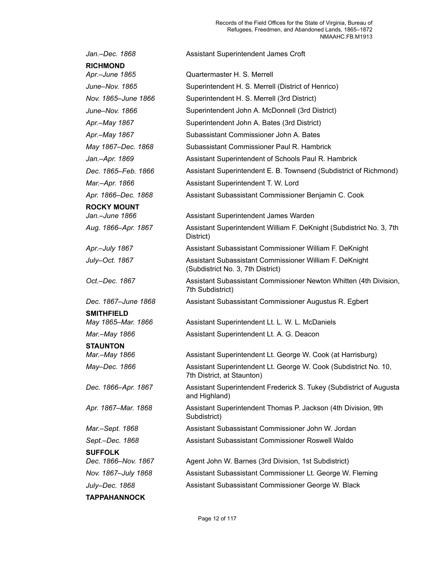| Jan.-Dec. 1868      | Assistant Superintendent James Croft                                                           |
|---------------------|------------------------------------------------------------------------------------------------|
| <b>RICHMOND</b>     |                                                                                                |
| Apr.-June 1865      | Quartermaster H. S. Merrell                                                                    |
| June-Nov. 1865      | Superintendent H. S. Merrell (District of Henrico)                                             |
| Nov. 1865-June 1866 | Superintendent H. S. Merrell (3rd District)                                                    |
| June-Nov. 1866      | Superintendent John A. McDonnell (3rd District)                                                |
| Apr.-May 1867       | Superintendent John A. Bates (3rd District)                                                    |
| Apr.-May 1867       | Subassistant Commissioner John A. Bates                                                        |
| May 1867-Dec. 1868  | Subassistant Commissioner Paul R. Hambrick                                                     |
| Jan.-Apr. 1869      | Assistant Superintendent of Schools Paul R. Hambrick                                           |
| Dec. 1865-Feb. 1866 | Assistant Superintendent E. B. Townsend (Subdistrict of Richmond)                              |
| Mar.-Apr. 1866      | Assistant Superintendent T. W. Lord                                                            |
| Apr. 1866–Dec. 1868 | Assistant Subassistant Commissioner Benjamin C. Cook                                           |
| <b>ROCKY MOUNT</b>  |                                                                                                |
| Jan.-June 1866      | Assistant Superintendent James Warden                                                          |
| Aug. 1866-Apr. 1867 | Assistant Superintendent William F. DeKnight (Subdistrict No. 3, 7th<br>District)              |
| Apr.-July 1867      | Assistant Subassistant Commissioner William F. DeKnight                                        |
| July-Oct. 1867      | Assistant Subassistant Commissioner William F. DeKnight<br>(Subdistrict No. 3, 7th District)   |
| Oct.-Dec. 1867      | Assistant Subassistant Commissioner Newton Whitten (4th Division,<br>7th Subdistrict)          |
| Dec. 1867–June 1868 | Assistant Subassistant Commissioner Augustus R. Egbert                                         |
| <b>SMITHFIELD</b>   |                                                                                                |
| May 1865-Mar. 1866  | Assistant Superintendent Lt. L. W. L. McDaniels                                                |
| Mar.-May 1866       | Assistant Superintendent Lt. A. G. Deacon                                                      |
| <b>STAUNTON</b>     |                                                                                                |
| Mar.-May 1866       | Assistant Superintendent Lt. George W. Cook (at Harrisburg)                                    |
| May-Dec. 1866       | Assistant Superintendent Lt. George W. Cook (Subdistrict No. 10,<br>7th District, at Staunton) |
| Dec. 1866–Apr. 1867 | Assistant Superintendent Frederick S. Tukey (Subdistrict of Augusta<br>and Highland)           |
| Apr. 1867-Mar. 1868 | Assistant Superintendent Thomas P. Jackson (4th Division, 9th<br>Subdistrict)                  |
| Mar.-Sept. 1868     | Assistant Subassistant Commissioner John W. Jordan                                             |
| Sept.-Dec. 1868     | Assistant Subassistant Commissioner Roswell Waldo                                              |
| <b>SUFFOLK</b>      |                                                                                                |
| Dec. 1866-Nov. 1867 | Agent John W. Barnes (3rd Division, 1st Subdistrict)                                           |
| Nov. 1867-July 1868 | Assistant Subassistant Commissioner Lt. George W. Fleming                                      |
| July-Dec. 1868      | Assistant Subassistant Commissioner George W. Black                                            |
| <b>TAPPAHANNOCK</b> |                                                                                                |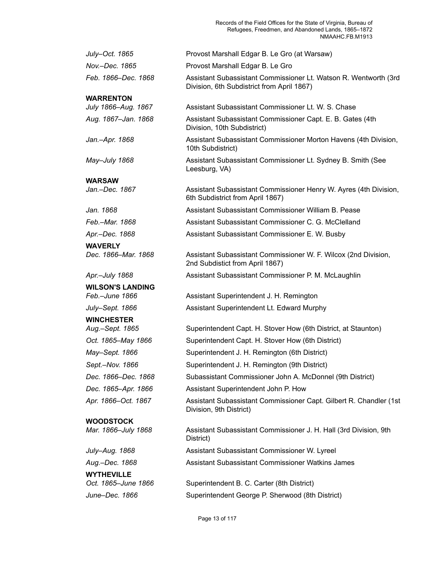Records of the Field Offices for the State of Virginia, Bureau of Refugees, Freedmen, and Abandoned Lands, 1865–1872 NMAAHC.FB.M1913

| July-Oct. 1865                            | Provost Marshall Edgar B. Le Gro (at Warsaw)                                                                   |
|-------------------------------------------|----------------------------------------------------------------------------------------------------------------|
| Nov.-Dec. 1865                            | Provost Marshall Edgar B. Le Gro                                                                               |
| Feb. 1866–Dec. 1868                       | Assistant Subassistant Commissioner Lt. Watson R. Wentworth (3rd<br>Division, 6th Subdistrict from April 1867) |
| <b>WARRENTON</b>                          |                                                                                                                |
| July 1866-Aug. 1867                       | Assistant Subassistant Commissioner Lt. W. S. Chase                                                            |
| Aug. 1867-Jan. 1868                       | Assistant Subassistant Commissioner Capt. E. B. Gates (4th<br>Division, 10th Subdistrict)                      |
| Jan.-Apr. 1868                            | Assistant Subassistant Commissioner Morton Havens (4th Division,<br>10th Subdistrict)                          |
| May–July 1868                             | Assistant Subassistant Commissioner Lt. Sydney B. Smith (See<br>Leesburg, VA)                                  |
| <b>WARSAW</b>                             |                                                                                                                |
| Jan.–Dec. 1867                            | Assistant Subassistant Commissioner Henry W. Ayres (4th Division,<br>6th Subdistrict from April 1867)          |
| Jan. 1868                                 | Assistant Subassistant Commissioner William B. Pease                                                           |
| Feb.–Mar. 1868                            | Assistant Subassistant Commissioner C. G. McClelland                                                           |
| Apr.-Dec. 1868                            | Assistant Subassistant Commissioner E. W. Busby                                                                |
| <b>WAVERLY</b><br>Dec. 1866–Mar. 1868     | Assistant Subassistant Commissioner W. F. Wilcox (2nd Division,<br>2nd Subdistict from April 1867)             |
| Apr.-July 1868                            | Assistant Subassistant Commissioner P. M. McLaughlin                                                           |
| <b>WILSON'S LANDING</b><br>Feb.–June 1866 | Assistant Superintendent J. H. Remington                                                                       |
| July–Sept. 1866                           | Assistant Superintendent Lt. Edward Murphy                                                                     |
| <b>WINCHESTER</b><br>Aug.-Sept. 1865      | Superintendent Capt. H. Stover How (6th District, at Staunton)                                                 |
| Oct. 1865-May 1866                        | Superintendent Capt. H. Stover How (6th District)                                                              |
| May-Sept. 1866                            | Superintendent J. H. Remington (6th District)                                                                  |
| Sept.-Nov. 1866                           | Superintendent J. H. Remington (9th District)                                                                  |
| Dec. 1866-Dec. 1868                       | Subassistant Commissioner John A. McDonnel (9th District)                                                      |
| Dec. 1865–Apr. 1866                       | Assistant Superintendent John P. How                                                                           |
| Apr. 1866-Oct. 1867                       | Assistant Subassistant Commissioner Capt. Gilbert R. Chandler (1st<br>Division, 9th District)                  |
| <b>WOODSTOCK</b>                          |                                                                                                                |
| Mar. 1866-July 1868                       | Assistant Subassistant Commissioner J. H. Hall (3rd Division, 9th<br>District)                                 |
| July-Aug. 1868                            | Assistant Subassistant Commissioner W. Lyreel                                                                  |
| Aug.-Dec. 1868                            | Assistant Subassistant Commissioner Watkins James                                                              |
| <b>WYTHEVILLE</b>                         |                                                                                                                |
| Oct. 1865-June 1866                       | Superintendent B. C. Carter (8th District)                                                                     |
| June-Dec. 1866                            | Superintendent George P. Sherwood (8th District)                                                               |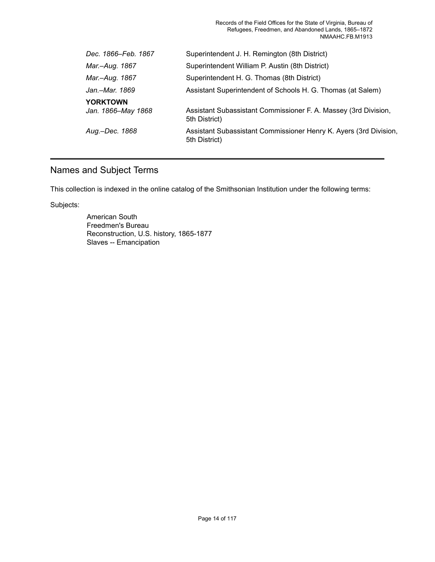Records of the Field Offices for the State of Virginia, Bureau of Refugees, Freedmen, and Abandoned Lands, 1865–1872 NMAAHC.FB.M1913

| Dec. 1866–Feb. 1867                   | Superintendent J. H. Remington (8th District)                                      |
|---------------------------------------|------------------------------------------------------------------------------------|
| Mar.–Aug. 1867                        | Superintendent William P. Austin (8th District)                                    |
| Mar.–Aug. 1867                        | Superintendent H. G. Thomas (8th District)                                         |
| Jan.–Mar. 1869                        | Assistant Superintendent of Schools H. G. Thomas (at Salem)                        |
| <b>YORKTOWN</b><br>Jan. 1866–May 1868 | Assistant Subassistant Commissioner F. A. Massey (3rd Division,<br>5th District)   |
| Aug.–Dec. 1868                        | Assistant Subassistant Commissioner Henry K. Ayers (3rd Division,<br>5th District) |
|                                       |                                                                                    |

# <span id="page-15-0"></span>Names and Subject Terms

This collection is indexed in the online catalog of the Smithsonian Institution under the following terms:

Subjects:

American South Freedmen's Bureau Reconstruction, U.S. history, 1865-1877 Slaves -- Emancipation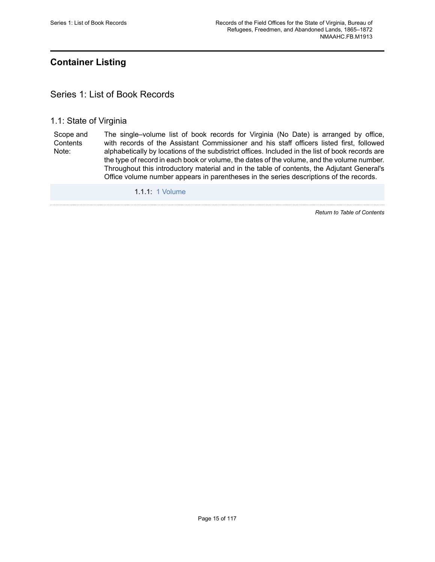# <span id="page-16-0"></span>**Container Listing**

## <span id="page-16-1"></span>Series 1: List of Book Records

#### 1.1: State of Virginia

Scope and **Contents** Note: The single–volume list of book records for Virginia (No Date) is arranged by office, with records of the Assistant Commissioner and his staff officers listed first, followed alphabetically by locations of the subdistrict offices. Included in the list of book records are the type of record in each book or volume, the dates of the volume, and the volume number. Throughout this introductory material and in the table of contents, the Adjutant General's Office volume number appears in parentheses in the series descriptions of the records.

1.1.1: 1 [Volume](https://edan.si.edu/slideshow/slideshowViewer.htm?eadrefid=NMAAHC.FB.M1913_ref4)

*Return to Table of [Contents](#page-1-0)*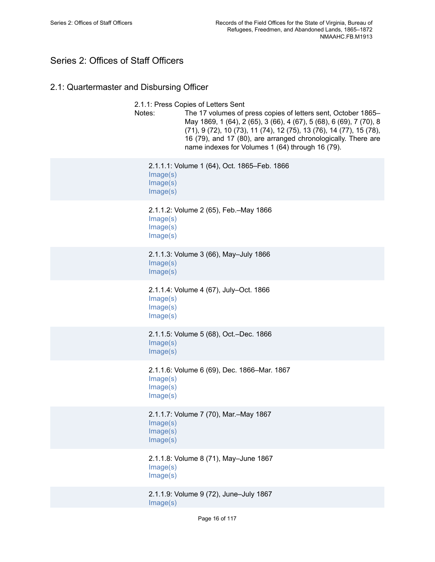# <span id="page-17-0"></span>Series 2: Offices of Staff Officers

# 2.1: Quartermaster and Disbursing Officer

| 2.1.1: Press Copies of Letters Sent<br>Notes:<br>The 17 volumes of press copies of letters sent, October 1865–<br>May 1869, 1 (64), 2 (65), 3 (66), 4 (67), 5 (68), 6 (69), 7 (70), 8<br>(71), 9 (72), 10 (73), 11 (74), 12 (75), 13 (76), 14 (77), 15 (78),<br>16 (79), and 17 (80), are arranged chronologically. There are<br>name indexes for Volumes 1 (64) through 16 (79). |
|-----------------------------------------------------------------------------------------------------------------------------------------------------------------------------------------------------------------------------------------------------------------------------------------------------------------------------------------------------------------------------------|
| 2.1.1.1: Volume 1 (64), Oct. 1865-Feb. 1866<br>Image(s)<br>Image(s)<br>Image(s)                                                                                                                                                                                                                                                                                                   |
| 2.1.1.2: Volume 2 (65), Feb.–May 1866<br>Image(s)<br>Image(s)<br>Image(s)                                                                                                                                                                                                                                                                                                         |
| 2.1.1.3: Volume 3 (66), May-July 1866<br>Image(s)<br>Image(s)                                                                                                                                                                                                                                                                                                                     |
| 2.1.1.4: Volume 4 (67), July-Oct. 1866<br>Image(s)<br>Image(s)<br>Image(s)                                                                                                                                                                                                                                                                                                        |
| 2.1.1.5: Volume 5 (68), Oct.-Dec. 1866<br>Image(s)<br>Image(s)                                                                                                                                                                                                                                                                                                                    |
| 2.1.1.6: Volume 6 (69), Dec. 1866-Mar. 1867<br>Image(s)<br>Image(s)<br>Image(s)                                                                                                                                                                                                                                                                                                   |
| 2.1.1.7: Volume 7 (70), Mar.-May 1867<br>Image(s)<br>Image(s)<br>Image(s)                                                                                                                                                                                                                                                                                                         |
| 2.1.1.8: Volume 8 (71), May-June 1867<br>Image(s)<br>Image(s)                                                                                                                                                                                                                                                                                                                     |
| 2.1.1.9: Volume 9 (72), June-July 1867                                                                                                                                                                                                                                                                                                                                            |

[Image\(s\)](https://edan.si.edu/slideshow/slideshowViewer.htm?eadrefid=NMAAHC.FB.M1913_ref17_part1)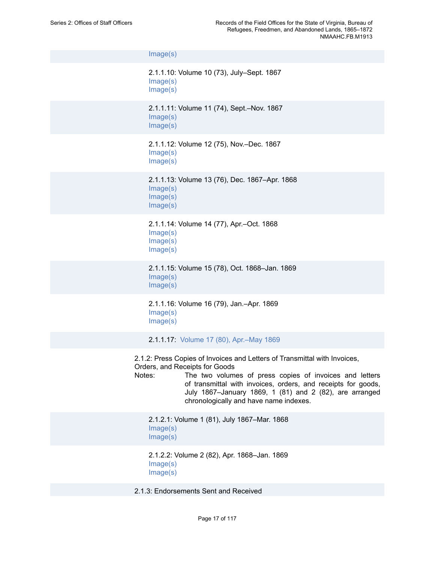[Image\(s\)](https://edan.si.edu/slideshow/slideshowViewer.htm?eadrefid=NMAAHC.FB.M1913_ref17_part2)

```
2.1.1.10: Volume 10 (73), July–Sept. 1867
Image(s)
Image(s)
```
2.1.1.11: Volume 11 (74), Sept.–Nov. 1867 [Image\(s\)](https://edan.si.edu/slideshow/slideshowViewer.htm?eadrefid=NMAAHC.FB.M1913_ref19_part1) [Image\(s\)](https://edan.si.edu/slideshow/slideshowViewer.htm?eadrefid=NMAAHC.FB.M1913_ref19_part2)

2.1.1.12: Volume 12 (75), Nov.–Dec. 1867 [Image\(s\)](https://edan.si.edu/slideshow/slideshowViewer.htm?eadrefid=NMAAHC.FB.M1913_ref20_part1) [Image\(s\)](https://edan.si.edu/slideshow/slideshowViewer.htm?eadrefid=NMAAHC.FB.M1913_ref20_part2)

2.1.1.13: Volume 13 (76), Dec. 1867–Apr. 1868 [Image\(s\)](https://edan.si.edu/slideshow/slideshowViewer.htm?eadrefid=NMAAHC.FB.M1913_ref21_part1) [Image\(s\)](https://edan.si.edu/slideshow/slideshowViewer.htm?eadrefid=NMAAHC.FB.M1913_ref21_part2) [Image\(s\)](https://edan.si.edu/slideshow/slideshowViewer.htm?eadrefid=NMAAHC.FB.M1913_ref21_part3)

2.1.1.14: Volume 14 (77), Apr.–Oct. 1868 [Image\(s\)](https://edan.si.edu/slideshow/slideshowViewer.htm?eadrefid=NMAAHC.FB.M1913_ref22_part1) [Image\(s\)](https://edan.si.edu/slideshow/slideshowViewer.htm?eadrefid=NMAAHC.FB.M1913_ref22_part2) [Image\(s\)](https://edan.si.edu/slideshow/slideshowViewer.htm?eadrefid=NMAAHC.FB.M1913_ref22_part3)

2.1.1.15: Volume 15 (78), Oct. 1868–Jan. 1869 [Image\(s\)](https://edan.si.edu/slideshow/slideshowViewer.htm?eadrefid=NMAAHC.FB.M1913_ref23_part1) [Image\(s\)](https://edan.si.edu/slideshow/slideshowViewer.htm?eadrefid=NMAAHC.FB.M1913_ref23_part2)

2.1.1.16: Volume 16 (79), Jan.–Apr. 1869 [Image\(s\)](https://edan.si.edu/slideshow/slideshowViewer.htm?eadrefid=NMAAHC.FB.M1913_ref24_part1) [Image\(s\)](https://edan.si.edu/slideshow/slideshowViewer.htm?eadrefid=NMAAHC.FB.M1913_ref24_part2)

2.1.1.17: Volume 17 (80), [Apr.–May](https://edan.si.edu/slideshow/slideshowViewer.htm?eadrefid=NMAAHC.FB.M1913_ref25) 1869

2.1.2: Press Copies of Invoices and Letters of Transmittal with Invoices, Orders, and Receipts for Goods

Notes: The two volumes of press copies of invoices and letters of transmittal with invoices, orders, and receipts for goods, July 1867–January 1869, 1 (81) and 2 (82), are arranged chronologically and have name indexes.

2.1.2.1: Volume 1 (81), July 1867–Mar. 1868 [Image\(s\)](https://edan.si.edu/slideshow/slideshowViewer.htm?eadrefid=NMAAHC.FB.M1913_ref28_part1) [Image\(s\)](https://edan.si.edu/slideshow/slideshowViewer.htm?eadrefid=NMAAHC.FB.M1913_ref28_part2)

2.1.2.2: Volume 2 (82), Apr. 1868–Jan. 1869 [Image\(s\)](https://edan.si.edu/slideshow/slideshowViewer.htm?eadrefid=NMAAHC.FB.M1913_ref29_part1) [Image\(s\)](https://edan.si.edu/slideshow/slideshowViewer.htm?eadrefid=NMAAHC.FB.M1913_ref29_part2)

2.1.3: Endorsements Sent and Received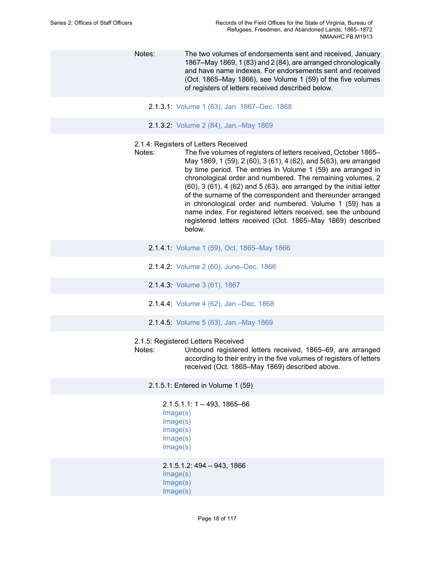Notes: The two volumes of endorsements sent and received, January 1867–May 1869, 1 (83) and 2 (84), are arranged chronologically and have name indexes. For endorsements sent and received (Oct. 1865–May 1866), see Volume 1 (59) of the five volumes of registers of letters received described below.

- 2.1.3.1: Volume 1 (83), Jan. [1867–Dec.](https://edan.si.edu/slideshow/slideshowViewer.htm?eadrefid=NMAAHC.FB.M1913_ref32) 1868
- 2.1.3.2: Volume 2 (84), [Jan.–May](https://edan.si.edu/slideshow/slideshowViewer.htm?eadrefid=NMAAHC.FB.M1913_ref33) 1869
- 2.1.4: Registers of Letters Received
- Notes: The five volumes of registers of letters received, October 1865– May 1869, 1 (59), 2 (60), 3 (61), 4 (62), and 5(63), are arranged by time period. The entries in Volume 1 (59) are arranged in chronological order and numbered. The remaining volumes, 2 (60), 3 (61), 4 (62) and 5 (63), are arranged by the initial letter of the surname of the correspondent and thereunder arranged in chronological order and numbered. Volume 1 (59) has a name index. For registered letters received, see the unbound registered letters received (Oct. 1865–May 1869) described below.
	- 2.1.4.1: Volume 1 (59), Oct. [1865–May](https://edan.si.edu/slideshow/slideshowViewer.htm?eadrefid=NMAAHC.FB.M1913_ref36) 1866
	- 2.1.4.2: Volume 2 (60), [June–Dec.](https://edan.si.edu/slideshow/slideshowViewer.htm?eadrefid=NMAAHC.FB.M1913_ref37) 1866
	- 2.1.4.3: [Volume](https://edan.si.edu/slideshow/slideshowViewer.htm?eadrefid=NMAAHC.FB.M1913_ref38) 3 (61), 1867
	- 2.1.4.4: Volume 4 (62), [Jan.–Dec.](https://edan.si.edu/slideshow/slideshowViewer.htm?eadrefid=NMAAHC.FB.M1913_ref39) 1868
	- 2.1.4.5: Volume 5 (63), [Jan.–May](https://edan.si.edu/slideshow/slideshowViewer.htm?eadrefid=NMAAHC.FB.M1913_ref40) 1869

#### 2.1.5: Registered Letters Received

Notes: Unbound registered letters received, 1865–69, are arranged according to their entry in the five volumes of registers of letters received (Oct. 1865–May 1869) described above.

2.1.5.1: Entered in Volume 1 (59)

2.1.5.1.1: 1 – 493, 1865–66 [Image\(s\)](https://edan.si.edu/slideshow/slideshowViewer.htm?eadrefid=NMAAHC.FB.M1913_ref44_part1) [Image\(s\)](https://edan.si.edu/slideshow/slideshowViewer.htm?eadrefid=NMAAHC.FB.M1913_ref44_part2) [Image\(s\)](https://edan.si.edu/slideshow/slideshowViewer.htm?eadrefid=NMAAHC.FB.M1913_ref44_part3) [Image\(s\)](https://edan.si.edu/slideshow/slideshowViewer.htm?eadrefid=NMAAHC.FB.M1913_ref44_part4) [Image\(s\)](https://edan.si.edu/slideshow/slideshowViewer.htm?eadrefid=NMAAHC.FB.M1913_ref44_part5)

2.1.5.1.2: 494 – 943, 1866 [Image\(s\)](https://edan.si.edu/slideshow/slideshowViewer.htm?eadrefid=NMAAHC.FB.M1913_ref45_part1) [Image\(s\)](https://edan.si.edu/slideshow/slideshowViewer.htm?eadrefid=NMAAHC.FB.M1913_ref45_part2) [Image\(s\)](https://edan.si.edu/slideshow/slideshowViewer.htm?eadrefid=NMAAHC.FB.M1913_ref45_part3)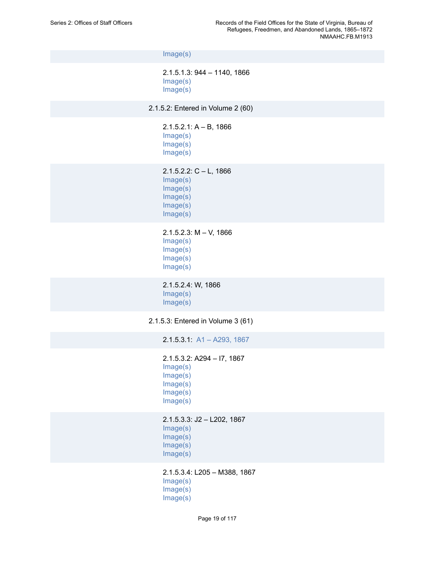[Image\(s\)](https://edan.si.edu/slideshow/slideshowViewer.htm?eadrefid=NMAAHC.FB.M1913_ref45_part4) 2.1.5.1.3: 944 – 1140, 1866 [Image\(s\)](https://edan.si.edu/slideshow/slideshowViewer.htm?eadrefid=NMAAHC.FB.M1913_ref46_part1) [Image\(s\)](https://edan.si.edu/slideshow/slideshowViewer.htm?eadrefid=NMAAHC.FB.M1913_ref46_part2) 2.1.5.2: Entered in Volume 2 (60) 2.1.5.2.1: A – B, 1866 [Image\(s\)](https://edan.si.edu/slideshow/slideshowViewer.htm?eadrefid=NMAAHC.FB.M1913_ref48_part1) [Image\(s\)](https://edan.si.edu/slideshow/slideshowViewer.htm?eadrefid=NMAAHC.FB.M1913_ref48_part2) [Image\(s\)](https://edan.si.edu/slideshow/slideshowViewer.htm?eadrefid=NMAAHC.FB.M1913_ref48_part3) 2.1.5.2.2: C – L, 1866 [Image\(s\)](https://edan.si.edu/slideshow/slideshowViewer.htm?eadrefid=NMAAHC.FB.M1913_ref49_part1) [Image\(s\)](https://edan.si.edu/slideshow/slideshowViewer.htm?eadrefid=NMAAHC.FB.M1913_ref49_part2) [Image\(s\)](https://edan.si.edu/slideshow/slideshowViewer.htm?eadrefid=NMAAHC.FB.M1913_ref49_part3) [Image\(s\)](https://edan.si.edu/slideshow/slideshowViewer.htm?eadrefid=NMAAHC.FB.M1913_ref49_part4) [Image\(s\)](https://edan.si.edu/slideshow/slideshowViewer.htm?eadrefid=NMAAHC.FB.M1913_ref49_part5) 2.1.5.2.3: M – V, 1866 [Image\(s\)](https://edan.si.edu/slideshow/slideshowViewer.htm?eadrefid=NMAAHC.FB.M1913_ref50_part1) [Image\(s\)](https://edan.si.edu/slideshow/slideshowViewer.htm?eadrefid=NMAAHC.FB.M1913_ref50_part2) [Image\(s\)](https://edan.si.edu/slideshow/slideshowViewer.htm?eadrefid=NMAAHC.FB.M1913_ref50_part3) [Image\(s\)](https://edan.si.edu/slideshow/slideshowViewer.htm?eadrefid=NMAAHC.FB.M1913_ref50_part4) 2.1.5.2.4: W, 1866 [Image\(s\)](https://edan.si.edu/slideshow/slideshowViewer.htm?eadrefid=NMAAHC.FB.M1913_ref51_part1) [Image\(s\)](https://edan.si.edu/slideshow/slideshowViewer.htm?eadrefid=NMAAHC.FB.M1913_ref51_part2) 2.1.5.3: Entered in Volume 3 (61) 2.1.5.3.1: [A1 – A293, 1867](https://edan.si.edu/slideshow/slideshowViewer.htm?eadrefid=NMAAHC.FB.M1913_ref53) 2.1.5.3.2: A294 – I7, 1867 [Image\(s\)](https://edan.si.edu/slideshow/slideshowViewer.htm?eadrefid=NMAAHC.FB.M1913_ref54_part1) [Image\(s\)](https://edan.si.edu/slideshow/slideshowViewer.htm?eadrefid=NMAAHC.FB.M1913_ref54_part2) [Image\(s\)](https://edan.si.edu/slideshow/slideshowViewer.htm?eadrefid=NMAAHC.FB.M1913_ref54_part3) [Image\(s\)](https://edan.si.edu/slideshow/slideshowViewer.htm?eadrefid=NMAAHC.FB.M1913_ref54_part4) [Image\(s\)](https://edan.si.edu/slideshow/slideshowViewer.htm?eadrefid=NMAAHC.FB.M1913_ref54_part5) 2.1.5.3.3: J2 – L202, 1867 [Image\(s\)](https://edan.si.edu/slideshow/slideshowViewer.htm?eadrefid=NMAAHC.FB.M1913_ref55_part1) [Image\(s\)](https://edan.si.edu/slideshow/slideshowViewer.htm?eadrefid=NMAAHC.FB.M1913_ref55_part2) [Image\(s\)](https://edan.si.edu/slideshow/slideshowViewer.htm?eadrefid=NMAAHC.FB.M1913_ref55_part3) [Image\(s\)](https://edan.si.edu/slideshow/slideshowViewer.htm?eadrefid=NMAAHC.FB.M1913_ref55_part4)

> 2.1.5.3.4: L205 – M388, 1867 [Image\(s\)](https://edan.si.edu/slideshow/slideshowViewer.htm?eadrefid=NMAAHC.FB.M1913_ref56_part1) [Image\(s\)](https://edan.si.edu/slideshow/slideshowViewer.htm?eadrefid=NMAAHC.FB.M1913_ref56_part2) [Image\(s\)](https://edan.si.edu/slideshow/slideshowViewer.htm?eadrefid=NMAAHC.FB.M1913_ref56_part3)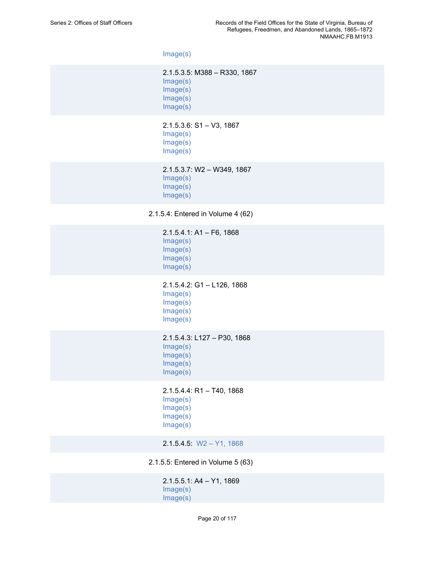[Image\(s\)](https://edan.si.edu/slideshow/slideshowViewer.htm?eadrefid=NMAAHC.FB.M1913_ref56_part4)

2.1.5.3.5: M388 – R330, 1867 [Image\(s\)](https://edan.si.edu/slideshow/slideshowViewer.htm?eadrefid=NMAAHC.FB.M1913_ref57_part1) [Image\(s\)](https://edan.si.edu/slideshow/slideshowViewer.htm?eadrefid=NMAAHC.FB.M1913_ref57_part2) [Image\(s\)](https://edan.si.edu/slideshow/slideshowViewer.htm?eadrefid=NMAAHC.FB.M1913_ref57_part3) [Image\(s\)](https://edan.si.edu/slideshow/slideshowViewer.htm?eadrefid=NMAAHC.FB.M1913_ref57_part4)

2.1.5.3.6: S1 – V3, 1867 [Image\(s\)](https://edan.si.edu/slideshow/slideshowViewer.htm?eadrefid=NMAAHC.FB.M1913_ref58_part1) [Image\(s\)](https://edan.si.edu/slideshow/slideshowViewer.htm?eadrefid=NMAAHC.FB.M1913_ref58_part2) [Image\(s\)](https://edan.si.edu/slideshow/slideshowViewer.htm?eadrefid=NMAAHC.FB.M1913_ref58_part3)

2.1.5.3.7: W2 – W349, 1867 [Image\(s\)](https://edan.si.edu/slideshow/slideshowViewer.htm?eadrefid=NMAAHC.FB.M1913_ref59_part1) [Image\(s\)](https://edan.si.edu/slideshow/slideshowViewer.htm?eadrefid=NMAAHC.FB.M1913_ref59_part2) [Image\(s\)](https://edan.si.edu/slideshow/slideshowViewer.htm?eadrefid=NMAAHC.FB.M1913_ref59_part3)

2.1.5.4: Entered in Volume 4 (62)

2.1.5.4.1: A1 – F6, 1868 [Image\(s\)](https://edan.si.edu/slideshow/slideshowViewer.htm?eadrefid=NMAAHC.FB.M1913_ref61_part1) [Image\(s\)](https://edan.si.edu/slideshow/slideshowViewer.htm?eadrefid=NMAAHC.FB.M1913_ref61_part2) [Image\(s\)](https://edan.si.edu/slideshow/slideshowViewer.htm?eadrefid=NMAAHC.FB.M1913_ref61_part3) [Image\(s\)](https://edan.si.edu/slideshow/slideshowViewer.htm?eadrefid=NMAAHC.FB.M1913_ref61_part4) 2.1.5.4.2: G1 – L126, 1868 [Image\(s\)](https://edan.si.edu/slideshow/slideshowViewer.htm?eadrefid=NMAAHC.FB.M1913_ref62_part1) [Image\(s\)](https://edan.si.edu/slideshow/slideshowViewer.htm?eadrefid=NMAAHC.FB.M1913_ref62_part2) [Image\(s\)](https://edan.si.edu/slideshow/slideshowViewer.htm?eadrefid=NMAAHC.FB.M1913_ref62_part3) [Image\(s\)](https://edan.si.edu/slideshow/slideshowViewer.htm?eadrefid=NMAAHC.FB.M1913_ref62_part4) 2.1.5.4.3: L127 – P30, 1868 [Image\(s\)](https://edan.si.edu/slideshow/slideshowViewer.htm?eadrefid=NMAAHC.FB.M1913_ref63_part1) [Image\(s\)](https://edan.si.edu/slideshow/slideshowViewer.htm?eadrefid=NMAAHC.FB.M1913_ref63_part2) [Image\(s\)](https://edan.si.edu/slideshow/slideshowViewer.htm?eadrefid=NMAAHC.FB.M1913_ref63_part3) [Image\(s\)](https://edan.si.edu/slideshow/slideshowViewer.htm?eadrefid=NMAAHC.FB.M1913_ref63_part4) 2.1.5.4.4: R1 – T40, 1868 [Image\(s\)](https://edan.si.edu/slideshow/slideshowViewer.htm?eadrefid=NMAAHC.FB.M1913_ref64_part1) [Image\(s\)](https://edan.si.edu/slideshow/slideshowViewer.htm?eadrefid=NMAAHC.FB.M1913_ref64_part2) [Image\(s\)](https://edan.si.edu/slideshow/slideshowViewer.htm?eadrefid=NMAAHC.FB.M1913_ref64_part3) [Image\(s\)](https://edan.si.edu/slideshow/slideshowViewer.htm?eadrefid=NMAAHC.FB.M1913_ref64_part4) 2.1.5.4.5: [W2 – Y1, 1868](https://edan.si.edu/slideshow/slideshowViewer.htm?eadrefid=NMAAHC.FB.M1913_ref65)

2.1.5.5: Entered in Volume 5 (63)

2.1.5.5.1: A4 – Y1, 1869 [Image\(s\)](https://edan.si.edu/slideshow/slideshowViewer.htm?eadrefid=NMAAHC.FB.M1913_ref67_part1) [Image\(s\)](https://edan.si.edu/slideshow/slideshowViewer.htm?eadrefid=NMAAHC.FB.M1913_ref67_part2)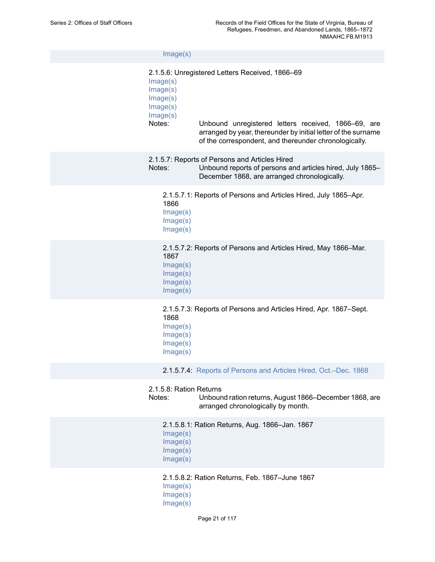| Image(s)                                                           |                                                                                                                                                                                                                                  |
|--------------------------------------------------------------------|----------------------------------------------------------------------------------------------------------------------------------------------------------------------------------------------------------------------------------|
| Image(s)<br>Image(s)<br>Image(s)<br>Image(s)<br>Image(s)<br>Notes: | 2.1.5.6: Unregistered Letters Received, 1866-69<br>Unbound unregistered letters received, 1866–69, are<br>arranged by year, thereunder by initial letter of the surname<br>of the correspondent, and thereunder chronologically. |
| Notes:                                                             | 2.1.5.7: Reports of Persons and Articles Hired<br>Unbound reports of persons and articles hired, July 1865-<br>December 1868, are arranged chronologically.                                                                      |
| 1866<br>Image(s)<br>Image(s)<br>Image(s)                           | 2.1.5.7.1: Reports of Persons and Articles Hired, July 1865–Apr.                                                                                                                                                                 |
| 1867<br>Image(s)<br>Image(s)<br>Image(s)<br>Image(s)               | 2.1.5.7.2: Reports of Persons and Articles Hired, May 1866–Mar.                                                                                                                                                                  |
| 1868<br>Image(s)<br>Image(s)<br>Image(s)<br>Image(s)               | 2.1.5.7.3: Reports of Persons and Articles Hired, Apr. 1867–Sept.                                                                                                                                                                |
|                                                                    | 2.1.5.7.4: Reports of Persons and Articles Hired, Oct.-Dec. 1868                                                                                                                                                                 |
| 2.1.5.8: Ration Returns<br>Notes:                                  | Unbound ration returns, August 1866–December 1868, are<br>arranged chronologically by month.                                                                                                                                     |
| Image(s)<br>Image(s)<br>Image(s)<br>Image(s)                       | 2.1.5.8.1: Ration Returns, Aug. 1866-Jan. 1867                                                                                                                                                                                   |
| Image(s)<br>Image(s)<br>Image(s)                                   | 2.1.5.8.2: Ration Returns, Feb. 1867-June 1867                                                                                                                                                                                   |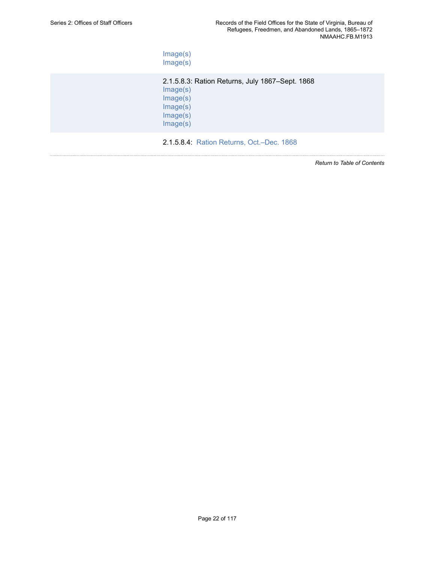[Image\(s\)](https://edan.si.edu/slideshow/slideshowViewer.htm?eadrefid=NMAAHC.FB.M1913_ref78_part4) [Image\(s\)](https://edan.si.edu/slideshow/slideshowViewer.htm?eadrefid=NMAAHC.FB.M1913_ref78_part5)

2.1.5.8.3: Ration Returns, July 1867–Sept. 1868 [Image\(s\)](https://edan.si.edu/slideshow/slideshowViewer.htm?eadrefid=NMAAHC.FB.M1913_ref79_part1) [Image\(s\)](https://edan.si.edu/slideshow/slideshowViewer.htm?eadrefid=NMAAHC.FB.M1913_ref79_part2) [Image\(s\)](https://edan.si.edu/slideshow/slideshowViewer.htm?eadrefid=NMAAHC.FB.M1913_ref79_part3) [Image\(s\)](https://edan.si.edu/slideshow/slideshowViewer.htm?eadrefid=NMAAHC.FB.M1913_ref79_part4) [Image\(s\)](https://edan.si.edu/slideshow/slideshowViewer.htm?eadrefid=NMAAHC.FB.M1913_ref79_part5)

2.1.5.8.4: [Ration Returns, Oct.–Dec. 1868](https://edan.si.edu/slideshow/slideshowViewer.htm?eadrefid=NMAAHC.FB.M1913_ref80)

*Return to Table of [Contents](#page-1-0)*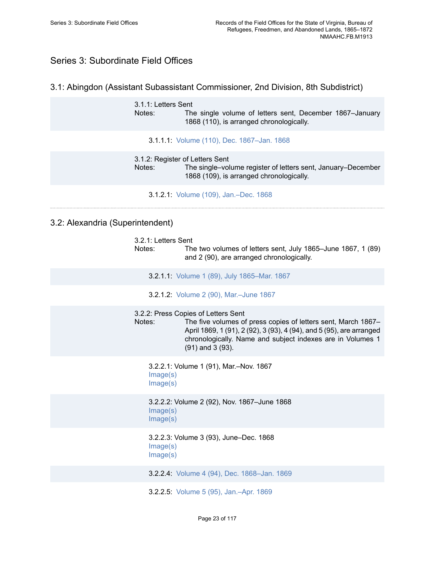# <span id="page-24-0"></span>Series 3: Subordinate Field Offices

## 3.1: Abingdon (Assistant Subassistant Commissioner, 2nd Division, 8th Subdistrict)

3.1.1: Letters Sent<br>Notes: The The single volume of letters sent, December 1867–January 1868 (110), is arranged chronologically.

3.1.1.1: Volume (110), Dec. [1867–Jan.](https://edan.si.edu/slideshow/slideshowViewer.htm?eadrefid=NMAAHC.FB.M1913_ref86) 1868

3.1.2: Register of Letters Sent Notes: The single–volume register of letters sent, January–December 1868 (109), is arranged chronologically.

3.1.2.1: Volume (109), [Jan.–Dec.](https://edan.si.edu/slideshow/slideshowViewer.htm?eadrefid=NMAAHC.FB.M1913_ref89) 1868

## 3.2: Alexandria (Superintendent)

| 3.2.1: Letters Sent<br>Notes: | The two volumes of letters sent, July 1865–June 1867, 1 (89)<br>and 2 (90), are arranged chronologically.                                                                                                                                                           |
|-------------------------------|---------------------------------------------------------------------------------------------------------------------------------------------------------------------------------------------------------------------------------------------------------------------|
|                               | 3.2.1.1: Volume 1 (89), July 1865–Mar. 1867                                                                                                                                                                                                                         |
|                               | 3.2.1.2: Volume 2 (90), Mar.-June 1867                                                                                                                                                                                                                              |
| Notes:                        | 3.2.2: Press Copies of Letters Sent<br>The five volumes of press copies of letters sent, March 1867-<br>April 1869, 1 (91), 2 (92), 3 (93), 4 (94), and 5 (95), are arranged<br>chronologically. Name and subject indexes are in Volumes 1<br>$(91)$ and 3 $(93)$ . |
| Image(s)<br>Image(s)          | 3.2.2.1: Volume 1 (91), Mar.-Nov. 1867                                                                                                                                                                                                                              |
| Image(s)<br>Image(s)          | 3.2.2.2: Volume 2 (92), Nov. 1867-June 1868                                                                                                                                                                                                                         |
| Image(s)<br>Image(s)          | 3.2.2.3: Volume 3 (93), June-Dec. 1868                                                                                                                                                                                                                              |
|                               | 3.2.2.4: Volume 4 (94), Dec. 1868-Jan. 1869                                                                                                                                                                                                                         |
|                               | 3.2.2.5: Volume 5 (95), Jan.-Apr. 1869                                                                                                                                                                                                                              |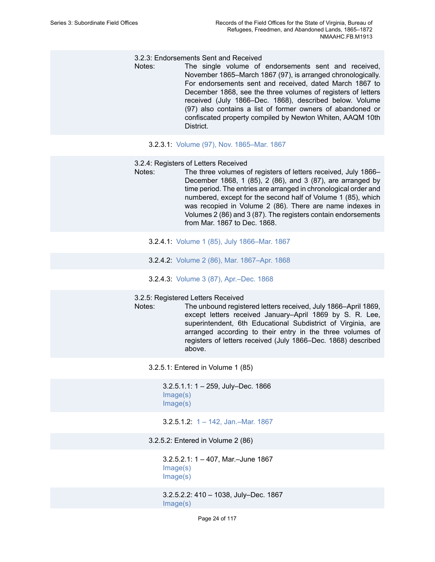#### 3.2.3: Endorsements Sent and Received

Notes: The single volume of endorsements sent and received, November 1865–March 1867 (97), is arranged chronologically. For endorsements sent and received, dated March 1867 to December 1868, see the three volumes of registers of letters received (July 1866–Dec. 1868), described below. Volume (97) also contains a list of former owners of abandoned or confiscated property compiled by Newton Whiten, AAQM 10th District.

#### 3.2.3.1: Volume (97), Nov. [1865–Mar.](https://edan.si.edu/slideshow/slideshowViewer.htm?eadrefid=NMAAHC.FB.M1913_ref104) 1867

- 3.2.4: Registers of Letters Received
- Notes: The three volumes of registers of letters received, July 1866– December 1868, 1 (85), 2 (86), and 3 (87), are arranged by time period. The entries are arranged in chronological order and numbered, except for the second half of Volume 1 (85), which was recopied in Volume 2 (86). There are name indexes in Volumes 2 (86) and 3 (87). The registers contain endorsements from Mar. 1867 to Dec. 1868.
	- 3.2.4.1: Volume 1 (85), July [1866–Mar.](https://edan.si.edu/slideshow/slideshowViewer.htm?eadrefid=NMAAHC.FB.M1913_ref107) 1867
	- 3.2.4.2: Volume 2 (86), Mar. [1867–Apr.](https://edan.si.edu/slideshow/slideshowViewer.htm?eadrefid=NMAAHC.FB.M1913_ref108) 1868
	- 3.2.4.3: Volume 3 (87), [Apr.–Dec.](https://edan.si.edu/slideshow/slideshowViewer.htm?eadrefid=NMAAHC.FB.M1913_ref109) 1868

#### 3.2.5: Registered Letters Received

Notes: The unbound registered letters received, July 1866–April 1869, except letters received January–April 1869 by S. R. Lee, superintendent, 6th Educational Subdistrict of Virginia, are arranged according to their entry in the three volumes of registers of letters received (July 1866–Dec. 1868) described above.

3.2.5.1: Entered in Volume 1 (85)

3.2.5.1.1: 1 – 259, July–Dec. 1866 [Image\(s\)](https://edan.si.edu/slideshow/slideshowViewer.htm?eadrefid=NMAAHC.FB.M1913_ref113_part1) [Image\(s\)](https://edan.si.edu/slideshow/slideshowViewer.htm?eadrefid=NMAAHC.FB.M1913_ref113_part2)

3.2.5.1.2: 1 – 142, [Jan.–Mar.](https://edan.si.edu/slideshow/slideshowViewer.htm?eadrefid=NMAAHC.FB.M1913_ref114) 1867

3.2.5.2: Entered in Volume 2 (86)

3.2.5.2.1: 1 – 407, Mar.–June 1867 [Image\(s\)](https://edan.si.edu/slideshow/slideshowViewer.htm?eadrefid=NMAAHC.FB.M1913_ref116_part1) [Image\(s\)](https://edan.si.edu/slideshow/slideshowViewer.htm?eadrefid=NMAAHC.FB.M1913_ref116_part2)

3.2.5.2.2: 410 – 1038, July–Dec. 1867 [Image\(s\)](https://edan.si.edu/slideshow/slideshowViewer.htm?eadrefid=NMAAHC.FB.M1913_ref117_part1)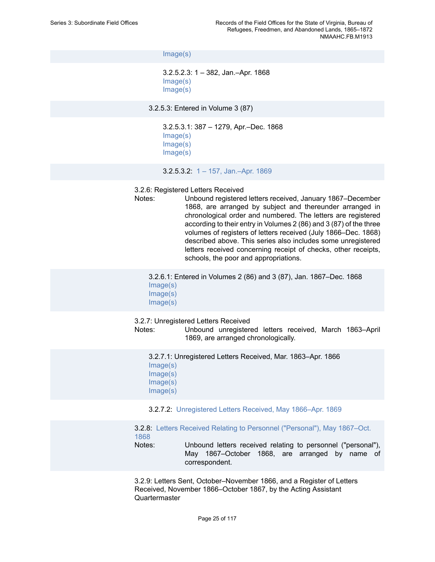[Image\(s\)](https://edan.si.edu/slideshow/slideshowViewer.htm?eadrefid=NMAAHC.FB.M1913_ref117_part2)

3.2.5.2.3: 1 – 382, Jan.–Apr. 1868 [Image\(s\)](https://edan.si.edu/slideshow/slideshowViewer.htm?eadrefid=NMAAHC.FB.M1913_ref118_part1) [Image\(s\)](https://edan.si.edu/slideshow/slideshowViewer.htm?eadrefid=NMAAHC.FB.M1913_ref118_part2)

3.2.5.3: Entered in Volume 3 (87)

3.2.5.3.1: 387 – 1279, Apr.–Dec. 1868 [Image\(s\)](https://edan.si.edu/slideshow/slideshowViewer.htm?eadrefid=NMAAHC.FB.M1913_ref120_part1) [Image\(s\)](https://edan.si.edu/slideshow/slideshowViewer.htm?eadrefid=NMAAHC.FB.M1913_ref120_part2) [Image\(s\)](https://edan.si.edu/slideshow/slideshowViewer.htm?eadrefid=NMAAHC.FB.M1913_ref120_part3)

3.2.5.3.2: 1 – 157, [Jan.–Apr.](https://edan.si.edu/slideshow/slideshowViewer.htm?eadrefid=NMAAHC.FB.M1913_ref121) 1869

3.2.6: Registered Letters Received

Notes: Unbound registered letters received, January 1867–December 1868, are arranged by subject and thereunder arranged in chronological order and numbered. The letters are registered according to their entry in Volumes 2 (86) and 3 (87) of the three volumes of registers of letters received (July 1866–Dec. 1868) described above. This series also includes some unregistered letters received concerning receipt of checks, other receipts, schools, the poor and appropriations.

3.2.6.1: Entered in Volumes 2 (86) and 3 (87), Jan. 1867–Dec. 1868 [Image\(s\)](https://edan.si.edu/slideshow/slideshowViewer.htm?eadrefid=NMAAHC.FB.M1913_ref124_part1)

- [Image\(s\)](https://edan.si.edu/slideshow/slideshowViewer.htm?eadrefid=NMAAHC.FB.M1913_ref124_part2)
- [Image\(s\)](https://edan.si.edu/slideshow/slideshowViewer.htm?eadrefid=NMAAHC.FB.M1913_ref124_part3)

3.2.7: Unregistered Letters Received

Notes: Unbound unregistered letters received, March 1863–April 1869, are arranged chronologically.

| 3.2.7.1: Unregistered Letters Received, Mar. 1863–Apr. 1866 |  |
|-------------------------------------------------------------|--|
| Image(s)                                                    |  |
| Image(s)                                                    |  |
| Image(s)                                                    |  |
| Image(s)                                                    |  |
|                                                             |  |

3.2.7.2: [Unregistered](https://edan.si.edu/slideshow/slideshowViewer.htm?eadrefid=NMAAHC.FB.M1913_ref128) Letters Received, May 1866–Apr. 1869

3.2.8: [Letters Received Relating to Personnel \("Personal"\), May 1867–Oct.](https://edan.si.edu/slideshow/slideshowViewer.htm?eadrefid=NMAAHC.FB.M1913_ref130) [1868](https://edan.si.edu/slideshow/slideshowViewer.htm?eadrefid=NMAAHC.FB.M1913_ref130)

Notes: Unbound letters received relating to personnel ("personal"), May 1867–October 1868, are arranged by name of correspondent.

3.2.9: Letters Sent, October–November 1866, and a Register of Letters Received, November 1866–October 1867, by the Acting Assistant Quartermaster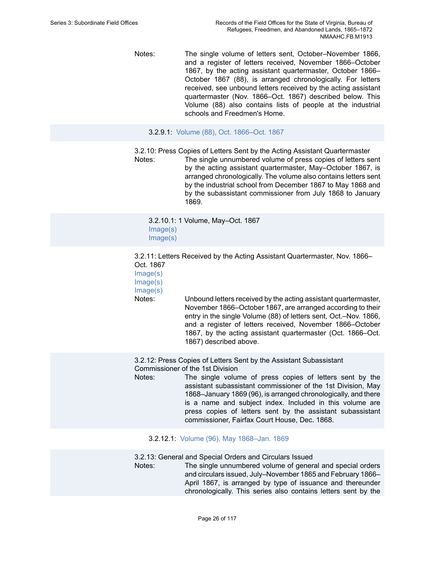Notes: The single volume of letters sent, October–November 1866, and a register of letters received, November 1866–October 1867, by the acting assistant quartermaster, October 1866– October 1867 (88), is arranged chronologically. For letters received, see unbound letters received by the acting assistant quartermaster (Nov. 1866–Oct. 1867) described below. This Volume (88) also contains lists of people at the industrial schools and Freedmen's Home.

#### 3.2.9.1: Volume (88), Oct. [1866–Oct.](https://edan.si.edu/slideshow/slideshowViewer.htm?eadrefid=NMAAHC.FB.M1913_ref133) 1867

3.2.10: Press Copies of Letters Sent by the Acting Assistant Quartermaster Notes: The single unnumbered volume of press copies of letters sent by the acting assistant quartermaster, May–October 1867, is arranged chronologically. The volume also contains letters sent by the industrial school from December 1867 to May 1868 and by the subassistant commissioner from July 1868 to January 1869.

3.2.10.1: 1 Volume, May–Oct. 1867 [Image\(s\)](https://edan.si.edu/slideshow/slideshowViewer.htm?eadrefid=NMAAHC.FB.M1913_ref136_part1) [Image\(s\)](https://edan.si.edu/slideshow/slideshowViewer.htm?eadrefid=NMAAHC.FB.M1913_ref136_part2)

3.2.11: Letters Received by the Acting Assistant Quartermaster, Nov. 1866– Oct. 1867

[Image\(s\)](https://edan.si.edu/slideshow/slideshowViewer.htm?eadrefid=NMAAHC.FB.M1913_ref138_part1) [Image\(s\)](https://edan.si.edu/slideshow/slideshowViewer.htm?eadrefid=NMAAHC.FB.M1913_ref138_part2) [Image\(s\)](https://edan.si.edu/slideshow/slideshowViewer.htm?eadrefid=NMAAHC.FB.M1913_ref138_part3)

Notes: Unbound letters received by the acting assistant quartermaster, November 1866–October 1867, are arranged according to their entry in the single Volume (88) of letters sent, Oct.–Nov. 1866, and a register of letters received, November 1866–October 1867, by the acting assistant quartermaster (Oct. 1866–Oct. 1867) described above.

3.2.12: Press Copies of Letters Sent by the Assistant Subassistant Commissioner of the 1st Division

Notes: The single volume of press copies of letters sent by the assistant subassistant commissioner of the 1st Division, May 1868–January 1869 (96), is arranged chronologically, and there is a name and subject index. Included in this volume are press copies of letters sent by the assistant subassistant commissioner, Fairfax Court House, Dec. 1868.

3.2.12.1: Volume (96), May [1868–Jan.](https://edan.si.edu/slideshow/slideshowViewer.htm?eadrefid=NMAAHC.FB.M1913_ref141) 1869

3.2.13: General and Special Orders and Circulars Issued

Notes: The single unnumbered volume of general and special orders and circulars issued, July–November 1865 and February 1866– April 1867, is arranged by type of issuance and thereunder chronologically. This series also contains letters sent by the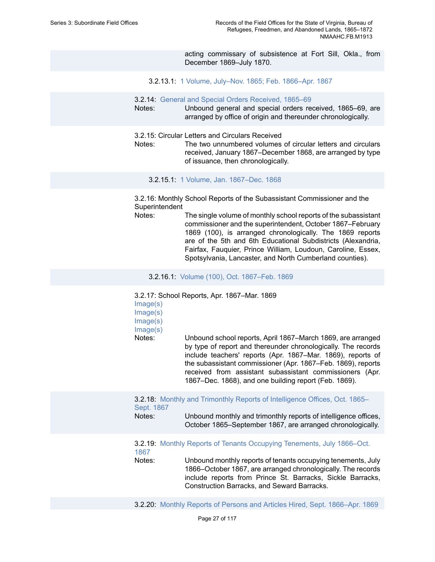acting commissary of subsistence at Fort Sill, Okla., from December 1869–July 1870.

3.2.13.1: 1 Volume, July–Nov. 1865; Feb. [1866–Apr.](https://edan.si.edu/slideshow/slideshowViewer.htm?eadrefid=NMAAHC.FB.M1913_ref144) 1867

- 3.2.14: [General and Special Orders Received, 1865–69](https://edan.si.edu/slideshow/slideshowViewer.htm?eadrefid=NMAAHC.FB.M1913_ref146)
- Notes: Unbound general and special orders received, 1865–69, are arranged by office of origin and thereunder chronologically.
- 3.2.15: Circular Letters and Circulars Received
- Notes: The two unnumbered volumes of circular letters and circulars received, January 1867–December 1868, are arranged by type of issuance, then chronologically.

3.2.15.1: 1 Volume, Jan. [1867–Dec.](https://edan.si.edu/slideshow/slideshowViewer.htm?eadrefid=NMAAHC.FB.M1913_ref149) 1868

3.2.16: Monthly School Reports of the Subassistant Commissioner and the Superintendent

Notes: The single volume of monthly school reports of the subassistant commissioner and the superintendent, October 1867–February 1869 (100), is arranged chronologically. The 1869 reports are of the 5th and 6th Educational Subdistricts (Alexandria, Fairfax, Fauquier, Prince William, Loudoun, Caroline, Essex, Spotsylvania, Lancaster, and North Cumberland counties).

3.2.16.1: Volume (100), Oct. [1867–Feb.](https://edan.si.edu/slideshow/slideshowViewer.htm?eadrefid=NMAAHC.FB.M1913_ref152) 1869

3.2.17: School Reports, Apr. 1867–Mar. 1869

| Image(s)<br>Image(s)<br>Image(s)<br>Image(s)<br>Notes: | Unbound school reports, April 1867–March 1869, are arranged<br>by type of report and thereunder chronologically. The records<br>include teachers' reports (Apr. 1867–Mar. 1869), reports of<br>the subassistant commissioner (Apr. 1867–Feb. 1869), reports<br>received from assistant subassistant commissioners (Apr.<br>1867–Dec. 1868), and one building report (Feb. 1869). |
|--------------------------------------------------------|----------------------------------------------------------------------------------------------------------------------------------------------------------------------------------------------------------------------------------------------------------------------------------------------------------------------------------------------------------------------------------|
| Sept. 1867<br>Notes:                                   | 3.2.18: Monthly and Trimonthly Reports of Intelligence Offices, Oct. 1865-<br>Unbound monthly and trimonthly reports of intelligence offices,<br>October 1865–September 1867, are arranged chronologically.                                                                                                                                                                      |
| 1867<br>Notes:                                         | 3.2.19: Monthly Reports of Tenants Occupying Tenements, July 1866–Oct.<br>Unbound monthly reports of tenants occupying tenements, July<br>1866–October 1867, are arranged chronologically. The records<br>include reports from Prince St. Barracks, Sickle Barracks,<br>Construction Barracks, and Seward Barracks.                                                              |
|                                                        | 3.2.20: Monthly Reports of Persons and Articles Hired, Sept. 1866–Apr. 1869                                                                                                                                                                                                                                                                                                      |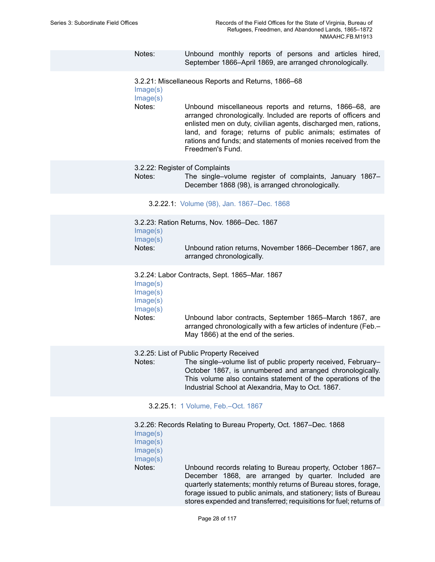Notes: Unbound monthly reports of persons and articles hired, September 1866–April 1869, are arranged chronologically.

3.2.21: Miscellaneous Reports and Returns, 1866–68

[Image\(s\)](https://edan.si.edu/slideshow/slideshowViewer.htm?eadrefid=NMAAHC.FB.M1913_ref162_part1) [Image\(s\)](https://edan.si.edu/slideshow/slideshowViewer.htm?eadrefid=NMAAHC.FB.M1913_ref162_part2)

Notes: Unbound miscellaneous reports and returns, 1866–68, are arranged chronologically. Included are reports of officers and enlisted men on duty, civilian agents, discharged men, rations, land, and forage; returns of public animals; estimates of rations and funds; and statements of monies received from the Freedmen's Fund.

3.2.22: Register of Complaints

Notes: The single–volume register of complaints, January 1867– December 1868 (98), is arranged chronologically.

#### 3.2.22.1: Volume (98), Jan. [1867–Dec.](https://edan.si.edu/slideshow/slideshowViewer.htm?eadrefid=NMAAHC.FB.M1913_ref165) 1868

3.2.23: Ration Returns, Nov. 1866–Dec. 1867 [Image\(s\)](https://edan.si.edu/slideshow/slideshowViewer.htm?eadrefid=NMAAHC.FB.M1913_ref167_part1) [Image\(s\)](https://edan.si.edu/slideshow/slideshowViewer.htm?eadrefid=NMAAHC.FB.M1913_ref167_part2) Notes: Unbound ration returns, November 1866–December 1867, are arranged chronologically.

3.2.24: Labor Contracts, Sept. 1865–Mar. 1867

[Image\(s\)](https://edan.si.edu/slideshow/slideshowViewer.htm?eadrefid=NMAAHC.FB.M1913_ref169_part1) [Image\(s\)](https://edan.si.edu/slideshow/slideshowViewer.htm?eadrefid=NMAAHC.FB.M1913_ref169_part2) [Image\(s\)](https://edan.si.edu/slideshow/slideshowViewer.htm?eadrefid=NMAAHC.FB.M1913_ref169_part3) [Image\(s\)](https://edan.si.edu/slideshow/slideshowViewer.htm?eadrefid=NMAAHC.FB.M1913_ref169_part4) Notes: Unbound labor contracts, September 1865–March 1867, are arranged chronologically with a few articles of indenture (Feb.– May 1866) at the end of the series.

3.2.25: List of Public Property Received

Notes: The single–volume list of public property received, February– October 1867, is unnumbered and arranged chronologically. This volume also contains statement of the operations of the Industrial School at Alexandria, May to Oct. 1867.

3.2.25.1: 1 Volume, [Feb.–Oct.](https://edan.si.edu/slideshow/slideshowViewer.htm?eadrefid=NMAAHC.FB.M1913_ref172) 1867

|          | 3.2.26: Records Relating to Bureau Property, Oct. 1867–Dec. 1868   |
|----------|--------------------------------------------------------------------|
| Image(s) |                                                                    |
| Image(s) |                                                                    |
| Image(s) |                                                                    |
| Image(s) |                                                                    |
| Notes:   | Unbound records relating to Bureau property, October 1867-         |
|          | December 1868, are arranged by quarter. Included are               |
|          | quarterly statements; monthly returns of Bureau stores, forage,    |
|          | forage issued to public animals, and stationery; lists of Bureau   |
|          | stores expended and transferred; requisitions for fuel; returns of |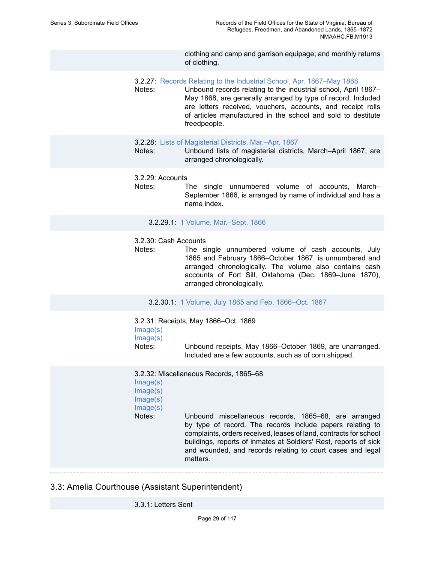clothing and camp and garrison equipage; and monthly returns of clothing.

- 3.2.27: Records Relating to the Industrial School, Apr. [1867–May](https://edan.si.edu/slideshow/slideshowViewer.htm?eadrefid=NMAAHC.FB.M1913_ref176) 1868
- Notes: Unbound records relating to the industrial school, April 1867– May 1868, are generally arranged by type of record. Included are letters received, vouchers, accounts, and receipt rolls of articles manufactured in the school and sold to destitute freedpeople.
- 3.2.28: Lists of [Magisterial](https://edan.si.edu/slideshow/slideshowViewer.htm?eadrefid=NMAAHC.FB.M1913_ref178) Districts, Mar.–Apr. 1867
- Notes: Unbound lists of magisterial districts, March–April 1867, are arranged chronologically.
- 3.2.29: Accounts
- Notes: The single unnumbered volume of accounts, March– September 1866, is arranged by name of individual and has a name index.
	- 3.2.29.1: 1 Volume, [Mar.–Sept.](https://edan.si.edu/slideshow/slideshowViewer.htm?eadrefid=NMAAHC.FB.M1913_ref181) 1866

#### 3.2.30: Cash Accounts

- Notes: The single unnumbered volume of cash accounts, July 1865 and February 1866–October 1867, is unnumbered and arranged chronologically. The volume also contains cash accounts of Fort Sill, Oklahoma (Dec. 1869–June 1870), arranged chronologically.
	- 3.2.30.1: 1 Volume, July 1865 and Feb. [1866–Oct.](https://edan.si.edu/slideshow/slideshowViewer.htm?eadrefid=NMAAHC.FB.M1913_ref184) 1867

3.2.31: Receipts, May 1866–Oct. 1869 [Image\(s\)](https://edan.si.edu/slideshow/slideshowViewer.htm?eadrefid=NMAAHC.FB.M1913_ref186_part1) [Image\(s\)](https://edan.si.edu/slideshow/slideshowViewer.htm?eadrefid=NMAAHC.FB.M1913_ref186_part2) Notes: Unbound receipts, May 1866–October 1869, are unarranged. Included are a few accounts, such as of corn shipped.

3.2.32: Miscellaneous Records, 1865–68

[Image\(s\)](https://edan.si.edu/slideshow/slideshowViewer.htm?eadrefid=NMAAHC.FB.M1913_ref188_part1) [Image\(s\)](https://edan.si.edu/slideshow/slideshowViewer.htm?eadrefid=NMAAHC.FB.M1913_ref188_part2) [Image\(s\)](https://edan.si.edu/slideshow/slideshowViewer.htm?eadrefid=NMAAHC.FB.M1913_ref188_part3) [Image\(s\)](https://edan.si.edu/slideshow/slideshowViewer.htm?eadrefid=NMAAHC.FB.M1913_ref188_part4) Notes: Unbound miscellaneous records, 1865–68, are arranged by type of record. The records include papers relating to complaints, orders received, leases of land, contracts for school buildings, reports of inmates at Soldiers' Rest, reports of sick and wounded, and records relating to court cases and legal matters.

#### 3.3: Amelia Courthouse (Assistant Superintendent)

3.3.1: Letters Sent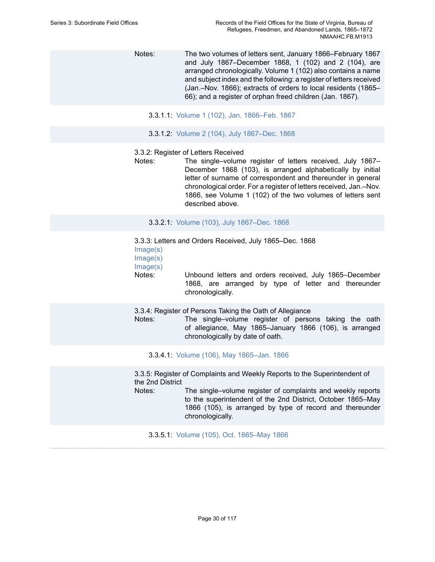Notes: The two volumes of letters sent, January 1866–February 1867 and July 1867–December 1868, 1 (102) and 2 (104), are arranged chronologically. Volume 1 (102) also contains a name and subject index and the following: a register of letters received (Jan.–Nov. 1866); extracts of orders to local residents (1865– 66); and a register of orphan freed children (Jan. 1867).

- 3.3.1.1: Volume 1 (102), Jan. [1866–Feb.](https://edan.si.edu/slideshow/slideshowViewer.htm?eadrefid=NMAAHC.FB.M1913_ref192) 1867
- 3.3.1.2: Volume 2 (104), July [1867–Dec.](https://edan.si.edu/slideshow/slideshowViewer.htm?eadrefid=NMAAHC.FB.M1913_ref193) 1868

#### 3.3.2: Register of Letters Received

Notes: The single–volume register of letters received, July 1867– December 1868 (103), is arranged alphabetically by initial letter of surname of correspondent and thereunder in general chronological order. For a register of letters received, Jan.–Nov. 1866, see Volume 1 (102) of the two volumes of letters sent described above.

3.3.2.1: Volume (103), July [1867–Dec.](https://edan.si.edu/slideshow/slideshowViewer.htm?eadrefid=NMAAHC.FB.M1913_ref196) 1868

3.3.3: Letters and Orders Received, July 1865–Dec. 1868

[Image\(s\)](https://edan.si.edu/slideshow/slideshowViewer.htm?eadrefid=NMAAHC.FB.M1913_ref198_part1)

[Image\(s\)](https://edan.si.edu/slideshow/slideshowViewer.htm?eadrefid=NMAAHC.FB.M1913_ref198_part2)

[Image\(s\)](https://edan.si.edu/slideshow/slideshowViewer.htm?eadrefid=NMAAHC.FB.M1913_ref198_part3)

Notes: Unbound letters and orders received, July 1865–December 1868, are arranged by type of letter and thereunder chronologically.

3.3.4: Register of Persons Taking the Oath of Allegiance

Notes: The single–volume register of persons taking the oath of allegiance, May 1865–January 1866 (106), is arranged chronologically by date of oath.

3.3.4.1: Volume (106), May [1865–Jan.](https://edan.si.edu/slideshow/slideshowViewer.htm?eadrefid=NMAAHC.FB.M1913_ref201) 1866

3.3.5: Register of Complaints and Weekly Reports to the Superintendent of the 2nd District

Notes: The single–volume register of complaints and weekly reports to the superintendent of the 2nd District, October 1865–May 1866 (105), is arranged by type of record and thereunder chronologically.

3.3.5.1: Volume (105), Oct. [1865–May](https://edan.si.edu/slideshow/slideshowViewer.htm?eadrefid=NMAAHC.FB.M1913_ref204) 1866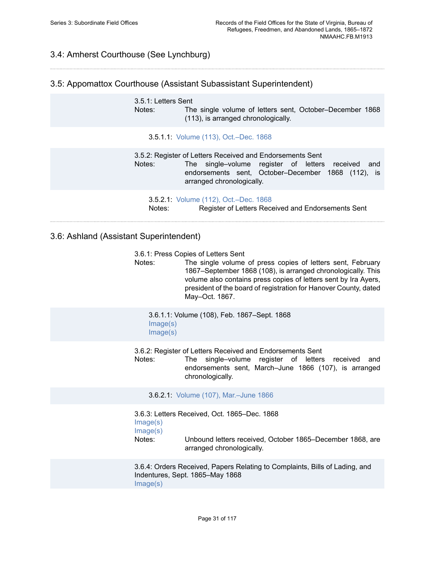# 3.4: Amherst Courthouse (See Lynchburg)

#### 3.5: Appomattox Courthouse (Assistant Subassistant Superintendent)

3.5.1: Letters Sent Notes: The single volume of letters sent, October–December 1868 (113), is arranged chronologically.

#### 3.5.1.1: Volume (113), [Oct.–Dec.](https://edan.si.edu/slideshow/slideshowViewer.htm?eadrefid=NMAAHC.FB.M1913_ref209) 1868

3.5.2: Register of Letters Received and Endorsements Sent Notes: The single–volume register of letters received and endorsements sent, October–December 1868 (112), is arranged chronologically.

3.5.2.1: Volume (112), [Oct.–Dec.](https://edan.si.edu/slideshow/slideshowViewer.htm?eadrefid=NMAAHC.FB.M1913_ref212) 1868 Notes: Register of Letters Received and Endorsements Sent

#### 3.6: Ashland (Assistant Superintendent)

3.6.1: Press Copies of Letters Sent

Notes: The single volume of press copies of letters sent, February 1867–September 1868 (108), is arranged chronologically. This volume also contains press copies of letters sent by Ira Ayers, president of the board of registration for Hanover County, dated May–Oct. 1867.

3.6.1.1: Volume (108), Feb. 1867–Sept. 1868 [Image\(s\)](https://edan.si.edu/slideshow/slideshowViewer.htm?eadrefid=NMAAHC.FB.M1913_ref217_part1) [Image\(s\)](https://edan.si.edu/slideshow/slideshowViewer.htm?eadrefid=NMAAHC.FB.M1913_ref217_part2)

3.6.2: Register of Letters Received and Endorsements Sent

Notes: The single–volume register of letters received and endorsements sent, March–June 1866 (107), is arranged chronologically.

3.6.2.1: Volume (107), [Mar.–June](https://edan.si.edu/slideshow/slideshowViewer.htm?eadrefid=NMAAHC.FB.M1913_ref220) 1866

3.6.3: Letters Received, Oct. 1865–Dec. 1868 [Image\(s\)](https://edan.si.edu/slideshow/slideshowViewer.htm?eadrefid=NMAAHC.FB.M1913_ref222_part1) [Image\(s\)](https://edan.si.edu/slideshow/slideshowViewer.htm?eadrefid=NMAAHC.FB.M1913_ref222_part2) Notes: Unbound letters received, October 1865–December 1868, are arranged chronologically.

3.6.4: Orders Received, Papers Relating to Complaints, Bills of Lading, and Indentures, Sept. 1865–May 1868

[Image\(s\)](https://edan.si.edu/slideshow/slideshowViewer.htm?eadrefid=NMAAHC.FB.M1913_ref224_part1)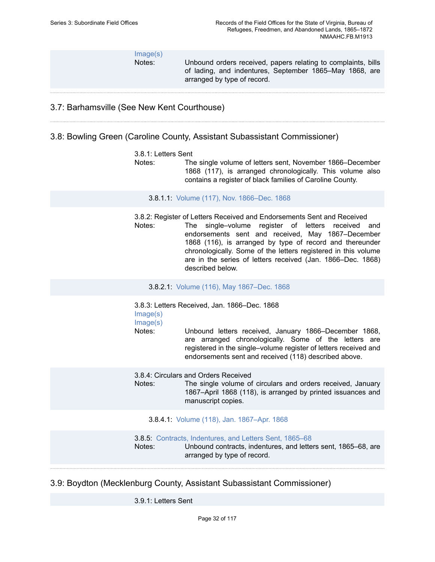[Image\(s\)](https://edan.si.edu/slideshow/slideshowViewer.htm?eadrefid=NMAAHC.FB.M1913_ref224_part2)

Notes: Unbound orders received, papers relating to complaints, bills of lading, and indentures, September 1865–May 1868, are arranged by type of record.

# 3.7: Barhamsville (See New Kent Courthouse)

#### 3.8: Bowling Green (Caroline County, Assistant Subassistant Commissioner)

#### 3.8.1: Letters Sent

Notes: The single volume of letters sent, November 1866–December 1868 (117), is arranged chronologically. This volume also contains a register of black families of Caroline County.

3.8.1.1: Volume (117), Nov. [1866–Dec.](https://edan.si.edu/slideshow/slideshowViewer.htm?eadrefid=NMAAHC.FB.M1913_ref229) 1868

3.8.2: Register of Letters Received and Endorsements Sent and Received Notes: The single–volume register of letters received and endorsements sent and received, May 1867–December 1868 (116), is arranged by type of record and thereunder chronologically. Some of the letters registered in this volume are in the series of letters received (Jan. 1866–Dec. 1868) described below.

3.8.2.1: Volume (116), May [1867–Dec.](https://edan.si.edu/slideshow/slideshowViewer.htm?eadrefid=NMAAHC.FB.M1913_ref232) 1868

3.8.3: Letters Received, Jan. 1866–Dec. 1868 [Image\(s\)](https://edan.si.edu/slideshow/slideshowViewer.htm?eadrefid=NMAAHC.FB.M1913_ref234_part1)

[Image\(s\)](https://edan.si.edu/slideshow/slideshowViewer.htm?eadrefid=NMAAHC.FB.M1913_ref234_part2)

Notes: Unbound letters received, January 1866–December 1868, are arranged chronologically. Some of the letters are registered in the single–volume register of letters received and endorsements sent and received (118) described above.

3.8.4: Circulars and Orders Received

Notes: The single volume of circulars and orders received, January 1867–April 1868 (118), is arranged by printed issuances and manuscript copies.

#### 3.8.4.1: Volume (118), Jan. [1867–Apr.](https://edan.si.edu/slideshow/slideshowViewer.htm?eadrefid=NMAAHC.FB.M1913_ref237) 1868

3.8.5: [Contracts, Indentures, and Letters Sent, 1865–68](https://edan.si.edu/slideshow/slideshowViewer.htm?eadrefid=NMAAHC.FB.M1913_ref239) Notes: Unbound contracts, indentures, and letters sent, 1865–68, are arranged by type of record.

## 3.9: Boydton (Mecklenburg County, Assistant Subassistant Commissioner)

3.9.1: Letters Sent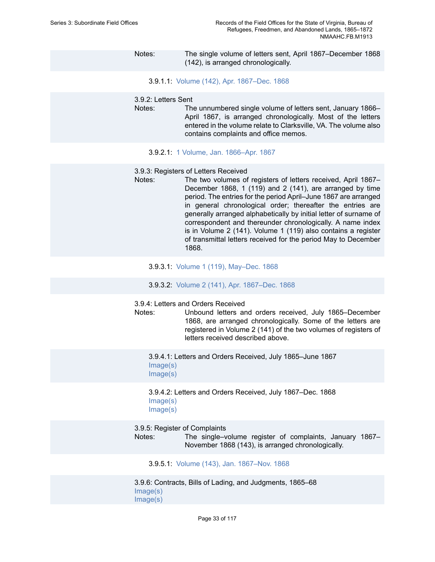- Notes: The single volume of letters sent, April 1867–December 1868 (142), is arranged chronologically.
	- 3.9.1.1: Volume (142), Apr. [1867–Dec.](https://edan.si.edu/slideshow/slideshowViewer.htm?eadrefid=NMAAHC.FB.M1913_ref243) 1868

#### 3.9.2: Letters Sent

- Notes: The unnumbered single volume of letters sent, January 1866– April 1867, is arranged chronologically. Most of the letters entered in the volume relate to Clarksville, VA. The volume also contains complaints and office memos.
	- 3.9.2.1: 1 Volume, Jan. [1866–Apr.](https://edan.si.edu/slideshow/slideshowViewer.htm?eadrefid=NMAAHC.FB.M1913_ref246) 1867
- 3.9.3: Registers of Letters Received
- Notes: The two volumes of registers of letters received, April 1867-December 1868, 1 (119) and 2 (141), are arranged by time period. The entries for the period April–June 1867 are arranged in general chronological order; thereafter the entries are generally arranged alphabetically by initial letter of surname of correspondent and thereunder chronologically. A name index is in Volume 2 (141). Volume 1 (119) also contains a register of transmittal letters received for the period May to December 1868.
	- 3.9.3.1: Volume 1 (119), [May–Dec.](https://edan.si.edu/slideshow/slideshowViewer.htm?eadrefid=NMAAHC.FB.M1913_ref249) 1868
	- 3.9.3.2: Volume 2 (141), Apr. [1867–Dec.](https://edan.si.edu/slideshow/slideshowViewer.htm?eadrefid=NMAAHC.FB.M1913_ref250) 1868

3.9.4: Letters and Orders Received

Notes: Unbound letters and orders received, July 1865–December 1868, are arranged chronologically. Some of the letters are registered in Volume 2 (141) of the two volumes of registers of letters received described above.

3.9.4.1: Letters and Orders Received, July 1865–June 1867 [Image\(s\)](https://edan.si.edu/slideshow/slideshowViewer.htm?eadrefid=NMAAHC.FB.M1913_ref253_part1) [Image\(s\)](https://edan.si.edu/slideshow/slideshowViewer.htm?eadrefid=NMAAHC.FB.M1913_ref253_part2)

3.9.4.2: Letters and Orders Received, July 1867–Dec. 1868 [Image\(s\)](https://edan.si.edu/slideshow/slideshowViewer.htm?eadrefid=NMAAHC.FB.M1913_ref254_part1) [Image\(s\)](https://edan.si.edu/slideshow/slideshowViewer.htm?eadrefid=NMAAHC.FB.M1913_ref254_part2)

3.9.5: Register of Complaints

Notes: The single–volume register of complaints, January 1867– November 1868 (143), is arranged chronologically.

3.9.5.1: Volume (143), Jan. [1867–Nov.](https://edan.si.edu/slideshow/slideshowViewer.htm?eadrefid=NMAAHC.FB.M1913_ref257) 1868

3.9.6: Contracts, Bills of Lading, and Judgments, 1865–68 [Image\(s\)](https://edan.si.edu/slideshow/slideshowViewer.htm?eadrefid=NMAAHC.FB.M1913_ref259_part1) [Image\(s\)](https://edan.si.edu/slideshow/slideshowViewer.htm?eadrefid=NMAAHC.FB.M1913_ref259_part2)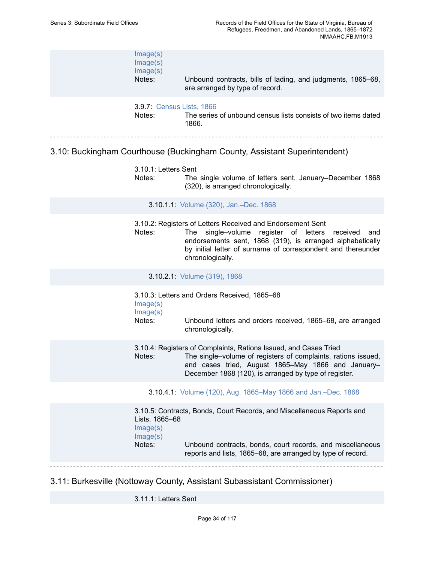| Image(s)<br>Image(s)<br>Image(s)<br>Notes: | Unbound contracts, bills of lading, and judgments, 1865–68,<br>are arranged by type of record. |
|--------------------------------------------|------------------------------------------------------------------------------------------------|
| <b>3.9.7: Census Lists, 1866</b><br>Notes: | The series of unbound census lists consists of two items dated<br>1866.                        |

# 3.10: Buckingham Courthouse (Buckingham County, Assistant Superintendent)

| 3.10.1: Letters Sent<br>Notes:                   | The single volume of letters sent, January–December 1868<br>(320), is arranged chronologically.                                                                                                                                                                            |
|--------------------------------------------------|----------------------------------------------------------------------------------------------------------------------------------------------------------------------------------------------------------------------------------------------------------------------------|
|                                                  | 3.10.1.1: Volume (320), Jan.-Dec. 1868                                                                                                                                                                                                                                     |
| Notes:                                           | 3.10.2: Registers of Letters Received and Endorsement Sent<br>single-volume register of letters<br>The<br>received<br>and<br>endorsements sent, 1868 (319), is arranged alphabetically<br>by initial letter of surname of correspondent and thereunder<br>chronologically. |
|                                                  | 3.10.2.1: Volume (319), 1868                                                                                                                                                                                                                                               |
| Image(s)<br>Image(s)<br>Notes:                   | 3.10.3: Letters and Orders Received, 1865-68<br>Unbound letters and orders received, 1865–68, are arranged<br>chronologically.                                                                                                                                             |
| Notes:                                           | 3.10.4: Registers of Complaints, Rations Issued, and Cases Tried<br>The single-volume of registers of complaints, rations issued,<br>and cases tried, August 1865–May 1866 and January–<br>December 1868 (120), is arranged by type of register.                           |
|                                                  | 3.10.4.1: Volume (120), Aug. 1865-May 1866 and Jan.-Dec. 1868                                                                                                                                                                                                              |
| Lists, 1865-68<br>Image(s)<br>Image(s)<br>Notes: | 3.10.5: Contracts, Bonds, Court Records, and Miscellaneous Reports and<br>Unbound contracts, bonds, court records, and miscellaneous<br>reports and lists, 1865–68, are arranged by type of record.                                                                        |
|                                                  |                                                                                                                                                                                                                                                                            |

# 3.11: Burkesville (Nottoway County, Assistant Subassistant Commissioner)

3.11.1: Letters Sent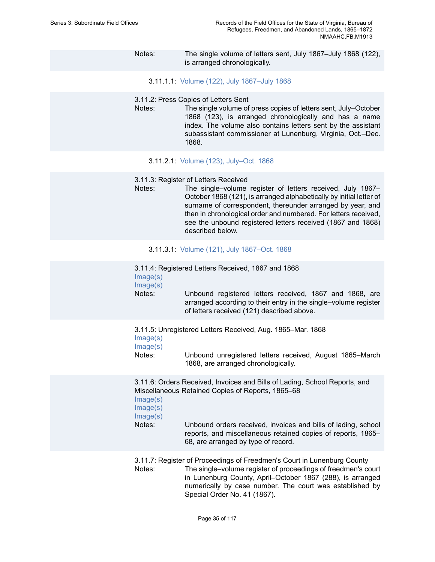### Notes: The single volume of letters sent, July 1867–July 1868 (122), is arranged chronologically.

- 3.11.1.1: Volume (122), July [1867–July](https://edan.si.edu/slideshow/slideshowViewer.htm?eadrefid=NMAAHC.FB.M1913_ref279) 1868
- 3.11.2: Press Copies of Letters Sent
- Notes: The single volume of press copies of letters sent, July–October 1868 (123), is arranged chronologically and has a name index. The volume also contains letters sent by the assistant subassistant commissioner at Lunenburg, Virginia, Oct.–Dec. 1868.
	- 3.11.2.1: Volume (123), [July–Oct.](https://edan.si.edu/slideshow/slideshowViewer.htm?eadrefid=NMAAHC.FB.M1913_ref282) 1868
- 3.11.3: Register of Letters Received
- Notes: The single–volume register of letters received, July 1867– October 1868 (121), is arranged alphabetically by initial letter of surname of correspondent, thereunder arranged by year, and then in chronological order and numbered. For letters received, see the unbound registered letters received (1867 and 1868) described below.
	- 3.11.3.1: Volume (121), July [1867–Oct.](https://edan.si.edu/slideshow/slideshowViewer.htm?eadrefid=NMAAHC.FB.M1913_ref285) 1868
- 3.11.4: Registered Letters Received, 1867 and 1868 [Image\(s\)](https://edan.si.edu/slideshow/slideshowViewer.htm?eadrefid=NMAAHC.FB.M1913_ref287_part1) [Image\(s\)](https://edan.si.edu/slideshow/slideshowViewer.htm?eadrefid=NMAAHC.FB.M1913_ref287_part2) Notes: Unbound registered letters received, 1867 and 1868, are arranged according to their entry in the single–volume register of letters received (121) described above. 3.11.5: Unregistered Letters Received, Aug. 1865–Mar. 1868 [Image\(s\)](https://edan.si.edu/slideshow/slideshowViewer.htm?eadrefid=NMAAHC.FB.M1913_ref289_part1) [Image\(s\)](https://edan.si.edu/slideshow/slideshowViewer.htm?eadrefid=NMAAHC.FB.M1913_ref289_part2) Notes: Unbound unregistered letters received, August 1865–March 1868, are arranged chronologically.

3.11.6: Orders Received, Invoices and Bills of Lading, School Reports, and Miscellaneous Retained Copies of Reports, 1865–68

- [Image\(s\)](https://edan.si.edu/slideshow/slideshowViewer.htm?eadrefid=NMAAHC.FB.M1913_ref291_part1)
- [Image\(s\)](https://edan.si.edu/slideshow/slideshowViewer.htm?eadrefid=NMAAHC.FB.M1913_ref291_part2)

[Image\(s\)](https://edan.si.edu/slideshow/slideshowViewer.htm?eadrefid=NMAAHC.FB.M1913_ref291_part3)

Notes: Unbound orders received, invoices and bills of lading, school reports, and miscellaneous retained copies of reports, 1865– 68, are arranged by type of record.

3.11.7: Register of Proceedings of Freedmen's Court in Lunenburg County Notes: The single–volume register of proceedings of freedmen's court in Lunenburg County, April–October 1867 (288), is arranged numerically by case number. The court was established by Special Order No. 41 (1867).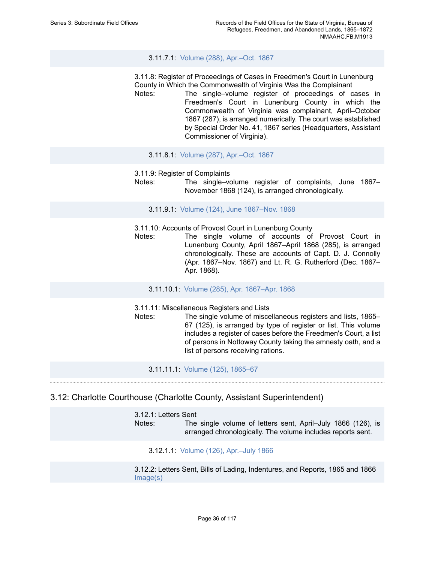### 3.11.7.1: Volume (288), [Apr.–Oct.](https://edan.si.edu/slideshow/slideshowViewer.htm?eadrefid=NMAAHC.FB.M1913_ref294) 1867

3.11.8: Register of Proceedings of Cases in Freedmen's Court in Lunenburg County in Which the Commonwealth of Virginia Was the Complainant

- Notes: The single–volume register of proceedings of cases in Freedmen's Court in Lunenburg County in which the Commonwealth of Virginia was complainant, April–October 1867 (287), is arranged numerically. The court was established by Special Order No. 41, 1867 series (Headquarters, Assistant Commissioner of Virginia).
	- 3.11.8.1: Volume (287), [Apr.–Oct.](https://edan.si.edu/slideshow/slideshowViewer.htm?eadrefid=NMAAHC.FB.M1913_ref297) 1867
- 3.11.9: Register of Complaints
- Notes: The single–volume register of complaints, June 1867– November 1868 (124), is arranged chronologically.

3.11.9.1: Volume (124), June [1867–Nov.](https://edan.si.edu/slideshow/slideshowViewer.htm?eadrefid=NMAAHC.FB.M1913_ref300) 1868

3.11.10: Accounts of Provost Court in Lunenburg County

Notes: The single volume of accounts of Provost Court in Lunenburg County, April 1867–April 1868 (285), is arranged chronologically. These are accounts of Capt. D. J. Connolly (Apr. 1867–Nov. 1867) and Lt. R. G. Rutherford (Dec. 1867– Apr. 1868).

3.11.10.1: Volume (285), Apr. [1867–Apr.](https://edan.si.edu/slideshow/slideshowViewer.htm?eadrefid=NMAAHC.FB.M1913_ref303) 1868

- 3.11.11: Miscellaneous Registers and Lists
- Notes: The single volume of miscellaneous registers and lists, 1865– 67 (125), is arranged by type of register or list. This volume includes a register of cases before the Freedmen's Court, a list of persons in Nottoway County taking the amnesty oath, and a list of persons receiving rations.

3.11.11.1: Volume (125), [1865–67](https://edan.si.edu/slideshow/slideshowViewer.htm?eadrefid=NMAAHC.FB.M1913_ref306)

### 3.12: Charlotte Courthouse (Charlotte County, Assistant Superintendent)

3.12.1: Letters Sent Notes: The single volume of letters sent, April–July 1866 (126), is arranged chronologically. The volume includes reports sent.

3.12.1.1: Volume (126), [Apr.–July](https://edan.si.edu/slideshow/slideshowViewer.htm?eadrefid=NMAAHC.FB.M1913_ref310) 1866

3.12.2: Letters Sent, Bills of Lading, Indentures, and Reports, 1865 and 1866 [Image\(s\)](https://edan.si.edu/slideshow/slideshowViewer.htm?eadrefid=NMAAHC.FB.M1913_ref312_part1)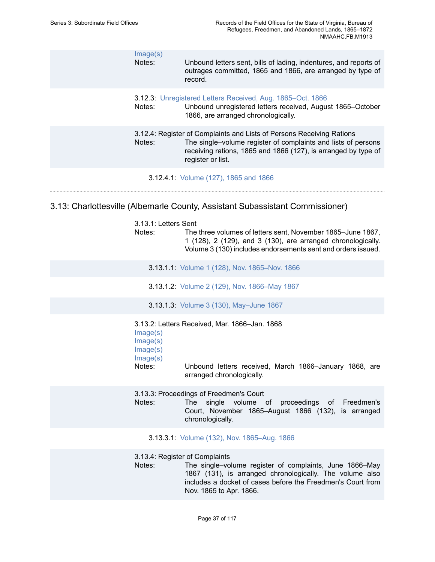| Image(s)<br>Notes: | Unbound letters sent, bills of lading, indentures, and reports of<br>outrages committed, 1865 and 1866, are arranged by type of<br>record.                                                                                    |
|--------------------|-------------------------------------------------------------------------------------------------------------------------------------------------------------------------------------------------------------------------------|
| Notes:             | 3.12.3: Unregistered Letters Received, Aug. 1865–Oct. 1866<br>Unbound unregistered letters received, August 1865–October<br>1866, are arranged chronologically.                                                               |
| Notes:             | 3.12.4: Register of Complaints and Lists of Persons Receiving Rations<br>The single–volume register of complaints and lists of persons<br>receiving rations, 1865 and 1866 (127), is arranged by type of<br>register or list. |
|                    | 3.12.4.1: Volume (127), 1865 and 1866                                                                                                                                                                                         |

# 3.13: Charlottesville (Albemarle County, Assistant Subassistant Commissioner)

| 3.13.1: Letters Sent<br>Notes:                         | The three volumes of letters sent, November 1865–June 1867,<br>1 (128), 2 (129), and 3 (130), are arranged chronologically.<br>Volume 3 (130) includes endorsements sent and orders issued.                                                     |
|--------------------------------------------------------|-------------------------------------------------------------------------------------------------------------------------------------------------------------------------------------------------------------------------------------------------|
|                                                        | 3.13.1.1: Volume 1 (128), Nov. 1865-Nov. 1866                                                                                                                                                                                                   |
|                                                        | 3.13.1.2: Volume 2 (129), Nov. 1866–May 1867                                                                                                                                                                                                    |
|                                                        | 3.13.1.3: Volume 3 (130), May-June 1867                                                                                                                                                                                                         |
| Image(s)<br>Image(s)<br>Image(s)<br>Image(s)<br>Notes: | 3.13.2: Letters Received, Mar. 1866-Jan. 1868<br>Unbound letters received, March 1866-January 1868, are<br>arranged chronologically.                                                                                                            |
| Notes:                                                 | 3.13.3: Proceedings of Freedmen's Court<br>single volume of proceedings of Freedmen's<br><b>The</b><br>Court, November 1865–August 1866 (132), is arranged<br>chronologically.                                                                  |
|                                                        | 3.13.3.1: Volume (132), Nov. 1865–Aug. 1866                                                                                                                                                                                                     |
| Notes:                                                 | 3.13.4: Register of Complaints<br>The single-volume register of complaints, June 1866–May<br>1867 (131), is arranged chronologically. The volume also<br>includes a docket of cases before the Freedmen's Court from<br>Nov. 1865 to Apr. 1866. |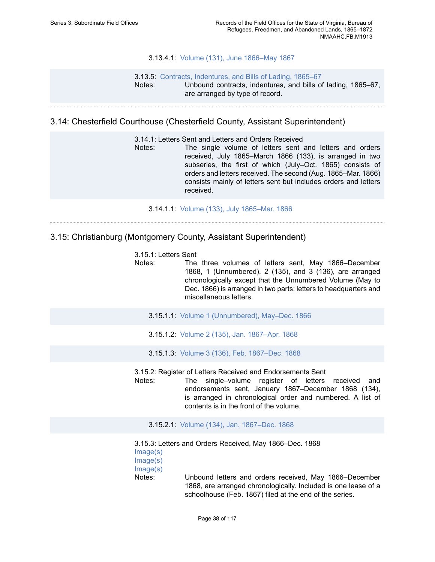### 3.13.4.1: Volume (131), June [1866–May](https://edan.si.edu/slideshow/slideshowViewer.htm?eadrefid=NMAAHC.FB.M1913_ref331) 1867

### 3.13.5: [Contracts, Indentures, and Bills of Lading, 1865–67](https://edan.si.edu/slideshow/slideshowViewer.htm?eadrefid=NMAAHC.FB.M1913_ref333) Notes: Unbound contracts, indentures, and bills of lading, 1865–67, are arranged by type of record.

## 3.14: Chesterfield Courthouse (Chesterfield County, Assistant Superintendent)

3.14.1: Letters Sent and Letters and Orders Received

Notes: The single volume of letters sent and letters and orders received, July 1865–March 1866 (133), is arranged in two subseries, the first of which (July–Oct. 1865) consists of orders and letters received. The second (Aug. 1865–Mar. 1866) consists mainly of letters sent but includes orders and letters received.

3.14.1.1: Volume (133), July [1865–Mar.](https://edan.si.edu/slideshow/slideshowViewer.htm?eadrefid=NMAAHC.FB.M1913_ref337) 1866

## 3.15: Christianburg (Montgomery County, Assistant Superintendent)

|  | 3.15.1: Letters Sent |
|--|----------------------|
|--|----------------------|

Notes: The three volumes of letters sent, May 1866–December 1868, 1 (Unnumbered), 2 (135), and 3 (136), are arranged chronologically except that the Unnumbered Volume (May to Dec. 1866) is arranged in two parts: letters to headquarters and miscellaneous letters.

- 3.15.1.1: Volume 1 [\(Unnumbered\),](https://edan.si.edu/slideshow/slideshowViewer.htm?eadrefid=NMAAHC.FB.M1913_ref341) May–Dec. 1866
- 3.15.1.2: Volume 2 (135), Jan. [1867–Apr.](https://edan.si.edu/slideshow/slideshowViewer.htm?eadrefid=NMAAHC.FB.M1913_ref342) 1868
- 3.15.1.3: Volume 3 (136), Feb. [1867–Dec.](https://edan.si.edu/slideshow/slideshowViewer.htm?eadrefid=NMAAHC.FB.M1913_ref343) 1868

3.15.2: Register of Letters Received and Endorsements Sent

Notes: The single–volume register of letters received and endorsements sent, January 1867–December 1868 (134), is arranged in chronological order and numbered. A list of contents is in the front of the volume.

3.15.2.1: Volume (134), Jan. [1867–Dec.](https://edan.si.edu/slideshow/slideshowViewer.htm?eadrefid=NMAAHC.FB.M1913_ref346) 1868

3.15.3: Letters and Orders Received, May 1866–Dec. 1868 [Image\(s\)](https://edan.si.edu/slideshow/slideshowViewer.htm?eadrefid=NMAAHC.FB.M1913_ref348_part1) [Image\(s\)](https://edan.si.edu/slideshow/slideshowViewer.htm?eadrefid=NMAAHC.FB.M1913_ref348_part2) [Image\(s\)](https://edan.si.edu/slideshow/slideshowViewer.htm?eadrefid=NMAAHC.FB.M1913_ref348_part3) Notes: Unbound letters and orders received, May 1866–December 1868, are arranged chronologically. Included is one lease of a schoolhouse (Feb. 1867) filed at the end of the series.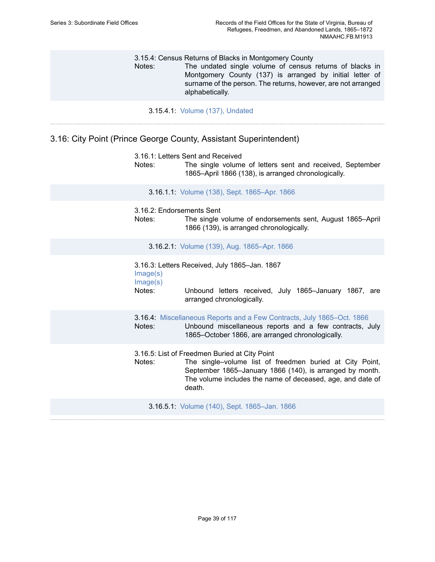3.15.4: Census Returns of Blacks in Montgomery County Notes: The undated single volume of census returns of blacks in Montgomery County (137) is arranged by initial letter of surname of the person. The returns, however, are not arranged alphabetically.

3.15.4.1: Volume (137), [Undated](https://edan.si.edu/slideshow/slideshowViewer.htm?eadrefid=NMAAHC.FB.M1913_ref351)

## 3.16: City Point (Prince George County, Assistant Superintendent)

3.16.1: Letters Sent and Received Notes: The single volume of letters sent and received, September 1865–April 1866 (138), is arranged chronologically. 3.16.1.1: Volume (138), Sept. [1865–Apr.](https://edan.si.edu/slideshow/slideshowViewer.htm?eadrefid=NMAAHC.FB.M1913_ref355) 1866 3.16.2: Endorsements Sent Notes: The single volume of endorsements sent, August 1865–April 1866 (139), is arranged chronologically. 3.16.2.1: Volume (139), Aug. [1865–Apr.](https://edan.si.edu/slideshow/slideshowViewer.htm?eadrefid=NMAAHC.FB.M1913_ref358) 1866 3.16.3: Letters Received, July 1865–Jan. 1867 [Image\(s\)](https://edan.si.edu/slideshow/slideshowViewer.htm?eadrefid=NMAAHC.FB.M1913_ref360_part1) [Image\(s\)](https://edan.si.edu/slideshow/slideshowViewer.htm?eadrefid=NMAAHC.FB.M1913_ref360_part2) Notes: Unbound letters received, July 1865–January 1867, are arranged chronologically. 3.16.4: [Miscellaneous Reports and a Few Contracts, July 1865–Oct. 1866](https://edan.si.edu/slideshow/slideshowViewer.htm?eadrefid=NMAAHC.FB.M1913_ref362) Notes: Unbound miscellaneous reports and a few contracts, July 1865–October 1866, are arranged chronologically. 3.16.5: List of Freedmen Buried at City Point Notes: The single–volume list of freedmen buried at City Point, September 1865–January 1866 (140), is arranged by month. The volume includes the name of deceased, age, and date of death. 3.16.5.1: Volume (140), Sept. [1865–Jan.](https://edan.si.edu/slideshow/slideshowViewer.htm?eadrefid=NMAAHC.FB.M1913_ref365) 1866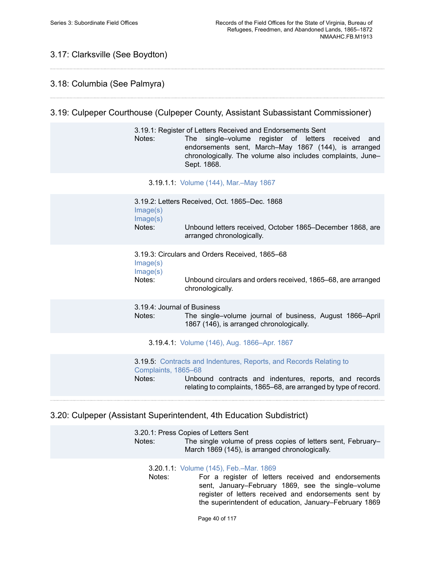# 3.17: Clarksville (See Boydton)

## 3.18: Columbia (See Palmyra)

## 3.19: Culpeper Courthouse (Culpeper County, Assistant Subassistant Commissioner)

3.19.1: Register of Letters Received and Endorsements Sent Notes: The single–volume register of letters received and endorsements sent, March–May 1867 (144), is arranged chronologically. The volume also includes complaints, June– Sept. 1868.

3.19.1.1: Volume (144), [Mar.–May](https://edan.si.edu/slideshow/slideshowViewer.htm?eadrefid=NMAAHC.FB.M1913_ref371) 1867

| Image(s)<br>Image(s)                  | 3.19.2: Letters Received, Oct. 1865–Dec. 1868                                                                                                                                                           |
|---------------------------------------|---------------------------------------------------------------------------------------------------------------------------------------------------------------------------------------------------------|
| Notes:                                | Unbound letters received, October 1865–December 1868, are<br>arranged chronologically.                                                                                                                  |
| Image(s)<br>Image(s)                  | 3.19.3: Circulars and Orders Received, 1865–68                                                                                                                                                          |
| Notes:                                | Unbound circulars and orders received, 1865–68, are arranged<br>chronologically.                                                                                                                        |
| 3.19.4: Journal of Business<br>Notes: | The single-volume journal of business, August 1866-April<br>1867 (146), is arranged chronologically.                                                                                                    |
|                                       | 3.19.4.1: Volume (146), Aug. 1866–Apr. 1867                                                                                                                                                             |
| Complaints, 1865-68<br>Notes:         | <b>3.19.5: Contracts and Indentures, Reports, and Records Relating to</b><br>Unbound contracts and indentures, reports, and records<br>relating to complaints, 1865–68, are arranged by type of record. |

## 3.20: Culpeper (Assistant Superintendent, 4th Education Subdistrict)

3.20.1: Press Copies of Letters Sent Notes: The single volume of press copies of letters sent, February– March 1869 (145), is arranged chronologically.

3.20.1.1: Volume (145), [Feb.–Mar.](https://edan.si.edu/slideshow/slideshowViewer.htm?eadrefid=NMAAHC.FB.M1913_ref384) 1869

Notes: For a register of letters received and endorsements sent, January–February 1869, see the single–volume register of letters received and endorsements sent by the superintendent of education, January–February 1869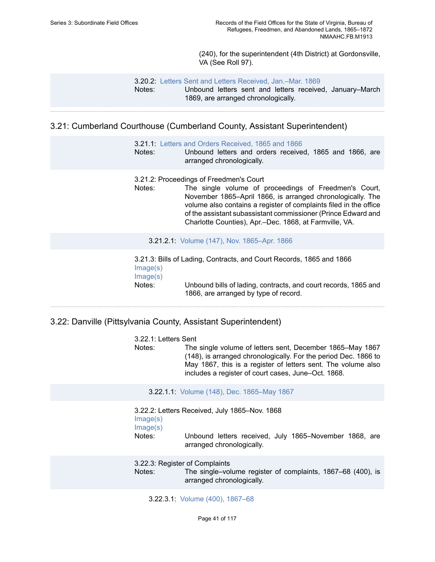(240), for the superintendent (4th District) at Gordonsville, VA (See Roll 97).

3.20.2: Letters Sent and Letters [Received,](https://edan.si.edu/slideshow/slideshowViewer.htm?eadrefid=NMAAHC.FB.M1913_ref387) Jan.–Mar. 1869 Notes: Unbound letters sent and letters received, January–March 1869, are arranged chronologically.

## 3.21: Cumberland Courthouse (Cumberland County, Assistant Superintendent)

- 3.21.1: [Letters and Orders Received, 1865 and 1866](https://edan.si.edu/slideshow/slideshowViewer.htm?eadrefid=NMAAHC.FB.M1913_ref390)
- Notes: Unbound letters and orders received, 1865 and 1866, are arranged chronologically.
- 3.21.2: Proceedings of Freedmen's Court
- Notes: The single volume of proceedings of Freedmen's Court, November 1865–April 1866, is arranged chronologically. The volume also contains a register of complaints filed in the office of the assistant subassistant commissioner (Prince Edward and Charlotte Counties), Apr.–Dec. 1868, at Farmville, VA.

3.21.2.1: Volume (147), Nov. [1865–Apr.](https://edan.si.edu/slideshow/slideshowViewer.htm?eadrefid=NMAAHC.FB.M1913_ref393) 1866

3.21.3: Bills of Lading, Contracts, and Court Records, 1865 and 1866 [Image\(s\)](https://edan.si.edu/slideshow/slideshowViewer.htm?eadrefid=NMAAHC.FB.M1913_ref395_part1) [Image\(s\)](https://edan.si.edu/slideshow/slideshowViewer.htm?eadrefid=NMAAHC.FB.M1913_ref395_part2) Notes: Unbound bills of lading, contracts, and court records, 1865 and 1866, are arranged by type of record.

## 3.22: Danville (Pittsylvania County, Assistant Superintendent)

3.22.1: Letters Sent Notes: The single volume of letters sent, December 1865–May 1867 (148), is arranged chronologically. For the period Dec. 1866 to May 1867, this is a register of letters sent. The volume also includes a register of court cases, June–Oct. 1868.

3.22.1.1: Volume (148), Dec. [1865–May](https://edan.si.edu/slideshow/slideshowViewer.htm?eadrefid=NMAAHC.FB.M1913_ref399) 1867

3.22.2: Letters Received, July 1865–Nov. 1868 [Image\(s\)](https://edan.si.edu/slideshow/slideshowViewer.htm?eadrefid=NMAAHC.FB.M1913_ref401_part1) [Image\(s\)](https://edan.si.edu/slideshow/slideshowViewer.htm?eadrefid=NMAAHC.FB.M1913_ref401_part2) Notes: Unbound letters received, July 1865–November 1868, are arranged chronologically.

3.22.3: Register of Complaints

Notes: The single–volume register of complaints, 1867–68 (400), is arranged chronologically.

3.22.3.1: Volume (400), [1867–68](https://edan.si.edu/slideshow/slideshowViewer.htm?eadrefid=NMAAHC.FB.M1913_ref404)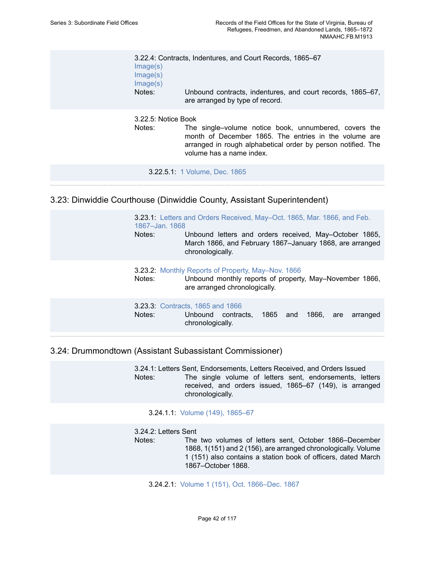| Image(s)<br>Image(s)<br>Image(s)<br>Notes: | 3.22.4: Contracts, Indentures, and Court Records, 1865–67<br>Unbound contracts, indentures, and court records, 1865–67,<br>are arranged by type of record.                                                 |
|--------------------------------------------|------------------------------------------------------------------------------------------------------------------------------------------------------------------------------------------------------------|
| 3.22.5: Notice Book<br>Notes:              | The single-volume notice book, unnumbered, covers the<br>month of December 1865. The entries in the volume are<br>arranged in rough alphabetical order by person notified. The<br>volume has a name index. |
|                                            | 3.22.5.1: 1 Volume, Dec. 1865                                                                                                                                                                              |
|                                            |                                                                                                                                                                                                            |

## 3.23: Dinwiddie Courthouse (Dinwiddie County, Assistant Superintendent)

3.23.1: Letters and Orders [Received,](https://edan.si.edu/slideshow/slideshowViewer.htm?eadrefid=NMAAHC.FB.M1913_ref412) May–Oct. 1865, Mar. 1866, and Feb. [1867–Jan. 1868](https://edan.si.edu/slideshow/slideshowViewer.htm?eadrefid=NMAAHC.FB.M1913_ref412) Notes: Unbound letters and orders received, May–October 1865, March 1866, and February 1867–January 1868, are arranged chronologically. 3.23.2: Monthly Reports of Property, [May–Nov.](https://edan.si.edu/slideshow/slideshowViewer.htm?eadrefid=NMAAHC.FB.M1913_ref414) 1866

Notes: Unbound monthly reports of property, May–November 1866, are arranged chronologically.

3.23.3: [Contracts, 1865 and 1866](https://edan.si.edu/slideshow/slideshowViewer.htm?eadrefid=NMAAHC.FB.M1913_ref416) Notes: Unbound contracts, 1865 and 1866, are arranged chronologically.

3.24: Drummondtown (Assistant Subassistant Commissioner)

3.24.1: Letters Sent, Endorsements, Letters Received, and Orders Issued Notes: The single volume of letters sent, endorsements, letters received, and orders issued, 1865–67 (149), is arranged chronologically.

3.24.1.1: Volume (149), [1865–67](https://edan.si.edu/slideshow/slideshowViewer.htm?eadrefid=NMAAHC.FB.M1913_ref420)

3.24.2: Letters Sent Notes: The two volumes of letters sent, October 1866–December 1868, 1(151) and 2 (156), are arranged chronologically. Volume 1 (151) also contains a station book of officers, dated March 1867–October 1868.

3.24.2.1: Volume 1 (151), Oct. [1866–Dec.](https://edan.si.edu/slideshow/slideshowViewer.htm?eadrefid=NMAAHC.FB.M1913_ref423) 1867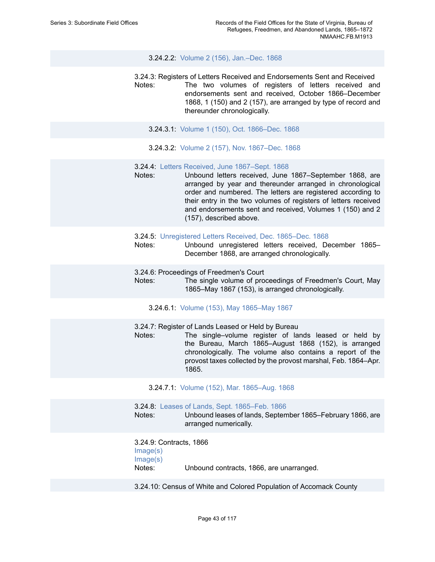#### 3.24.2.2: Volume 2 (156), [Jan.–Dec.](https://edan.si.edu/slideshow/slideshowViewer.htm?eadrefid=NMAAHC.FB.M1913_ref424) 1868

3.24.3: Registers of Letters Received and Endorsements Sent and Received Notes: The two volumes of registers of letters received and endorsements sent and received, October 1866–December 1868, 1 (150) and 2 (157), are arranged by type of record and thereunder chronologically.

- 3.24.3.1: Volume 1 (150), Oct. [1866–Dec.](https://edan.si.edu/slideshow/slideshowViewer.htm?eadrefid=NMAAHC.FB.M1913_ref427) 1868
- 3.24.3.2: Volume 2 (157), Nov. [1867–Dec.](https://edan.si.edu/slideshow/slideshowViewer.htm?eadrefid=NMAAHC.FB.M1913_ref428) 1868
- 3.24.4: [Letters Received, June 1867–Sept. 1868](https://edan.si.edu/slideshow/slideshowViewer.htm?eadrefid=NMAAHC.FB.M1913_ref430)
- Notes: Unbound letters received, June 1867–September 1868, are arranged by year and thereunder arranged in chronological order and numbered. The letters are registered according to their entry in the two volumes of registers of letters received and endorsements sent and received, Volumes 1 (150) and 2 (157), described above.
- 3.24.5: [Unregistered Letters Received, Dec. 1865–Dec. 1868](https://edan.si.edu/slideshow/slideshowViewer.htm?eadrefid=NMAAHC.FB.M1913_ref432)
- Notes: Unbound unregistered letters received, December 1865– December 1868, are arranged chronologically.
- 3.24.6: Proceedings of Freedmen's Court
- Notes: The single volume of proceedings of Freedmen's Court, May 1865–May 1867 (153), is arranged chronologically.
	- 3.24.6.1: Volume (153), May [1865–May](https://edan.si.edu/slideshow/slideshowViewer.htm?eadrefid=NMAAHC.FB.M1913_ref435) 1867

3.24.7: Register of Lands Leased or Held by Bureau

Notes: The single–volume register of lands leased or held by the Bureau, March 1865–August 1868 (152), is arranged chronologically. The volume also contains a report of the provost taxes collected by the provost marshal, Feb. 1864–Apr. 1865.

3.24.7.1: Volume (152), Mar. [1865–Aug.](https://edan.si.edu/slideshow/slideshowViewer.htm?eadrefid=NMAAHC.FB.M1913_ref438) 1868

3.24.8: [Leases of Lands, Sept. 1865–Feb. 1866](https://edan.si.edu/slideshow/slideshowViewer.htm?eadrefid=NMAAHC.FB.M1913_ref440)

Notes: Unbound leases of lands, September 1865–February 1866, are arranged numerically.

3.24.9: Contracts, 1866 [Image\(s\)](https://edan.si.edu/slideshow/slideshowViewer.htm?eadrefid=NMAAHC.FB.M1913_ref442_part1) [Image\(s\)](https://edan.si.edu/slideshow/slideshowViewer.htm?eadrefid=NMAAHC.FB.M1913_ref442_part2) Notes: Unbound contracts, 1866, are unarranged.

3.24.10: Census of White and Colored Population of Accomack County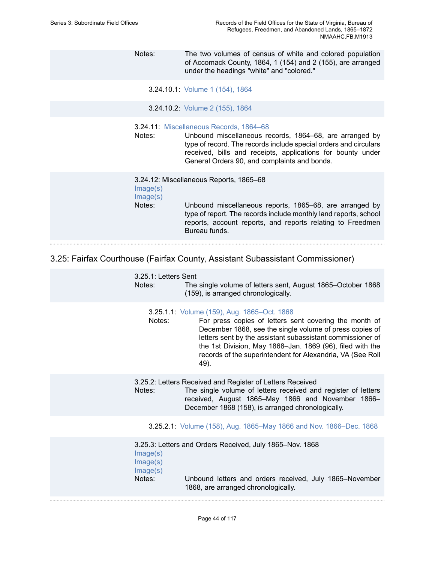Notes: The two volumes of census of white and colored population of Accomack County, 1864, 1 (154) and 2 (155), are arranged under the headings "white" and "colored."

3.24.10.1: [Volume](https://edan.si.edu/slideshow/slideshowViewer.htm?eadrefid=NMAAHC.FB.M1913_ref445) 1 (154), 1864

3.24.10.2: [Volume](https://edan.si.edu/slideshow/slideshowViewer.htm?eadrefid=NMAAHC.FB.M1913_ref446) 2 (155), 1864

3.24.11: [Miscellaneous Records, 1864–68](https://edan.si.edu/slideshow/slideshowViewer.htm?eadrefid=NMAAHC.FB.M1913_ref448)

Notes: Unbound miscellaneous records, 1864–68, are arranged by type of record. The records include special orders and circulars received, bills and receipts, applications for bounty under General Orders 90, and complaints and bonds.

3.24.12: Miscellaneous Reports, 1865–68 [Image\(s\)](https://edan.si.edu/slideshow/slideshowViewer.htm?eadrefid=NMAAHC.FB.M1913_ref450_part1) [Image\(s\)](https://edan.si.edu/slideshow/slideshowViewer.htm?eadrefid=NMAAHC.FB.M1913_ref450_part2) Notes: Unbound miscellaneous reports, 1865–68, are arranged by type of report. The records include monthly land reports, school reports, account reports, and reports relating to Freedmen Bureau funds.

## 3.25: Fairfax Courthouse (Fairfax County, Assistant Subassistant Commissioner)

| 3.25.1: Letters Sent<br>Notes:             | The single volume of letters sent, August 1865–October 1868<br>(159), is arranged chronologically.                                                                                                                                                                                                                                                                |
|--------------------------------------------|-------------------------------------------------------------------------------------------------------------------------------------------------------------------------------------------------------------------------------------------------------------------------------------------------------------------------------------------------------------------|
| Notes:                                     | 3.25.1.1: Volume (159), Aug. 1865-Oct. 1868<br>For press copies of letters sent covering the month of<br>December 1868, see the single volume of press copies of<br>letters sent by the assistant subassistant commissioner of<br>the 1st Division, May 1868-Jan. 1869 (96), filed with the<br>records of the superintendent for Alexandria, VA (See Roll<br>49). |
| Notes:                                     | 3.25.2: Letters Received and Register of Letters Received<br>The single volume of letters received and register of letters<br>received, August 1865-May 1866 and November 1866-<br>December 1868 (158), is arranged chronologically.                                                                                                                              |
|                                            | 3.25.2.1: Volume (158), Aug. 1865–May 1866 and Nov. 1866–Dec. 1868                                                                                                                                                                                                                                                                                                |
| Image(s)<br>Image(s)<br>Image(s)<br>Notes: | 3.25.3: Letters and Orders Received, July 1865–Nov. 1868<br>Unbound letters and orders received, July 1865–November<br>1868, are arranged chronologically.                                                                                                                                                                                                        |
|                                            |                                                                                                                                                                                                                                                                                                                                                                   |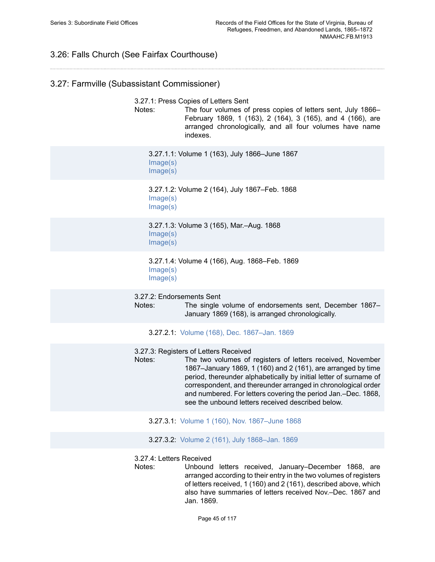## 3.26: Falls Church (See Fairfax Courthouse)

## 3.27: Farmville (Subassistant Commissioner)

3.27.1: Press Copies of Letters Sent

Notes: The four volumes of press copies of letters sent, July 1866– February 1869, 1 (163), 2 (164), 3 (165), and 4 (166), are arranged chronologically, and all four volumes have name indexes.

3.27.1.1: Volume 1 (163), July 1866–June 1867 [Image\(s\)](https://edan.si.edu/slideshow/slideshowViewer.htm?eadrefid=NMAAHC.FB.M1913_ref465_part1) [Image\(s\)](https://edan.si.edu/slideshow/slideshowViewer.htm?eadrefid=NMAAHC.FB.M1913_ref465_part2)

3.27.1.2: Volume 2 (164), July 1867–Feb. 1868 [Image\(s\)](https://edan.si.edu/slideshow/slideshowViewer.htm?eadrefid=NMAAHC.FB.M1913_ref466_part1) [Image\(s\)](https://edan.si.edu/slideshow/slideshowViewer.htm?eadrefid=NMAAHC.FB.M1913_ref466_part2)

3.27.1.3: Volume 3 (165), Mar.–Aug. 1868 [Image\(s\)](https://edan.si.edu/slideshow/slideshowViewer.htm?eadrefid=NMAAHC.FB.M1913_ref467_part1) [Image\(s\)](https://edan.si.edu/slideshow/slideshowViewer.htm?eadrefid=NMAAHC.FB.M1913_ref467_part2)

3.27.1.4: Volume 4 (166), Aug. 1868–Feb. 1869 [Image\(s\)](https://edan.si.edu/slideshow/slideshowViewer.htm?eadrefid=NMAAHC.FB.M1913_ref468_part1) [Image\(s\)](https://edan.si.edu/slideshow/slideshowViewer.htm?eadrefid=NMAAHC.FB.M1913_ref468_part2)

3.27.2: Endorsements Sent

Notes: The single volume of endorsements sent, December 1867– January 1869 (168), is arranged chronologically.

3.27.2.1: Volume (168), Dec. [1867–Jan.](https://edan.si.edu/slideshow/slideshowViewer.htm?eadrefid=NMAAHC.FB.M1913_ref471) 1869

3.27.3: Registers of Letters Received

Notes: The two volumes of registers of letters received, November 1867–January 1869, 1 (160) and 2 (161), are arranged by time period, thereunder alphabetically by initial letter of surname of correspondent, and thereunder arranged in chronological order and numbered. For letters covering the period Jan.–Dec. 1868, see the unbound letters received described below.

3.27.3.1: Volume 1 (160), Nov. [1867–June](https://edan.si.edu/slideshow/slideshowViewer.htm?eadrefid=NMAAHC.FB.M1913_ref474) 1868

3.27.3.2: Volume 2 (161), July [1868–Jan.](https://edan.si.edu/slideshow/slideshowViewer.htm?eadrefid=NMAAHC.FB.M1913_ref475) 1869

3.27.4: Letters Received

Notes: Unbound letters received, January–December 1868, are arranged according to their entry in the two volumes of registers of letters received, 1 (160) and 2 (161), described above, which also have summaries of letters received Nov.–Dec. 1867 and Jan. 1869.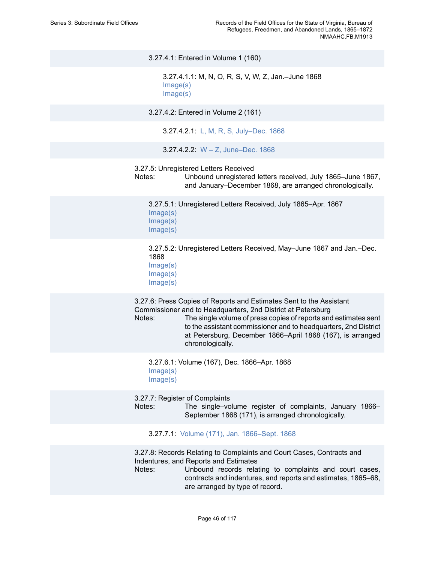3.27.4.1: Entered in Volume 1 (160) 3.27.4.1.1: M, N, O, R, S, V, W, Z, Jan.–June 1868 [Image\(s\)](https://edan.si.edu/slideshow/slideshowViewer.htm?eadrefid=NMAAHC.FB.M1913_ref479_part1) [Image\(s\)](https://edan.si.edu/slideshow/slideshowViewer.htm?eadrefid=NMAAHC.FB.M1913_ref479_part2) 3.27.4.2: Entered in Volume 2 (161) 3.27.4.2.1: [L, M, R, S, July–Dec. 1868](https://edan.si.edu/slideshow/slideshowViewer.htm?eadrefid=NMAAHC.FB.M1913_ref481) 3.27.4.2.2: [W – Z, June–Dec. 1868](https://edan.si.edu/slideshow/slideshowViewer.htm?eadrefid=NMAAHC.FB.M1913_ref482) 3.27.5: Unregistered Letters Received Notes: Unbound unregistered letters received, July 1865–June 1867, and January–December 1868, are arranged chronologically. 3.27.5.1: Unregistered Letters Received, July 1865–Apr. 1867 [Image\(s\)](https://edan.si.edu/slideshow/slideshowViewer.htm?eadrefid=NMAAHC.FB.M1913_ref485_part1) [Image\(s\)](https://edan.si.edu/slideshow/slideshowViewer.htm?eadrefid=NMAAHC.FB.M1913_ref485_part2) [Image\(s\)](https://edan.si.edu/slideshow/slideshowViewer.htm?eadrefid=NMAAHC.FB.M1913_ref485_part3) 3.27.5.2: Unregistered Letters Received, May–June 1867 and Jan.–Dec. 1868 [Image\(s\)](https://edan.si.edu/slideshow/slideshowViewer.htm?eadrefid=NMAAHC.FB.M1913_ref486_part1) [Image\(s\)](https://edan.si.edu/slideshow/slideshowViewer.htm?eadrefid=NMAAHC.FB.M1913_ref486_part2) [Image\(s\)](https://edan.si.edu/slideshow/slideshowViewer.htm?eadrefid=NMAAHC.FB.M1913_ref486_part3) 3.27.6: Press Copies of Reports and Estimates Sent to the Assistant Commissioner and to Headquarters, 2nd District at Petersburg Notes: The single volume of press copies of reports and estimates sent to the assistant commissioner and to headquarters, 2nd District at Petersburg, December 1866–April 1868 (167), is arranged chronologically. 3.27.6.1: Volume (167), Dec. 1866–Apr. 1868 [Image\(s\)](https://edan.si.edu/slideshow/slideshowViewer.htm?eadrefid=NMAAHC.FB.M1913_ref489_part1) [Image\(s\)](https://edan.si.edu/slideshow/slideshowViewer.htm?eadrefid=NMAAHC.FB.M1913_ref489_part2) 3.27.7: Register of Complaints Notes: The single–volume register of complaints, January 1866– September 1868 (171), is arranged chronologically. 3.27.7.1: Volume (171), Jan. [1866–Sept.](https://edan.si.edu/slideshow/slideshowViewer.htm?eadrefid=NMAAHC.FB.M1913_ref492) 1868 3.27.8: Records Relating to Complaints and Court Cases, Contracts and Indentures, and Reports and Estimates

Notes: Unbound records relating to complaints and court cases, contracts and indentures, and reports and estimates, 1865–68, are arranged by type of record.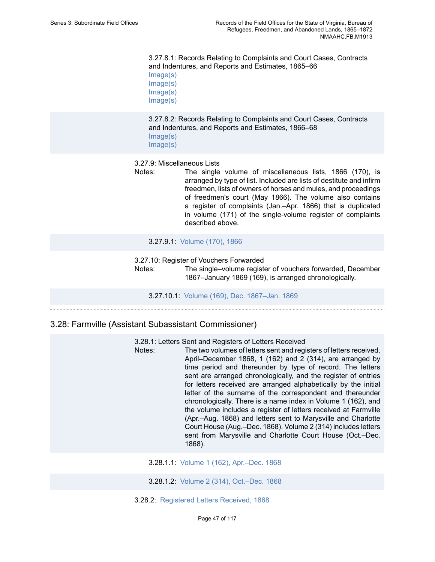3.27.8.1: Records Relating to Complaints and Court Cases, Contracts and Indentures, and Reports and Estimates, 1865–66 [Image\(s\)](https://edan.si.edu/slideshow/slideshowViewer.htm?eadrefid=NMAAHC.FB.M1913_ref495_part1)

[Image\(s\)](https://edan.si.edu/slideshow/slideshowViewer.htm?eadrefid=NMAAHC.FB.M1913_ref495_part2) [Image\(s\)](https://edan.si.edu/slideshow/slideshowViewer.htm?eadrefid=NMAAHC.FB.M1913_ref495_part3) [Image\(s\)](https://edan.si.edu/slideshow/slideshowViewer.htm?eadrefid=NMAAHC.FB.M1913_ref495_part4)

3.27.8.2: Records Relating to Complaints and Court Cases, Contracts and Indentures, and Reports and Estimates, 1866–68 [Image\(s\)](https://edan.si.edu/slideshow/slideshowViewer.htm?eadrefid=NMAAHC.FB.M1913_ref496_part1) [Image\(s\)](https://edan.si.edu/slideshow/slideshowViewer.htm?eadrefid=NMAAHC.FB.M1913_ref496_part2)

#### 3.27.9: Miscellaneous Lists

Notes: The single volume of miscellaneous lists, 1866 (170), is arranged by type of list. Included are lists of destitute and infirm freedmen, lists of owners of horses and mules, and proceedings of freedmen's court (May 1866). The volume also contains a register of complaints (Jan.–Apr. 1866) that is duplicated in volume (171) of the single-volume register of complaints described above.

### 3.27.9.1: [Volume](https://edan.si.edu/slideshow/slideshowViewer.htm?eadrefid=NMAAHC.FB.M1913_ref499) (170), 1866

3.27.10: Register of Vouchers Forwarded

Notes: The single–volume register of vouchers forwarded, December 1867–January 1869 (169), is arranged chronologically.

3.27.10.1: Volume (169), Dec. [1867–Jan.](https://edan.si.edu/slideshow/slideshowViewer.htm?eadrefid=NMAAHC.FB.M1913_ref502) 1869

### 3.28: Farmville (Assistant Subassistant Commissioner)

3.28.1: Letters Sent and Registers of Letters Received

Notes: The two volumes of letters sent and registers of letters received, April–December 1868, 1 (162) and 2 (314), are arranged by time period and thereunder by type of record. The letters sent are arranged chronologically, and the register of entries for letters received are arranged alphabetically by the initial letter of the surname of the correspondent and thereunder chronologically. There is a name index in Volume 1 (162), and the volume includes a register of letters received at Farmville (Apr.–Aug. 1868) and letters sent to Marysville and Charlotte Court House (Aug.–Dec. 1868). Volume 2 (314) includes letters sent from Marysville and Charlotte Court House (Oct.–Dec. 1868).

3.28.1.1: Volume 1 (162), [Apr.–Dec.](https://edan.si.edu/slideshow/slideshowViewer.htm?eadrefid=NMAAHC.FB.M1913_ref506) 1868

3.28.1.2: Volume 2 (314), [Oct.–Dec.](https://edan.si.edu/slideshow/slideshowViewer.htm?eadrefid=NMAAHC.FB.M1913_ref507) 1868

3.28.2: [Registered Letters Received, 1868](https://edan.si.edu/slideshow/slideshowViewer.htm?eadrefid=NMAAHC.FB.M1913_ref509)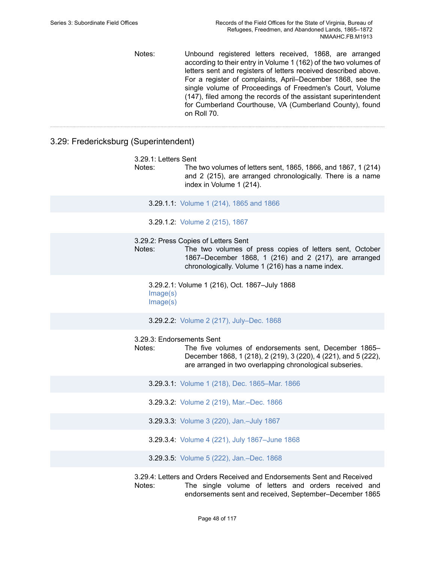Notes: Unbound registered letters received, 1868, are arranged according to their entry in Volume 1 (162) of the two volumes of letters sent and registers of letters received described above. For a register of complaints, April–December 1868, see the single volume of Proceedings of Freedmen's Court, Volume (147), filed among the records of the assistant superintendent for Cumberland Courthouse, VA (Cumberland County), found on Roll 70.

## 3.29: Fredericksburg (Superintendent)

|  | 3.29.1: Letters Sent |  |
|--|----------------------|--|
|--|----------------------|--|

Notes: The two volumes of letters sent, 1865, 1866, and 1867, 1 (214) and 2 (215), are arranged chronologically. There is a name index in Volume 1 (214).

3.29.1.1: [Volume](https://edan.si.edu/slideshow/slideshowViewer.htm?eadrefid=NMAAHC.FB.M1913_ref513) 1 (214), 1865 and 1866

3.29.1.2: [Volume](https://edan.si.edu/slideshow/slideshowViewer.htm?eadrefid=NMAAHC.FB.M1913_ref514) 2 (215), 1867

3.29.2: Press Copies of Letters Sent

Notes: The two volumes of press copies of letters sent, October 1867–December 1868, 1 (216) and 2 (217), are arranged chronologically. Volume 1 (216) has a name index.

3.29.2.1: Volume 1 (216), Oct. 1867–July 1868 [Image\(s\)](https://edan.si.edu/slideshow/slideshowViewer.htm?eadrefid=NMAAHC.FB.M1913_ref517_part1) [Image\(s\)](https://edan.si.edu/slideshow/slideshowViewer.htm?eadrefid=NMAAHC.FB.M1913_ref517_part2)

3.29.2.2: Volume 2 (217), [July–Dec.](https://edan.si.edu/slideshow/slideshowViewer.htm?eadrefid=NMAAHC.FB.M1913_ref518) 1868

3.29.3: Endorsements Sent

Notes: The five volumes of endorsements sent, December 1865– December 1868, 1 (218), 2 (219), 3 (220), 4 (221), and 5 (222), are arranged in two overlapping chronological subseries.

3.29.3.1: Volume 1 (218), Dec. [1865–Mar.](https://edan.si.edu/slideshow/slideshowViewer.htm?eadrefid=NMAAHC.FB.M1913_ref521) 1866

- 3.29.3.2: Volume 2 (219), [Mar.–Dec.](https://edan.si.edu/slideshow/slideshowViewer.htm?eadrefid=NMAAHC.FB.M1913_ref522) 1866
- 3.29.3.3: Volume 3 (220), [Jan.–July](https://edan.si.edu/slideshow/slideshowViewer.htm?eadrefid=NMAAHC.FB.M1913_ref523) 1867
- 3.29.3.4: Volume 4 (221), July [1867–June](https://edan.si.edu/slideshow/slideshowViewer.htm?eadrefid=NMAAHC.FB.M1913_ref524) 1868
- 3.29.3.5: Volume 5 (222), [Jan.–Dec.](https://edan.si.edu/slideshow/slideshowViewer.htm?eadrefid=NMAAHC.FB.M1913_ref525) 1868

3.29.4: Letters and Orders Received and Endorsements Sent and Received Notes: The single volume of letters and orders received and endorsements sent and received, September–December 1865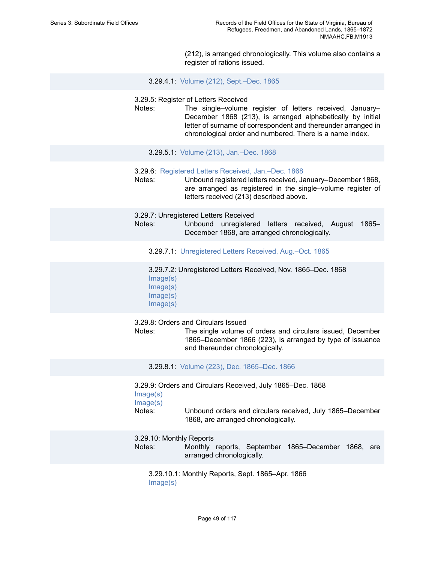(212), is arranged chronologically. This volume also contains a register of rations issued.

3.29.4.1: Volume (212), [Sept.–Dec.](https://edan.si.edu/slideshow/slideshowViewer.htm?eadrefid=NMAAHC.FB.M1913_ref528) 1865

3.29.5: Register of Letters Received

Notes: The single–volume register of letters received, January– December 1868 (213), is arranged alphabetically by initial letter of surname of correspondent and thereunder arranged in chronological order and numbered. There is a name index.

3.29.5.1: Volume (213), [Jan.–Dec.](https://edan.si.edu/slideshow/slideshowViewer.htm?eadrefid=NMAAHC.FB.M1913_ref531) 1868

#### 3.29.6: [Registered Letters Received, Jan.–Dec. 1868](https://edan.si.edu/slideshow/slideshowViewer.htm?eadrefid=NMAAHC.FB.M1913_ref533)

Notes: Unbound registered letters received, January–December 1868, are arranged as registered in the single–volume register of letters received (213) described above.

3.29.7: Unregistered Letters Received

Notes: Unbound unregistered letters received, August 1865– December 1868, are arranged chronologically.

3.29.7.1: [Unregistered Letters Received, Aug.–Oct. 1865](https://edan.si.edu/slideshow/slideshowViewer.htm?eadrefid=NMAAHC.FB.M1913_ref536)

3.29.7.2: Unregistered Letters Received, Nov. 1865–Dec. 1868 [Image\(s\)](https://edan.si.edu/slideshow/slideshowViewer.htm?eadrefid=NMAAHC.FB.M1913_ref537_part1) [Image\(s\)](https://edan.si.edu/slideshow/slideshowViewer.htm?eadrefid=NMAAHC.FB.M1913_ref537_part2) [Image\(s\)](https://edan.si.edu/slideshow/slideshowViewer.htm?eadrefid=NMAAHC.FB.M1913_ref537_part3)

[Image\(s\)](https://edan.si.edu/slideshow/slideshowViewer.htm?eadrefid=NMAAHC.FB.M1913_ref537_part4)

3.29.8: Orders and Circulars Issued

Notes: The single volume of orders and circulars issued, December 1865–December 1866 (223), is arranged by type of issuance and thereunder chronologically.

3.29.8.1: Volume (223), Dec. [1865–Dec.](https://edan.si.edu/slideshow/slideshowViewer.htm?eadrefid=NMAAHC.FB.M1913_ref540) 1866

3.29.9: Orders and Circulars Received, July 1865–Dec. 1868 [Image\(s\)](https://edan.si.edu/slideshow/slideshowViewer.htm?eadrefid=NMAAHC.FB.M1913_ref542_part1)

[Image\(s\)](https://edan.si.edu/slideshow/slideshowViewer.htm?eadrefid=NMAAHC.FB.M1913_ref542_part2)

Notes: Unbound orders and circulars received, July 1865–December 1868, are arranged chronologically.

3.29.10: Monthly Reports

Notes: Monthly reports, September 1865–December 1868, are arranged chronologically.

3.29.10.1: Monthly Reports, Sept. 1865–Apr. 1866 [Image\(s\)](https://edan.si.edu/slideshow/slideshowViewer.htm?eadrefid=NMAAHC.FB.M1913_ref545_part1)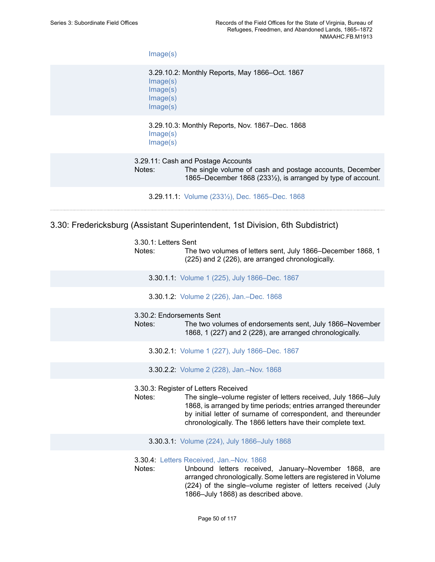[Image\(s\)](https://edan.si.edu/slideshow/slideshowViewer.htm?eadrefid=NMAAHC.FB.M1913_ref545_part2)

3.29.10.2: Monthly Reports, May 1866–Oct. 1867 [Image\(s\)](https://edan.si.edu/slideshow/slideshowViewer.htm?eadrefid=NMAAHC.FB.M1913_ref546_part1) [Image\(s\)](https://edan.si.edu/slideshow/slideshowViewer.htm?eadrefid=NMAAHC.FB.M1913_ref546_part2) [Image\(s\)](https://edan.si.edu/slideshow/slideshowViewer.htm?eadrefid=NMAAHC.FB.M1913_ref546_part3) [Image\(s\)](https://edan.si.edu/slideshow/slideshowViewer.htm?eadrefid=NMAAHC.FB.M1913_ref546_part4)

### 3.29.10.3: Monthly Reports, Nov. 1867–Dec. 1868 [Image\(s\)](https://edan.si.edu/slideshow/slideshowViewer.htm?eadrefid=NMAAHC.FB.M1913_ref547_part1) [Image\(s\)](https://edan.si.edu/slideshow/slideshowViewer.htm?eadrefid=NMAAHC.FB.M1913_ref547_part2)

3.29.11: Cash and Postage Accounts Notes: The single volume of cash and postage accounts, December 1865–December 1868 (233½), is arranged by type of account.

3.29.11.1: Volume (233½), Dec. [1865–Dec.](https://edan.si.edu/slideshow/slideshowViewer.htm?eadrefid=NMAAHC.FB.M1913_ref550) 1868

3.30: Fredericksburg (Assistant Superintendent, 1st Division, 6th Subdistrict)

| 3.30.1: Letters Sent |
|----------------------|
|                      |

Notes: The two volumes of letters sent, July 1866–December 1868, 1 (225) and 2 (226), are arranged chronologically.

3.30.1.1: Volume 1 (225), July [1866–Dec.](https://edan.si.edu/slideshow/slideshowViewer.htm?eadrefid=NMAAHC.FB.M1913_ref554) 1867

3.30.1.2: Volume 2 (226), [Jan.–Dec.](https://edan.si.edu/slideshow/slideshowViewer.htm?eadrefid=NMAAHC.FB.M1913_ref555) 1868

### 3.30.2: Endorsements Sent

Notes: The two volumes of endorsements sent, July 1866–November 1868, 1 (227) and 2 (228), are arranged chronologically.

3.30.2.1: Volume 1 (227), July [1866–Dec.](https://edan.si.edu/slideshow/slideshowViewer.htm?eadrefid=NMAAHC.FB.M1913_ref558) 1867

3.30.2.2: Volume 2 (228), [Jan.–Nov.](https://edan.si.edu/slideshow/slideshowViewer.htm?eadrefid=NMAAHC.FB.M1913_ref559) 1868

3.30.3: Register of Letters Received

- Notes: The single–volume register of letters received, July 1866–July 1868, is arranged by time periods; entries arranged thereunder by initial letter of surname of correspondent, and thereunder chronologically. The 1866 letters have their complete text.
	- 3.30.3.1: Volume (224), July [1866–July](https://edan.si.edu/slideshow/slideshowViewer.htm?eadrefid=NMAAHC.FB.M1913_ref562) 1868

#### 3.30.4: Letters [Received,](https://edan.si.edu/slideshow/slideshowViewer.htm?eadrefid=NMAAHC.FB.M1913_ref564) Jan.–Nov. 1868

Notes: Unbound letters received, January–November 1868, are arranged chronologically. Some letters are registered in Volume (224) of the single–volume register of letters received (July 1866–July 1868) as described above.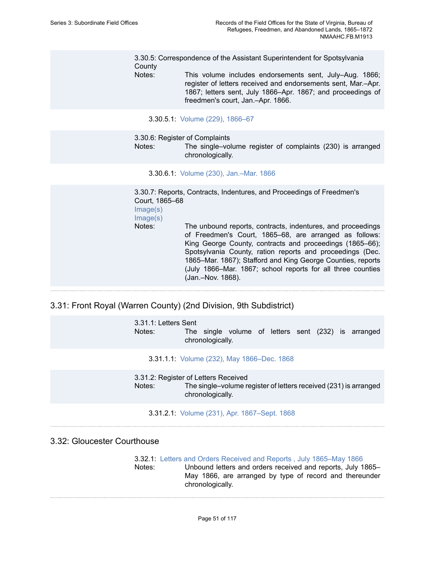3.30.5: Correspondence of the Assistant Superintendent for Spotsylvania **County** 

Notes: This volume includes endorsements sent, July–Aug. 1866; register of letters received and endorsements sent, Mar.–Apr. 1867; letters sent, July 1866–Apr. 1867; and proceedings of freedmen's court, Jan.–Apr. 1866.

### 3.30.5.1: Volume (229), [1866–67](https://edan.si.edu/slideshow/slideshowViewer.htm?eadrefid=NMAAHC.FB.M1913_ref567)

3.30.6: Register of Complaints

Notes: The single–volume register of complaints (230) is arranged chronologically.

3.30.6.1: Volume (230), [Jan.–Mar.](https://edan.si.edu/slideshow/slideshowViewer.htm?eadrefid=NMAAHC.FB.M1913_ref570) 1866

3.30.7: Reports, Contracts, Indentures, and Proceedings of Freedmen's Court, 1865–68 [Image\(s\)](https://edan.si.edu/slideshow/slideshowViewer.htm?eadrefid=NMAAHC.FB.M1913_ref572_part1) [Image\(s\)](https://edan.si.edu/slideshow/slideshowViewer.htm?eadrefid=NMAAHC.FB.M1913_ref572_part2) Notes: The unbound reports, contracts, indentures, and proceedings of Freedmen's Court, 1865–68, are arranged as follows: King George County, contracts and proceedings (1865–66); Spotsylvania County, ration reports and proceedings (Dec. 1865–Mar. 1867); Stafford and King George Counties, reports (July 1866–Mar. 1867; school reports for all three counties (Jan.–Nov. 1868).

### 3.31: Front Royal (Warren County) (2nd Division, 9th Subdistrict)

3.31.1: Letters Sent Notes: The single volume of letters sent (232) is arranged chronologically.

3.31.1.1: Volume (232), May [1866–Dec.](https://edan.si.edu/slideshow/slideshowViewer.htm?eadrefid=NMAAHC.FB.M1913_ref576) 1868

3.31.2: Register of Letters Received Notes: The single–volume register of letters received (231) is arranged chronologically.

#### 3.31.2.1: Volume (231), Apr. [1867–Sept.](https://edan.si.edu/slideshow/slideshowViewer.htm?eadrefid=NMAAHC.FB.M1913_ref579) 1868

### 3.32: Gloucester Courthouse

3.32.1: [Letters and Orders Received and Reports , July 1865–May 1866](https://edan.si.edu/slideshow/slideshowViewer.htm?eadrefid=NMAAHC.FB.M1913_ref582) Notes: Unbound letters and orders received and reports, July 1865– May 1866, are arranged by type of record and thereunder chronologically.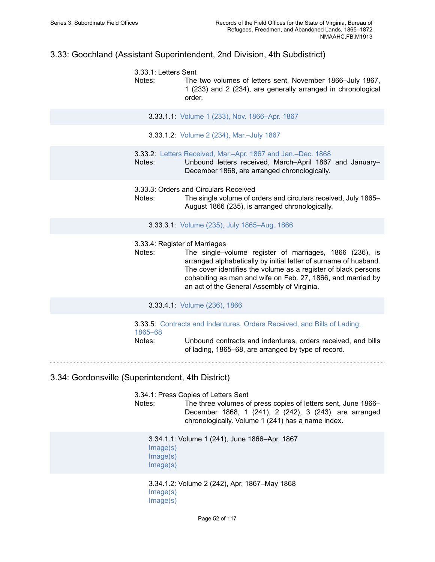## 3.33: Goochland (Assistant Superintendent, 2nd Division, 4th Subdistrict)

3.33.1: Letters Sent Notes: The two volumes of letters sent, November 1866–July 1867, 1 (233) and 2 (234), are generally arranged in chronological order.

3.33.1.1: Volume 1 (233), Nov. [1866–Apr.](https://edan.si.edu/slideshow/slideshowViewer.htm?eadrefid=NMAAHC.FB.M1913_ref586) 1867

3.33.1.2: Volume 2 (234), [Mar.–July](https://edan.si.edu/slideshow/slideshowViewer.htm?eadrefid=NMAAHC.FB.M1913_ref587) 1867

3.33.2: Letters Received, Mar.–Apr. 1867 and [Jan.–Dec.](https://edan.si.edu/slideshow/slideshowViewer.htm?eadrefid=NMAAHC.FB.M1913_ref589) 1868

Notes: Unbound letters received, March–April 1867 and January– December 1868, are arranged chronologically.

3.33.3: Orders and Circulars Received

Notes: The single volume of orders and circulars received, July 1865– August 1866 (235), is arranged chronologically.

3.33.3.1: Volume (235), July [1865–Aug.](https://edan.si.edu/slideshow/slideshowViewer.htm?eadrefid=NMAAHC.FB.M1913_ref592) 1866

3.33.4: Register of Marriages

Notes: The single–volume register of marriages, 1866 (236), is arranged alphabetically by initial letter of surname of husband. The cover identifies the volume as a register of black persons cohabiting as man and wife on Feb. 27, 1866, and married by an act of the General Assembly of Virginia.

3.33.4.1: [Volume](https://edan.si.edu/slideshow/slideshowViewer.htm?eadrefid=NMAAHC.FB.M1913_ref595) (236), 1866

3.33.5: [Contracts and Indentures, Orders Received, and Bills of Lading,](https://edan.si.edu/slideshow/slideshowViewer.htm?eadrefid=NMAAHC.FB.M1913_ref597) [1865–68](https://edan.si.edu/slideshow/slideshowViewer.htm?eadrefid=NMAAHC.FB.M1913_ref597)

Notes: Unbound contracts and indentures, orders received, and bills of lading, 1865–68, are arranged by type of record.

## 3.34: Gordonsville (Superintendent, 4th District)

3.34.1: Press Copies of Letters Sent

Notes: The three volumes of press copies of letters sent, June 1866– December 1868, 1 (241), 2 (242), 3 (243), are arranged chronologically. Volume 1 (241) has a name index.

3.34.1.1: Volume 1 (241), June 1866–Apr. 1867 [Image\(s\)](https://edan.si.edu/slideshow/slideshowViewer.htm?eadrefid=NMAAHC.FB.M1913_ref601_part1) [Image\(s\)](https://edan.si.edu/slideshow/slideshowViewer.htm?eadrefid=NMAAHC.FB.M1913_ref601_part2) [Image\(s\)](https://edan.si.edu/slideshow/slideshowViewer.htm?eadrefid=NMAAHC.FB.M1913_ref601_part3)

3.34.1.2: Volume 2 (242), Apr. 1867–May 1868 [Image\(s\)](https://edan.si.edu/slideshow/slideshowViewer.htm?eadrefid=NMAAHC.FB.M1913_ref602_part1) [Image\(s\)](https://edan.si.edu/slideshow/slideshowViewer.htm?eadrefid=NMAAHC.FB.M1913_ref602_part2)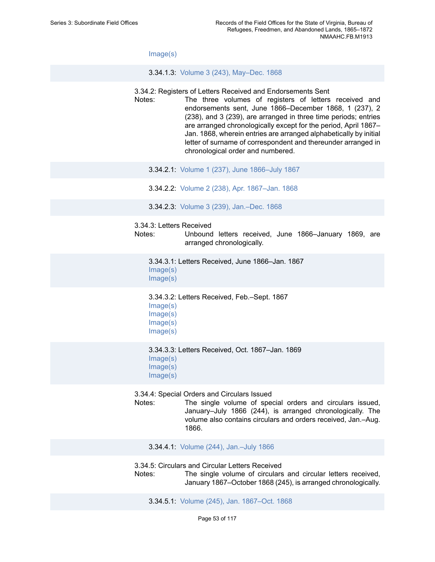[Image\(s\)](https://edan.si.edu/slideshow/slideshowViewer.htm?eadrefid=NMAAHC.FB.M1913_ref602_part3)

3.34.1.3: Volume 3 (243), [May–Dec.](https://edan.si.edu/slideshow/slideshowViewer.htm?eadrefid=NMAAHC.FB.M1913_ref603) 1868

- 3.34.2: Registers of Letters Received and Endorsements Sent
- Notes: The three volumes of registers of letters received and endorsements sent, June 1866–December 1868, 1 (237), 2 (238), and 3 (239), are arranged in three time periods; entries are arranged chronologically except for the period, April 1867– Jan. 1868, wherein entries are arranged alphabetically by initial letter of surname of correspondent and thereunder arranged in chronological order and numbered.
	- 3.34.2.1: Volume 1 (237), June [1866–July](https://edan.si.edu/slideshow/slideshowViewer.htm?eadrefid=NMAAHC.FB.M1913_ref606) 1867
	- 3.34.2.2: Volume 2 (238), Apr. [1867–Jan.](https://edan.si.edu/slideshow/slideshowViewer.htm?eadrefid=NMAAHC.FB.M1913_ref607) 1868
	- 3.34.2.3: Volume 3 (239), [Jan.–Dec.](https://edan.si.edu/slideshow/slideshowViewer.htm?eadrefid=NMAAHC.FB.M1913_ref608) 1868
- 3.34.3: Letters Received
- Notes: Unbound letters received, June 1866–January 1869, are arranged chronologically.

3.34.3.1: Letters Received, June 1866–Jan. 1867 [Image\(s\)](https://edan.si.edu/slideshow/slideshowViewer.htm?eadrefid=NMAAHC.FB.M1913_ref611_part1) [Image\(s\)](https://edan.si.edu/slideshow/slideshowViewer.htm?eadrefid=NMAAHC.FB.M1913_ref611_part2)

3.34.3.2: Letters Received, Feb.–Sept. 1867 [Image\(s\)](https://edan.si.edu/slideshow/slideshowViewer.htm?eadrefid=NMAAHC.FB.M1913_ref612_part1) [Image\(s\)](https://edan.si.edu/slideshow/slideshowViewer.htm?eadrefid=NMAAHC.FB.M1913_ref612_part2) [Image\(s\)](https://edan.si.edu/slideshow/slideshowViewer.htm?eadrefid=NMAAHC.FB.M1913_ref612_part3) [Image\(s\)](https://edan.si.edu/slideshow/slideshowViewer.htm?eadrefid=NMAAHC.FB.M1913_ref612_part4)

3.34.3.3: Letters Received, Oct. 1867–Jan. 1869 [Image\(s\)](https://edan.si.edu/slideshow/slideshowViewer.htm?eadrefid=NMAAHC.FB.M1913_ref613_part1) [Image\(s\)](https://edan.si.edu/slideshow/slideshowViewer.htm?eadrefid=NMAAHC.FB.M1913_ref613_part2) [Image\(s\)](https://edan.si.edu/slideshow/slideshowViewer.htm?eadrefid=NMAAHC.FB.M1913_ref613_part3)

3.34.4: Special Orders and Circulars Issued

Notes: The single volume of special orders and circulars issued, January–July 1866 (244), is arranged chronologically. The volume also contains circulars and orders received, Jan.–Aug. 1866.

3.34.4.1: Volume (244), [Jan.–July](https://edan.si.edu/slideshow/slideshowViewer.htm?eadrefid=NMAAHC.FB.M1913_ref616) 1866

3.34.5: Circulars and Circular Letters Received

Notes: The single volume of circulars and circular letters received. January 1867–October 1868 (245), is arranged chronologically.

3.34.5.1: Volume (245), Jan. [1867–Oct.](https://edan.si.edu/slideshow/slideshowViewer.htm?eadrefid=NMAAHC.FB.M1913_ref619) 1868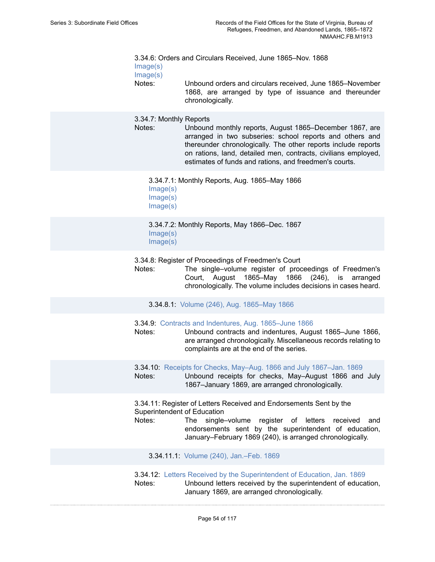3.34.6: Orders and Circulars Received, June 1865–Nov. 1868 [Image\(s\)](https://edan.si.edu/slideshow/slideshowViewer.htm?eadrefid=NMAAHC.FB.M1913_ref621_part1) [Image\(s\)](https://edan.si.edu/slideshow/slideshowViewer.htm?eadrefid=NMAAHC.FB.M1913_ref621_part2) Notes: Unbound orders and circulars received, June 1865–November

1868, are arranged by type of issuance and thereunder chronologically.

3.34.7: Monthly Reports

Notes: Unbound monthly reports, August 1865–December 1867, are arranged in two subseries: school reports and others and thereunder chronologically. The other reports include reports on rations, land, detailed men, contracts, civilians employed, estimates of funds and rations, and freedmen's courts.

3.34.7.1: Monthly Reports, Aug. 1865–May 1866

[Image\(s\)](https://edan.si.edu/slideshow/slideshowViewer.htm?eadrefid=NMAAHC.FB.M1913_ref624_part1)

[Image\(s\)](https://edan.si.edu/slideshow/slideshowViewer.htm?eadrefid=NMAAHC.FB.M1913_ref624_part2)

[Image\(s\)](https://edan.si.edu/slideshow/slideshowViewer.htm?eadrefid=NMAAHC.FB.M1913_ref624_part3)

3.34.7.2: Monthly Reports, May 1866–Dec. 1867 [Image\(s\)](https://edan.si.edu/slideshow/slideshowViewer.htm?eadrefid=NMAAHC.FB.M1913_ref625_part1) [Image\(s\)](https://edan.si.edu/slideshow/slideshowViewer.htm?eadrefid=NMAAHC.FB.M1913_ref625_part2)

3.34.8: Register of Proceedings of Freedmen's Court

Notes: The single–volume register of proceedings of Freedmen's Court, August 1865–May 1866 (246), is arranged chronologically. The volume includes decisions in cases heard.

3.34.8.1: Volume (246), Aug. [1865–May](https://edan.si.edu/slideshow/slideshowViewer.htm?eadrefid=NMAAHC.FB.M1913_ref628) 1866

3.34.9: [Contracts and Indentures, Aug. 1865–June 1866](https://edan.si.edu/slideshow/slideshowViewer.htm?eadrefid=NMAAHC.FB.M1913_ref630)

Notes: Unbound contracts and indentures, August 1865–June 1866, are arranged chronologically. Miscellaneous records relating to complaints are at the end of the series.

3.34.10: [Receipts for Checks, May–Aug. 1866 and July 1867–Jan. 1869](https://edan.si.edu/slideshow/slideshowViewer.htm?eadrefid=NMAAHC.FB.M1913_ref632) Notes: Unbound receipts for checks, May–August 1866 and July 1867–January 1869, are arranged chronologically.

3.34.11: Register of Letters Received and Endorsements Sent by the Superintendent of Education

Notes: The single–volume register of letters received and endorsements sent by the superintendent of education, January–February 1869 (240), is arranged chronologically.

3.34.11.1: Volume (240), [Jan.–Feb.](https://edan.si.edu/slideshow/slideshowViewer.htm?eadrefid=NMAAHC.FB.M1913_ref635) 1869

3.34.12: [Letters Received by the Superintendent of Education, Jan. 1869](https://edan.si.edu/slideshow/slideshowViewer.htm?eadrefid=NMAAHC.FB.M1913_ref637)

Notes: Unbound letters received by the superintendent of education, January 1869, are arranged chronologically.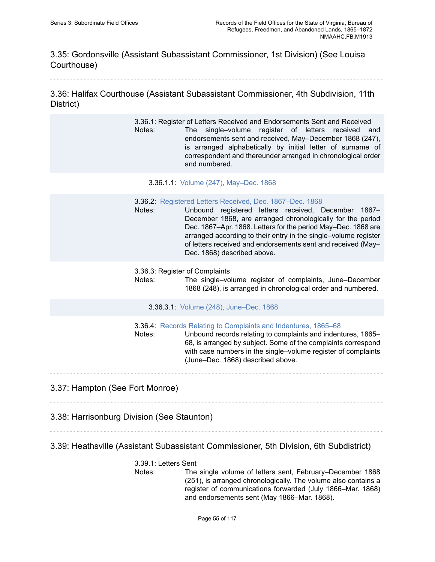3.35: Gordonsville (Assistant Subassistant Commissioner, 1st Division) (See Louisa Courthouse)

3.36: Halifax Courthouse (Assistant Subassistant Commissioner, 4th Subdivision, 11th District)

> 3.36.1: Register of Letters Received and Endorsements Sent and Received Notes: The single–volume register of letters received and endorsements sent and received, May–December 1868 (247), is arranged alphabetically by initial letter of surname of correspondent and thereunder arranged in chronological order and numbered.

- 3.36.1.1: Volume (247), [May–Dec.](https://edan.si.edu/slideshow/slideshowViewer.htm?eadrefid=NMAAHC.FB.M1913_ref642) 1868
- 3.36.2: [Registered Letters Received, Dec. 1867–Dec. 1868](https://edan.si.edu/slideshow/slideshowViewer.htm?eadrefid=NMAAHC.FB.M1913_ref644)
- Notes: Unbound registered letters received, December 1867– December 1868, are arranged chronologically for the period Dec. 1867–Apr. 1868. Letters for the period May–Dec. 1868 are arranged according to their entry in the single–volume register of letters received and endorsements sent and received (May– Dec. 1868) described above.
- 3.36.3: Register of Complaints
- Notes: The single–volume register of complaints, June–December 1868 (248), is arranged in chronological order and numbered.

3.36.3.1: Volume (248), [June–Dec.](https://edan.si.edu/slideshow/slideshowViewer.htm?eadrefid=NMAAHC.FB.M1913_ref647) 1868

3.36.4: [Records Relating to Complaints and Indentures, 1865–68](https://edan.si.edu/slideshow/slideshowViewer.htm?eadrefid=NMAAHC.FB.M1913_ref649)

Notes: Unbound records relating to complaints and indentures, 1865– 68, is arranged by subject. Some of the complaints correspond with case numbers in the single–volume register of complaints (June–Dec. 1868) described above.

3.37: Hampton (See Fort Monroe)

3.38: Harrisonburg Division (See Staunton)

3.39: Heathsville (Assistant Subassistant Commissioner, 5th Division, 6th Subdistrict)

### 3.39.1: Letters Sent

Notes: The single volume of letters sent, February–December 1868 (251), is arranged chronologically. The volume also contains a register of communications forwarded (July 1866–Mar. 1868) and endorsements sent (May 1866–Mar. 1868).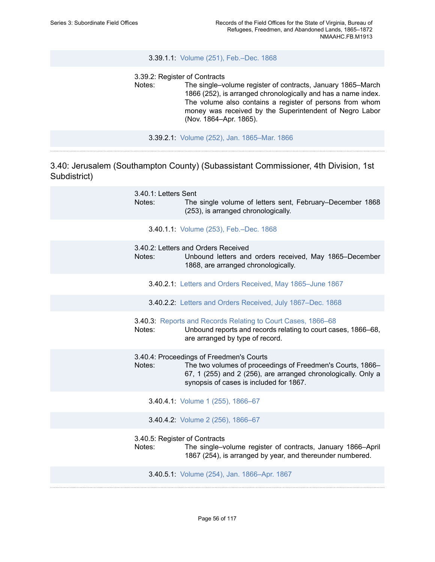### 3.39.1.1: Volume (251), [Feb.–Dec.](https://edan.si.edu/slideshow/slideshowViewer.htm?eadrefid=NMAAHC.FB.M1913_ref655) 1868

3.39.2: Register of Contracts

Notes: The single–volume register of contracts, January 1865–March 1866 (252), is arranged chronologically and has a name index. The volume also contains a register of persons from whom money was received by the Superintendent of Negro Labor (Nov. 1864–Apr. 1865).

3.39.2.1: Volume (252), Jan. [1865–Mar.](https://edan.si.edu/slideshow/slideshowViewer.htm?eadrefid=NMAAHC.FB.M1913_ref658) 1866

3.40: Jerusalem (Southampton County) (Subassistant Commissioner, 4th Division, 1st Subdistrict)

| 3.40.1: Letters Sent<br>Notes:          | The single volume of letters sent, February–December 1868<br>(253), is arranged chronologically.                                                                                                                   |
|-----------------------------------------|--------------------------------------------------------------------------------------------------------------------------------------------------------------------------------------------------------------------|
|                                         | 3.40.1.1: Volume (253), Feb.-Dec. 1868                                                                                                                                                                             |
| Notes:                                  | 3.40.2: Letters and Orders Received<br>Unbound letters and orders received, May 1865–December<br>1868, are arranged chronologically.                                                                               |
|                                         | 3.40.2.1: Letters and Orders Received, May 1865-June 1867                                                                                                                                                          |
|                                         | 3.40.2.2: Letters and Orders Received, July 1867-Dec. 1868                                                                                                                                                         |
| Notes:                                  | 3.40.3: Reports and Records Relating to Court Cases, 1866-68<br>Unbound reports and records relating to court cases, 1866-68,<br>are arranged by type of record.                                                   |
| Notes:                                  | 3.40.4: Proceedings of Freedmen's Courts<br>The two volumes of proceedings of Freedmen's Courts, 1866-<br>67, 1 (255) and 2 (256), are arranged chronologically. Only a<br>synopsis of cases is included for 1867. |
|                                         | 3.40.4.1: Volume 1 (255), 1866-67                                                                                                                                                                                  |
|                                         | 3.40.4.2: Volume 2 (256), 1866-67                                                                                                                                                                                  |
| 3.40.5: Register of Contracts<br>Notes: | The single-volume register of contracts, January 1866-April<br>1867 (254), is arranged by year, and thereunder numbered.                                                                                           |
|                                         | 3.40.5.1: Volume (254), Jan. 1866-Apr. 1867                                                                                                                                                                        |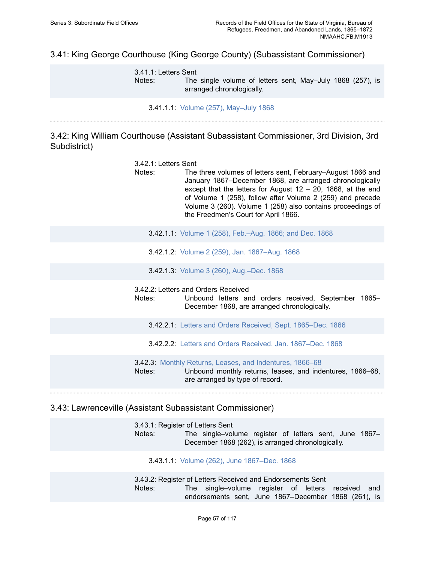3.41: King George Courthouse (King George County) (Subassistant Commissioner)

3.41.1: Letters Sent Notes: The single volume of letters sent, May–July 1868 (257), is arranged chronologically.

3.41.1.1: Volume (257), [May–July](https://edan.si.edu/slideshow/slideshowViewer.htm?eadrefid=NMAAHC.FB.M1913_ref679) 1868

3.42: King William Courthouse (Assistant Subassistant Commissioner, 3rd Division, 3rd Subdistrict)

- 3.42.1: Letters Sent Notes: The three volumes of letters sent, February–August 1866 and January 1867–December 1868, are arranged chronologically except that the letters for August  $12 - 20$ , 1868, at the end of Volume 1 (258), follow after Volume 2 (259) and precede Volume 3 (260). Volume 1 (258) also contains proceedings of the Freedmen's Court for April 1866.
	- 3.42.1.1: Volume 1 (258), [Feb.–Aug.](https://edan.si.edu/slideshow/slideshowViewer.htm?eadrefid=NMAAHC.FB.M1913_ref683) 1866; and Dec. 1868
	- 3.42.1.2: Volume 2 (259), Jan. [1867–Aug.](https://edan.si.edu/slideshow/slideshowViewer.htm?eadrefid=NMAAHC.FB.M1913_ref684) 1868

3.42.1.3: Volume 3 (260), [Aug.–Dec.](https://edan.si.edu/slideshow/slideshowViewer.htm?eadrefid=NMAAHC.FB.M1913_ref685) 1868

3.42.2: Letters and Orders Received

Notes: Unbound letters and orders received, September 1865– December 1868, are arranged chronologically.

3.42.2.1: [Letters and Orders Received, Sept. 1865–Dec. 1866](https://edan.si.edu/slideshow/slideshowViewer.htm?eadrefid=NMAAHC.FB.M1913_ref688)

3.42.2.2: [Letters and Orders Received, Jan. 1867–Dec. 1868](https://edan.si.edu/slideshow/slideshowViewer.htm?eadrefid=NMAAHC.FB.M1913_ref689)

3.42.3: [Monthly Returns, Leases, and Indentures, 1866–68](https://edan.si.edu/slideshow/slideshowViewer.htm?eadrefid=NMAAHC.FB.M1913_ref691) Notes: Unbound monthly returns, leases, and indentures, 1866–68, are arranged by type of record.

3.43: Lawrenceville (Assistant Subassistant Commissioner)

3.43.1: Register of Letters Sent Notes: The single–volume register of letters sent, June 1867– December 1868 (262), is arranged chronologically.

3.43.1.1: Volume (262), June [1867–Dec.](https://edan.si.edu/slideshow/slideshowViewer.htm?eadrefid=NMAAHC.FB.M1913_ref695) 1868

3.43.2: Register of Letters Received and Endorsements Sent Notes: The single–volume register of letters received and endorsements sent, June 1867–December 1868 (261), is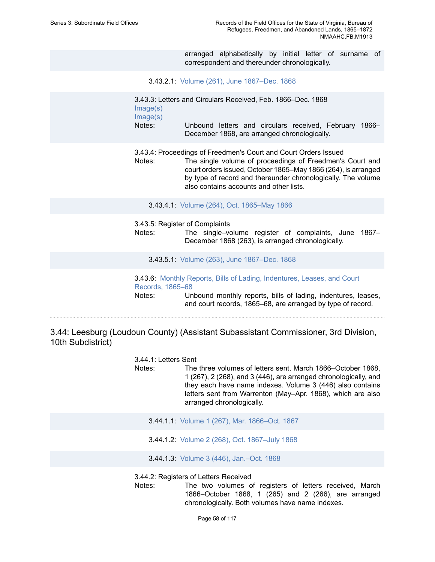arranged alphabetically by initial letter of surname of correspondent and thereunder chronologically.

3.43.2.1: Volume (261), June [1867–Dec.](https://edan.si.edu/slideshow/slideshowViewer.htm?eadrefid=NMAAHC.FB.M1913_ref698) 1868

```
3.43.3: Letters and Circulars Received, Feb. 1866–Dec. 1868
Image(s)
Image(s)
Notes: Unbound letters and circulars received, February 1866–
              December 1868, are arranged chronologically.
```
3.43.4: Proceedings of Freedmen's Court and Court Orders Issued

Notes: The single volume of proceedings of Freedmen's Court and court orders issued, October 1865–May 1866 (264), is arranged by type of record and thereunder chronologically. The volume also contains accounts and other lists.

3.43.4.1: Volume (264), Oct. [1865–May](https://edan.si.edu/slideshow/slideshowViewer.htm?eadrefid=NMAAHC.FB.M1913_ref703) 1866

3.43.5: Register of Complaints

Notes: The single–volume register of complaints, June 1867– December 1868 (263), is arranged chronologically.

3.43.5.1: Volume (263), June [1867–Dec.](https://edan.si.edu/slideshow/slideshowViewer.htm?eadrefid=NMAAHC.FB.M1913_ref706) 1868

3.43.6: [Monthly Reports, Bills of Lading, Indentures, Leases, and Court](https://edan.si.edu/slideshow/slideshowViewer.htm?eadrefid=NMAAHC.FB.M1913_ref708) [Records, 1865–68](https://edan.si.edu/slideshow/slideshowViewer.htm?eadrefid=NMAAHC.FB.M1913_ref708) Notes: Unbound monthly reports, bills of lading, indentures, leases, and court records, 1865–68, are arranged by type of record.

3.44: Leesburg (Loudoun County) (Assistant Subassistant Commissioner, 3rd Division, 10th Subdistrict)

3.44.1: Letters Sent

- Notes: The three volumes of letters sent, March 1866–October 1868, 1 (267), 2 (268), and 3 (446), are arranged chronologically, and they each have name indexes. Volume 3 (446) also contains letters sent from Warrenton (May–Apr. 1868), which are also arranged chronologically.
	- 3.44.1.1: Volume 1 (267), Mar. [1866–Oct.](https://edan.si.edu/slideshow/slideshowViewer.htm?eadrefid=NMAAHC.FB.M1913_ref712) 1867
	- 3.44.1.2: Volume 2 (268), Oct. [1867–July](https://edan.si.edu/slideshow/slideshowViewer.htm?eadrefid=NMAAHC.FB.M1913_ref713) 1868

3.44.1.3: Volume 3 (446), [Jan.–Oct.](https://edan.si.edu/slideshow/slideshowViewer.htm?eadrefid=NMAAHC.FB.M1913_ref714) 1868

3.44.2: Registers of Letters Received

Notes: The two volumes of registers of letters received, March 1866–October 1868, 1 (265) and 2 (266), are arranged chronologically. Both volumes have name indexes.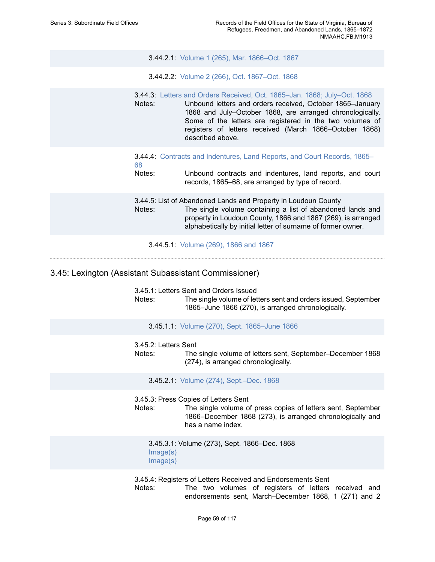3.44.2.1: Volume 1 (265), Mar. [1866–Oct.](https://edan.si.edu/slideshow/slideshowViewer.htm?eadrefid=NMAAHC.FB.M1913_ref717) 1867

3.44.2.2: Volume 2 (266), Oct. [1867–Oct.](https://edan.si.edu/slideshow/slideshowViewer.htm?eadrefid=NMAAHC.FB.M1913_ref718) 1868

3.44.3: [Letters and Orders Received, Oct. 1865–Jan. 1868; July–Oct. 1868](https://edan.si.edu/slideshow/slideshowViewer.htm?eadrefid=NMAAHC.FB.M1913_ref720)

Notes: Unbound letters and orders received, October 1865–January 1868 and July–October 1868, are arranged chronologically. Some of the letters are registered in the two volumes of registers of letters received (March 1866–October 1868) described above.

3.44.4: [Contracts and Indentures, Land Reports, and Court Records, 1865–](https://edan.si.edu/slideshow/slideshowViewer.htm?eadrefid=NMAAHC.FB.M1913_ref722) [68](https://edan.si.edu/slideshow/slideshowViewer.htm?eadrefid=NMAAHC.FB.M1913_ref722)

Notes: Unbound contracts and indentures, land reports, and court records, 1865–68, are arranged by type of record.

3.44.5: List of Abandoned Lands and Property in Loudoun County Notes: The single volume containing a list of abandoned lands and property in Loudoun County, 1866 and 1867 (269), is arranged alphabetically by initial letter of surname of former owner.

3.44.5.1: [Volume](https://edan.si.edu/slideshow/slideshowViewer.htm?eadrefid=NMAAHC.FB.M1913_ref725) (269), 1866 and 1867

### 3.45: Lexington (Assistant Subassistant Commissioner)

3.45.1: Letters Sent and Orders Issued

Notes: The single volume of letters sent and orders issued, September 1865–June 1866 (270), is arranged chronologically.

3.45.1.1: Volume (270), Sept. [1865–June](https://edan.si.edu/slideshow/slideshowViewer.htm?eadrefid=NMAAHC.FB.M1913_ref729) 1866

#### 3.45.2: Letters Sent

Notes: The single volume of letters sent, September–December 1868 (274), is arranged chronologically.

3.45.2.1: Volume (274), [Sept.–Dec.](https://edan.si.edu/slideshow/slideshowViewer.htm?eadrefid=NMAAHC.FB.M1913_ref732) 1868

3.45.3: Press Copies of Letters Sent

Notes: The single volume of press copies of letters sent, September 1866–December 1868 (273), is arranged chronologically and has a name index.

3.45.3.1: Volume (273), Sept. 1866–Dec. 1868 [Image\(s\)](https://edan.si.edu/slideshow/slideshowViewer.htm?eadrefid=NMAAHC.FB.M1913_ref735_part1) [Image\(s\)](https://edan.si.edu/slideshow/slideshowViewer.htm?eadrefid=NMAAHC.FB.M1913_ref735_part2)

3.45.4: Registers of Letters Received and Endorsements Sent Notes: The two volumes of registers of letters received and endorsements sent, March–December 1868, 1 (271) and 2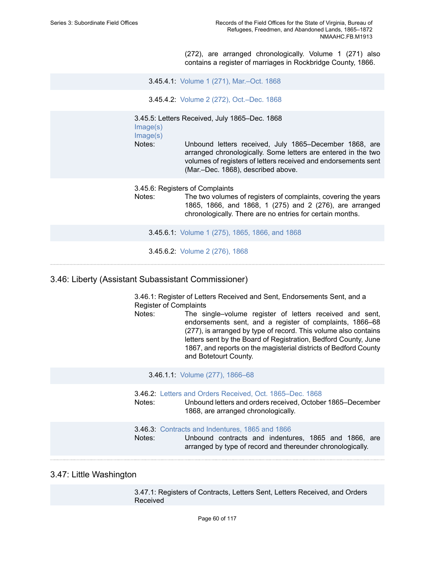(272), are arranged chronologically. Volume 1 (271) also contains a register of marriages in Rockbridge County, 1866.

3.45.4.1: Volume 1 (271), [Mar.–Oct.](https://edan.si.edu/slideshow/slideshowViewer.htm?eadrefid=NMAAHC.FB.M1913_ref738) 1868

3.45.4.2: Volume 2 (272), [Oct.–Dec.](https://edan.si.edu/slideshow/slideshowViewer.htm?eadrefid=NMAAHC.FB.M1913_ref739) 1868

3.45.5: Letters Received, July 1865–Dec. 1868 [Image\(s\)](https://edan.si.edu/slideshow/slideshowViewer.htm?eadrefid=NMAAHC.FB.M1913_ref741_part1)

[Image\(s\)](https://edan.si.edu/slideshow/slideshowViewer.htm?eadrefid=NMAAHC.FB.M1913_ref741_part2)

Notes: Unbound letters received, July 1865–December 1868, are arranged chronologically. Some letters are entered in the two volumes of registers of letters received and endorsements sent (Mar.–Dec. 1868), described above.

3.45.6: Registers of Complaints

Notes: The two volumes of registers of complaints, covering the years 1865, 1866, and 1868, 1 (275) and 2 (276), are arranged chronologically. There are no entries for certain months.

3.45.6.1: [Volume](https://edan.si.edu/slideshow/slideshowViewer.htm?eadrefid=NMAAHC.FB.M1913_ref744) 1 (275), 1865, 1866, and 1868

3.45.6.2: [Volume](https://edan.si.edu/slideshow/slideshowViewer.htm?eadrefid=NMAAHC.FB.M1913_ref745) 2 (276), 1868

### 3.46: Liberty (Assistant Subassistant Commissioner)

3.46.1: Register of Letters Received and Sent, Endorsements Sent, and a Register of Complaints

Notes: The single–volume register of letters received and sent, endorsements sent, and a register of complaints, 1866–68 (277), is arranged by type of record. This volume also contains letters sent by the Board of Registration, Bedford County, June 1867, and reports on the magisterial districts of Bedford County and Botetourt County.

3.46.1.1: Volume (277), [1866–68](https://edan.si.edu/slideshow/slideshowViewer.htm?eadrefid=NMAAHC.FB.M1913_ref749)

3.46.2: [Letters and Orders Received, Oct. 1865–Dec. 1868](https://edan.si.edu/slideshow/slideshowViewer.htm?eadrefid=NMAAHC.FB.M1913_ref751)

Notes: Unbound letters and orders received, October 1865–December 1868, are arranged chronologically.

#### 3.46.3: [Contracts and Indentures, 1865 and 1866](https://edan.si.edu/slideshow/slideshowViewer.htm?eadrefid=NMAAHC.FB.M1913_ref753)

Notes: Unbound contracts and indentures, 1865 and 1866, are arranged by type of record and thereunder chronologically.

### 3.47: Little Washington

3.47.1: Registers of Contracts, Letters Sent, Letters Received, and Orders Received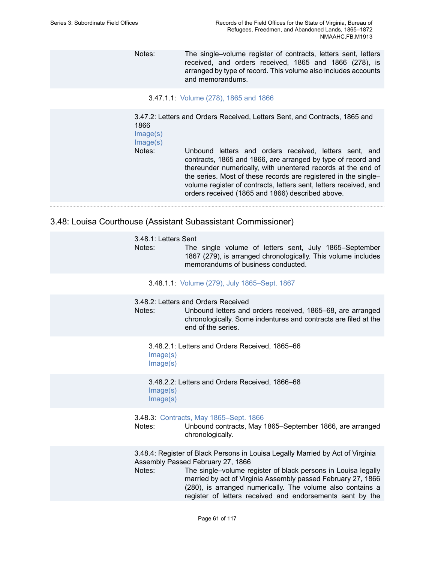Notes: The single–volume register of contracts, letters sent, letters received, and orders received, 1865 and 1866 (278), is arranged by type of record. This volume also includes accounts and memorandums.

3.47.1.1: [Volume](https://edan.si.edu/slideshow/slideshowViewer.htm?eadrefid=NMAAHC.FB.M1913_ref757) (278), 1865 and 1866

3.47.2: Letters and Orders Received, Letters Sent, and Contracts, 1865 and 1866 [Image\(s\)](https://edan.si.edu/slideshow/slideshowViewer.htm?eadrefid=NMAAHC.FB.M1913_ref759_part1) [Image\(s\)](https://edan.si.edu/slideshow/slideshowViewer.htm?eadrefid=NMAAHC.FB.M1913_ref759_part2) Notes: Unbound letters and orders received, letters sent, and contracts, 1865 and 1866, are arranged by type of record and thereunder numerically, with unentered records at the end of the series. Most of these records are registered in the single– volume register of contracts, letters sent, letters received, and orders received (1865 and 1866) described above.

## 3.48: Louisa Courthouse (Assistant Subassistant Commissioner)

| 3.48.1: Letters Sent<br>Notes: | The single volume of letters sent, July 1865–September<br>1867 (279), is arranged chronologically. This volume includes<br>memorandums of business conducted.                                                                                                                                                                                                                   |
|--------------------------------|---------------------------------------------------------------------------------------------------------------------------------------------------------------------------------------------------------------------------------------------------------------------------------------------------------------------------------------------------------------------------------|
|                                | 3.48.1.1: Volume (279), July 1865–Sept. 1867                                                                                                                                                                                                                                                                                                                                    |
| Notes:                         | 3.48.2: Letters and Orders Received<br>Unbound letters and orders received, 1865–68, are arranged<br>chronologically. Some indentures and contracts are filed at the<br>end of the series.                                                                                                                                                                                      |
| Image(s)<br>Image(s)           | 3.48.2.1: Letters and Orders Received, 1865–66                                                                                                                                                                                                                                                                                                                                  |
| Image(s)<br>Image(s)           | 3.48.2.2: Letters and Orders Received, 1866–68                                                                                                                                                                                                                                                                                                                                  |
| Notes:                         | 3.48.3: Contracts, May 1865-Sept. 1866<br>Unbound contracts, May 1865–September 1866, are arranged<br>chronologically.                                                                                                                                                                                                                                                          |
| Notes:                         | 3.48.4: Register of Black Persons in Louisa Legally Married by Act of Virginia<br>Assembly Passed February 27, 1866<br>The single-volume register of black persons in Louisa legally<br>married by act of Virginia Assembly passed February 27, 1866<br>(280), is arranged numerically. The volume also contains a<br>register of letters received and endorsements sent by the |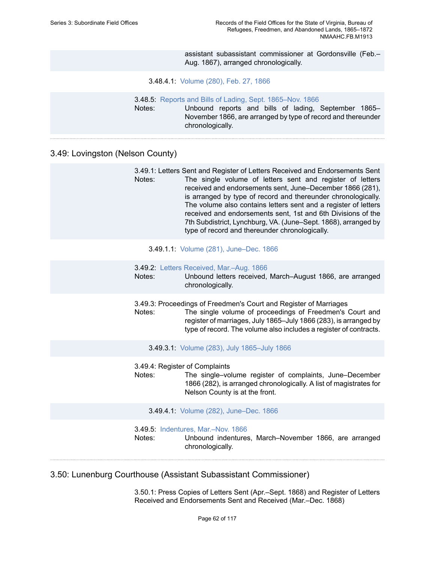assistant subassistant commissioner at Gordonsville (Feb.– Aug. 1867), arranged chronologically.

#### 3.48.4.1: [Volume](https://edan.si.edu/slideshow/slideshowViewer.htm?eadrefid=NMAAHC.FB.M1913_ref772) (280), Feb. 27, 1866

|        | <b>3.48.5:</b> Reports and Bills of Lading, Sept. 1865–Nov. 1866 |  |  |                                                              |  |
|--------|------------------------------------------------------------------|--|--|--------------------------------------------------------------|--|
| Notes: |                                                                  |  |  | Unbound reports and bills of lading, September 1865–         |  |
|        | chronologically.                                                 |  |  | November 1866, are arranged by type of record and thereunder |  |

## 3.49: Lovingston (Nelson County)

|        | 3.49.1: Letters Sent and Register of Letters Received and Endorsements Sent |
|--------|-----------------------------------------------------------------------------|
| Notes: | The single volume of letters sent and register of letters                   |
|        | received and endorsements sent, June-December 1866 (281),                   |
|        | is arranged by type of record and thereunder chronologically.               |
|        | The volume also contains letters sent and a register of letters             |
|        | received and endorsements sent, 1st and 6th Divisions of the                |
|        | 7th Subdistrict, Lynchburg, VA. (June–Sept. 1868), arranged by              |
|        | type of record and thereunder chronologically.                              |

#### 3.49.1.1: Volume (281), [June–Dec.](https://edan.si.edu/slideshow/slideshowViewer.htm?eadrefid=NMAAHC.FB.M1913_ref778) 1866

- 3.49.2: Letters Received, [Mar.–Aug.](https://edan.si.edu/slideshow/slideshowViewer.htm?eadrefid=NMAAHC.FB.M1913_ref780) 1866
- Notes: Unbound letters received, March–August 1866, are arranged chronologically.

3.49.3: Proceedings of Freedmen's Court and Register of Marriages Notes: The single volume of proceedings of Freedmen's Court and register of marriages, July 1865–July 1866 (283), is arranged by type of record. The volume also includes a register of contracts.

- 3.49.3.1: Volume (283), July [1865–July](https://edan.si.edu/slideshow/slideshowViewer.htm?eadrefid=NMAAHC.FB.M1913_ref783) 1866
- 3.49.4: Register of Complaints
- Notes: The single–volume register of complaints, June–December 1866 (282), is arranged chronologically. A list of magistrates for Nelson County is at the front.
	- 3.49.4.1: Volume (282), [June–Dec.](https://edan.si.edu/slideshow/slideshowViewer.htm?eadrefid=NMAAHC.FB.M1913_ref786) 1866

- 3.49.5: [Indentures,](https://edan.si.edu/slideshow/slideshowViewer.htm?eadrefid=NMAAHC.FB.M1913_ref788) Mar.–Nov. 1866
- Notes: Unbound indentures, March–November 1866, are arranged chronologically.

### 3.50: Lunenburg Courthouse (Assistant Subassistant Commissioner)

3.50.1: Press Copies of Letters Sent (Apr.–Sept. 1868) and Register of Letters Received and Endorsements Sent and Received (Mar.–Dec. 1868)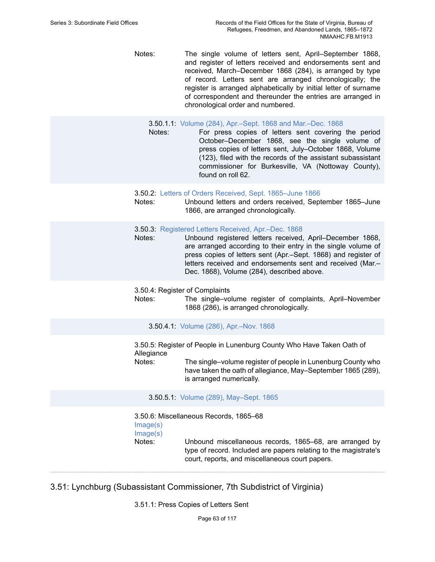Notes: The single volume of letters sent, April–September 1868, and register of letters received and endorsements sent and received, March–December 1868 (284), is arranged by type of record. Letters sent are arranged chronologically; the register is arranged alphabetically by initial letter of surname of correspondent and thereunder the entries are arranged in chronological order and numbered.

#### 3.50.1.1: Volume (284), [Apr.–Sept.](https://edan.si.edu/slideshow/slideshowViewer.htm?eadrefid=NMAAHC.FB.M1913_ref792) 1868 and Mar.–Dec. 1868

- Notes: For press copies of letters sent covering the period October–December 1868, see the single volume of press copies of letters sent, July–October 1868, Volume (123), filed with the records of the assistant subassistant commissioner for Burkesville, VA (Nottoway County), found on roll 62.
- 3.50.2: [Letters of Orders Received, Sept. 1865–June 1866](https://edan.si.edu/slideshow/slideshowViewer.htm?eadrefid=NMAAHC.FB.M1913_ref795)
- Notes: Unbound letters and orders received, September 1865–June 1866, are arranged chronologically.
- 3.50.3: [Registered](https://edan.si.edu/slideshow/slideshowViewer.htm?eadrefid=NMAAHC.FB.M1913_ref797) Letters Received, Apr.–Dec. 1868
- Notes: Unbound registered letters received, April–December 1868, are arranged according to their entry in the single volume of press copies of letters sent (Apr.–Sept. 1868) and register of letters received and endorsements sent and received (Mar.– Dec. 1868), Volume (284), described above.

3.50.4: Register of Complaints

Notes: The single–volume register of complaints, April–November 1868 (286), is arranged chronologically.

3.50.4.1: Volume (286), [Apr.–Nov.](https://edan.si.edu/slideshow/slideshowViewer.htm?eadrefid=NMAAHC.FB.M1913_ref800) 1868

3.50.5: Register of People in Lunenburg County Who Have Taken Oath of Allegiance

Notes: The single–volume register of people in Lunenburg County who have taken the oath of allegiance, May–September 1865 (289), is arranged numerically.

3.50.5.1: Volume (289), [May–Sept.](https://edan.si.edu/slideshow/slideshowViewer.htm?eadrefid=NMAAHC.FB.M1913_ref803) 1865

3.50.6: Miscellaneous Records, 1865–68 [Image\(s\)](https://edan.si.edu/slideshow/slideshowViewer.htm?eadrefid=NMAAHC.FB.M1913_ref805_part1) [Image\(s\)](https://edan.si.edu/slideshow/slideshowViewer.htm?eadrefid=NMAAHC.FB.M1913_ref805_part2) Notes: Unbound miscellaneous records, 1865–68, are arranged by type of record. Included are papers relating to the magistrate's court, reports, and miscellaneous court papers.

3.51: Lynchburg (Subassistant Commissioner, 7th Subdistrict of Virginia)

3.51.1: Press Copies of Letters Sent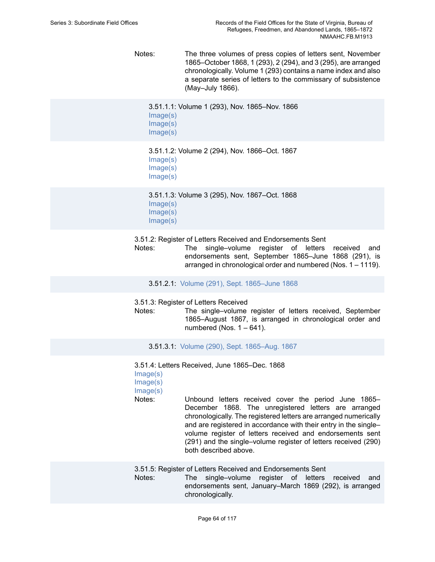Notes: The three volumes of press copies of letters sent, November 1865–October 1868, 1 (293), 2 (294), and 3 (295), are arranged chronologically. Volume 1 (293) contains a name index and also a separate series of letters to the commissary of subsistence (May–July 1866).

```
3.51.1.1: Volume 1 (293), Nov. 1865–Nov. 1866
Image(s)
Image(s)
Image(s)
```
3.51.1.2: Volume 2 (294), Nov. 1866–Oct. 1867 [Image\(s\)](https://edan.si.edu/slideshow/slideshowViewer.htm?eadrefid=NMAAHC.FB.M1913_ref810_part1) [Image\(s\)](https://edan.si.edu/slideshow/slideshowViewer.htm?eadrefid=NMAAHC.FB.M1913_ref810_part2) [Image\(s\)](https://edan.si.edu/slideshow/slideshowViewer.htm?eadrefid=NMAAHC.FB.M1913_ref810_part3)

3.51.1.3: Volume 3 (295), Nov. 1867–Oct. 1868 [Image\(s\)](https://edan.si.edu/slideshow/slideshowViewer.htm?eadrefid=NMAAHC.FB.M1913_ref811_part1) [Image\(s\)](https://edan.si.edu/slideshow/slideshowViewer.htm?eadrefid=NMAAHC.FB.M1913_ref811_part2) [Image\(s\)](https://edan.si.edu/slideshow/slideshowViewer.htm?eadrefid=NMAAHC.FB.M1913_ref811_part3)

3.51.2: Register of Letters Received and Endorsements Sent

Notes: The single–volume register of letters received and endorsements sent, September 1865–June 1868 (291), is arranged in chronological order and numbered (Nos. 1 – 1119).

3.51.2.1: Volume (291), Sept. [1865–June](https://edan.si.edu/slideshow/slideshowViewer.htm?eadrefid=NMAAHC.FB.M1913_ref814) 1868

3.51.3: Register of Letters Received

Notes: The single–volume register of letters received, September 1865–August 1867, is arranged in chronological order and numbered (Nos.  $1 - 641$ ).

3.51.3.1: Volume (290), Sept. [1865–Aug.](https://edan.si.edu/slideshow/slideshowViewer.htm?eadrefid=NMAAHC.FB.M1913_ref817) 1867

3.51.4: Letters Received, June 1865–Dec. 1868 [Image\(s\)](https://edan.si.edu/slideshow/slideshowViewer.htm?eadrefid=NMAAHC.FB.M1913_ref819_part1) [Image\(s\)](https://edan.si.edu/slideshow/slideshowViewer.htm?eadrefid=NMAAHC.FB.M1913_ref819_part2) [Image\(s\)](https://edan.si.edu/slideshow/slideshowViewer.htm?eadrefid=NMAAHC.FB.M1913_ref819_part3) Notes: Unbound letters received cover the period June 1865– December 1868. The unregistered letters are arranged chronologically. The registered letters are arranged numerically and are registered in accordance with their entry in the single– volume register of letters received and endorsements sent (291) and the single–volume register of letters received (290) both described above. 3.51.5: Register of Letters Received and Endorsements Sent Notes: The single–volume register of letters received and endorsements sent, January–March 1869 (292), is arranged

chronologically.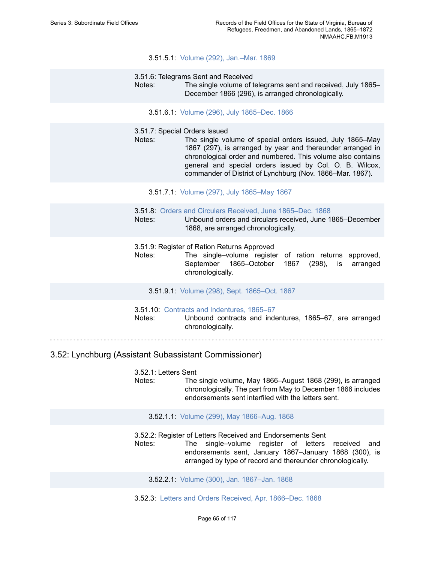### 3.51.5.1: Volume (292), [Jan.–Mar.](https://edan.si.edu/slideshow/slideshowViewer.htm?eadrefid=NMAAHC.FB.M1913_ref822) 1869

- 3.51.6: Telegrams Sent and Received
- Notes: The single volume of telegrams sent and received, July 1865– December 1866 (296), is arranged chronologically.
	- 3.51.6.1: Volume (296), July [1865–Dec.](https://edan.si.edu/slideshow/slideshowViewer.htm?eadrefid=NMAAHC.FB.M1913_ref825) 1866
- 3.51.7: Special Orders Issued
- Notes: The single volume of special orders issued, July 1865–May 1867 (297), is arranged by year and thereunder arranged in chronological order and numbered. This volume also contains general and special orders issued by Col. O. B. Wilcox, commander of District of Lynchburg (Nov. 1866–Mar. 1867).
	- 3.51.7.1: Volume (297), July [1865–May](https://edan.si.edu/slideshow/slideshowViewer.htm?eadrefid=NMAAHC.FB.M1913_ref828) 1867

3.51.8: [Orders and Circulars Received, June 1865–Dec. 1868](https://edan.si.edu/slideshow/slideshowViewer.htm?eadrefid=NMAAHC.FB.M1913_ref830)

Notes: Unbound orders and circulars received, June 1865–December 1868, are arranged chronologically.

- 3.51.9: Register of Ration Returns Approved
- Notes: The single–volume register of ration returns approved, September 1865–October 1867 (298), is arranged chronologically.
	- 3.51.9.1: Volume (298), Sept. [1865–Oct.](https://edan.si.edu/slideshow/slideshowViewer.htm?eadrefid=NMAAHC.FB.M1913_ref833) 1867
- 3.51.10: [Contracts and Indentures, 1865–67](https://edan.si.edu/slideshow/slideshowViewer.htm?eadrefid=NMAAHC.FB.M1913_ref835)

Notes: Unbound contracts and indentures, 1865–67, are arranged chronologically.

### 3.52: Lynchburg (Assistant Subassistant Commissioner)

3.52.1: Letters Sent Notes: The single volume, May 1866–August 1868 (299), is arranged chronologically. The part from May to December 1866 includes endorsements sent interfiled with the letters sent.

#### 3.52.1.1: Volume (299), May [1866–Aug.](https://edan.si.edu/slideshow/slideshowViewer.htm?eadrefid=NMAAHC.FB.M1913_ref839) 1868

3.52.2: Register of Letters Received and Endorsements Sent

Notes: The single–volume register of letters received and endorsements sent, January 1867–January 1868 (300), is arranged by type of record and thereunder chronologically.

3.52.2.1: Volume (300), Jan. [1867–Jan.](https://edan.si.edu/slideshow/slideshowViewer.htm?eadrefid=NMAAHC.FB.M1913_ref842) 1868

3.52.3: Letters and Orders Received, Apr. [1866–Dec.](https://edan.si.edu/slideshow/slideshowViewer.htm?eadrefid=NMAAHC.FB.M1913_ref844) 1868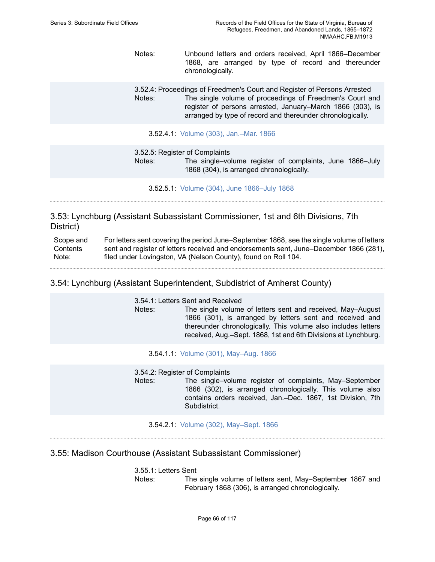- Notes: Unbound letters and orders received, April 1866–December 1868, are arranged by type of record and thereunder chronologically.
- 3.52.4: Proceedings of Freedmen's Court and Register of Persons Arrested Notes: The single volume of proceedings of Freedmen's Court and register of persons arrested, January–March 1866 (303), is arranged by type of record and thereunder chronologically.
	- 3.52.4.1: Volume (303), [Jan.–Mar.](https://edan.si.edu/slideshow/slideshowViewer.htm?eadrefid=NMAAHC.FB.M1913_ref847) 1866

3.52.5: Register of Complaints Notes: The single–volume register of complaints, June 1866–July 1868 (304), is arranged chronologically.

3.52.5.1: Volume (304), June [1866–July](https://edan.si.edu/slideshow/slideshowViewer.htm?eadrefid=NMAAHC.FB.M1913_ref850) 1868

3.53: Lynchburg (Assistant Subassistant Commissioner, 1st and 6th Divisions, 7th District)

Scope and **Contents** Note: For letters sent covering the period June–September 1868, see the single volume of letters sent and register of letters received and endorsements sent, June–December 1866 (281), filed under Lovingston, VA (Nelson County), found on Roll 104.

3.54: Lynchburg (Assistant Superintendent, Subdistrict of Amherst County)

3.54.1: Letters Sent and Received

Notes: The single volume of letters sent and received, May–August 1866 (301), is arranged by letters sent and received and thereunder chronologically. This volume also includes letters received, Aug.–Sept. 1868, 1st and 6th Divisions at Lynchburg.

3.54.1.1: Volume (301), [May–Aug.](https://edan.si.edu/slideshow/slideshowViewer.htm?eadrefid=NMAAHC.FB.M1913_ref856) 1866

3.54.2: Register of Complaints

- Notes: The single–volume register of complaints, May–September 1866 (302), is arranged chronologically. This volume also contains orders received, Jan.–Dec. 1867, 1st Division, 7th Subdistrict.
	- 3.54.2.1: Volume (302), [May–Sept.](https://edan.si.edu/slideshow/slideshowViewer.htm?eadrefid=NMAAHC.FB.M1913_ref859) 1866

3.55: Madison Courthouse (Assistant Subassistant Commissioner)

3.55.1: Letters Sent

Notes: The single volume of letters sent, May–September 1867 and February 1868 (306), is arranged chronologically.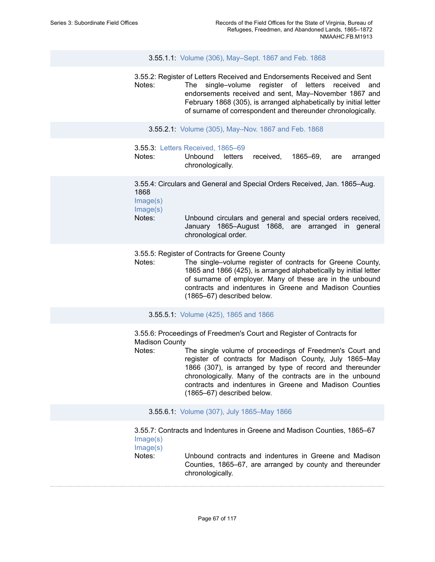3.55.1.1: Volume (306), [May–Sept.](https://edan.si.edu/slideshow/slideshowViewer.htm?eadrefid=NMAAHC.FB.M1913_ref863) 1867 and Feb. 1868

3.55.2: Register of Letters Received and Endorsements Received and Sent Notes: The single–volume register of letters received and endorsements received and sent, May–November 1867 and February 1868 (305), is arranged alphabetically by initial letter of surname of correspondent and thereunder chronologically.

3.55.2.1: Volume (305), [May–Nov.](https://edan.si.edu/slideshow/slideshowViewer.htm?eadrefid=NMAAHC.FB.M1913_ref866) 1867 and Feb. 1868

3.55.3: [Letters Received, 1865–69](https://edan.si.edu/slideshow/slideshowViewer.htm?eadrefid=NMAAHC.FB.M1913_ref868)

Notes: Unbound letters received, 1865–69, are arranged chronologically.

3.55.4: Circulars and General and Special Orders Received, Jan. 1865–Aug. 1868

[Image\(s\)](https://edan.si.edu/slideshow/slideshowViewer.htm?eadrefid=NMAAHC.FB.M1913_ref870_part1) [Image\(s\)](https://edan.si.edu/slideshow/slideshowViewer.htm?eadrefid=NMAAHC.FB.M1913_ref870_part2)

Notes: Unbound circulars and general and special orders received, January 1865–August 1868, are arranged in general chronological order.

3.55.5: Register of Contracts for Greene County

Notes: The single–volume register of contracts for Greene County, 1865 and 1866 (425), is arranged alphabetically by initial letter of surname of employer. Many of these are in the unbound contracts and indentures in Greene and Madison Counties (1865–67) described below.

3.55.5.1: [Volume](https://edan.si.edu/slideshow/slideshowViewer.htm?eadrefid=NMAAHC.FB.M1913_ref873) (425), 1865 and 1866

3.55.6: Proceedings of Freedmen's Court and Register of Contracts for Madison County

Notes: The single volume of proceedings of Freedmen's Court and register of contracts for Madison County, July 1865–May 1866 (307), is arranged by type of record and thereunder chronologically. Many of the contracts are in the unbound contracts and indentures in Greene and Madison Counties (1865–67) described below.

3.55.6.1: Volume (307), July [1865–May](https://edan.si.edu/slideshow/slideshowViewer.htm?eadrefid=NMAAHC.FB.M1913_ref876) 1866

3.55.7: Contracts and Indentures in Greene and Madison Counties, 1865–67 [Image\(s\)](https://edan.si.edu/slideshow/slideshowViewer.htm?eadrefid=NMAAHC.FB.M1913_ref878_part1)

[Image\(s\)](https://edan.si.edu/slideshow/slideshowViewer.htm?eadrefid=NMAAHC.FB.M1913_ref878_part2)

Notes: Unbound contracts and indentures in Greene and Madison Counties, 1865–67, are arranged by county and thereunder chronologically.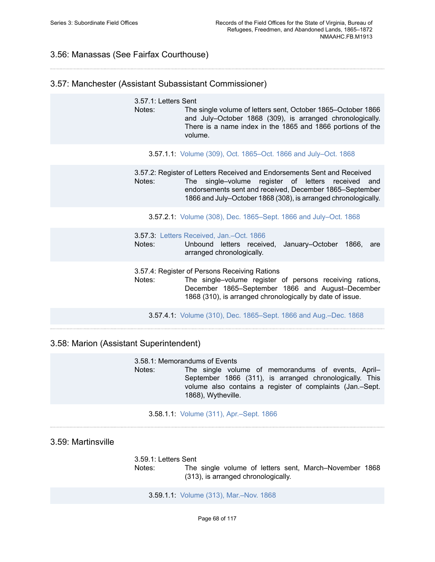## 3.56: Manassas (See Fairfax Courthouse)

## 3.57: Manchester (Assistant Subassistant Commissioner)

3.57.1: Letters Sent Notes: The single volume of letters sent, October 1865–October 1866 and July–October 1868 (309), is arranged chronologically. There is a name index in the 1865 and 1866 portions of the volume.

3.57.1.1: Volume (309), Oct. [1865–Oct.](https://edan.si.edu/slideshow/slideshowViewer.htm?eadrefid=NMAAHC.FB.M1913_ref883) 1866 and July–Oct. 1868

3.57.2: Register of Letters Received and Endorsements Sent and Received Notes: The single–volume register of letters received and endorsements sent and received, December 1865–September 1866 and July–October 1868 (308), is arranged chronologically.

3.57.2.1: Volume (308), Dec. [1865–Sept.](https://edan.si.edu/slideshow/slideshowViewer.htm?eadrefid=NMAAHC.FB.M1913_ref886) 1866 and July–Oct. 1868

3.57.3: [Letters Received, Jan.–Oct. 1866](https://edan.si.edu/slideshow/slideshowViewer.htm?eadrefid=NMAAHC.FB.M1913_ref888)

Notes: Unbound letters received, January–October 1866, are arranged chronologically.

3.57.4: Register of Persons Receiving Rations

Notes: The single–volume register of persons receiving rations, December 1865–September 1866 and August–December 1868 (310), is arranged chronologically by date of issue.

3.57.4.1: Volume (310), Dec. [1865–Sept.](https://edan.si.edu/slideshow/slideshowViewer.htm?eadrefid=NMAAHC.FB.M1913_ref891) 1866 and Aug.–Dec. 1868

### 3.58: Marion (Assistant Superintendent)

3.58.1: Memorandums of Events Notes: The single volume of memorandums of events, April– September 1866 (311), is arranged chronologically. This volume also contains a register of complaints (Jan.–Sept. 1868), Wytheville.

3.58.1.1: Volume (311), [Apr.–Sept.](https://edan.si.edu/slideshow/slideshowViewer.htm?eadrefid=NMAAHC.FB.M1913_ref895) 1866

### 3.59: Martinsville

3.59.1: Letters Sent Notes: The single volume of letters sent, March–November 1868 (313), is arranged chronologically.

3.59.1.1: Volume (313), [Mar.–Nov.](https://edan.si.edu/slideshow/slideshowViewer.htm?eadrefid=NMAAHC.FB.M1913_ref899) 1868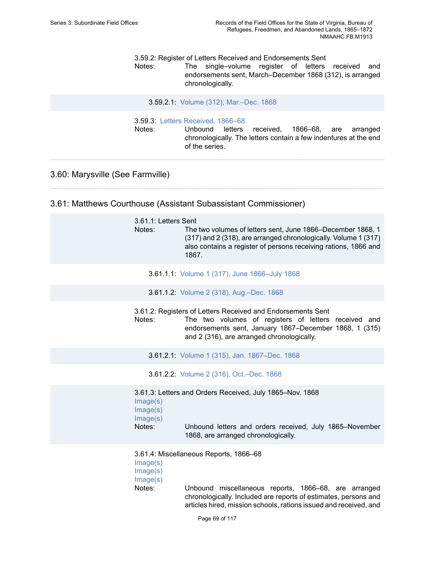3.59.2: Register of Letters Received and Endorsements Sent

Notes: The single–volume register of letters received and endorsements sent, March–December 1868 (312), is arranged chronologically.

3.59.2.1: Volume (312), [Mar.–Dec.](https://edan.si.edu/slideshow/slideshowViewer.htm?eadrefid=NMAAHC.FB.M1913_ref902) 1868

3.59.3: [Letters Received, 1866–68](https://edan.si.edu/slideshow/slideshowViewer.htm?eadrefid=NMAAHC.FB.M1913_ref904)

Notes: Unbound letters received, 1866–68, are arranged chronologically. The letters contain a few indentures at the end of the series.

### 3.60: Marysville (See Farmville)

### 3.61: Matthews Courthouse (Assistant Subassistant Commissioner)

| 3.61.1: Letters Sent<br>Notes:             | The two volumes of letters sent, June 1866–December 1868, 1<br>(317) and 2 (318), are arranged chronologically. Volume 1 (317)<br>also contains a register of persons receiving rations, 1866 and<br>1867.                             |  |
|--------------------------------------------|----------------------------------------------------------------------------------------------------------------------------------------------------------------------------------------------------------------------------------------|--|
|                                            | 3.61.1.1: Volume 1 (317), June 1866-July 1868                                                                                                                                                                                          |  |
|                                            | 3.61.1.2: Volume 2 (318), Aug.-Dec. 1868                                                                                                                                                                                               |  |
| Notes:                                     | 3.61.2: Registers of Letters Received and Endorsements Sent<br>The two volumes of registers of letters received and<br>endorsements sent, January 1867–December 1868, 1 (315)<br>and 2 (316), are arranged chronologically.            |  |
|                                            | 3.61.2.1: Volume 1 (315), Jan. 1867-Dec. 1868                                                                                                                                                                                          |  |
|                                            | 3.61.2.2: Volume 2 (316), Oct.-Dec. 1868                                                                                                                                                                                               |  |
| Image(s)<br>Image(s)<br>Image(s)<br>Notes: | 3.61.3: Letters and Orders Received, July 1865-Nov. 1868<br>Unbound letters and orders received, July 1865-November<br>1868, are arranged chronologically.                                                                             |  |
| Image(s)<br>Image(s)<br>Image(s)<br>Notes: | 3.61.4: Miscellaneous Reports, 1866-68<br>Unbound miscellaneous reports, 1866–68, are arranged<br>chronologically. Included are reports of estimates, persons and<br>articles hired, mission schools, rations issued and received, and |  |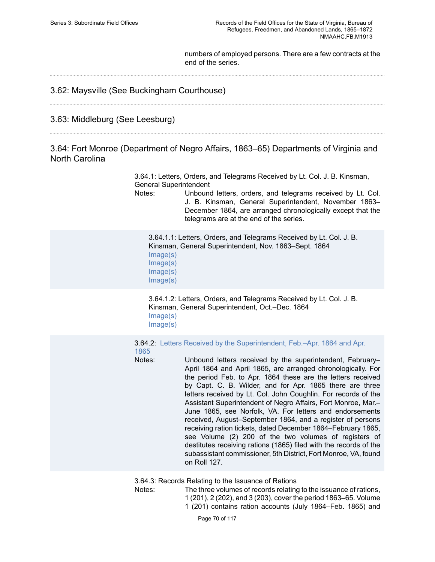numbers of employed persons. There are a few contracts at the end of the series.

## 3.62: Maysville (See Buckingham Courthouse)

## 3.63: Middleburg (See Leesburg)

3.64: Fort Monroe (Department of Negro Affairs, 1863–65) Departments of Virginia and North Carolina

> 3.64.1: Letters, Orders, and Telegrams Received by Lt. Col. J. B. Kinsman, General Superintendent

Notes: Unbound letters, orders, and telegrams received by Lt. Col. J. B. Kinsman, General Superintendent, November 1863– December 1864, are arranged chronologically except that the telegrams are at the end of the series.

3.64.1.1: Letters, Orders, and Telegrams Received by Lt. Col. J. B. Kinsman, General Superintendent, Nov. 1863–Sept. 1864 [Image\(s\)](https://edan.si.edu/slideshow/slideshowViewer.htm?eadrefid=NMAAHC.FB.M1913_ref924_part1) [Image\(s\)](https://edan.si.edu/slideshow/slideshowViewer.htm?eadrefid=NMAAHC.FB.M1913_ref924_part2) [Image\(s\)](https://edan.si.edu/slideshow/slideshowViewer.htm?eadrefid=NMAAHC.FB.M1913_ref924_part3) [Image\(s\)](https://edan.si.edu/slideshow/slideshowViewer.htm?eadrefid=NMAAHC.FB.M1913_ref924_part4)

3.64.1.2: Letters, Orders, and Telegrams Received by Lt. Col. J. B. Kinsman, General Superintendent, Oct.–Dec. 1864 [Image\(s\)](https://edan.si.edu/slideshow/slideshowViewer.htm?eadrefid=NMAAHC.FB.M1913_ref925_part1) [Image\(s\)](https://edan.si.edu/slideshow/slideshowViewer.htm?eadrefid=NMAAHC.FB.M1913_ref925_part2)

3.64.2: Letters Received by the [Superintendent,](https://edan.si.edu/slideshow/slideshowViewer.htm?eadrefid=NMAAHC.FB.M1913_ref927) Feb.–Apr. 1864 and Apr. [1865](https://edan.si.edu/slideshow/slideshowViewer.htm?eadrefid=NMAAHC.FB.M1913_ref927)

Notes: Unbound letters received by the superintendent, February– April 1864 and April 1865, are arranged chronologically. For the period Feb. to Apr. 1864 these are the letters received by Capt. C. B. Wilder, and for Apr. 1865 there are three letters received by Lt. Col. John Coughlin. For records of the Assistant Superintendent of Negro Affairs, Fort Monroe, Mar.– June 1865, see Norfolk, VA. For letters and endorsements received, August–September 1864, and a register of persons receiving ration tickets, dated December 1864–February 1865, see Volume (2) 200 of the two volumes of registers of destitutes receiving rations (1865) filed with the records of the subassistant commissioner, 5th District, Fort Monroe, VA, found on Roll 127.

3.64.3: Records Relating to the Issuance of Rations

Notes: The three volumes of records relating to the issuance of rations, 1(201), 2(202), and 3(203), cover the period 1863–65. Volume 1 (201) contains ration accounts (July 1864–Feb. 1865) and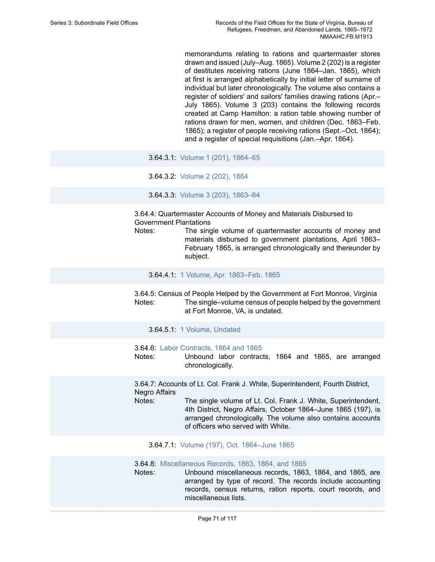memorandums relating to rations and quartermaster stores drawn and issued (July–Aug. 1865). Volume 2 (202) is a register of destitutes receiving rations (June 1864–Jan. 1865), which at first is arranged alphabetically by initial letter of surname of individual but later chronologically. The volume also contains a register of soldiers' and sailors' families drawing rations (Apr.– July 1865). Volume 3 (203) contains the following records created at Camp Hamilton: a ration table showing number of rations drawn for men, women, and children (Dec. 1863–Feb. 1865); a register of people receiving rations (Sept.–Oct. 1864); and a register of special requisitions (Jan.–Apr. 1864).

3.64.3.1: Volume 1 (201), [1864–65](https://edan.si.edu/slideshow/slideshowViewer.htm?eadrefid=NMAAHC.FB.M1913_ref930)

3.64.3.2: [Volume](https://edan.si.edu/slideshow/slideshowViewer.htm?eadrefid=NMAAHC.FB.M1913_ref931) 2 (202), 1864

3.64.3.3: Volume 3 (203), [1863–64](https://edan.si.edu/slideshow/slideshowViewer.htm?eadrefid=NMAAHC.FB.M1913_ref932)

3.64.4: Quartermaster Accounts of Money and Materials Disbursed to Government Plantations

Notes: The single volume of quartermaster accounts of money and materials disbursed to government plantations, April 1863– February 1865, is arranged chronologically and thereunder by subject.

3.64.4.1: 1 Volume, Apr. [1863–Feb.](https://edan.si.edu/slideshow/slideshowViewer.htm?eadrefid=NMAAHC.FB.M1913_ref935) 1865

3.64.5: Census of People Helped by the Government at Fort Monroe, Virginia Notes: The single–volume census of people helped by the government at Fort Monroe, VA, is undated.

3.64.5.1: 1 Volume, [Undated](https://edan.si.edu/slideshow/slideshowViewer.htm?eadrefid=NMAAHC.FB.M1913_ref938)

3.64.6: [Labor Contracts, 1864 and 1865](https://edan.si.edu/slideshow/slideshowViewer.htm?eadrefid=NMAAHC.FB.M1913_ref940)

Notes: Unbound labor contracts, 1864 and 1865, are arranged chronologically.

3.64.7: Accounts of Lt. Col. Frank J. White, Superintendent, Fourth District, Negro Affairs Notes: The single volume of Lt. Col. Frank J. White, Superintendent,

4th District, Negro Affairs, October 1864–June 1865 (197), is arranged chronologically. The volume also contains accounts of officers who served with White.

3.64.7.1: Volume (197), Oct. [1864–June](https://edan.si.edu/slideshow/slideshowViewer.htm?eadrefid=NMAAHC.FB.M1913_ref943) 1865

3.64.8: [Miscellaneous Records, 1863, 1864, and 1865](https://edan.si.edu/slideshow/slideshowViewer.htm?eadrefid=NMAAHC.FB.M1913_ref945)

Notes: Unbound miscellaneous records, 1863, 1864, and 1865, are arranged by type of record. The records include accounting records, census returns, ration reports, court records, and miscellaneous lists.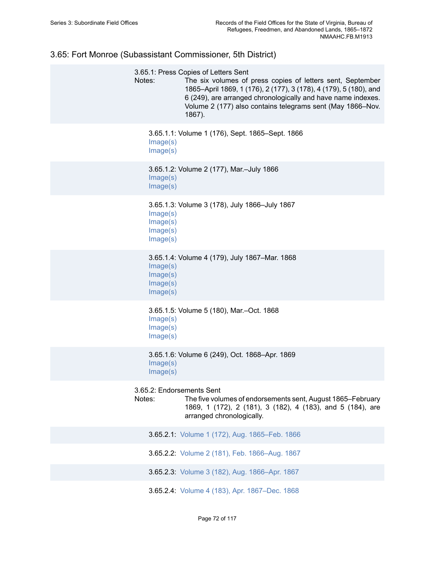# 3.65: Fort Monroe (Subassistant Commissioner, 5th District)

| Notes:                                       | 3.65.1: Press Copies of Letters Sent<br>The six volumes of press copies of letters sent, September<br>1865-April 1869, 1 (176), 2 (177), 3 (178), 4 (179), 5 (180), and<br>6 (249), are arranged chronologically and have name indexes.<br>Volume 2 (177) also contains telegrams sent (May 1866–Nov.<br>1867). |
|----------------------------------------------|-----------------------------------------------------------------------------------------------------------------------------------------------------------------------------------------------------------------------------------------------------------------------------------------------------------------|
| Image(s)<br>Image(s)                         | 3.65.1.1: Volume 1 (176), Sept. 1865–Sept. 1866                                                                                                                                                                                                                                                                 |
| Image(s)<br>Image(s)                         | 3.65.1.2: Volume 2 (177), Mar.-July 1866                                                                                                                                                                                                                                                                        |
| Image(s)<br>Image(s)<br>Image(s)<br>Image(s) | 3.65.1.3: Volume 3 (178), July 1866-July 1867                                                                                                                                                                                                                                                                   |
| Image(s)<br>Image(s)<br>Image(s)<br>Image(s) | 3.65.1.4: Volume 4 (179), July 1867–Mar. 1868                                                                                                                                                                                                                                                                   |
| Image(s)<br>Image(s)<br>Image(s)             | 3.65.1.5: Volume 5 (180), Mar.-Oct. 1868                                                                                                                                                                                                                                                                        |
| Image(s)<br>Image(s)                         | 3.65.1.6: Volume 6 (249), Oct. 1868-Apr. 1869                                                                                                                                                                                                                                                                   |
| 3.65.2: Endorsements Sent<br>Notes:          | The five volumes of endorsements sent, August 1865–February<br>1869, 1 (172), 2 (181), 3 (182), 4 (183), and 5 (184), are<br>arranged chronologically.                                                                                                                                                          |
|                                              | 3.65.2.1: Volume 1 (172), Aug. 1865-Feb. 1866                                                                                                                                                                                                                                                                   |
|                                              | 3.65.2.2: Volume 2 (181), Feb. 1866-Aug. 1867                                                                                                                                                                                                                                                                   |
|                                              | 3.65.2.3: Volume 3 (182), Aug. 1866-Apr. 1867                                                                                                                                                                                                                                                                   |
|                                              | 3.65.2.4: Volume 4 (183), Apr. 1867-Dec. 1868                                                                                                                                                                                                                                                                   |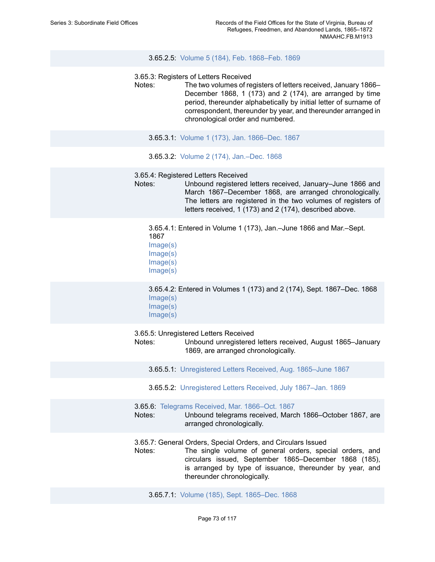#### 3.65.2.5: Volume 5 (184), Feb. [1868–Feb.](https://edan.si.edu/slideshow/slideshowViewer.htm?eadrefid=NMAAHC.FB.M1913_ref961) 1869

- 3.65.3: Registers of Letters Received
- Notes: The two volumes of registers of letters received, January 1866– December 1868, 1 (173) and 2 (174), are arranged by time period, thereunder alphabetically by initial letter of surname of correspondent, thereunder by year, and thereunder arranged in chronological order and numbered.
	- 3.65.3.1: Volume 1 (173), Jan. [1866–Dec.](https://edan.si.edu/slideshow/slideshowViewer.htm?eadrefid=NMAAHC.FB.M1913_ref964) 1867
	- 3.65.3.2: Volume 2 (174), [Jan.–Dec.](https://edan.si.edu/slideshow/slideshowViewer.htm?eadrefid=NMAAHC.FB.M1913_ref965) 1868
- 3.65.4: Registered Letters Received
- Notes: Unbound registered letters received, January–June 1866 and March 1867–December 1868, are arranged chronologically. The letters are registered in the two volumes of registers of letters received, 1 (173) and 2 (174), described above.

3.65.4.1: Entered in Volume 1 (173), Jan.–June 1866 and Mar.–Sept. 1867 [Image\(s\)](https://edan.si.edu/slideshow/slideshowViewer.htm?eadrefid=NMAAHC.FB.M1913_ref968_part1)

- [Image\(s\)](https://edan.si.edu/slideshow/slideshowViewer.htm?eadrefid=NMAAHC.FB.M1913_ref968_part2) [Image\(s\)](https://edan.si.edu/slideshow/slideshowViewer.htm?eadrefid=NMAAHC.FB.M1913_ref968_part3)
- [Image\(s\)](https://edan.si.edu/slideshow/slideshowViewer.htm?eadrefid=NMAAHC.FB.M1913_ref968_part4)

3.65.4.2: Entered in Volumes 1 (173) and 2 (174), Sept. 1867–Dec. 1868 [Image\(s\)](https://edan.si.edu/slideshow/slideshowViewer.htm?eadrefid=NMAAHC.FB.M1913_ref969_part1) [Image\(s\)](https://edan.si.edu/slideshow/slideshowViewer.htm?eadrefid=NMAAHC.FB.M1913_ref969_part2) [Image\(s\)](https://edan.si.edu/slideshow/slideshowViewer.htm?eadrefid=NMAAHC.FB.M1913_ref969_part3)

3.65.5: Unregistered Letters Received

Notes: Unbound unregistered letters received, August 1865–January 1869, are arranged chronologically.

- 3.65.5.1: [Unregistered Letters Received, Aug. 1865–June 1867](https://edan.si.edu/slideshow/slideshowViewer.htm?eadrefid=NMAAHC.FB.M1913_ref972)
- 3.65.5.2: [Unregistered Letters Received, July 1867–Jan. 1869](https://edan.si.edu/slideshow/slideshowViewer.htm?eadrefid=NMAAHC.FB.M1913_ref973)
- 3.65.6: [Telegrams](https://edan.si.edu/slideshow/slideshowViewer.htm?eadrefid=NMAAHC.FB.M1913_ref975) Received, Mar. 1866–Oct. 1867
- Notes: Unbound telegrams received, March 1866–October 1867, are arranged chronologically.
- 3.65.7: General Orders, Special Orders, and Circulars Issued
- Notes: The single volume of general orders, special orders, and circulars issued, September 1865–December 1868 (185), is arranged by type of issuance, thereunder by year, and thereunder chronologically.
	- 3.65.7.1: Volume (185), Sept. [1865–Dec.](https://edan.si.edu/slideshow/slideshowViewer.htm?eadrefid=NMAAHC.FB.M1913_ref978) 1868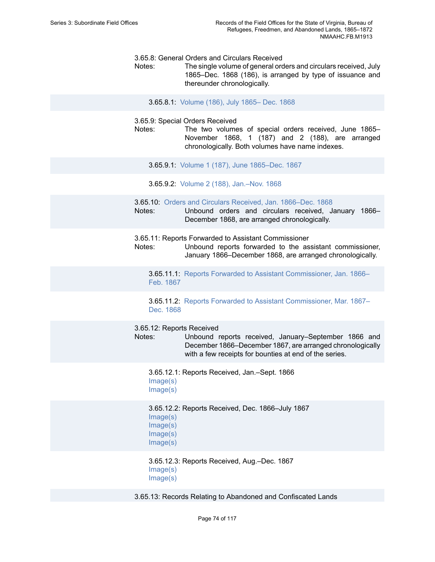3.65.8: General Orders and Circulars Received

Notes: The single volume of general orders and circulars received, July 1865–Dec. 1868 (186), is arranged by type of issuance and thereunder chronologically.

3.65.8.1: [Volume](https://edan.si.edu/slideshow/slideshowViewer.htm?eadrefid=NMAAHC.FB.M1913_ref981) (186), July 1865– Dec. 1868

3.65.9: Special Orders Received

- Notes: The two volumes of special orders received, June 1865– November 1868, 1 (187) and 2 (188), are arranged chronologically. Both volumes have name indexes.
	- 3.65.9.1: Volume 1 (187), June [1865–Dec.](https://edan.si.edu/slideshow/slideshowViewer.htm?eadrefid=NMAAHC.FB.M1913_ref984) 1867
	- 3.65.9.2: Volume 2 (188), [Jan.–Nov.](https://edan.si.edu/slideshow/slideshowViewer.htm?eadrefid=NMAAHC.FB.M1913_ref985) 1868
- 3.65.10: [Orders and Circulars Received, Jan. 1866–Dec. 1868](https://edan.si.edu/slideshow/slideshowViewer.htm?eadrefid=NMAAHC.FB.M1913_ref987)
- Notes: Unbound orders and circulars received, January 1866– December 1868, are arranged chronologically.
- 3.65.11: Reports Forwarded to Assistant Commissioner

Notes: Unbound reports forwarded to the assistant commissioner, January 1866–December 1868, are arranged chronologically.

3.65.11.1: Reports Forwarded to Assistant [Commissioner,](https://edan.si.edu/slideshow/slideshowViewer.htm?eadrefid=NMAAHC.FB.M1913_ref990) Jan. 1866– [Feb. 1867](https://edan.si.edu/slideshow/slideshowViewer.htm?eadrefid=NMAAHC.FB.M1913_ref990)

3.65.11.2: Reports Forwarded to Assistant [Commissioner,](https://edan.si.edu/slideshow/slideshowViewer.htm?eadrefid=NMAAHC.FB.M1913_ref991) Mar. 1867– [Dec. 1868](https://edan.si.edu/slideshow/slideshowViewer.htm?eadrefid=NMAAHC.FB.M1913_ref991)

3.65.12: Reports Received

- Notes: Unbound reports received, January–September 1866 and December 1866–December 1867, are arranged chronologically with a few receipts for bounties at end of the series.
	- 3.65.12.1: Reports Received, Jan.–Sept. 1866 [Image\(s\)](https://edan.si.edu/slideshow/slideshowViewer.htm?eadrefid=NMAAHC.FB.M1913_ref994_part1) [Image\(s\)](https://edan.si.edu/slideshow/slideshowViewer.htm?eadrefid=NMAAHC.FB.M1913_ref994_part2)

3.65.12.2: Reports Received, Dec. 1866–July 1867 [Image\(s\)](https://edan.si.edu/slideshow/slideshowViewer.htm?eadrefid=NMAAHC.FB.M1913_ref995_part1) [Image\(s\)](https://edan.si.edu/slideshow/slideshowViewer.htm?eadrefid=NMAAHC.FB.M1913_ref995_part2) [Image\(s\)](https://edan.si.edu/slideshow/slideshowViewer.htm?eadrefid=NMAAHC.FB.M1913_ref995_part3) [Image\(s\)](https://edan.si.edu/slideshow/slideshowViewer.htm?eadrefid=NMAAHC.FB.M1913_ref995_part4)

3.65.12.3: Reports Received, Aug.–Dec. 1867 [Image\(s\)](https://edan.si.edu/slideshow/slideshowViewer.htm?eadrefid=NMAAHC.FB.M1913_ref996_part1) [Image\(s\)](https://edan.si.edu/slideshow/slideshowViewer.htm?eadrefid=NMAAHC.FB.M1913_ref996_part2)

3.65.13: Records Relating to Abandoned and Confiscated Lands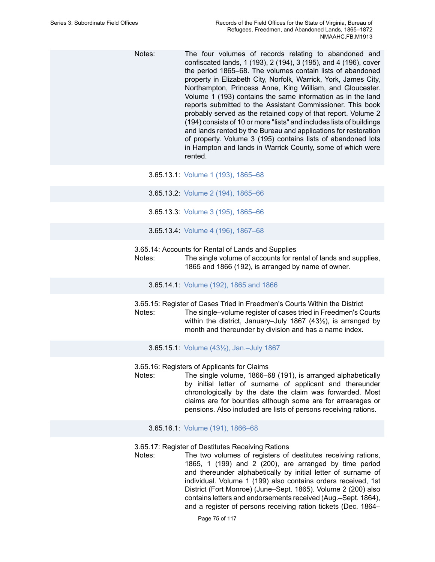Notes: The four volumes of records relating to abandoned and confiscated lands, 1 (193), 2 (194), 3 (195), and 4 (196), cover the period 1865–68. The volumes contain lists of abandoned property in Elizabeth City, Norfolk, Warrick, York, James City, Northampton, Princess Anne, King William, and Gloucester. Volume 1 (193) contains the same information as in the land reports submitted to the Assistant Commissioner. This book probably served as the retained copy of that report. Volume 2 (194) consists of 10 or more "lists" and includes lists of buildings and lands rented by the Bureau and applications for restoration of property. Volume 3 (195) contains lists of abandoned lots in Hampton and lands in Warrick County, some of which were rented.

3.65.13.1: Volume 1 (193), [1865–68](https://edan.si.edu/slideshow/slideshowViewer.htm?eadrefid=NMAAHC.FB.M1913_ref999)

3.65.13.2: Volume 2 (194), [1865–66](https://edan.si.edu/slideshow/slideshowViewer.htm?eadrefid=NMAAHC.FB.M1913_ref1000)

- 3.65.13.3: Volume 3 (195), [1865–66](https://edan.si.edu/slideshow/slideshowViewer.htm?eadrefid=NMAAHC.FB.M1913_ref1001)
- 3.65.13.4: Volume 4 (196), [1867–68](https://edan.si.edu/slideshow/slideshowViewer.htm?eadrefid=NMAAHC.FB.M1913_ref1002)
- 3.65.14: Accounts for Rental of Lands and Supplies

Notes: The single volume of accounts for rental of lands and supplies, 1865 and 1866 (192), is arranged by name of owner.

3.65.14.1: [Volume](https://edan.si.edu/slideshow/slideshowViewer.htm?eadrefid=NMAAHC.FB.M1913_ref1005) (192), 1865 and 1866

3.65.15: Register of Cases Tried in Freedmen's Courts Within the District Notes: The single–volume register of cases tried in Freedmen's Courts within the district, January–July 1867 (43½), is arranged by month and thereunder by division and has a name index.

3.65.15.1: Volume (43½), [Jan.–July](https://edan.si.edu/slideshow/slideshowViewer.htm?eadrefid=NMAAHC.FB.M1913_ref1008) 1867

3.65.16: Registers of Applicants for Claims

Notes: The single volume, 1866–68 (191), is arranged alphabetically by initial letter of surname of applicant and thereunder chronologically by the date the claim was forwarded. Most claims are for bounties although some are for arrearages or pensions. Also included are lists of persons receiving rations.

3.65.16.1: Volume (191), [1866–68](https://edan.si.edu/slideshow/slideshowViewer.htm?eadrefid=NMAAHC.FB.M1913_ref1011)

3.65.17: Register of Destitutes Receiving Rations

Notes: The two volumes of registers of destitutes receiving rations, 1865, 1 (199) and 2 (200), are arranged by time period and thereunder alphabetically by initial letter of surname of individual. Volume 1 (199) also contains orders received, 1st District (Fort Monroe) (June–Sept. 1865). Volume 2 (200) also contains letters and endorsements received (Aug.–Sept. 1864), and a register of persons receiving ration tickets (Dec. 1864–

Page 75 of 117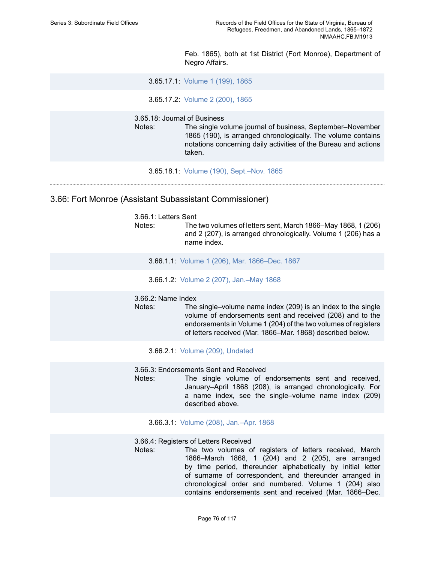Feb. 1865), both at 1st District (Fort Monroe), Department of Negro Affairs.

3.65.17.1: [Volume](https://edan.si.edu/slideshow/slideshowViewer.htm?eadrefid=NMAAHC.FB.M1913_ref1014) 1 (199), 1865

3.65.17.2: [Volume](https://edan.si.edu/slideshow/slideshowViewer.htm?eadrefid=NMAAHC.FB.M1913_ref1015) 2 (200), 1865

3.65.18: Journal of Business

Notes: The single volume journal of business, September–November 1865 (190), is arranged chronologically. The volume contains notations concerning daily activities of the Bureau and actions taken.

3.65.18.1: Volume (190), [Sept.–Nov.](https://edan.si.edu/slideshow/slideshowViewer.htm?eadrefid=NMAAHC.FB.M1913_ref1018) 1865

## 3.66: Fort Monroe (Assistant Subassistant Commissioner)

3.66.1: Letters Sent Notes: The two volumes of letters sent, March 1866–May 1868, 1 (206) and 2 (207), is arranged chronologically. Volume 1 (206) has a name index.

- 3.66.1.1: Volume 1 (206), Mar. [1866–Dec.](https://edan.si.edu/slideshow/slideshowViewer.htm?eadrefid=NMAAHC.FB.M1913_ref1022) 1867
- 3.66.1.2: Volume 2 (207), [Jan.–May](https://edan.si.edu/slideshow/slideshowViewer.htm?eadrefid=NMAAHC.FB.M1913_ref1023) 1868

#### 3.66.2: Name Index

- Notes: The single–volume name index (209) is an index to the single volume of endorsements sent and received (208) and to the endorsements in Volume 1 (204) of the two volumes of registers of letters received (Mar. 1866–Mar. 1868) described below.
	- 3.66.2.1: Volume (209), [Undated](https://edan.si.edu/slideshow/slideshowViewer.htm?eadrefid=NMAAHC.FB.M1913_ref1026)

3.66.3: Endorsements Sent and Received

Notes: The single volume of endorsements sent and received, January–April 1868 (208), is arranged chronologically. For a name index, see the single–volume name index (209) described above.

3.66.3.1: Volume (208), [Jan.–Apr.](https://edan.si.edu/slideshow/slideshowViewer.htm?eadrefid=NMAAHC.FB.M1913_ref1029) 1868

3.66.4: Registers of Letters Received

Notes: The two volumes of registers of letters received, March 1866–March 1868, 1 (204) and 2 (205), are arranged by time period, thereunder alphabetically by initial letter of surname of correspondent, and thereunder arranged in chronological order and numbered. Volume 1 (204) also contains endorsements sent and received (Mar. 1866–Dec.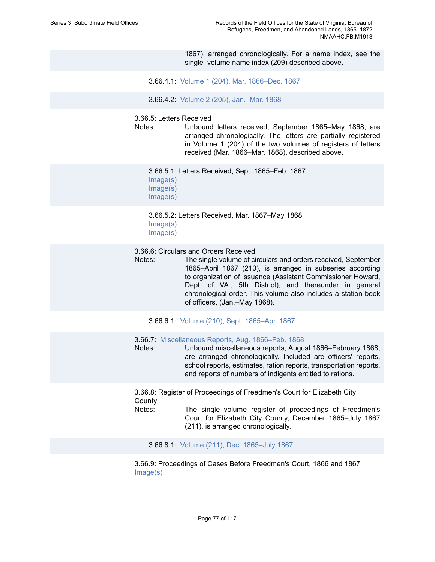1867), arranged chronologically. For a name index, see the single–volume name index (209) described above.

3.66.4.1: Volume 1 (204), Mar. [1866–Dec.](https://edan.si.edu/slideshow/slideshowViewer.htm?eadrefid=NMAAHC.FB.M1913_ref1032) 1867

3.66.4.2: Volume 2 (205), [Jan.–Mar.](https://edan.si.edu/slideshow/slideshowViewer.htm?eadrefid=NMAAHC.FB.M1913_ref1033) 1868

3.66.5: Letters Received

Notes: Unbound letters received, September 1865–May 1868, are arranged chronologically. The letters are partially registered in Volume 1 (204) of the two volumes of registers of letters received (Mar. 1866–Mar. 1868), described above.

3.66.5.1: Letters Received, Sept. 1865–Feb. 1867 [Image\(s\)](https://edan.si.edu/slideshow/slideshowViewer.htm?eadrefid=NMAAHC.FB.M1913_ref1036_part1) [Image\(s\)](https://edan.si.edu/slideshow/slideshowViewer.htm?eadrefid=NMAAHC.FB.M1913_ref1036_part2) [Image\(s\)](https://edan.si.edu/slideshow/slideshowViewer.htm?eadrefid=NMAAHC.FB.M1913_ref1036_part3)

3.66.5.2: Letters Received, Mar. 1867–May 1868 [Image\(s\)](https://edan.si.edu/slideshow/slideshowViewer.htm?eadrefid=NMAAHC.FB.M1913_ref1037_part1) [Image\(s\)](https://edan.si.edu/slideshow/slideshowViewer.htm?eadrefid=NMAAHC.FB.M1913_ref1037_part2)

3.66.6: Circulars and Orders Received

Notes: The single volume of circulars and orders received, September 1865–April 1867 (210), is arranged in subseries according to organization of issuance (Assistant Commissioner Howard, Dept. of VA., 5th District), and thereunder in general chronological order. This volume also includes a station book of officers, (Jan.–May 1868).

3.66.6.1: Volume (210), Sept. [1865–Apr.](https://edan.si.edu/slideshow/slideshowViewer.htm?eadrefid=NMAAHC.FB.M1913_ref1040) 1867

3.66.7: [Miscellaneous Reports, Aug. 1866–Feb. 1868](https://edan.si.edu/slideshow/slideshowViewer.htm?eadrefid=NMAAHC.FB.M1913_ref1042)

Notes: Unbound miscellaneous reports, August 1866–February 1868, are arranged chronologically. Included are officers' reports, school reports, estimates, ration reports, transportation reports, and reports of numbers of indigents entitled to rations.

3.66.8: Register of Proceedings of Freedmen's Court for Elizabeth City **County** 

Notes: The single–volume register of proceedings of Freedmen's Court for Elizabeth City County, December 1865–July 1867 (211), is arranged chronologically.

3.66.8.1: Volume (211), Dec. [1865–July](https://edan.si.edu/slideshow/slideshowViewer.htm?eadrefid=NMAAHC.FB.M1913_ref1045) 1867

3.66.9: Proceedings of Cases Before Freedmen's Court, 1866 and 1867 [Image\(s\)](https://edan.si.edu/slideshow/slideshowViewer.htm?eadrefid=NMAAHC.FB.M1913_ref1047_part1)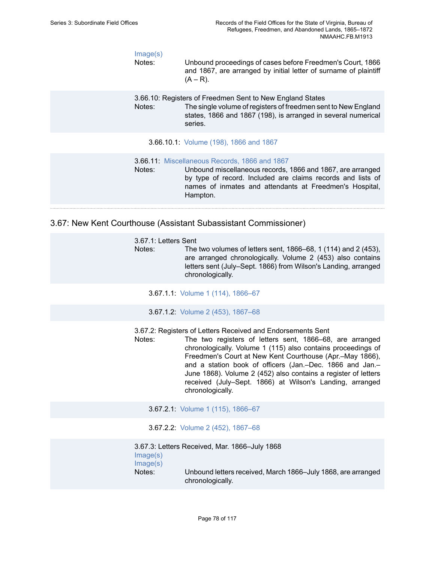| Image(s)<br>Notes: | Unbound proceedings of cases before Freedmen's Court, 1866<br>and 1867, are arranged by initial letter of surname of plaintiff<br>$(A - R)$ .                                                                                                            |
|--------------------|----------------------------------------------------------------------------------------------------------------------------------------------------------------------------------------------------------------------------------------------------------|
| Notes:             | 3.66.10: Registers of Freedmen Sent to New England States<br>The single volume of registers of freedmen sent to New England<br>states, 1866 and 1867 (198), is arranged in several numerical<br>series.                                                  |
|                    | 3.66.10.1: Volume (198), 1866 and 1867                                                                                                                                                                                                                   |
| Notes:             | <b>3.66.11:</b> Miscellaneous Records, 1866 and 1867<br>Unbound miscellaneous records, 1866 and 1867, are arranged<br>by type of record. Included are claims records and lists of<br>names of inmates and attendants at Freedmen's Hospital,<br>Hampton. |
|                    |                                                                                                                                                                                                                                                          |

3.67: New Kent Courthouse (Assistant Subassistant Commissioner)

| 3.67.1: Letters Sent |                                                                |
|----------------------|----------------------------------------------------------------|
| Notes:               | The two volumes of letters sent, 1866–68, 1 (114) and 2 (453), |
|                      | are arranged chronologically. Volume 2 (453) also contains     |
|                      | letters sent (July–Sept. 1866) from Wilson's Landing, arranged |
|                      | chronologically.                                               |

- 3.67.1.1: Volume 1 (114), [1866–67](https://edan.si.edu/slideshow/slideshowViewer.htm?eadrefid=NMAAHC.FB.M1913_ref1056)
- 3.67.1.2: Volume 2 (453), [1867–68](https://edan.si.edu/slideshow/slideshowViewer.htm?eadrefid=NMAAHC.FB.M1913_ref1057)

3.67.2: Registers of Letters Received and Endorsements Sent

Notes: The two registers of letters sent, 1866–68, are arranged chronologically. Volume 1 (115) also contains proceedings of Freedmen's Court at New Kent Courthouse (Apr.–May 1866), and a station book of officers (Jan.–Dec. 1866 and Jan.– June 1868). Volume 2 (452) also contains a register of letters received (July–Sept. 1866) at Wilson's Landing, arranged chronologically.

3.67.2.1: Volume 1 (115), [1866–67](https://edan.si.edu/slideshow/slideshowViewer.htm?eadrefid=NMAAHC.FB.M1913_ref1060)

3.67.2.2: Volume 2 (452), [1867–68](https://edan.si.edu/slideshow/slideshowViewer.htm?eadrefid=NMAAHC.FB.M1913_ref1061)

```
3.67.3: Letters Received, Mar. 1866–July 1868
Image(s)
Image(s)
Notes: Unbound letters received, March 1866–July 1868, are arranged
              chronologically.
```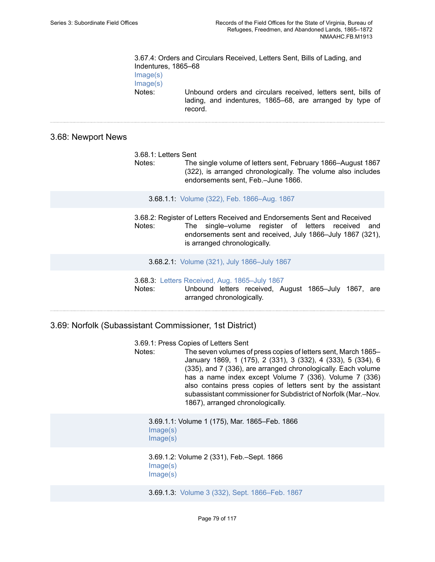3.67.4: Orders and Circulars Received, Letters Sent, Bills of Lading, and Indentures, 1865–68 [Image\(s\)](https://edan.si.edu/slideshow/slideshowViewer.htm?eadrefid=NMAAHC.FB.M1913_ref1065_part1) [Image\(s\)](https://edan.si.edu/slideshow/slideshowViewer.htm?eadrefid=NMAAHC.FB.M1913_ref1065_part2) Notes: Unbound orders and circulars received, letters sent, bills of lading, and indentures, 1865–68, are arranged by type of record.

### 3.68: Newport News

| 3.68.1: Letters Sent<br>Notes: | The single volume of letters sent, February 1866–August 1867<br>(322), is arranged chronologically. The volume also includes<br>endorsements sent, Feb.-June 1866.                                                                |
|--------------------------------|-----------------------------------------------------------------------------------------------------------------------------------------------------------------------------------------------------------------------------------|
|                                | 3.68.1.1: Volume (322), Feb. 1866-Aug. 1867                                                                                                                                                                                       |
| Notes:                         | 3.68.2: Register of Letters Received and Endorsements Sent and Received<br>single-volume register of letters received<br>and<br>The<br>endorsements sent and received, July 1866-July 1867 (321),<br>is arranged chronologically. |

3.68.2.1: Volume (321), July [1866–July](https://edan.si.edu/slideshow/slideshowViewer.htm?eadrefid=NMAAHC.FB.M1913_ref1072) 1867

3.68.3: [Letters Received, Aug. 1865–July 1867](https://edan.si.edu/slideshow/slideshowViewer.htm?eadrefid=NMAAHC.FB.M1913_ref1074) Notes: Unbound letters received, August 1865–July 1867, are arranged chronologically.

3.69: Norfolk (Subassistant Commissioner, 1st District)

3.69.1: Press Copies of Letters Sent

Notes: The seven volumes of press copies of letters sent, March 1865– January 1869, 1 (175), 2 (331), 3 (332), 4 (333), 5 (334), 6 (335), and 7 (336), are arranged chronologically. Each volume has a name index except Volume 7 (336). Volume 7 (336) also contains press copies of letters sent by the assistant subassistant commissioner for Subdistrict of Norfolk (Mar.-Nov. 1867), arranged chronologically.

3.69.1.1: Volume 1 (175), Mar. 1865–Feb. 1866 [Image\(s\)](https://edan.si.edu/slideshow/slideshowViewer.htm?eadrefid=NMAAHC.FB.M1913_ref1078_part1) [Image\(s\)](https://edan.si.edu/slideshow/slideshowViewer.htm?eadrefid=NMAAHC.FB.M1913_ref1078_part2)

3.69.1.2: Volume 2 (331), Feb.–Sept. 1866 [Image\(s\)](https://edan.si.edu/slideshow/slideshowViewer.htm?eadrefid=NMAAHC.FB.M1913_ref1079_part1) [Image\(s\)](https://edan.si.edu/slideshow/slideshowViewer.htm?eadrefid=NMAAHC.FB.M1913_ref1079_part2)

3.69.1.3: Volume 3 (332), Sept. [1866–Feb.](https://edan.si.edu/slideshow/slideshowViewer.htm?eadrefid=NMAAHC.FB.M1913_ref1080) 1867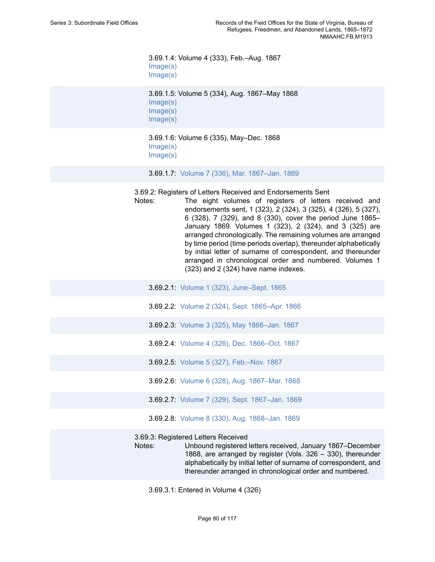3.69.1.4: Volume 4 (333), Feb.–Aug. 1867 [Image\(s\)](https://edan.si.edu/slideshow/slideshowViewer.htm?eadrefid=NMAAHC.FB.M1913_ref1081_part1) [Image\(s\)](https://edan.si.edu/slideshow/slideshowViewer.htm?eadrefid=NMAAHC.FB.M1913_ref1081_part2)

3.69.1.5: Volume 5 (334), Aug. 1867–May 1868 [Image\(s\)](https://edan.si.edu/slideshow/slideshowViewer.htm?eadrefid=NMAAHC.FB.M1913_ref1082_part1) [Image\(s\)](https://edan.si.edu/slideshow/slideshowViewer.htm?eadrefid=NMAAHC.FB.M1913_ref1082_part2) [Image\(s\)](https://edan.si.edu/slideshow/slideshowViewer.htm?eadrefid=NMAAHC.FB.M1913_ref1082_part3)

3.69.1.6: Volume 6 (335), May–Dec. 1868 [Image\(s\)](https://edan.si.edu/slideshow/slideshowViewer.htm?eadrefid=NMAAHC.FB.M1913_ref1083_part1) [Image\(s\)](https://edan.si.edu/slideshow/slideshowViewer.htm?eadrefid=NMAAHC.FB.M1913_ref1083_part2)

3.69.1.7: Volume 7 (336), Mar. [1867–Jan.](https://edan.si.edu/slideshow/slideshowViewer.htm?eadrefid=NMAAHC.FB.M1913_ref1084) 1869

3.69.2: Registers of Letters Received and Endorsements Sent

- Notes: The eight volumes of registers of letters received and endorsements sent, 1 (323), 2 (324), 3 (325), 4 (326), 5 (327), 6 (328), 7 (329), and 8 (330), cover the period June 1865– January 1869. Volumes 1 (323), 2 (324), and 3 (325) are arranged chronologically. The remaining volumes are arranged by time period (time periods overlap), thereunder alphabetically by initial letter of surname of correspondent, and thereunder arranged in chronological order and numbered. Volumes 1 (323) and 2 (324) have name indexes.
	- 3.69.2.1: Volume 1 (323), [June–Sept.](https://edan.si.edu/slideshow/slideshowViewer.htm?eadrefid=NMAAHC.FB.M1913_ref1087) 1865
	- 3.69.2.2: Volume 2 (324), Sept. [1865–Apr.](https://edan.si.edu/slideshow/slideshowViewer.htm?eadrefid=NMAAHC.FB.M1913_ref1088) 1866
	- 3.69.2.3: Volume 3 (325), May [1866–Jan.](https://edan.si.edu/slideshow/slideshowViewer.htm?eadrefid=NMAAHC.FB.M1913_ref1089) 1867
	- 3.69.2.4: Volume 4 (326), Dec. [1866–Oct.](https://edan.si.edu/slideshow/slideshowViewer.htm?eadrefid=NMAAHC.FB.M1913_ref1090) 1867
	- 3.69.2.5: Volume 5 (327), [Feb.–Nov.](https://edan.si.edu/slideshow/slideshowViewer.htm?eadrefid=NMAAHC.FB.M1913_ref1091) 1867
	- 3.69.2.6: Volume 6 (328), Aug. [1867–Mar.](https://edan.si.edu/slideshow/slideshowViewer.htm?eadrefid=NMAAHC.FB.M1913_ref1092) 1868
	- 3.69.2.7: Volume 7 (329), Sept. [1867–Jan.](https://edan.si.edu/slideshow/slideshowViewer.htm?eadrefid=NMAAHC.FB.M1913_ref1093) 1869
	- 3.69.2.8: Volume 8 (330), Aug. [1868–Jan.](https://edan.si.edu/slideshow/slideshowViewer.htm?eadrefid=NMAAHC.FB.M1913_ref1094) 1869

3.69.3: Registered Letters Received

Notes: Unbound registered letters received, January 1867–December 1868, are arranged by register (Vols. 326 – 330), thereunder alphabetically by initial letter of surname of correspondent, and thereunder arranged in chronological order and numbered.

3.69.3.1: Entered in Volume 4 (326)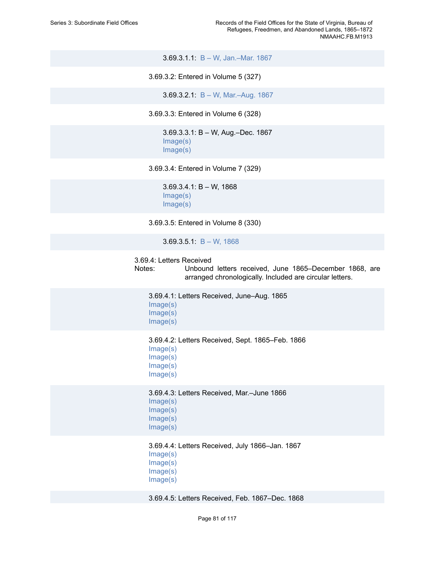3.69.3.1.1: B – W, [Jan.–Mar.](https://edan.si.edu/slideshow/slideshowViewer.htm?eadrefid=NMAAHC.FB.M1913_ref1098) 1867

3.69.3.2: Entered in Volume 5 (327)

3.69.3.2.1: B – W, [Mar.–Aug.](https://edan.si.edu/slideshow/slideshowViewer.htm?eadrefid=NMAAHC.FB.M1913_ref1100) 1867

3.69.3.3: Entered in Volume 6 (328)

3.69.3.3.1: B – W, Aug.–Dec. 1867 [Image\(s\)](https://edan.si.edu/slideshow/slideshowViewer.htm?eadrefid=NMAAHC.FB.M1913_ref1102_part1) [Image\(s\)](https://edan.si.edu/slideshow/slideshowViewer.htm?eadrefid=NMAAHC.FB.M1913_ref1102_part2)

3.69.3.4: Entered in Volume 7 (329)

3.69.3.4.1: B – W, 1868 [Image\(s\)](https://edan.si.edu/slideshow/slideshowViewer.htm?eadrefid=NMAAHC.FB.M1913_ref1104_part1) [Image\(s\)](https://edan.si.edu/slideshow/slideshowViewer.htm?eadrefid=NMAAHC.FB.M1913_ref1104_part2)

3.69.3.5: Entered in Volume 8 (330)

3.69.3.5.1: B – W, [1868](https://edan.si.edu/slideshow/slideshowViewer.htm?eadrefid=NMAAHC.FB.M1913_ref1106)

#### 3.69.4: Letters Received

Notes: Unbound letters received, June 1865–December 1868, are arranged chronologically. Included are circular letters.

3.69.4.1: Letters Received, June–Aug. 1865 [Image\(s\)](https://edan.si.edu/slideshow/slideshowViewer.htm?eadrefid=NMAAHC.FB.M1913_ref1109_part1) [Image\(s\)](https://edan.si.edu/slideshow/slideshowViewer.htm?eadrefid=NMAAHC.FB.M1913_ref1109_part2) [Image\(s\)](https://edan.si.edu/slideshow/slideshowViewer.htm?eadrefid=NMAAHC.FB.M1913_ref1109_part3)

3.69.4.2: Letters Received, Sept. 1865–Feb. 1866 [Image\(s\)](https://edan.si.edu/slideshow/slideshowViewer.htm?eadrefid=NMAAHC.FB.M1913_ref1110_part1) [Image\(s\)](https://edan.si.edu/slideshow/slideshowViewer.htm?eadrefid=NMAAHC.FB.M1913_ref1110_part2) [Image\(s\)](https://edan.si.edu/slideshow/slideshowViewer.htm?eadrefid=NMAAHC.FB.M1913_ref1110_part3)

[Image\(s\)](https://edan.si.edu/slideshow/slideshowViewer.htm?eadrefid=NMAAHC.FB.M1913_ref1110_part4)

3.69.4.3: Letters Received, Mar.–June 1866 [Image\(s\)](https://edan.si.edu/slideshow/slideshowViewer.htm?eadrefid=NMAAHC.FB.M1913_ref1111_part1)

[Image\(s\)](https://edan.si.edu/slideshow/slideshowViewer.htm?eadrefid=NMAAHC.FB.M1913_ref1111_part2) [Image\(s\)](https://edan.si.edu/slideshow/slideshowViewer.htm?eadrefid=NMAAHC.FB.M1913_ref1111_part3) [Image\(s\)](https://edan.si.edu/slideshow/slideshowViewer.htm?eadrefid=NMAAHC.FB.M1913_ref1111_part4)

3.69.4.4: Letters Received, July 1866–Jan. 1867 [Image\(s\)](https://edan.si.edu/slideshow/slideshowViewer.htm?eadrefid=NMAAHC.FB.M1913_ref1112_part1) [Image\(s\)](https://edan.si.edu/slideshow/slideshowViewer.htm?eadrefid=NMAAHC.FB.M1913_ref1112_part2) [Image\(s\)](https://edan.si.edu/slideshow/slideshowViewer.htm?eadrefid=NMAAHC.FB.M1913_ref1112_part3) [Image\(s\)](https://edan.si.edu/slideshow/slideshowViewer.htm?eadrefid=NMAAHC.FB.M1913_ref1112_part4)

3.69.4.5: Letters Received, Feb. 1867–Dec. 1868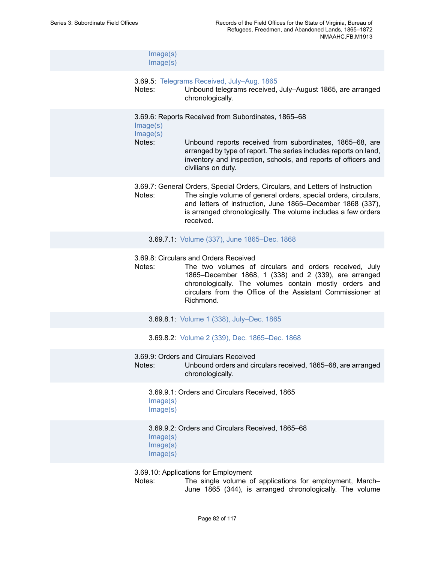| Image(s)<br>Image(s)             |                                                                                                                                                                                                                                                                                               |
|----------------------------------|-----------------------------------------------------------------------------------------------------------------------------------------------------------------------------------------------------------------------------------------------------------------------------------------------|
| Notes:                           | 3.69.5: Telegrams Received, July-Aug. 1865<br>Unbound telegrams received, July-August 1865, are arranged<br>chronologically.                                                                                                                                                                  |
| Image(s)<br>Image(s)<br>Notes:   | 3.69.6: Reports Received from Subordinates, 1865-68<br>Unbound reports received from subordinates, 1865–68, are<br>arranged by type of report. The series includes reports on land,<br>inventory and inspection, schools, and reports of officers and<br>civilians on duty.                   |
| Notes:                           | 3.69.7: General Orders, Special Orders, Circulars, and Letters of Instruction<br>The single volume of general orders, special orders, circulars,<br>and letters of instruction, June 1865–December 1868 (337),<br>is arranged chronologically. The volume includes a few orders<br>received.  |
|                                  | 3.69.7.1: Volume (337), June 1865-Dec. 1868                                                                                                                                                                                                                                                   |
| Notes:                           | 3.69.8: Circulars and Orders Received<br>The two volumes of circulars and orders received, July<br>1865–December 1868, 1 (338) and 2 (339), are arranged<br>chronologically. The volumes contain mostly orders and<br>circulars from the Office of the Assistant Commissioner at<br>Richmond. |
|                                  | 3.69.8.1: Volume 1 (338), July-Dec. 1865                                                                                                                                                                                                                                                      |
|                                  | 3.69.8.2: Volume 2 (339), Dec. 1865-Dec. 1868                                                                                                                                                                                                                                                 |
| Notes:                           | 3.69.9: Orders and Circulars Received<br>Unbound orders and circulars received, 1865–68, are arranged<br>chronologically.                                                                                                                                                                     |
| Image(s)<br>Image(s)             | 3.69.9.1: Orders and Circulars Received, 1865                                                                                                                                                                                                                                                 |
| Image(s)<br>Image(s)<br>Image(s) | 3.69.9.2: Orders and Circulars Received, 1865-68                                                                                                                                                                                                                                              |
| Notes:                           | 3.69.10: Applications for Employment<br>The single volume of applications for employment, March-<br>June 1865 (344), is arranged chronologically. The volume                                                                                                                                  |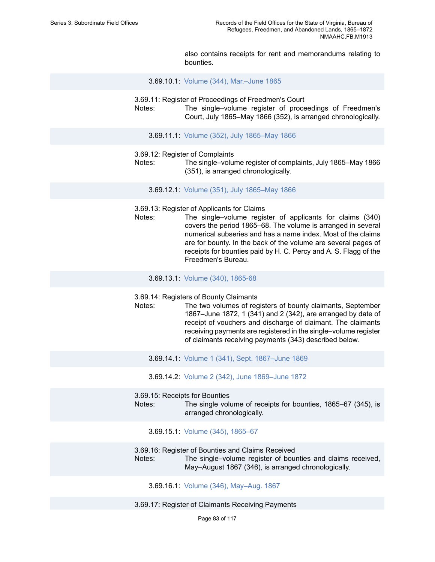also contains receipts for rent and memorandums relating to bounties.

3.69.10.1: Volume (344), [Mar.–June](https://edan.si.edu/slideshow/slideshowViewer.htm?eadrefid=NMAAHC.FB.M1913_ref1131) 1865

3.69.11: Register of Proceedings of Freedmen's Court

Notes: The single–volume register of proceedings of Freedmen's Court, July 1865–May 1866 (352), is arranged chronologically.

3.69.11.1: Volume (352), July [1865–May](https://edan.si.edu/slideshow/slideshowViewer.htm?eadrefid=NMAAHC.FB.M1913_ref1134) 1866

- 3.69.12: Register of Complaints
- Notes: The single–volume register of complaints, July 1865–May 1866 (351), is arranged chronologically.
	- 3.69.12.1: Volume (351), July [1865–May](https://edan.si.edu/slideshow/slideshowViewer.htm?eadrefid=NMAAHC.FB.M1913_ref1137) 1866
- 3.69.13: Register of Applicants for Claims
- Notes: The single–volume register of applicants for claims (340) covers the period 1865–68. The volume is arranged in several numerical subseries and has a name index. Most of the claims are for bounty. In the back of the volume are several pages of receipts for bounties paid by H. C. Percy and A. S. Flagg of the Freedmen's Bureau.

3.69.13.1: Volume (340), [1865-68](https://edan.si.edu/slideshow/slideshowViewer.htm?eadrefid=NMAAHC.FB.M1913_ref1140)

3.69.14: Registers of Bounty Claimants

Notes: The two volumes of registers of bounty claimants, September 1867–June 1872, 1 (341) and 2 (342), are arranged by date of receipt of vouchers and discharge of claimant. The claimants receiving payments are registered in the single–volume register of claimants receiving payments (343) described below.

3.69.14.1: Volume 1 (341), Sept. [1867–June](https://edan.si.edu/slideshow/slideshowViewer.htm?eadrefid=NMAAHC.FB.M1913_ref1143) 1869

3.69.14.2: Volume 2 (342), June [1869–June](https://edan.si.edu/slideshow/slideshowViewer.htm?eadrefid=NMAAHC.FB.M1913_ref1144) 1872

3.69.15: Receipts for Bounties

Notes: The single volume of receipts for bounties, 1865–67 (345), is arranged chronologically.

3.69.15.1: Volume (345), [1865–67](https://edan.si.edu/slideshow/slideshowViewer.htm?eadrefid=NMAAHC.FB.M1913_ref1147)

3.69.16: Register of Bounties and Claims Received

Notes: The single–volume register of bounties and claims received, May–August 1867 (346), is arranged chronologically.

3.69.16.1: Volume (346), [May–Aug.](https://edan.si.edu/slideshow/slideshowViewer.htm?eadrefid=NMAAHC.FB.M1913_ref1150) 1867

3.69.17: Register of Claimants Receiving Payments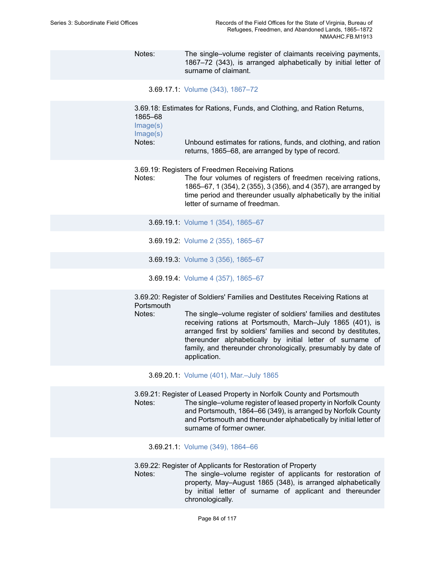Notes: The single–volume register of claimants receiving payments, 1867–72 (343), is arranged alphabetically by initial letter of surname of claimant.

3.69.17.1: Volume (343), [1867–72](https://edan.si.edu/slideshow/slideshowViewer.htm?eadrefid=NMAAHC.FB.M1913_ref1153)

3.69.18: Estimates for Rations, Funds, and Clothing, and Ration Returns, 1865–68

[Image\(s\)](https://edan.si.edu/slideshow/slideshowViewer.htm?eadrefid=NMAAHC.FB.M1913_ref1155_part1)

[Image\(s\)](https://edan.si.edu/slideshow/slideshowViewer.htm?eadrefid=NMAAHC.FB.M1913_ref1155_part2)

Notes: Unbound estimates for rations, funds, and clothing, and ration returns, 1865–68, are arranged by type of record.

3.69.19: Registers of Freedmen Receiving Rations

Notes: The four volumes of registers of freedmen receiving rations, 1865–67, 1 (354), 2 (355), 3 (356), and 4 (357), are arranged by time period and thereunder usually alphabetically by the initial letter of surname of freedman.

3.69.19.1: Volume 1 (354), [1865–67](https://edan.si.edu/slideshow/slideshowViewer.htm?eadrefid=NMAAHC.FB.M1913_ref1158)

- 3.69.19.2: Volume 2 (355), [1865–67](https://edan.si.edu/slideshow/slideshowViewer.htm?eadrefid=NMAAHC.FB.M1913_ref1159)
- 3.69.19.3: Volume 3 (356), [1865–67](https://edan.si.edu/slideshow/slideshowViewer.htm?eadrefid=NMAAHC.FB.M1913_ref1160)
- 3.69.19.4: Volume 4 (357), [1865–67](https://edan.si.edu/slideshow/slideshowViewer.htm?eadrefid=NMAAHC.FB.M1913_ref1161)

3.69.20: Register of Soldiers' Families and Destitutes Receiving Rations at **Portsmouth** 

Notes: The single–volume register of soldiers' families and destitutes receiving rations at Portsmouth, March–July 1865 (401), is arranged first by soldiers' families and second by destitutes, thereunder alphabetically by initial letter of surname of family, and thereunder chronologically, presumably by date of application.

3.69.20.1: Volume (401), [Mar.–July](https://edan.si.edu/slideshow/slideshowViewer.htm?eadrefid=NMAAHC.FB.M1913_ref1164) 1865

3.69.21: Register of Leased Property in Norfolk County and Portsmouth

Notes: The single–volume register of leased property in Norfolk County and Portsmouth, 1864–66 (349), is arranged by Norfolk County and Portsmouth and thereunder alphabetically by initial letter of surname of former owner.

3.69.21.1: Volume (349), [1864–66](https://edan.si.edu/slideshow/slideshowViewer.htm?eadrefid=NMAAHC.FB.M1913_ref1167)

3.69.22: Register of Applicants for Restoration of Property

Notes: The single–volume register of applicants for restoration of property, May–August 1865 (348), is arranged alphabetically by initial letter of surname of applicant and thereunder chronologically.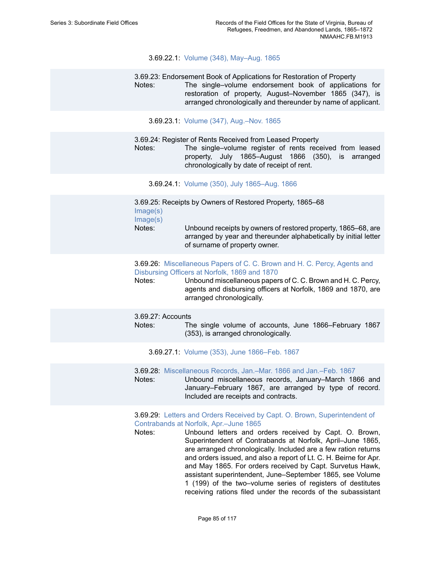#### 3.69.22.1: Volume (348), [May–Aug.](https://edan.si.edu/slideshow/slideshowViewer.htm?eadrefid=NMAAHC.FB.M1913_ref1170) 1865

3.69.23: Endorsement Book of Applications for Restoration of Property Notes: The single–volume endorsement book of applications for restoration of property, August–November 1865 (347), is arranged chronologically and thereunder by name of applicant.

3.69.23.1: Volume (347), [Aug.–Nov.](https://edan.si.edu/slideshow/slideshowViewer.htm?eadrefid=NMAAHC.FB.M1913_ref1173) 1865

3.69.24: Register of Rents Received from Leased Property

Notes: The single–volume register of rents received from leased property, July 1865–August 1866 (350), is arranged chronologically by date of receipt of rent.

3.69.24.1: Volume (350), July [1865–Aug.](https://edan.si.edu/slideshow/slideshowViewer.htm?eadrefid=NMAAHC.FB.M1913_ref1176) 1866

3.69.25: Receipts by Owners of Restored Property, 1865–68 [Image\(s\)](https://edan.si.edu/slideshow/slideshowViewer.htm?eadrefid=NMAAHC.FB.M1913_ref1178_part1) [Image\(s\)](https://edan.si.edu/slideshow/slideshowViewer.htm?eadrefid=NMAAHC.FB.M1913_ref1178_part2) Notes: Unbound receipts by owners of restored property, 1865–68, are arranged by year and thereunder alphabetically by initial letter of surname of property owner.

3.69.26: [Miscellaneous](https://edan.si.edu/slideshow/slideshowViewer.htm?eadrefid=NMAAHC.FB.M1913_ref1180) Papers of C. C. Brown and H. C. Percy, Agents and [Disbursing](https://edan.si.edu/slideshow/slideshowViewer.htm?eadrefid=NMAAHC.FB.M1913_ref1180) Officers at Norfolk, 1869 and 1870

Notes: Unbound miscellaneous papers of C. C. Brown and H. C. Percy, agents and disbursing officers at Norfolk, 1869 and 1870, are arranged chronologically.

#### 3.69.27: Accounts

Notes: The single volume of accounts, June 1866–February 1867 (353), is arranged chronologically.

3.69.27.1: Volume (353), June [1866–Feb.](https://edan.si.edu/slideshow/slideshowViewer.htm?eadrefid=NMAAHC.FB.M1913_ref1183) 1867

3.69.28: [Miscellaneous](https://edan.si.edu/slideshow/slideshowViewer.htm?eadrefid=NMAAHC.FB.M1913_ref1185) Records, Jan.–Mar. 1866 and Jan.–Feb. 1867

Notes: Unbound miscellaneous records, January–March 1866 and January–February 1867, are arranged by type of record. Included are receipts and contracts.

3.69.29: [Letters and Orders Received by Capt. O. Brown, Superintendent of](https://edan.si.edu/slideshow/slideshowViewer.htm?eadrefid=NMAAHC.FB.M1913_ref1187) [Contrabands](https://edan.si.edu/slideshow/slideshowViewer.htm?eadrefid=NMAAHC.FB.M1913_ref1187) at Norfolk, Apr.–June 1865

Notes: Unbound letters and orders received by Capt. O. Brown, Superintendent of Contrabands at Norfolk, April–June 1865, are arranged chronologically. Included are a few ration returns and orders issued, and also a report of Lt. C. H. Beirne for Apr. and May 1865. For orders received by Capt. Survetus Hawk, assistant superintendent, June–September 1865, see Volume 1 (199) of the two–volume series of registers of destitutes receiving rations filed under the records of the subassistant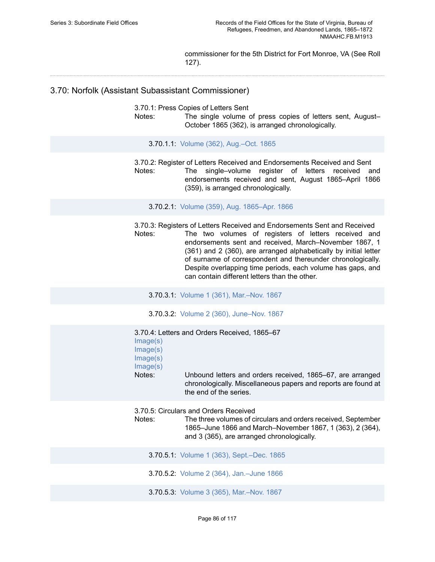commissioner for the 5th District for Fort Monroe, VA (See Roll 127).

## 3.70: Norfolk (Assistant Subassistant Commissioner)

3.70.1: Press Copies of Letters Sent

Notes: The single volume of press copies of letters sent, August-October 1865 (362), is arranged chronologically.

3.70.1.1: Volume (362), [Aug.–Oct.](https://edan.si.edu/slideshow/slideshowViewer.htm?eadrefid=NMAAHC.FB.M1913_ref1191) 1865

3.70.2: Register of Letters Received and Endorsements Received and Sent Notes: The single–volume register of letters received and endorsements received and sent, August 1865–April 1866 (359), is arranged chronologically.

3.70.2.1: Volume (359), Aug. [1865–Apr.](https://edan.si.edu/slideshow/slideshowViewer.htm?eadrefid=NMAAHC.FB.M1913_ref1194) 1866

3.70.3: Registers of Letters Received and Endorsements Sent and Received Notes: The two volumes of registers of letters received and endorsements sent and received, March–November 1867, 1 (361) and 2 (360), are arranged alphabetically by initial letter of surname of correspondent and thereunder chronologically. Despite overlapping time periods, each volume has gaps, and can contain different letters than the other.

3.70.3.1: Volume 1 (361), [Mar.–Nov.](https://edan.si.edu/slideshow/slideshowViewer.htm?eadrefid=NMAAHC.FB.M1913_ref1197) 1867

3.70.3.2: Volume 2 (360), [June–Nov.](https://edan.si.edu/slideshow/slideshowViewer.htm?eadrefid=NMAAHC.FB.M1913_ref1198) 1867

| Image(s)<br>Image(s)<br>Image(s)<br>Image(s)<br>Notes: | 3.70.4: Letters and Orders Received, 1865–67<br>Unbound letters and orders received, 1865–67, are arranged<br>chronologically. Miscellaneous papers and reports are found at<br>the end of the series.            |
|--------------------------------------------------------|-------------------------------------------------------------------------------------------------------------------------------------------------------------------------------------------------------------------|
| Notes:                                                 | 3.70.5: Circulars and Orders Received<br>The three volumes of circulars and orders received, September<br>1865–June 1866 and March–November 1867, 1 (363), 2 (364),<br>and 3 (365), are arranged chronologically. |
|                                                        | <b>3.70.5.1:</b> Volume 1 (363), Sept.–Dec. 1865                                                                                                                                                                  |
|                                                        | 3.70.5.2: Volume 2 (364), Jan.-June 1866                                                                                                                                                                          |
|                                                        |                                                                                                                                                                                                                   |

3.70.5.3: Volume 3 (365), [Mar.–Nov.](https://edan.si.edu/slideshow/slideshowViewer.htm?eadrefid=NMAAHC.FB.M1913_ref1205) 1867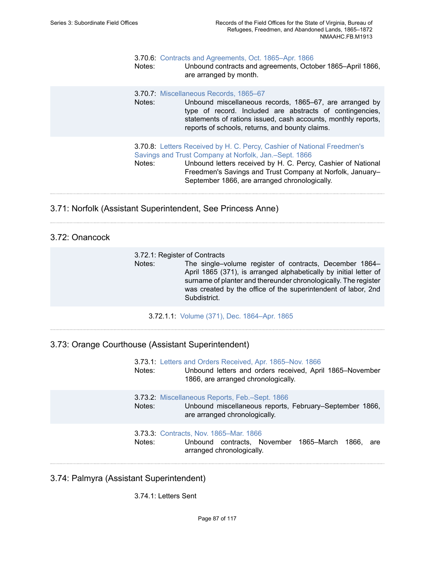#### 3.70.6: Contracts and [Agreements,](https://edan.si.edu/slideshow/slideshowViewer.htm?eadrefid=NMAAHC.FB.M1913_ref1207) Oct. 1865–Apr. 1866

Notes: Unbound contracts and agreements, October 1865–April 1866, are arranged by month.

#### 3.70.7: [Miscellaneous Records, 1865–67](https://edan.si.edu/slideshow/slideshowViewer.htm?eadrefid=NMAAHC.FB.M1913_ref1209)

Notes: Unbound miscellaneous records, 1865–67, are arranged by type of record. Included are abstracts of contingencies, statements of rations issued, cash accounts, monthly reports, reports of schools, returns, and bounty claims.

### 3.70.8: Letters Received by H. C. Percy, Cashier of National [Freedmen's](https://edan.si.edu/slideshow/slideshowViewer.htm?eadrefid=NMAAHC.FB.M1913_ref1211) Savings and Trust Company at Norfolk, [Jan.–Sept.](https://edan.si.edu/slideshow/slideshowViewer.htm?eadrefid=NMAAHC.FB.M1913_ref1211) 1866

Notes: Unbound letters received by H. C. Percy, Cashier of National Freedmen's Savings and Trust Company at Norfolk, January– September 1866, are arranged chronologically.

3.71: Norfolk (Assistant Superintendent, See Princess Anne)

# 3.72: Onancock

| 3.72.1: Register of Contracts |                                                                   |
|-------------------------------|-------------------------------------------------------------------|
| Notes:                        | The single–volume register of contracts, December 1864–           |
|                               | April 1865 (371), is arranged alphabetically by initial letter of |
|                               | surname of planter and thereunder chronologically. The register   |
|                               | was created by the office of the superintendent of labor, 2nd     |
|                               | Subdistrict.                                                      |

3.72.1.1: Volume (371), Dec. [1864–Apr.](https://edan.si.edu/slideshow/slideshowViewer.htm?eadrefid=NMAAHC.FB.M1913_ref1216) 1865

## 3.73: Orange Courthouse (Assistant Superintendent)

| Notes: | 3.73.1: Letters and Orders Received, Apr. 1865-Nov. 1866<br>Unbound letters and orders received, April 1865-November<br>1866, are arranged chronologically. |
|--------|-------------------------------------------------------------------------------------------------------------------------------------------------------------|
| Notes: | 3.73.2: Miscellaneous Reports, Feb.-Sept. 1866<br>Unbound miscellaneous reports, February–September 1866,<br>are arranged chronologically.                  |
| Notes: | 3.73.3: Contracts, Nov. 1865–Mar. 1866<br>Unbound contracts, November 1865–March 1866,<br>are<br>arranged chronologically.                                  |

### 3.74: Palmyra (Assistant Superintendent)

3.74.1: Letters Sent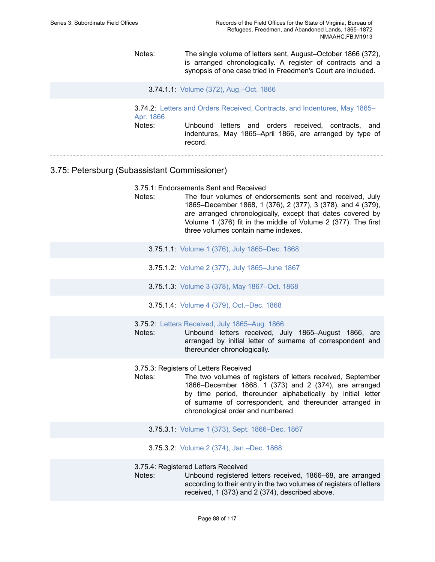Notes: The single volume of letters sent, August–October 1866 (372), is arranged chronologically. A register of contracts and a synopsis of one case tried in Freedmen's Court are included.

3.74.1.1: Volume (372), [Aug.–Oct.](https://edan.si.edu/slideshow/slideshowViewer.htm?eadrefid=NMAAHC.FB.M1913_ref1227) 1866

3.74.2: [Letters and Orders Received, Contracts, and Indentures, May 1865–](https://edan.si.edu/slideshow/slideshowViewer.htm?eadrefid=NMAAHC.FB.M1913_ref1229) Apr. [1866](https://edan.si.edu/slideshow/slideshowViewer.htm?eadrefid=NMAAHC.FB.M1913_ref1229) Notes: Unbound letters and orders received, contracts, and indentures, May 1865–April 1866, are arranged by type of record.

## 3.75: Petersburg (Subassistant Commissioner)

3.75.1: Endorsements Sent and Received

- Notes: The four volumes of endorsements sent and received, July 1865–December 1868, 1 (376), 2 (377), 3 (378), and 4 (379), are arranged chronologically, except that dates covered by Volume 1 (376) fit in the middle of Volume 2 (377). The first three volumes contain name indexes.
	- 3.75.1.1: Volume 1 (376), July [1865–Dec.](https://edan.si.edu/slideshow/slideshowViewer.htm?eadrefid=NMAAHC.FB.M1913_ref1233) 1868
	- 3.75.1.2: Volume 2 (377), July [1865–June](https://edan.si.edu/slideshow/slideshowViewer.htm?eadrefid=NMAAHC.FB.M1913_ref1234) 1867
	- 3.75.1.3: Volume 3 (378), May [1867–Oct.](https://edan.si.edu/slideshow/slideshowViewer.htm?eadrefid=NMAAHC.FB.M1913_ref1235) 1868
	- 3.75.1.4: Volume 4 (379), [Oct.–Dec.](https://edan.si.edu/slideshow/slideshowViewer.htm?eadrefid=NMAAHC.FB.M1913_ref1236) 1868
- 3.75.2: [Letters Received, July 1865–Aug. 1866](https://edan.si.edu/slideshow/slideshowViewer.htm?eadrefid=NMAAHC.FB.M1913_ref1238)
- Notes: Unbound letters received, July 1865–August 1866, are arranged by initial letter of surname of correspondent and thereunder chronologically.
- 3.75.3: Registers of Letters Received
- Notes: The two volumes of registers of letters received, September 1866–December 1868, 1 (373) and 2 (374), are arranged by time period, thereunder alphabetically by initial letter of surname of correspondent, and thereunder arranged in chronological order and numbered.
	- 3.75.3.1: Volume 1 (373), Sept. [1866–Dec.](https://edan.si.edu/slideshow/slideshowViewer.htm?eadrefid=NMAAHC.FB.M1913_ref1241) 1867
	- 3.75.3.2: Volume 2 (374), [Jan.–Dec.](https://edan.si.edu/slideshow/slideshowViewer.htm?eadrefid=NMAAHC.FB.M1913_ref1242) 1868

3.75.4: Registered Letters Received

Notes: Unbound registered letters received, 1866–68, are arranged according to their entry in the two volumes of registers of letters received, 1 (373) and 2 (374), described above.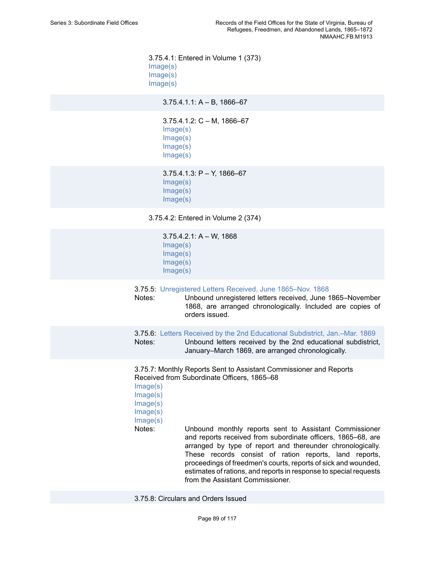3.75.4.1: Entered in Volume 1 (373) [Image\(s\)](https://edan.si.edu/slideshow/slideshowViewer.htm?eadrefid=NMAAHC.FB.M1913_ref1245_part1) [Image\(s\)](https://edan.si.edu/slideshow/slideshowViewer.htm?eadrefid=NMAAHC.FB.M1913_ref1245_part2) [Image\(s\)](https://edan.si.edu/slideshow/slideshowViewer.htm?eadrefid=NMAAHC.FB.M1913_ref1245_part3)

 $3.75.4.1.1: A - B$ , 1866–67

3.75.4.1.2: C – M, 1866–67 [Image\(s\)](https://edan.si.edu/slideshow/slideshowViewer.htm?eadrefid=NMAAHC.FB.M1913_ref1247_part1) [Image\(s\)](https://edan.si.edu/slideshow/slideshowViewer.htm?eadrefid=NMAAHC.FB.M1913_ref1247_part2) [Image\(s\)](https://edan.si.edu/slideshow/slideshowViewer.htm?eadrefid=NMAAHC.FB.M1913_ref1247_part3) [Image\(s\)](https://edan.si.edu/slideshow/slideshowViewer.htm?eadrefid=NMAAHC.FB.M1913_ref1247_part4)

3.75.4.1.3: P – Y, 1866–67 [Image\(s\)](https://edan.si.edu/slideshow/slideshowViewer.htm?eadrefid=NMAAHC.FB.M1913_ref1248_part1) [Image\(s\)](https://edan.si.edu/slideshow/slideshowViewer.htm?eadrefid=NMAAHC.FB.M1913_ref1248_part2) [Image\(s\)](https://edan.si.edu/slideshow/slideshowViewer.htm?eadrefid=NMAAHC.FB.M1913_ref1248_part3)

3.75.4.2: Entered in Volume 2 (374)

3.75.4.2.1: A – W, 1868 [Image\(s\)](https://edan.si.edu/slideshow/slideshowViewer.htm?eadrefid=NMAAHC.FB.M1913_ref1250_part1) [Image\(s\)](https://edan.si.edu/slideshow/slideshowViewer.htm?eadrefid=NMAAHC.FB.M1913_ref1250_part2) [Image\(s\)](https://edan.si.edu/slideshow/slideshowViewer.htm?eadrefid=NMAAHC.FB.M1913_ref1250_part3) [Image\(s\)](https://edan.si.edu/slideshow/slideshowViewer.htm?eadrefid=NMAAHC.FB.M1913_ref1250_part4)

#### 3.75.5: [Unregistered](https://edan.si.edu/slideshow/slideshowViewer.htm?eadrefid=NMAAHC.FB.M1913_ref1252) Letters Received, June 1865–Nov. 1868

Notes: Unbound unregistered letters received, June 1865–November 1868, are arranged chronologically. Included are copies of orders issued.

3.75.6: Letters Received by the 2nd [Educational](https://edan.si.edu/slideshow/slideshowViewer.htm?eadrefid=NMAAHC.FB.M1913_ref1254) Subdistrict, Jan.–Mar. 1869 Notes: Unbound letters received by the 2nd educational subdistrict, January–March 1869, are arranged chronologically.

3.75.7: Monthly Reports Sent to Assistant Commissioner and Reports Received from Subordinate Officers, 1865–68

[Image\(s\)](https://edan.si.edu/slideshow/slideshowViewer.htm?eadrefid=NMAAHC.FB.M1913_ref1256_part1) [Image\(s\)](https://edan.si.edu/slideshow/slideshowViewer.htm?eadrefid=NMAAHC.FB.M1913_ref1256_part2) [Image\(s\)](https://edan.si.edu/slideshow/slideshowViewer.htm?eadrefid=NMAAHC.FB.M1913_ref1256_part3) [Image\(s\)](https://edan.si.edu/slideshow/slideshowViewer.htm?eadrefid=NMAAHC.FB.M1913_ref1256_part4) [Image\(s\)](https://edan.si.edu/slideshow/slideshowViewer.htm?eadrefid=NMAAHC.FB.M1913_ref1256_part5)

Notes: Unbound monthly reports sent to Assistant Commissioner and reports received from subordinate officers, 1865–68, are arranged by type of report and thereunder chronologically. These records consist of ration reports, land reports, proceedings of freedmen's courts, reports of sick and wounded, estimates of rations, and reports in response to special requests from the Assistant Commissioner.

3.75.8: Circulars and Orders Issued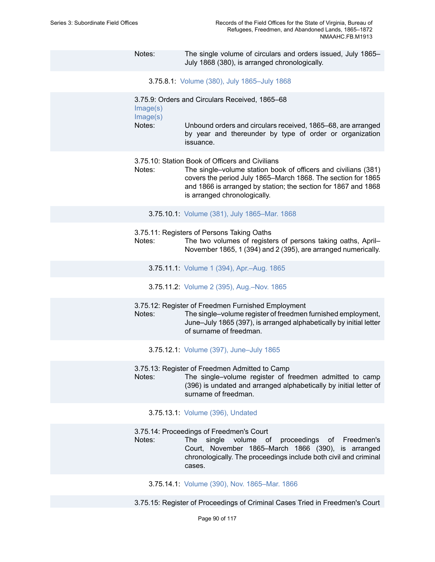Notes: The single volume of circulars and orders issued, July 1865– July 1868 (380), is arranged chronologically.

3.75.8.1: Volume (380), July [1865–July](https://edan.si.edu/slideshow/slideshowViewer.htm?eadrefid=NMAAHC.FB.M1913_ref1259) 1868

3.75.9: Orders and Circulars Received, 1865–68 [Image\(s\)](https://edan.si.edu/slideshow/slideshowViewer.htm?eadrefid=NMAAHC.FB.M1913_ref1261_part1) [Image\(s\)](https://edan.si.edu/slideshow/slideshowViewer.htm?eadrefid=NMAAHC.FB.M1913_ref1261_part2) Notes: Unbound orders and circulars received, 1865–68, are arranged by year and thereunder by type of order or organization issuance. 3.75.10: Station Book of Officers and Civilians Notes: The single–volume station book of officers and civilians (381) covers the period July 1865–March 1868. The section for 1865 and 1866 is arranged by station; the section for 1867 and 1868 is arranged chronologically. 3.75.10.1: Volume (381), July [1865–Mar.](https://edan.si.edu/slideshow/slideshowViewer.htm?eadrefid=NMAAHC.FB.M1913_ref1264) 1868 3.75.11: Registers of Persons Taking Oaths Notes: The two volumes of registers of persons taking oaths, April– November 1865, 1 (394) and 2 (395), are arranged numerically. 3.75.11.1: Volume 1 (394), [Apr.–Aug.](https://edan.si.edu/slideshow/slideshowViewer.htm?eadrefid=NMAAHC.FB.M1913_ref1267) 1865 3.75.11.2: Volume 2 (395), [Aug.–Nov.](https://edan.si.edu/slideshow/slideshowViewer.htm?eadrefid=NMAAHC.FB.M1913_ref1268) 1865 3.75.12: Register of Freedmen Furnished Employment Notes: The single–volume register of freedmen furnished employment, June–July 1865 (397), is arranged alphabetically by initial letter of surname of freedman. 3.75.12.1: Volume (397), [June–July](https://edan.si.edu/slideshow/slideshowViewer.htm?eadrefid=NMAAHC.FB.M1913_ref1271) 1865 3.75.13: Register of Freedmen Admitted to Camp Notes: The single–volume register of freedmen admitted to camp (396) is undated and arranged alphabetically by initial letter of surname of freedman. 3.75.13.1: Volume (396), [Undated](https://edan.si.edu/slideshow/slideshowViewer.htm?eadrefid=NMAAHC.FB.M1913_ref1274) 3.75.14: Proceedings of Freedmen's Court Notes: The single volume of proceedings of Freedmen's Court, November 1865–March 1866 (390), is arranged

3.75.14.1: Volume (390), Nov. [1865–Mar.](https://edan.si.edu/slideshow/slideshowViewer.htm?eadrefid=NMAAHC.FB.M1913_ref1277) 1866

cases.

3.75.15: Register of Proceedings of Criminal Cases Tried in Freedmen's Court

chronologically. The proceedings include both civil and criminal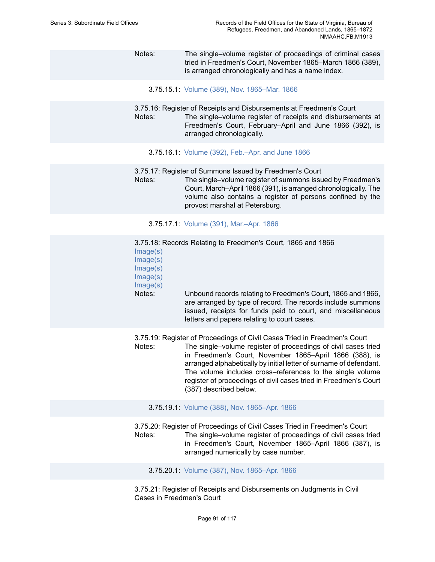### Notes: The single–volume register of proceedings of criminal cases tried in Freedmen's Court, November 1865–March 1866 (389), is arranged chronologically and has a name index.

3.75.15.1: Volume (389), Nov. [1865–Mar.](https://edan.si.edu/slideshow/slideshowViewer.htm?eadrefid=NMAAHC.FB.M1913_ref1280) 1866

3.75.16: Register of Receipts and Disbursements at Freedmen's Court Notes: The single–volume register of receipts and disbursements at Freedmen's Court, February–April and June 1866 (392), is arranged chronologically.

- 3.75.16.1: Volume (392), [Feb.–Apr.](https://edan.si.edu/slideshow/slideshowViewer.htm?eadrefid=NMAAHC.FB.M1913_ref1283) and June 1866
- 3.75.17: Register of Summons Issued by Freedmen's Court Notes: The single–volume register of summons issued by Freedmen's Court, March–April 1866 (391), is arranged chronologically. The volume also contains a register of persons confined by the provost marshal at Petersburg.

3.75.17.1: Volume (391), [Mar.–Apr.](https://edan.si.edu/slideshow/slideshowViewer.htm?eadrefid=NMAAHC.FB.M1913_ref1286) 1866

3.75.18: Records Relating to Freedmen's Court, 1865 and 1866 [Image\(s\)](https://edan.si.edu/slideshow/slideshowViewer.htm?eadrefid=NMAAHC.FB.M1913_ref1288_part1) [Image\(s\)](https://edan.si.edu/slideshow/slideshowViewer.htm?eadrefid=NMAAHC.FB.M1913_ref1288_part2) [Image\(s\)](https://edan.si.edu/slideshow/slideshowViewer.htm?eadrefid=NMAAHC.FB.M1913_ref1288_part3) [Image\(s\)](https://edan.si.edu/slideshow/slideshowViewer.htm?eadrefid=NMAAHC.FB.M1913_ref1288_part4) [Image\(s\)](https://edan.si.edu/slideshow/slideshowViewer.htm?eadrefid=NMAAHC.FB.M1913_ref1288_part5) Notes: Unbound records relating to Freedmen's Court, 1865 and 1866, are arranged by type of record. The records include summons issued, receipts for funds paid to court, and miscellaneous letters and papers relating to court cases.

3.75.19: Register of Proceedings of Civil Cases Tried in Freedmen's Court Notes: The single–volume register of proceedings of civil cases tried in Freedmen's Court, November 1865–April 1866 (388), is arranged alphabetically by initial letter of surname of defendant. The volume includes cross–references to the single volume register of proceedings of civil cases tried in Freedmen's Court (387) described below.

#### 3.75.19.1: Volume (388), Nov. [1865–Apr.](https://edan.si.edu/slideshow/slideshowViewer.htm?eadrefid=NMAAHC.FB.M1913_ref1291) 1866

3.75.20: Register of Proceedings of Civil Cases Tried in Freedmen's Court Notes: The single–volume register of proceedings of civil cases tried in Freedmen's Court, November 1865–April 1866 (387), is arranged numerically by case number.

3.75.20.1: Volume (387), Nov. [1865–Apr.](https://edan.si.edu/slideshow/slideshowViewer.htm?eadrefid=NMAAHC.FB.M1913_ref1294) 1866

3.75.21: Register of Receipts and Disbursements on Judgments in Civil Cases in Freedmen's Court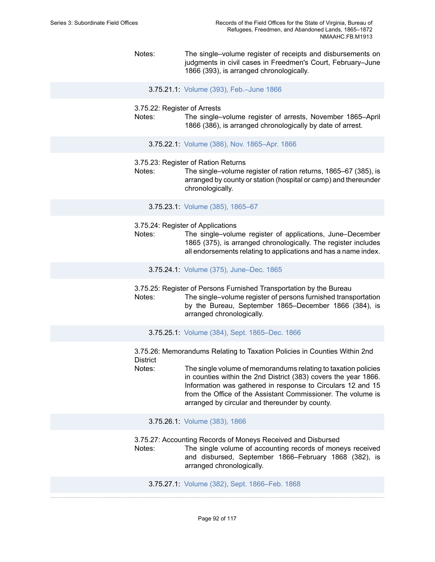Notes: The single–volume register of receipts and disbursements on judgments in civil cases in Freedmen's Court, February–June 1866 (393), is arranged chronologically.

3.75.21.1: Volume (393), [Feb.–June](https://edan.si.edu/slideshow/slideshowViewer.htm?eadrefid=NMAAHC.FB.M1913_ref1297) 1866

- 3.75.22: Register of Arrests
- Notes: The single–volume register of arrests, November 1865–April 1866 (386), is arranged chronologically by date of arrest.

3.75.22.1: Volume (386), Nov. [1865–Apr.](https://edan.si.edu/slideshow/slideshowViewer.htm?eadrefid=NMAAHC.FB.M1913_ref1300) 1866

3.75.23: Register of Ration Returns

Notes: The single–volume register of ration returns, 1865–67 (385), is arranged by county or station (hospital or camp) and thereunder chronologically.

3.75.23.1: Volume (385), [1865–67](https://edan.si.edu/slideshow/slideshowViewer.htm?eadrefid=NMAAHC.FB.M1913_ref1303)

- 3.75.24: Register of Applications
- Notes: The single–volume register of applications, June–December 1865 (375), is arranged chronologically. The register includes all endorsements relating to applications and has a name index.

3.75.24.1: Volume (375), [June–Dec.](https://edan.si.edu/slideshow/slideshowViewer.htm?eadrefid=NMAAHC.FB.M1913_ref1306) 1865

3.75.25: Register of Persons Furnished Transportation by the Bureau Notes: The single–volume register of persons furnished transportation by the Bureau, September 1865–December 1866 (384), is arranged chronologically.

3.75.25.1: Volume (384), Sept. [1865–Dec.](https://edan.si.edu/slideshow/slideshowViewer.htm?eadrefid=NMAAHC.FB.M1913_ref1309) 1866

3.75.26: Memorandums Relating to Taxation Policies in Counties Within 2nd **District** 

Notes: The single volume of memorandums relating to taxation policies in counties within the 2nd District (383) covers the year 1866. Information was gathered in response to Circulars 12 and 15 from the Office of the Assistant Commissioner. The volume is arranged by circular and thereunder by county.

3.75.26.1: [Volume](https://edan.si.edu/slideshow/slideshowViewer.htm?eadrefid=NMAAHC.FB.M1913_ref1312) (383), 1866

3.75.27: Accounting Records of Moneys Received and Disbursed

Notes: The single volume of accounting records of moneys received and disbursed, September 1866–February 1868 (382), is arranged chronologically.

3.75.27.1: Volume (382), Sept. [1866–Feb.](https://edan.si.edu/slideshow/slideshowViewer.htm?eadrefid=NMAAHC.FB.M1913_ref1315) 1868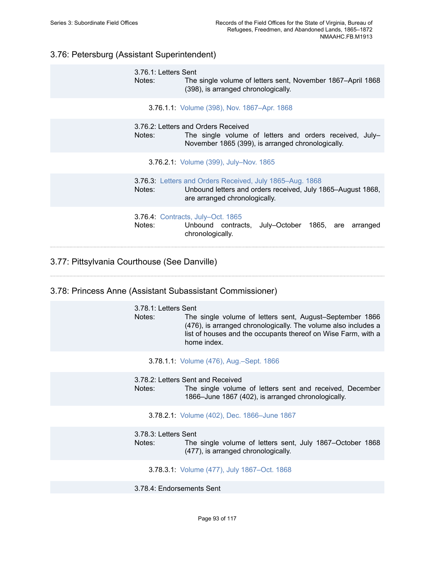# 3.76: Petersburg (Assistant Superintendent)

3.76.1: Letters Sent Notes: The single volume of letters sent, November 1867–April 1868 (398), is arranged chronologically.

3.76.1.1: Volume (398), Nov. [1867–Apr.](https://edan.si.edu/slideshow/slideshowViewer.htm?eadrefid=NMAAHC.FB.M1913_ref1319) 1868

3.76.2: Letters and Orders Received Notes: The single volume of letters and orders received, July– November 1865 (399), is arranged chronologically.

3.76.2.1: Volume (399), [July–Nov.](https://edan.si.edu/slideshow/slideshowViewer.htm?eadrefid=NMAAHC.FB.M1913_ref1322) 1865

3.76.3: [Letters and Orders Received, July 1865–Aug. 1868](https://edan.si.edu/slideshow/slideshowViewer.htm?eadrefid=NMAAHC.FB.M1913_ref1324) Notes: Unbound letters and orders received, July 1865–August 1868, are arranged chronologically.

3.76.4: [Contracts, July–Oct. 1865](https://edan.si.edu/slideshow/slideshowViewer.htm?eadrefid=NMAAHC.FB.M1913_ref1326)

Notes: Unbound contracts, July–October 1865, are arranged chronologically.

# 3.77: Pittsylvania Courthouse (See Danville)

### 3.78: Princess Anne (Assistant Subassistant Commissioner)

| 3.78.1: Letters Sent<br>Notes: | The single volume of letters sent, August–September 1866<br>(476), is arranged chronologically. The volume also includes a<br>list of houses and the occupants thereof on Wise Farm, with a<br>home index. |
|--------------------------------|------------------------------------------------------------------------------------------------------------------------------------------------------------------------------------------------------------|
|                                | 3.78.1.1: Volume (476), Aug.-Sept. 1866                                                                                                                                                                    |
| Notes:                         | 3.78.2: Letters Sent and Received<br>The single volume of letters sent and received, December<br>1866–June 1867 (402), is arranged chronologically.                                                        |
|                                | 3.78.2.1: Volume (402), Dec. 1866-June 1867                                                                                                                                                                |
| 3.78.3: Letters Sent<br>Notes: | The single volume of letters sent, July 1867–October 1868<br>(477), is arranged chronologically.                                                                                                           |
|                                | 3.78.3.1: Volume (477), July 1867–Oct. 1868                                                                                                                                                                |

3.78.4: Endorsements Sent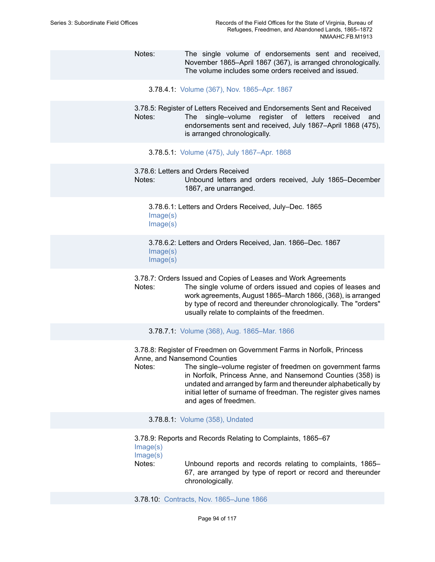- Notes: The single volume of endorsements sent and received, November 1865–April 1867 (367), is arranged chronologically. The volume includes some orders received and issued.
	- 3.78.4.1: Volume (367), Nov. [1865–Apr.](https://edan.si.edu/slideshow/slideshowViewer.htm?eadrefid=NMAAHC.FB.M1913_ref1340) 1867

3.78.5: Register of Letters Received and Endorsements Sent and Received Notes: The single–volume register of letters received and endorsements sent and received, July 1867–April 1868 (475), is arranged chronologically.

- 3.78.5.1: Volume (475), July [1867–Apr.](https://edan.si.edu/slideshow/slideshowViewer.htm?eadrefid=NMAAHC.FB.M1913_ref1343) 1868
- 3.78.6: Letters and Orders Received

Notes: Unbound letters and orders received, July 1865–December 1867, are unarranged.

3.78.6.1: Letters and Orders Received, July–Dec. 1865 [Image\(s\)](https://edan.si.edu/slideshow/slideshowViewer.htm?eadrefid=NMAAHC.FB.M1913_ref1346_part1) [Image\(s\)](https://edan.si.edu/slideshow/slideshowViewer.htm?eadrefid=NMAAHC.FB.M1913_ref1346_part2)

3.78.6.2: Letters and Orders Received, Jan. 1866–Dec. 1867 [Image\(s\)](https://edan.si.edu/slideshow/slideshowViewer.htm?eadrefid=NMAAHC.FB.M1913_ref1347_part1) [Image\(s\)](https://edan.si.edu/slideshow/slideshowViewer.htm?eadrefid=NMAAHC.FB.M1913_ref1347_part2)

3.78.7: Orders Issued and Copies of Leases and Work Agreements

Notes: The single volume of orders issued and copies of leases and work agreements, August 1865–March 1866, (368), is arranged by type of record and thereunder chronologically. The "orders" usually relate to complaints of the freedmen.

3.78.7.1: Volume (368), Aug. [1865–Mar.](https://edan.si.edu/slideshow/slideshowViewer.htm?eadrefid=NMAAHC.FB.M1913_ref1350) 1866

3.78.8: Register of Freedmen on Government Farms in Norfolk, Princess Anne, and Nansemond Counties

Notes: The single–volume register of freedmen on government farms in Norfolk, Princess Anne, and Nansemond Counties (358) is undated and arranged by farm and thereunder alphabetically by initial letter of surname of freedman. The register gives names and ages of freedmen.

3.78.8.1: Volume (358), [Undated](https://edan.si.edu/slideshow/slideshowViewer.htm?eadrefid=NMAAHC.FB.M1913_ref1353)

3.78.9: Reports and Records Relating to Complaints, 1865–67

[Image\(s\)](https://edan.si.edu/slideshow/slideshowViewer.htm?eadrefid=NMAAHC.FB.M1913_ref1355_part1)

[Image\(s\)](https://edan.si.edu/slideshow/slideshowViewer.htm?eadrefid=NMAAHC.FB.M1913_ref1355_part2)

Notes: Unbound reports and records relating to complaints, 1865– 67, are arranged by type of report or record and thereunder chronologically.

3.78.10: Contracts, Nov. [1865–June](https://edan.si.edu/slideshow/slideshowViewer.htm?eadrefid=NMAAHC.FB.M1913_ref1357) 1866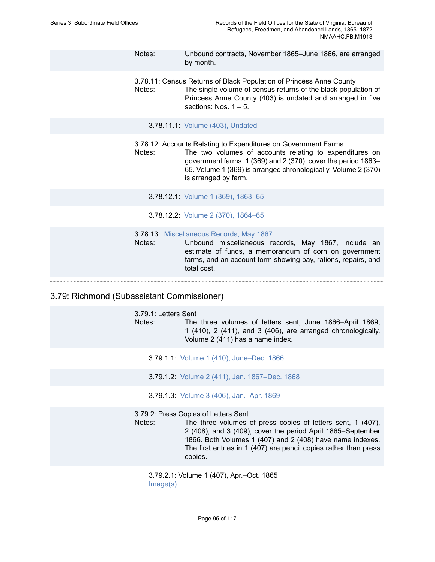- Notes: Unbound contracts, November 1865–June 1866, are arranged by month.
- 3.78.11: Census Returns of Black Population of Princess Anne County Notes: The single volume of census returns of the black population of Princess Anne County (403) is undated and arranged in five sections: Nos. 1 – 5.
	- 3.78.11.1: Volume (403), [Undated](https://edan.si.edu/slideshow/slideshowViewer.htm?eadrefid=NMAAHC.FB.M1913_ref1360)

3.78.12: Accounts Relating to Expenditures on Government Farms

Notes: The two volumes of accounts relating to expenditures on government farms, 1 (369) and 2 (370), cover the period 1863– 65. Volume 1 (369) is arranged chronologically. Volume 2 (370) is arranged by farm.

3.78.12.1: Volume 1 (369), [1863–65](https://edan.si.edu/slideshow/slideshowViewer.htm?eadrefid=NMAAHC.FB.M1913_ref1363)

3.78.12.2: Volume 2 (370), [1864–65](https://edan.si.edu/slideshow/slideshowViewer.htm?eadrefid=NMAAHC.FB.M1913_ref1364)

3.78.13: [Miscellaneous Records, May 1867](https://edan.si.edu/slideshow/slideshowViewer.htm?eadrefid=NMAAHC.FB.M1913_ref1366)

Notes: Unbound miscellaneous records, May 1867, include an estimate of funds, a memorandum of corn on government farms, and an account form showing pay, rations, repairs, and total cost.

## 3.79: Richmond (Subassistant Commissioner)

3.79.1: Letters Sent Notes: The three volumes of letters sent, June 1866–April 1869, 1 (410), 2 (411), and 3 (406), are arranged chronologically. Volume 2 (411) has a name index.

- 3.79.1.1: Volume 1 (410), [June–Dec.](https://edan.si.edu/slideshow/slideshowViewer.htm?eadrefid=NMAAHC.FB.M1913_ref1370) 1866
- 3.79.1.2: Volume 2 (411), Jan. [1867–Dec.](https://edan.si.edu/slideshow/slideshowViewer.htm?eadrefid=NMAAHC.FB.M1913_ref1371) 1868
- 3.79.1.3: Volume 3 (406), [Jan.–Apr.](https://edan.si.edu/slideshow/slideshowViewer.htm?eadrefid=NMAAHC.FB.M1913_ref1372) 1869

3.79.2: Press Copies of Letters Sent

Notes: The three volumes of press copies of letters sent, 1 (407), 2 (408), and 3 (409), cover the period April 1865–September 1866. Both Volumes 1 (407) and 2 (408) have name indexes. The first entries in 1 (407) are pencil copies rather than press copies.

3.79.2.1: Volume 1 (407), Apr.–Oct. 1865 [Image\(s\)](https://edan.si.edu/slideshow/slideshowViewer.htm?eadrefid=NMAAHC.FB.M1913_ref1375_part1)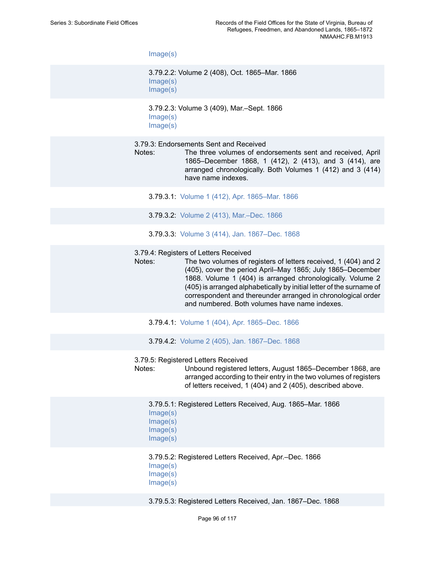[Image\(s\)](https://edan.si.edu/slideshow/slideshowViewer.htm?eadrefid=NMAAHC.FB.M1913_ref1375_part2)

3.79.2.2: Volume 2 (408), Oct. 1865–Mar. 1866 [Image\(s\)](https://edan.si.edu/slideshow/slideshowViewer.htm?eadrefid=NMAAHC.FB.M1913_ref1376_part1) [Image\(s\)](https://edan.si.edu/slideshow/slideshowViewer.htm?eadrefid=NMAAHC.FB.M1913_ref1376_part2)

3.79.2.3: Volume 3 (409), Mar.–Sept. 1866 [Image\(s\)](https://edan.si.edu/slideshow/slideshowViewer.htm?eadrefid=NMAAHC.FB.M1913_ref1377_part1) [Image\(s\)](https://edan.si.edu/slideshow/slideshowViewer.htm?eadrefid=NMAAHC.FB.M1913_ref1377_part2)

3.79.3: Endorsements Sent and Received

- Notes: The three volumes of endorsements sent and received, April 1865–December 1868, 1 (412), 2 (413), and 3 (414), are arranged chronologically. Both Volumes 1 (412) and 3 (414) have name indexes.
	- 3.79.3.1: Volume 1 (412), Apr. [1865–Mar.](https://edan.si.edu/slideshow/slideshowViewer.htm?eadrefid=NMAAHC.FB.M1913_ref1380) 1866
	- 3.79.3.2: Volume 2 (413), [Mar.–Dec.](https://edan.si.edu/slideshow/slideshowViewer.htm?eadrefid=NMAAHC.FB.M1913_ref1381) 1866
	- 3.79.3.3: Volume 3 (414), Jan. [1867–Dec.](https://edan.si.edu/slideshow/slideshowViewer.htm?eadrefid=NMAAHC.FB.M1913_ref1382) 1868

3.79.4: Registers of Letters Received

- Notes: The two volumes of registers of letters received, 1 (404) and 2 (405), cover the period April–May 1865; July 1865–December 1868. Volume 1 (404) is arranged chronologically. Volume 2 (405) is arranged alphabetically by initial letter of the surname of correspondent and thereunder arranged in chronological order and numbered. Both volumes have name indexes.
	- 3.79.4.1: Volume 1 (404), Apr. [1865–Dec.](https://edan.si.edu/slideshow/slideshowViewer.htm?eadrefid=NMAAHC.FB.M1913_ref1385) 1866
	- 3.79.4.2: Volume 2 (405), Jan. [1867–Dec.](https://edan.si.edu/slideshow/slideshowViewer.htm?eadrefid=NMAAHC.FB.M1913_ref1386) 1868
- 3.79.5: Registered Letters Received
- Notes: Unbound registered letters, August 1865–December 1868, are arranged according to their entry in the two volumes of registers of letters received, 1 (404) and 2 (405), described above.
	- 3.79.5.1: Registered Letters Received, Aug. 1865–Mar. 1866 [Image\(s\)](https://edan.si.edu/slideshow/slideshowViewer.htm?eadrefid=NMAAHC.FB.M1913_ref1389_part1) [Image\(s\)](https://edan.si.edu/slideshow/slideshowViewer.htm?eadrefid=NMAAHC.FB.M1913_ref1389_part2) [Image\(s\)](https://edan.si.edu/slideshow/slideshowViewer.htm?eadrefid=NMAAHC.FB.M1913_ref1389_part3) [Image\(s\)](https://edan.si.edu/slideshow/slideshowViewer.htm?eadrefid=NMAAHC.FB.M1913_ref1389_part4)

## 3.79.5.2: Registered Letters Received, Apr.–Dec. 1866 [Image\(s\)](https://edan.si.edu/slideshow/slideshowViewer.htm?eadrefid=NMAAHC.FB.M1913_ref1390_part1) [Image\(s\)](https://edan.si.edu/slideshow/slideshowViewer.htm?eadrefid=NMAAHC.FB.M1913_ref1390_part2) [Image\(s\)](https://edan.si.edu/slideshow/slideshowViewer.htm?eadrefid=NMAAHC.FB.M1913_ref1390_part3)

3.79.5.3: Registered Letters Received, Jan. 1867–Dec. 1868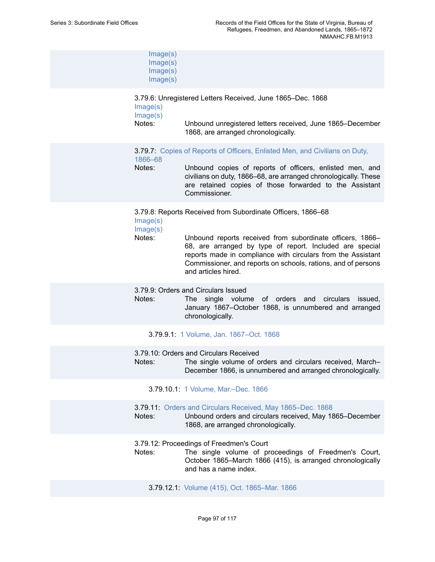| Image(s)<br>Image(s)<br>Image(s)<br>Image(s) |                                                                                                                                                                                                                                                                                                                                              |
|----------------------------------------------|----------------------------------------------------------------------------------------------------------------------------------------------------------------------------------------------------------------------------------------------------------------------------------------------------------------------------------------------|
| Image(s)<br>Image(s)<br>Notes:               | 3.79.6: Unregistered Letters Received, June 1865–Dec. 1868<br>Unbound unregistered letters received, June 1865–December<br>1868, are arranged chronologically.                                                                                                                                                                               |
| 1866-68<br>Notes:                            | 3.79.7: Copies of Reports of Officers, Enlisted Men, and Civilians on Duty,<br>Unbound copies of reports of officers, enlisted men, and<br>civilians on duty, 1866–68, are arranged chronologically. These<br>are retained copies of those forwarded to the Assistant<br>Commissioner.                                                       |
| Image(s)<br>Image(s)<br>Notes:               | 3.79.8: Reports Received from Subordinate Officers, 1866-68<br>Unbound reports received from subordinate officers, 1866-<br>68, are arranged by type of report. Included are special<br>reports made in compliance with circulars from the Assistant<br>Commissioner, and reports on schools, rations, and of persons<br>and articles hired. |
| Notes:                                       | 3.79.9: Orders and Circulars Issued<br>single volume of orders and circulars<br>issued,<br>The<br>January 1867-October 1868, is unnumbered and arranged<br>chronologically.                                                                                                                                                                  |
|                                              | 3.79.9.1: 1 Volume, Jan. 1867–Oct. 1868                                                                                                                                                                                                                                                                                                      |
| Notes:                                       | 3.79.10: Orders and Circulars Received<br>The single volume of orders and circulars received, March-<br>December 1866, is unnumbered and arranged chronologically.                                                                                                                                                                           |
|                                              | 3.79.10.1: 1 Volume, Mar.-Dec. 1866                                                                                                                                                                                                                                                                                                          |
| Notes:                                       | 3.79.11: Orders and Circulars Received, May 1865–Dec. 1868<br>Unbound orders and circulars received, May 1865-December<br>1868, are arranged chronologically.                                                                                                                                                                                |
| Notes:                                       | 3.79.12: Proceedings of Freedmen's Court<br>The single volume of proceedings of Freedmen's Court,<br>October 1865-March 1866 (415), is arranged chronologically<br>and has a name index.                                                                                                                                                     |
|                                              |                                                                                                                                                                                                                                                                                                                                              |

3.79.12.1: Volume (415), Oct. [1865–Mar.](https://edan.si.edu/slideshow/slideshowViewer.htm?eadrefid=NMAAHC.FB.M1913_ref1408) 1866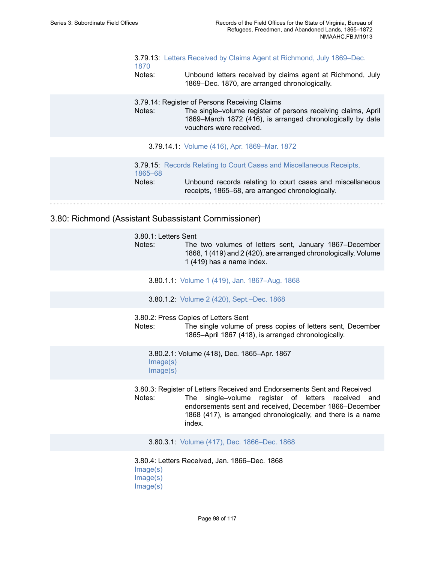| 1870   | 3.79.13: Letters Received by Claims Agent at Richmond, July 1869–Dec. |
|--------|-----------------------------------------------------------------------|
| Notes: | Unbound letters received by claims agent at Richmond, July            |
|        | 1869–Dec. 1870, are arranged chronologically.                         |

3.79.14: Register of Persons Receiving Claims

Notes: The single–volume register of persons receiving claims, April 1869–March 1872 (416), is arranged chronologically by date vouchers were received.

3.79.14.1: Volume (416), Apr. [1869–Mar.](https://edan.si.edu/slideshow/slideshowViewer.htm?eadrefid=NMAAHC.FB.M1913_ref1413) 1872

3.79.15: [Records Relating to Court Cases and Miscellaneous Receipts,](https://edan.si.edu/slideshow/slideshowViewer.htm?eadrefid=NMAAHC.FB.M1913_ref1415) [1865–68](https://edan.si.edu/slideshow/slideshowViewer.htm?eadrefid=NMAAHC.FB.M1913_ref1415) Notes: Unbound records relating to court cases and miscellaneous receipts, 1865–68, are arranged chronologically.

3.80: Richmond (Assistant Subassistant Commissioner)

3.80.1: Letters Sent Notes: The two volumes of letters sent, January 1867–December 1868, 1 (419) and 2 (420), are arranged chronologically. Volume 1 (419) has a name index.

- 3.80.1.1: Volume 1 (419), Jan. [1867–Aug.](https://edan.si.edu/slideshow/slideshowViewer.htm?eadrefid=NMAAHC.FB.M1913_ref1419) 1868
- 3.80.1.2: Volume 2 (420), [Sept.–Dec.](https://edan.si.edu/slideshow/slideshowViewer.htm?eadrefid=NMAAHC.FB.M1913_ref1420) 1868

3.80.2: Press Copies of Letters Sent

Notes: The single volume of press copies of letters sent, December 1865–April 1867 (418), is arranged chronologically.

3.80.2.1: Volume (418), Dec. 1865–Apr. 1867 [Image\(s\)](https://edan.si.edu/slideshow/slideshowViewer.htm?eadrefid=NMAAHC.FB.M1913_ref1423_part1) [Image\(s\)](https://edan.si.edu/slideshow/slideshowViewer.htm?eadrefid=NMAAHC.FB.M1913_ref1423_part2)

3.80.3: Register of Letters Received and Endorsements Sent and Received Notes: The single–volume register of letters received and endorsements sent and received, December 1866–December 1868 (417), is arranged chronologically, and there is a name index.

3.80.3.1: Volume (417), Dec. [1866–Dec.](https://edan.si.edu/slideshow/slideshowViewer.htm?eadrefid=NMAAHC.FB.M1913_ref1426) 1868

3.80.4: Letters Received, Jan. 1866–Dec. 1868 [Image\(s\)](https://edan.si.edu/slideshow/slideshowViewer.htm?eadrefid=NMAAHC.FB.M1913_ref1428_part1) [Image\(s\)](https://edan.si.edu/slideshow/slideshowViewer.htm?eadrefid=NMAAHC.FB.M1913_ref1428_part2) [Image\(s\)](https://edan.si.edu/slideshow/slideshowViewer.htm?eadrefid=NMAAHC.FB.M1913_ref1428_part3)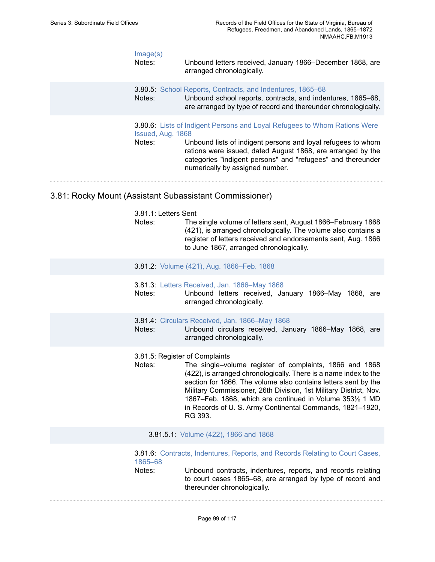| Image(s)<br>Notes:                                      | Unbound letters received, January 1866–December 1868, are<br>arranged chronologically.                                                                                                                                                                                                                                                 |  |
|---------------------------------------------------------|----------------------------------------------------------------------------------------------------------------------------------------------------------------------------------------------------------------------------------------------------------------------------------------------------------------------------------------|--|
| Notes:                                                  | <b>3.80.5</b> School Reports, Contracts, and Indentures, 1865–68<br>Unbound school reports, contracts, and indentures, 1865–68,<br>are arranged by type of record and thereunder chronologically.                                                                                                                                      |  |
| Notes:                                                  | <b>3.80.6:</b> Lists of Indigent Persons and Loyal Refugees to Whom Rations Were<br>Issued, Aug. 1868<br>Unbound lists of indigent persons and loyal refugees to whom<br>rations were issued, dated August 1868, are arranged by the<br>categories "indigent persons" and "refugees" and thereunder<br>numerically by assigned number. |  |
| 3.81: Rocky Mount (Assistant Subassistant Commissioner) |                                                                                                                                                                                                                                                                                                                                        |  |

- 3.81.1: Letters Sent
- Notes: The single volume of letters sent, August 1866–February 1868 (421), is arranged chronologically. The volume also contains a register of letters received and endorsements sent, Aug. 1866 to June 1867, arranged chronologically.
- 3.81.2: Volume (421), Aug. [1866–Feb.](https://edan.si.edu/slideshow/slideshowViewer.htm?eadrefid=NMAAHC.FB.M1913_ref1437) 1868
- 3.81.3: [Letters Received, Jan. 1866–May 1868](https://edan.si.edu/slideshow/slideshowViewer.htm?eadrefid=NMAAHC.FB.M1913_ref1438)
- Notes: Unbound letters received, January 1866–May 1868, are arranged chronologically.
- 3.81.4: [Circulars Received, Jan. 1866–May 1868](https://edan.si.edu/slideshow/slideshowViewer.htm?eadrefid=NMAAHC.FB.M1913_ref1440)

Notes: Unbound circulars received, January 1866–May 1868, are arranged chronologically.

- 3.81.5: Register of Complaints
- Notes: The single–volume register of complaints, 1866 and 1868 (422), is arranged chronologically. There is a name index to the section for 1866. The volume also contains letters sent by the Military Commissioner, 26th Division, 1st Military District, Nov. 1867–Feb. 1868, which are continued in Volume 353½ 1 MD in Records of U. S. Army Continental Commands, 1821–1920, RG 393.
	- 3.81.5.1: [Volume](https://edan.si.edu/slideshow/slideshowViewer.htm?eadrefid=NMAAHC.FB.M1913_ref1443) (422), 1866 and 1868

3.81.6: [Contracts, Indentures, Reports, and Records Relating to Court Cases,](https://edan.si.edu/slideshow/slideshowViewer.htm?eadrefid=NMAAHC.FB.M1913_ref1445) [1865–68](https://edan.si.edu/slideshow/slideshowViewer.htm?eadrefid=NMAAHC.FB.M1913_ref1445) Notes: Unbound contracts, indentures, reports, and records relating to court cases 1865–68, are arranged by type of record and thereunder chronologically.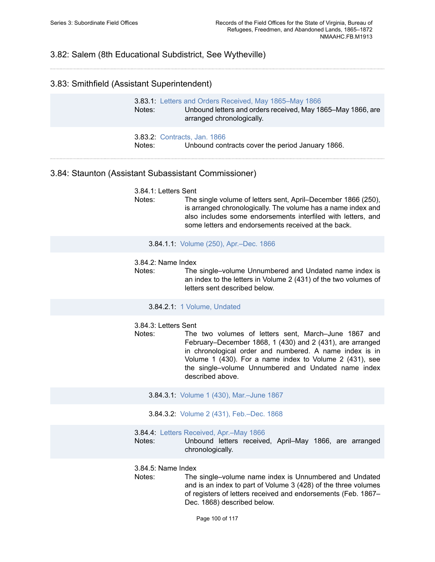# 3.82: Salem (8th Educational Subdistrict, See Wytheville)

## 3.83: Smithfield (Assistant Superintendent)

| Notes: | 3.83.1: Letters and Orders Received, May 1865–May 1866<br>Unbound letters and orders received, May 1865–May 1866, are<br>arranged chronologically. |
|--------|----------------------------------------------------------------------------------------------------------------------------------------------------|
| Notes: | <b>3.83.2: Contracts, Jan. 1866</b><br>Unbound contracts cover the period January 1866.                                                            |

## 3.84: Staunton (Assistant Subassistant Commissioner)

3.84.1: Letters Sent

Notes: The single volume of letters sent, April–December 1866 (250), is arranged chronologically. The volume has a name index and also includes some endorsements interfiled with letters, and some letters and endorsements received at the back.

#### 3.84.1.1: Volume (250), [Apr.–Dec.](https://edan.si.edu/slideshow/slideshowViewer.htm?eadrefid=NMAAHC.FB.M1913_ref1455) 1866

#### 3.84.2: Name Index

Notes: The single–volume Unnumbered and Undated name index is an index to the letters in Volume 2 (431) of the two volumes of letters sent described below.

#### 3.84.2.1: 1 Volume, [Undated](https://edan.si.edu/slideshow/slideshowViewer.htm?eadrefid=NMAAHC.FB.M1913_ref1458)

3.84.3: Letters Sent

- Notes: The two volumes of letters sent, March–June 1867 and February–December 1868, 1 (430) and 2 (431), are arranged in chronological order and numbered. A name index is in Volume 1 (430). For a name index to Volume 2 (431), see the single–volume Unnumbered and Undated name index described above.
	- 3.84.3.1: Volume 1 (430), [Mar.–June](https://edan.si.edu/slideshow/slideshowViewer.htm?eadrefid=NMAAHC.FB.M1913_ref1461) 1867
	- 3.84.3.2: Volume 2 (431), [Feb.–Dec.](https://edan.si.edu/slideshow/slideshowViewer.htm?eadrefid=NMAAHC.FB.M1913_ref1462) 1868
- 3.84.4: Letters [Received,](https://edan.si.edu/slideshow/slideshowViewer.htm?eadrefid=NMAAHC.FB.M1913_ref1464) Apr.–May 1866
- Notes: Unbound letters received, April–May 1866, are arranged chronologically.

3.84.5: Name Index

Notes: The single–volume name index is Unnumbered and Undated and is an index to part of Volume 3 (428) of the three volumes of registers of letters received and endorsements (Feb. 1867– Dec. 1868) described below.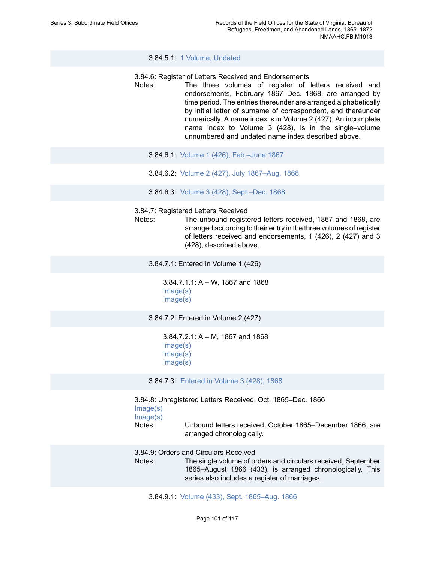3.84.5.1: 1 Volume, [Undated](https://edan.si.edu/slideshow/slideshowViewer.htm?eadrefid=NMAAHC.FB.M1913_ref1467)

#### 3.84.6: Register of Letters Received and Endorsements

- Notes: The three volumes of register of letters received and endorsements, February 1867–Dec. 1868, are arranged by time period. The entries thereunder are arranged alphabetically by initial letter of surname of correspondent, and thereunder numerically. A name index is in Volume 2 (427). An incomplete name index to Volume 3 (428), is in the single–volume unnumbered and undated name index described above.
	- 3.84.6.1: Volume 1 (426), [Feb.–June](https://edan.si.edu/slideshow/slideshowViewer.htm?eadrefid=NMAAHC.FB.M1913_ref1470) 1867
	- 3.84.6.2: Volume 2 (427), July [1867–Aug.](https://edan.si.edu/slideshow/slideshowViewer.htm?eadrefid=NMAAHC.FB.M1913_ref1471) 1868
	- 3.84.6.3: Volume 3 (428), [Sept.–Dec.](https://edan.si.edu/slideshow/slideshowViewer.htm?eadrefid=NMAAHC.FB.M1913_ref1472) 1868

3.84.7: Registered Letters Received

Notes: The unbound registered letters received, 1867 and 1868, are arranged according to their entry in the three volumes of register of letters received and endorsements, 1 (426), 2 (427) and 3 (428), described above.

3.84.7.1: Entered in Volume 1 (426)

3.84.7.1.1: A – W, 1867 and 1868 [Image\(s\)](https://edan.si.edu/slideshow/slideshowViewer.htm?eadrefid=NMAAHC.FB.M1913_ref1476_part1) [Image\(s\)](https://edan.si.edu/slideshow/slideshowViewer.htm?eadrefid=NMAAHC.FB.M1913_ref1476_part2)

3.84.7.2: Entered in Volume 2 (427)

3.84.7.2.1: A – M, 1867 and 1868 [Image\(s\)](https://edan.si.edu/slideshow/slideshowViewer.htm?eadrefid=NMAAHC.FB.M1913_ref1478_part1) [Image\(s\)](https://edan.si.edu/slideshow/slideshowViewer.htm?eadrefid=NMAAHC.FB.M1913_ref1478_part2) [Image\(s\)](https://edan.si.edu/slideshow/slideshowViewer.htm?eadrefid=NMAAHC.FB.M1913_ref1478_part3)

3.84.7.3: [Entered](https://edan.si.edu/slideshow/slideshowViewer.htm?eadrefid=NMAAHC.FB.M1913_ref1479) in Volume 3 (428), 1868

3.84.8: Unregistered Letters Received, Oct. 1865–Dec. 1866 [Image\(s\)](https://edan.si.edu/slideshow/slideshowViewer.htm?eadrefid=NMAAHC.FB.M1913_ref1481_part1) [Image\(s\)](https://edan.si.edu/slideshow/slideshowViewer.htm?eadrefid=NMAAHC.FB.M1913_ref1481_part2) Notes: Unbound letters received, October 1865–December 1866, are arranged chronologically.

3.84.9: Orders and Circulars Received

Notes: The single volume of orders and circulars received, September 1865–August 1866 (433), is arranged chronologically. This series also includes a register of marriages.

3.84.9.1: Volume (433), Sept. [1865–Aug.](https://edan.si.edu/slideshow/slideshowViewer.htm?eadrefid=NMAAHC.FB.M1913_ref1484) 1866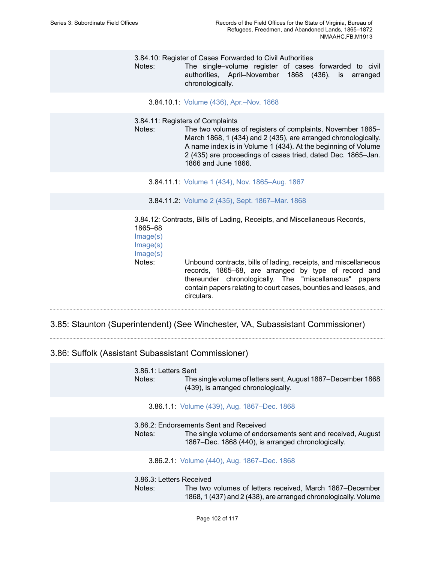3.84.10: Register of Cases Forwarded to Civil Authorities

Notes: The single–volume register of cases forwarded to civil authorities, April–November 1868 (436), is arranged chronologically.

3.84.10.1: Volume (436), [Apr.–Nov.](https://edan.si.edu/slideshow/slideshowViewer.htm?eadrefid=NMAAHC.FB.M1913_ref1487) 1868

3.84.11: Registers of Complaints

Notes: The two volumes of registers of complaints, November 1865– March 1868, 1 (434) and 2 (435), are arranged chronologically. A name index is in Volume 1 (434). At the beginning of Volume 2 (435) are proceedings of cases tried, dated Dec. 1865–Jan. 1866 and June 1866.

3.84.11.1: Volume 1 (434), Nov. [1865–Aug.](https://edan.si.edu/slideshow/slideshowViewer.htm?eadrefid=NMAAHC.FB.M1913_ref1490) 1867

3.84.11.2: Volume 2 (435), Sept. [1867–Mar.](https://edan.si.edu/slideshow/slideshowViewer.htm?eadrefid=NMAAHC.FB.M1913_ref1491) 1868

3.84.12: Contracts, Bills of Lading, Receipts, and Miscellaneous Records, 1865–68 [Image\(s\)](https://edan.si.edu/slideshow/slideshowViewer.htm?eadrefid=NMAAHC.FB.M1913_ref1493_part1) [Image\(s\)](https://edan.si.edu/slideshow/slideshowViewer.htm?eadrefid=NMAAHC.FB.M1913_ref1493_part2) [Image\(s\)](https://edan.si.edu/slideshow/slideshowViewer.htm?eadrefid=NMAAHC.FB.M1913_ref1493_part3) Notes: Unbound contracts, bills of lading, receipts, and miscellaneous records, 1865–68, are arranged by type of record and thereunder chronologically. The "miscellaneous" papers contain papers relating to court cases, bounties and leases, and circulars.

3.85: Staunton (Superintendent) (See Winchester, VA, Subassistant Commissioner)

3.86: Suffolk (Assistant Subassistant Commissioner)

3.86.1: Letters Sent Notes: The single volume of letters sent, August 1867–December 1868 (439), is arranged chronologically. 3.86.1.1: Volume (439), Aug. [1867–Dec.](https://edan.si.edu/slideshow/slideshowViewer.htm?eadrefid=NMAAHC.FB.M1913_ref1498) 1868 3.86.2: Endorsements Sent and Received Notes: The single volume of endorsements sent and received, August 1867–Dec. 1868 (440), is arranged chronologically. 3.86.2.1: Volume (440), Aug. [1867–Dec.](https://edan.si.edu/slideshow/slideshowViewer.htm?eadrefid=NMAAHC.FB.M1913_ref1501) 1868 3.86.3: Letters Received Notes: The two volumes of letters received, March 1867–December 1868, 1 (437) and 2 (438), are arranged chronologically. Volume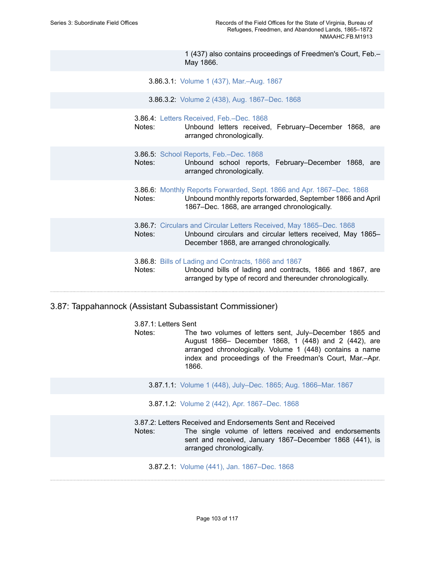1 (437) also contains proceedings of Freedmen's Court, Feb.– May 1866.

- 3.86.3.1: Volume 1 (437), [Mar.–Aug.](https://edan.si.edu/slideshow/slideshowViewer.htm?eadrefid=NMAAHC.FB.M1913_ref1504) 1867
- 3.86.3.2: Volume 2 (438), Aug. [1867–Dec.](https://edan.si.edu/slideshow/slideshowViewer.htm?eadrefid=NMAAHC.FB.M1913_ref1505) 1868
- 3.86.4: [Letters Received, Feb.–Dec. 1868](https://edan.si.edu/slideshow/slideshowViewer.htm?eadrefid=NMAAHC.FB.M1913_ref1507)
- Notes: Unbound letters received, February–December 1868, are arranged chronologically.
- 3.86.5: [School Reports, Feb.–Dec. 1868](https://edan.si.edu/slideshow/slideshowViewer.htm?eadrefid=NMAAHC.FB.M1913_ref1509)
- Notes: Unbound school reports, February–December 1868, are arranged chronologically.
- 3.86.6: Monthly Reports [Forwarded,](https://edan.si.edu/slideshow/slideshowViewer.htm?eadrefid=NMAAHC.FB.M1913_ref1511) Sept. 1866 and Apr. 1867–Dec. 1868 Notes: Unbound monthly reports forwarded, September 1866 and April 1867–Dec. 1868, are arranged chronologically.
- 3.86.7: [Circulars and Circular Letters Received, May 1865–Dec. 1868](https://edan.si.edu/slideshow/slideshowViewer.htm?eadrefid=NMAAHC.FB.M1913_ref1513) Notes: Unbound circulars and circular letters received, May 1865– December 1868, are arranged chronologically.
- 3.86.8: [Bills of Lading and Contracts, 1866 and 1867](https://edan.si.edu/slideshow/slideshowViewer.htm?eadrefid=NMAAHC.FB.M1913_ref1515) Notes: Unbound bills of lading and contracts, 1866 and 1867, are arranged by type of record and thereunder chronologically.

### 3.87: Tappahannock (Assistant Subassistant Commissioner)

3.87.1: Letters Sent Notes: The two volumes of letters sent, July–December 1865 and August 1866– December 1868, 1 (448) and 2 (442), are arranged chronologically. Volume 1 (448) contains a name index and proceedings of the Freedman's Court, Mar.–Apr. 1866.

- 3.87.1.1: Volume 1 (448), July–Dec. 1865; Aug. [1866–Mar.](https://edan.si.edu/slideshow/slideshowViewer.htm?eadrefid=NMAAHC.FB.M1913_ref1519) 1867
- 3.87.1.2: Volume 2 (442), Apr. [1867–Dec.](https://edan.si.edu/slideshow/slideshowViewer.htm?eadrefid=NMAAHC.FB.M1913_ref1520) 1868

#### 3.87.2: Letters Received and Endorsements Sent and Received

Notes: The single volume of letters received and endorsements sent and received, January 1867–December 1868 (441), is arranged chronologically.

3.87.2.1: Volume (441), Jan. [1867–Dec.](https://edan.si.edu/slideshow/slideshowViewer.htm?eadrefid=NMAAHC.FB.M1913_ref1523) 1868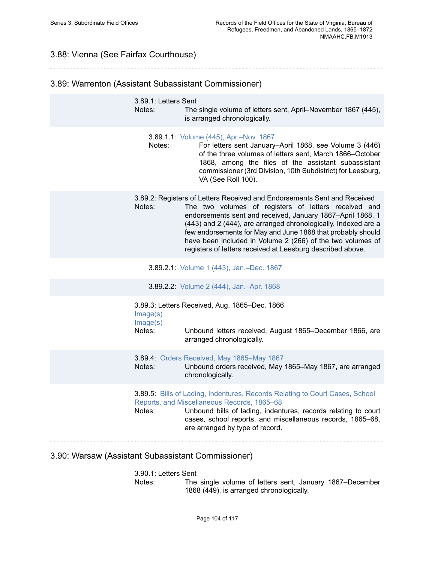# 3.88: Vienna (See Fairfax Courthouse)

# 3.89: Warrenton (Assistant Subassistant Commissioner)

| 3.89.1: Letters Sent<br>Notes: | The single volume of letters sent, April–November 1867 (445),<br>is arranged chronologically.                                                                                                                                                                                                                                                                                                                                                               |
|--------------------------------|-------------------------------------------------------------------------------------------------------------------------------------------------------------------------------------------------------------------------------------------------------------------------------------------------------------------------------------------------------------------------------------------------------------------------------------------------------------|
| Notes:                         | 3.89.1.1: Volume (445), Apr.-Nov. 1867<br>For letters sent January-April 1868, see Volume 3 (446)<br>of the three volumes of letters sent, March 1866-October<br>1868, among the files of the assistant subassistant<br>commissioner (3rd Division, 10th Subdistrict) for Leesburg,<br>VA (See Roll 100).                                                                                                                                                   |
| Notes:                         | 3.89.2: Registers of Letters Received and Endorsements Sent and Received<br>The two volumes of registers of letters received and<br>endorsements sent and received, January 1867-April 1868, 1<br>(443) and 2 (444), are arranged chronologically. Indexed are a<br>few endorsements for May and June 1868 that probably should<br>have been included in Volume 2 (266) of the two volumes of<br>registers of letters received at Leesburg described above. |
|                                | 3.89.2.1: Volume 1 (443), Jan.-Dec. 1867                                                                                                                                                                                                                                                                                                                                                                                                                    |
|                                | 3.89.2.2: Volume 2 (444), Jan.-Apr. 1868                                                                                                                                                                                                                                                                                                                                                                                                                    |
| Image(s)<br>Image(s)<br>Notes: | 3.89.3: Letters Received, Aug. 1865-Dec. 1866<br>Unbound letters received, August 1865–December 1866, are<br>arranged chronologically.                                                                                                                                                                                                                                                                                                                      |
| Notes:                         | 3.89.4: Orders Received, May 1865-May 1867<br>Unbound orders received, May 1865-May 1867, are arranged<br>chronologically.                                                                                                                                                                                                                                                                                                                                  |
| Notes:                         | 3.89.5: Bills of Lading, Indentures, Records Relating to Court Cases, School<br>Reports, and Miscellaneous Records, 1865-68<br>Unbound bills of lading, indentures, records relating to court<br>cases, school reports, and miscellaneous records, 1865-68,<br>are arranged by type of record.                                                                                                                                                              |
|                                |                                                                                                                                                                                                                                                                                                                                                                                                                                                             |

# 3.90: Warsaw (Assistant Subassistant Commissioner)

### 3.90.1: Letters Sent

Notes: The single volume of letters sent, January 1867–December 1868 (449), is arranged chronologically.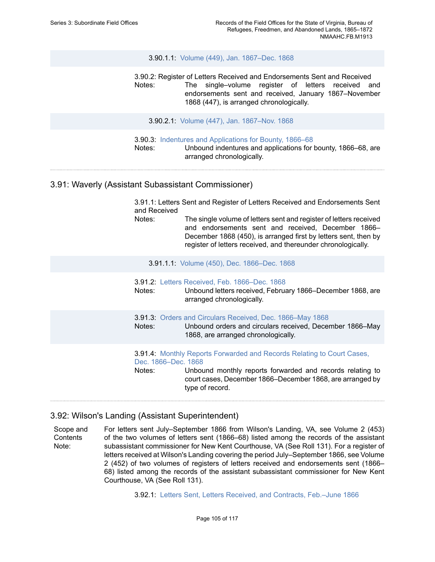#### 3.90.1.1: Volume (449), Jan. [1867–Dec.](https://edan.si.edu/slideshow/slideshowViewer.htm?eadrefid=NMAAHC.FB.M1913_ref1543) 1868

3.90.2: Register of Letters Received and Endorsements Sent and Received Notes: The single–volume register of letters received and endorsements sent and received, January 1867–November 1868 (447), is arranged chronologically.

3.90.2.1: Volume (447), Jan. [1867–Nov.](https://edan.si.edu/slideshow/slideshowViewer.htm?eadrefid=NMAAHC.FB.M1913_ref1546) 1868

3.90.3: Indentures and [Applications](https://edan.si.edu/slideshow/slideshowViewer.htm?eadrefid=NMAAHC.FB.M1913_ref1548) for Bounty, 1866–68 Notes: Unbound indentures and applications for bounty, 1866–68, are arranged chronologically.

## 3.91: Waverly (Assistant Subassistant Commissioner)

3.91.1: Letters Sent and Register of Letters Received and Endorsements Sent and Received

Notes: The single volume of letters sent and register of letters received and endorsements sent and received, December 1866– December 1868 (450), is arranged first by letters sent, then by register of letters received, and thereunder chronologically.

3.91.1.1: Volume (450), Dec. [1866–Dec.](https://edan.si.edu/slideshow/slideshowViewer.htm?eadrefid=NMAAHC.FB.M1913_ref1552) 1868

| Notes: | <b>3.91.2: Letters Received, Feb. 1866–Dec. 1868</b><br>Unbound letters received, February 1866–December 1868, are<br>arranged chronologically.                                                                                                   |
|--------|---------------------------------------------------------------------------------------------------------------------------------------------------------------------------------------------------------------------------------------------------|
| Notes: | 3.91.3: Orders and Circulars Received, Dec. 1866–May 1868<br>Unbound orders and circulars received, December 1866–May<br>1868, are arranged chronologically.                                                                                      |
| Notes: | <b>3.91.4: Monthly Reports Forwarded and Records Relating to Court Cases,</b><br>Dec. 1866–Dec. 1868<br>Unbound monthly reports forwarded and records relating to<br>court cases, December 1866–December 1868, are arranged by<br>type of record. |

## 3.92: Wilson's Landing (Assistant Superintendent)

Scope and **Contents** Note: For letters sent July–September 1866 from Wilson's Landing, VA, see Volume 2 (453) of the two volumes of letters sent (1866–68) listed among the records of the assistant subassistant commissioner for New Kent Courthouse, VA (See Roll 131). For a register of letters received at Wilson's Landing covering the period July–September 1866, see Volume 2 (452) of two volumes of registers of letters received and endorsements sent (1866– 68) listed among the records of the assistant subassistant commissioner for New Kent Courthouse, VA (See Roll 131).

3.92.1: [Letters Sent, Letters Received, and Contracts, Feb.–June 1866](https://edan.si.edu/slideshow/slideshowViewer.htm?eadrefid=NMAAHC.FB.M1913_ref1561)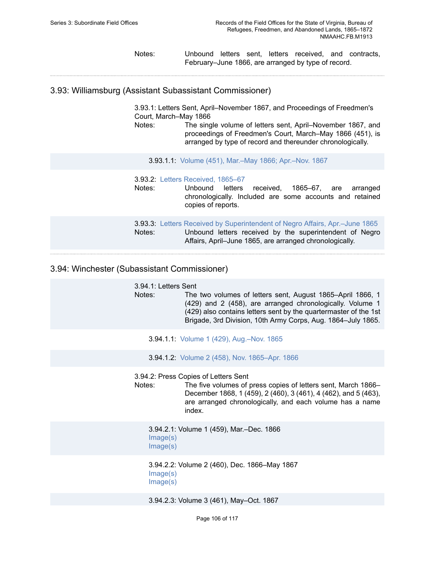Notes: Unbound letters sent, letters received, and contracts, February–June 1866, are arranged by type of record.

3.93: Williamsburg (Assistant Subassistant Commissioner)

3.93.1: Letters Sent, April–November 1867, and Proceedings of Freedmen's Court, March–May 1866 Notes: The single volume of letters sent, April–November 1867, and

proceedings of Freedmen's Court, March–May 1866 (451), is arranged by type of record and thereunder chronologically.

3.93.1.1: Volume (451), [Mar.–May](https://edan.si.edu/slideshow/slideshowViewer.htm?eadrefid=NMAAHC.FB.M1913_ref1566) 1866; Apr.–Nov. 1867

| Notes: | 3.93.2: Letters Received, 1865-67<br>Unbound letters<br>received, 1865–67, are<br>arranged<br>chronologically. Included are some accounts and retained<br>copies of reports.                             |
|--------|----------------------------------------------------------------------------------------------------------------------------------------------------------------------------------------------------------|
| Notes: | <b>3.93.3:</b> Letters Received by Superintendent of Negro Affairs, Apr.–June 1865<br>Unbound letters received by the superintendent of Negro<br>Affairs, April–June 1865, are arranged chronologically. |

## 3.94: Winchester (Subassistant Commissioner)

3.94.1: Letters Sent Notes: The two volumes of letters sent, August 1865–April 1866, 1 (429) and 2 (458), are arranged chronologically. Volume 1 (429) also contains letters sent by the quartermaster of the 1st Brigade, 3rd Division, 10th Army Corps, Aug. 1864–July 1865.

3.94.1.1: Volume 1 (429), [Aug.–Nov.](https://edan.si.edu/slideshow/slideshowViewer.htm?eadrefid=NMAAHC.FB.M1913_ref1574) 1865

3.94.1.2: Volume 2 (458), Nov. [1865–Apr.](https://edan.si.edu/slideshow/slideshowViewer.htm?eadrefid=NMAAHC.FB.M1913_ref1575) 1866

3.94.2: Press Copies of Letters Sent

Notes: The five volumes of press copies of letters sent, March 1866– December 1868, 1 (459), 2 (460), 3 (461), 4 (462), and 5 (463), are arranged chronologically, and each volume has a name index.

3.94.2.1: Volume 1 (459), Mar.–Dec. 1866 [Image\(s\)](https://edan.si.edu/slideshow/slideshowViewer.htm?eadrefid=NMAAHC.FB.M1913_ref1578_part1) [Image\(s\)](https://edan.si.edu/slideshow/slideshowViewer.htm?eadrefid=NMAAHC.FB.M1913_ref1578_part2)

3.94.2.2: Volume 2 (460), Dec. 1866–May 1867 [Image\(s\)](https://edan.si.edu/slideshow/slideshowViewer.htm?eadrefid=NMAAHC.FB.M1913_ref1579_part1) [Image\(s\)](https://edan.si.edu/slideshow/slideshowViewer.htm?eadrefid=NMAAHC.FB.M1913_ref1579_part2)

3.94.2.3: Volume 3 (461), May–Oct. 1867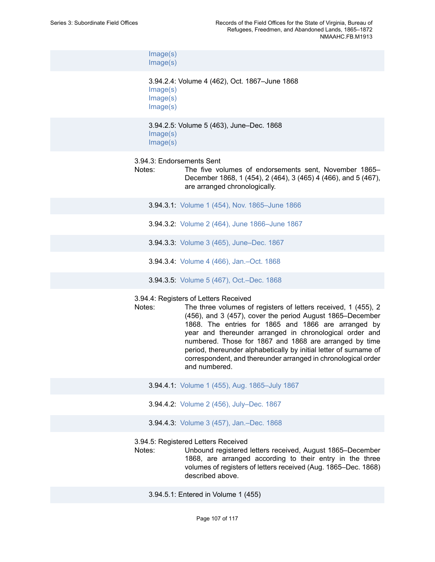[Image\(s\)](https://edan.si.edu/slideshow/slideshowViewer.htm?eadrefid=NMAAHC.FB.M1913_ref1580_part1) [Image\(s\)](https://edan.si.edu/slideshow/slideshowViewer.htm?eadrefid=NMAAHC.FB.M1913_ref1580_part2)

3.94.2.4: Volume 4 (462), Oct. 1867–June 1868 [Image\(s\)](https://edan.si.edu/slideshow/slideshowViewer.htm?eadrefid=NMAAHC.FB.M1913_ref1581_part1) [Image\(s\)](https://edan.si.edu/slideshow/slideshowViewer.htm?eadrefid=NMAAHC.FB.M1913_ref1581_part2) [Image\(s\)](https://edan.si.edu/slideshow/slideshowViewer.htm?eadrefid=NMAAHC.FB.M1913_ref1581_part3)

3.94.2.5: Volume 5 (463), June–Dec. 1868 [Image\(s\)](https://edan.si.edu/slideshow/slideshowViewer.htm?eadrefid=NMAAHC.FB.M1913_ref1582_part1) [Image\(s\)](https://edan.si.edu/slideshow/slideshowViewer.htm?eadrefid=NMAAHC.FB.M1913_ref1582_part2)

#### 3.94.3: Endorsements Sent

Notes: The five volumes of endorsements sent, November 1865– December 1868, 1 (454), 2 (464), 3 (465) 4 (466), and 5 (467), are arranged chronologically.

3.94.3.1: Volume 1 (454), Nov. [1865–June](https://edan.si.edu/slideshow/slideshowViewer.htm?eadrefid=NMAAHC.FB.M1913_ref1585) 1866 3.94.3.2: Volume 2 (464), June [1866–June](https://edan.si.edu/slideshow/slideshowViewer.htm?eadrefid=NMAAHC.FB.M1913_ref1586) 1867 3.94.3.3: Volume 3 (465), [June–Dec.](https://edan.si.edu/slideshow/slideshowViewer.htm?eadrefid=NMAAHC.FB.M1913_ref1587) 1867 3.94.3.4: Volume 4 (466), [Jan.–Oct.](https://edan.si.edu/slideshow/slideshowViewer.htm?eadrefid=NMAAHC.FB.M1913_ref1588) 1868 3.94.3.5: Volume 5 (467), [Oct.–Dec.](https://edan.si.edu/slideshow/slideshowViewer.htm?eadrefid=NMAAHC.FB.M1913_ref1589) 1868

3.94.4: Registers of Letters Received

Notes: The three volumes of registers of letters received, 1 (455), 2 (456), and 3 (457), cover the period August 1865–December 1868. The entries for 1865 and 1866 are arranged by year and thereunder arranged in chronological order and numbered. Those for 1867 and 1868 are arranged by time period, thereunder alphabetically by initial letter of surname of correspondent, and thereunder arranged in chronological order and numbered.

- 3.94.4.1: Volume 1 (455), Aug. [1865–July](https://edan.si.edu/slideshow/slideshowViewer.htm?eadrefid=NMAAHC.FB.M1913_ref1592) 1867
- 3.94.4.2: Volume 2 (456), [July–Dec.](https://edan.si.edu/slideshow/slideshowViewer.htm?eadrefid=NMAAHC.FB.M1913_ref1593) 1867
- 3.94.4.3: Volume 3 (457), [Jan.–Dec.](https://edan.si.edu/slideshow/slideshowViewer.htm?eadrefid=NMAAHC.FB.M1913_ref1594) 1868

3.94.5: Registered Letters Received

Notes: Unbound registered letters received, August 1865–December 1868, are arranged according to their entry in the three volumes of registers of letters received (Aug. 1865–Dec. 1868) described above.

3.94.5.1: Entered in Volume 1 (455)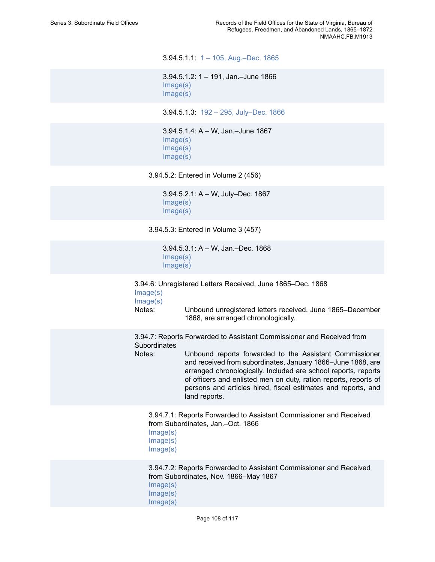3.94.5.1.1: [1 – 105, Aug.–Dec. 1865](https://edan.si.edu/slideshow/slideshowViewer.htm?eadrefid=NMAAHC.FB.M1913_ref1598)

3.94.5.1.2: 1 – 191, Jan.–June 1866 [Image\(s\)](https://edan.si.edu/slideshow/slideshowViewer.htm?eadrefid=NMAAHC.FB.M1913_ref1599_part1) [Image\(s\)](https://edan.si.edu/slideshow/slideshowViewer.htm?eadrefid=NMAAHC.FB.M1913_ref1599_part2)

3.94.5.1.3: [192 – 295, July–Dec. 1866](https://edan.si.edu/slideshow/slideshowViewer.htm?eadrefid=NMAAHC.FB.M1913_ref1600)

3.94.5.1.4: A – W, Jan.–June 1867 [Image\(s\)](https://edan.si.edu/slideshow/slideshowViewer.htm?eadrefid=NMAAHC.FB.M1913_ref1601_part1) [Image\(s\)](https://edan.si.edu/slideshow/slideshowViewer.htm?eadrefid=NMAAHC.FB.M1913_ref1601_part2) [Image\(s\)](https://edan.si.edu/slideshow/slideshowViewer.htm?eadrefid=NMAAHC.FB.M1913_ref1601_part3)

3.94.5.2: Entered in Volume 2 (456)

3.94.5.2.1: A – W, July–Dec. 1867 [Image\(s\)](https://edan.si.edu/slideshow/slideshowViewer.htm?eadrefid=NMAAHC.FB.M1913_ref1603_part1) [Image\(s\)](https://edan.si.edu/slideshow/slideshowViewer.htm?eadrefid=NMAAHC.FB.M1913_ref1603_part2)

3.94.5.3: Entered in Volume 3 (457)

3.94.5.3.1: A – W, Jan.–Dec. 1868 [Image\(s\)](https://edan.si.edu/slideshow/slideshowViewer.htm?eadrefid=NMAAHC.FB.M1913_ref1605_part1) [Image\(s\)](https://edan.si.edu/slideshow/slideshowViewer.htm?eadrefid=NMAAHC.FB.M1913_ref1605_part2)

3.94.6: Unregistered Letters Received, June 1865–Dec. 1868  $Imana(e)$ 

| $m$ gy $\circ$ |
|----------------|
| Image(s)       |
|                |
| Notes:         |

Notes: Unbound unregistered letters received, June 1865–December 1868, are arranged chronologically.

3.94.7: Reports Forwarded to Assistant Commissioner and Received from **Subordinates** 

Notes: Unbound reports forwarded to the Assistant Commissioner and received from subordinates, January 1866–June 1868, are arranged chronologically. Included are school reports, reports of officers and enlisted men on duty, ration reports, reports of persons and articles hired, fiscal estimates and reports, and land reports.

3.94.7.1: Reports Forwarded to Assistant Commissioner and Received from Subordinates, Jan.–Oct. 1866 [Image\(s\)](https://edan.si.edu/slideshow/slideshowViewer.htm?eadrefid=NMAAHC.FB.M1913_ref1610_part1) [Image\(s\)](https://edan.si.edu/slideshow/slideshowViewer.htm?eadrefid=NMAAHC.FB.M1913_ref1610_part2) [Image\(s\)](https://edan.si.edu/slideshow/slideshowViewer.htm?eadrefid=NMAAHC.FB.M1913_ref1610_part3)

3.94.7.2: Reports Forwarded to Assistant Commissioner and Received from Subordinates, Nov. 1866–May 1867 [Image\(s\)](https://edan.si.edu/slideshow/slideshowViewer.htm?eadrefid=NMAAHC.FB.M1913_ref1611_part1) [Image\(s\)](https://edan.si.edu/slideshow/slideshowViewer.htm?eadrefid=NMAAHC.FB.M1913_ref1611_part2) [Image\(s\)](https://edan.si.edu/slideshow/slideshowViewer.htm?eadrefid=NMAAHC.FB.M1913_ref1611_part3)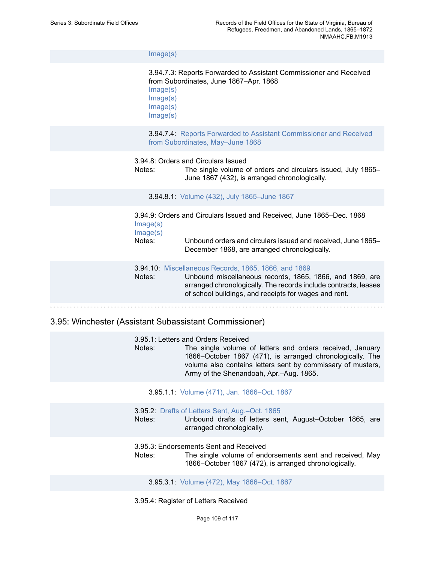[Image\(s\)](https://edan.si.edu/slideshow/slideshowViewer.htm?eadrefid=NMAAHC.FB.M1913_ref1611_part4)

3.94.7.3: Reports Forwarded to Assistant Commissioner and Received from Subordinates, June 1867–Apr. 1868 [Image\(s\)](https://edan.si.edu/slideshow/slideshowViewer.htm?eadrefid=NMAAHC.FB.M1913_ref1612_part1) [Image\(s\)](https://edan.si.edu/slideshow/slideshowViewer.htm?eadrefid=NMAAHC.FB.M1913_ref1612_part2)

[Image\(s\)](https://edan.si.edu/slideshow/slideshowViewer.htm?eadrefid=NMAAHC.FB.M1913_ref1612_part3)

[Image\(s\)](https://edan.si.edu/slideshow/slideshowViewer.htm?eadrefid=NMAAHC.FB.M1913_ref1612_part4)

3.94.7.4: [Reports Forwarded to Assistant Commissioner and Received](https://edan.si.edu/slideshow/slideshowViewer.htm?eadrefid=NMAAHC.FB.M1913_ref1613) [from Subordinates, May–June 1868](https://edan.si.edu/slideshow/slideshowViewer.htm?eadrefid=NMAAHC.FB.M1913_ref1613)

3.94.8: Orders and Circulars Issued

Notes: The single volume of orders and circulars issued, July 1865– June 1867 (432), is arranged chronologically.

3.94.8.1: Volume (432), July [1865–June](https://edan.si.edu/slideshow/slideshowViewer.htm?eadrefid=NMAAHC.FB.M1913_ref1616) 1867

3.94.9: Orders and Circulars Issued and Received, June 1865–Dec. 1868 [Image\(s\)](https://edan.si.edu/slideshow/slideshowViewer.htm?eadrefid=NMAAHC.FB.M1913_ref1618_part1) [Image\(s\)](https://edan.si.edu/slideshow/slideshowViewer.htm?eadrefid=NMAAHC.FB.M1913_ref1618_part2) Notes: Unbound orders and circulars issued and received, June 1865– December 1868, are arranged chronologically.

3.94.10: [Miscellaneous Records, 1865, 1866, and 1869](https://edan.si.edu/slideshow/slideshowViewer.htm?eadrefid=NMAAHC.FB.M1913_ref1620) Notes: Unbound miscellaneous records, 1865, 1866, and 1869, are arranged chronologically. The records include contracts, leases of school buildings, and receipts for wages and rent.

# 3.95: Winchester (Assistant Subassistant Commissioner)

3.95.1: Letters and Orders Received Notes: The single volume of letters and orders received, January 1866–October 1867 (471), is arranged chronologically. The volume also contains letters sent by commissary of musters, Army of the Shenandoah, Apr.–Aug. 1865.

3.95.1.1: Volume (471), Jan. [1866–Oct.](https://edan.si.edu/slideshow/slideshowViewer.htm?eadrefid=NMAAHC.FB.M1913_ref1624) 1867

3.95.2: [Drafts of Letters Sent, Aug.–Oct. 1865](https://edan.si.edu/slideshow/slideshowViewer.htm?eadrefid=NMAAHC.FB.M1913_ref1626) Notes: Unbound drafts of letters sent, August–October 1865, are arranged chronologically.

3.95.3: Endorsements Sent and Received

Notes: The single volume of endorsements sent and received, May 1866–October 1867 (472), is arranged chronologically.

3.95.3.1: Volume (472), May [1866–Oct.](https://edan.si.edu/slideshow/slideshowViewer.htm?eadrefid=NMAAHC.FB.M1913_ref1629) 1867

3.95.4: Register of Letters Received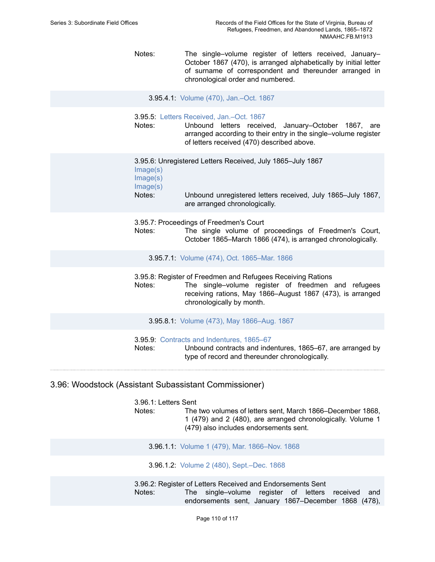Notes: The single–volume register of letters received, January– October 1867 (470), is arranged alphabetically by initial letter of surname of correspondent and thereunder arranged in chronological order and numbered.

3.95.4.1: Volume (470), [Jan.–Oct.](https://edan.si.edu/slideshow/slideshowViewer.htm?eadrefid=NMAAHC.FB.M1913_ref1632) 1867

3.95.5: [Letters Received, Jan.–Oct. 1867](https://edan.si.edu/slideshow/slideshowViewer.htm?eadrefid=NMAAHC.FB.M1913_ref1634)

Notes: Unbound letters received, January–October 1867, are arranged according to their entry in the single–volume register of letters received (470) described above.

3.95.6: Unregistered Letters Received, July 1865–July 1867 [Image\(s\)](https://edan.si.edu/slideshow/slideshowViewer.htm?eadrefid=NMAAHC.FB.M1913_ref1636_part1) [Image\(s\)](https://edan.si.edu/slideshow/slideshowViewer.htm?eadrefid=NMAAHC.FB.M1913_ref1636_part2) [Image\(s\)](https://edan.si.edu/slideshow/slideshowViewer.htm?eadrefid=NMAAHC.FB.M1913_ref1636_part3) Notes: Unbound unregistered letters received, July 1865–July 1867, are arranged chronologically.

3.95.7: Proceedings of Freedmen's Court

Notes: The single volume of proceedings of Freedmen's Court, October 1865–March 1866 (474), is arranged chronologically.

3.95.7.1: Volume (474), Oct. [1865–Mar.](https://edan.si.edu/slideshow/slideshowViewer.htm?eadrefid=NMAAHC.FB.M1913_ref1639) 1866

3.95.8: Register of Freedmen and Refugees Receiving Rations

Notes: The single–volume register of freedmen and refugees receiving rations, May 1866–August 1867 (473), is arranged chronologically by month.

3.95.8.1: Volume (473), May [1866–Aug.](https://edan.si.edu/slideshow/slideshowViewer.htm?eadrefid=NMAAHC.FB.M1913_ref1642) 1867

3.95.9: [Contracts and Indentures, 1865–67](https://edan.si.edu/slideshow/slideshowViewer.htm?eadrefid=NMAAHC.FB.M1913_ref1644)

Notes: Unbound contracts and indentures, 1865–67, are arranged by type of record and thereunder chronologically.

## 3.96: Woodstock (Assistant Subassistant Commissioner)

3.96.1: Letters Sent Notes: The two volumes of letters sent, March 1866–December 1868, 1 (479) and 2 (480), are arranged chronologically. Volume 1 (479) also includes endorsements sent.

3.96.1.1: Volume 1 (479), Mar. [1866–Nov.](https://edan.si.edu/slideshow/slideshowViewer.htm?eadrefid=NMAAHC.FB.M1913_ref1648) 1868

3.96.1.2: Volume 2 (480), [Sept.–Dec.](https://edan.si.edu/slideshow/slideshowViewer.htm?eadrefid=NMAAHC.FB.M1913_ref1649) 1868

3.96.2: Register of Letters Received and Endorsements Sent Notes: The single–volume register of letters received and endorsements sent, January 1867–December 1868 (478),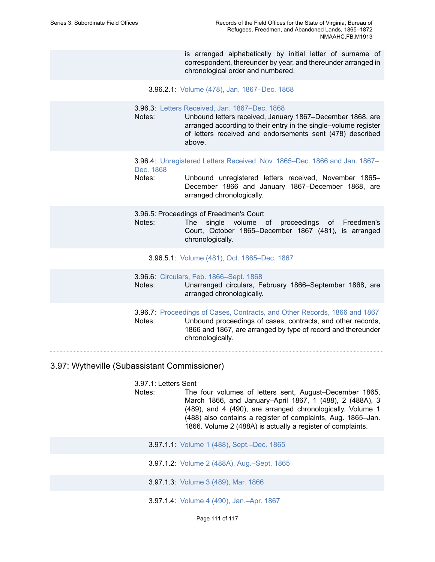is arranged alphabetically by initial letter of surname of correspondent, thereunder by year, and thereunder arranged in chronological order and numbered.

3.96.2.1: Volume (478), Jan. [1867–Dec.](https://edan.si.edu/slideshow/slideshowViewer.htm?eadrefid=NMAAHC.FB.M1913_ref1652) 1868

3.96.3: [Letters Received, Jan. 1867–Dec. 1868](https://edan.si.edu/slideshow/slideshowViewer.htm?eadrefid=NMAAHC.FB.M1913_ref1654)

- Notes: Unbound letters received, January 1867–December 1868, are arranged according to their entry in the single–volume register of letters received and endorsements sent (478) described above.
- 3.96.4: [Unregistered](https://edan.si.edu/slideshow/slideshowViewer.htm?eadrefid=NMAAHC.FB.M1913_ref1656) Letters Received, Nov. 1865–Dec. 1866 and Jan. 1867– [Dec. 1868](https://edan.si.edu/slideshow/slideshowViewer.htm?eadrefid=NMAAHC.FB.M1913_ref1656)
- Notes: Unbound unregistered letters received, November 1865– December 1866 and January 1867–December 1868, are arranged chronologically.

3.96.5: Proceedings of Freedmen's Court

Notes: The single volume of proceedings of Freedmen's Court, October 1865–December 1867 (481), is arranged chronologically.

3.96.5.1: Volume (481), Oct. [1865–Dec.](https://edan.si.edu/slideshow/slideshowViewer.htm?eadrefid=NMAAHC.FB.M1913_ref1659) 1867

3.96.6: [Circulars, Feb. 1866–Sept. 1868](https://edan.si.edu/slideshow/slideshowViewer.htm?eadrefid=NMAAHC.FB.M1913_ref1661) Notes: Unarranged circulars, February 1866–September 1868, are arranged chronologically. 3.96.7: [Proceedings of Cases, Contracts, and Other Records, 1866 and 1867](https://edan.si.edu/slideshow/slideshowViewer.htm?eadrefid=NMAAHC.FB.M1913_ref1663)

Notes: Unbound proceedings of cases, contracts, and other records, 1866 and 1867, are arranged by type of record and thereunder chronologically.

# 3.97: Wytheville (Subassistant Commissioner)

3.97.1: Letters Sent

- Notes: The four volumes of letters sent, August–December 1865, March 1866, and January–April 1867, 1 (488), 2 (488A), 3 (489), and 4 (490), are arranged chronologically. Volume 1 (488) also contains a register of complaints, Aug. 1865–Jan. 1866. Volume 2 (488A) is actually a register of complaints.
	- 3.97.1.1: Volume 1 (488), [Sept.–Dec.](https://edan.si.edu/slideshow/slideshowViewer.htm?eadrefid=NMAAHC.FB.M1913_ref1667) 1865
	- 3.97.1.2: Volume 2 (488A), [Aug.–Sept.](https://edan.si.edu/slideshow/slideshowViewer.htm?eadrefid=NMAAHC.FB.M1913_ref1668) 1865
	- 3.97.1.3: [Volume](https://edan.si.edu/slideshow/slideshowViewer.htm?eadrefid=NMAAHC.FB.M1913_ref1669) 3 (489), Mar. 1866
	- 3.97.1.4: Volume 4 (490), [Jan.–Apr.](https://edan.si.edu/slideshow/slideshowViewer.htm?eadrefid=NMAAHC.FB.M1913_ref1670) 1867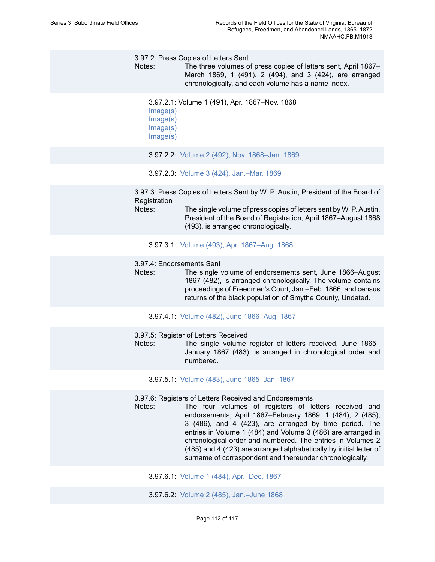3.97.2: Press Copies of Letters Sent

Notes: The three volumes of press copies of letters sent, April 1867– March 1869, 1 (491), 2 (494), and 3 (424), are arranged chronologically, and each volume has a name index.

```
3.97.2.1: Volume 1 (491), Apr. 1867–Nov. 1868
```
- [Image\(s\)](https://edan.si.edu/slideshow/slideshowViewer.htm?eadrefid=NMAAHC.FB.M1913_ref1673_part1) [Image\(s\)](https://edan.si.edu/slideshow/slideshowViewer.htm?eadrefid=NMAAHC.FB.M1913_ref1673_part2) [Image\(s\)](https://edan.si.edu/slideshow/slideshowViewer.htm?eadrefid=NMAAHC.FB.M1913_ref1673_part3)
- [Image\(s\)](https://edan.si.edu/slideshow/slideshowViewer.htm?eadrefid=NMAAHC.FB.M1913_ref1673_part4)
- 3.97.2.2: Volume 2 (492), Nov. [1868–Jan.](https://edan.si.edu/slideshow/slideshowViewer.htm?eadrefid=NMAAHC.FB.M1913_ref1674) 1869
- 3.97.2.3: Volume 3 (424), [Jan.–Mar.](https://edan.si.edu/slideshow/slideshowViewer.htm?eadrefid=NMAAHC.FB.M1913_ref1675) 1869

3.97.3: Press Copies of Letters Sent by W. P. Austin, President of the Board of **Registration** 

Notes: The single volume of press copies of letters sent by W. P. Austin, President of the Board of Registration, April 1867–August 1868 (493), is arranged chronologically.

3.97.3.1: Volume (493), Apr. [1867–Aug.](https://edan.si.edu/slideshow/slideshowViewer.htm?eadrefid=NMAAHC.FB.M1913_ref1678) 1868

#### 3.97.4: Endorsements Sent

Notes: The single volume of endorsements sent, June 1866–August 1867 (482), is arranged chronologically. The volume contains proceedings of Freedmen's Court, Jan.–Feb. 1866, and census returns of the black population of Smythe County, Undated.

3.97.4.1: Volume (482), June [1866–Aug.](https://edan.si.edu/slideshow/slideshowViewer.htm?eadrefid=NMAAHC.FB.M1913_ref1681) 1867

3.97.5: Register of Letters Received

Notes: The single–volume register of letters received, June 1865– January 1867 (483), is arranged in chronological order and numbered.

3.97.5.1: Volume (483), June [1865–Jan.](https://edan.si.edu/slideshow/slideshowViewer.htm?eadrefid=NMAAHC.FB.M1913_ref1684) 1867

3.97.6: Registers of Letters Received and Endorsements

Notes: The four volumes of registers of letters received and endorsements, April 1867–February 1869, 1 (484), 2 (485), 3 (486), and 4 (423), are arranged by time period. The entries in Volume 1 (484) and Volume 3 (486) are arranged in chronological order and numbered. The entries in Volumes 2 (485) and 4 (423) are arranged alphabetically by initial letter of surname of correspondent and thereunder chronologically.

3.97.6.1: Volume 1 (484), [Apr.–Dec.](https://edan.si.edu/slideshow/slideshowViewer.htm?eadrefid=NMAAHC.FB.M1913_ref1687) 1867

3.97.6.2: Volume 2 (485), [Jan.–June](https://edan.si.edu/slideshow/slideshowViewer.htm?eadrefid=NMAAHC.FB.M1913_ref1688) 1868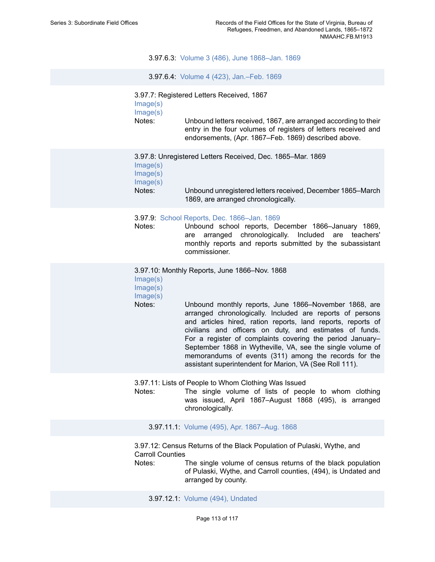3.97.6.3: Volume 3 (486), June [1868–Jan.](https://edan.si.edu/slideshow/slideshowViewer.htm?eadrefid=NMAAHC.FB.M1913_ref1689) 1869

3.97.6.4: Volume 4 (423), [Jan.–Feb.](https://edan.si.edu/slideshow/slideshowViewer.htm?eadrefid=NMAAHC.FB.M1913_ref1690) 1869

3.97.7: Registered Letters Received, 1867

| Image(s) |                                                                                                                                                                                           |
|----------|-------------------------------------------------------------------------------------------------------------------------------------------------------------------------------------------|
| Image(s) |                                                                                                                                                                                           |
| Notes:   | Unbound letters received, 1867, are arranged according to their<br>entry in the four volumes of registers of letters received and<br>endorsements, (Apr. 1867–Feb. 1869) described above. |

|          | 3.97.8: Unregistered Letters Received, Dec. 1865–Mar. 1869                                        |
|----------|---------------------------------------------------------------------------------------------------|
| Image(s) |                                                                                                   |
| Image(s) |                                                                                                   |
| Image(s) |                                                                                                   |
| Notes:   | Unbound unregistered letters received, December 1865–March<br>1869, are arranged chronologically. |

3.97.9: [School Reports, Dec. 1866–Jan. 1869](https://edan.si.edu/slideshow/slideshowViewer.htm?eadrefid=NMAAHC.FB.M1913_ref1696)

Notes: Unbound school reports, December 1866–January 1869, are arranged chronologically. Included are teachers' monthly reports and reports submitted by the subassistant commissioner.

3.97.10: Monthly Reports, June 1866–Nov. 1868

- [Image\(s\)](https://edan.si.edu/slideshow/slideshowViewer.htm?eadrefid=NMAAHC.FB.M1913_ref1698_part1)
- [Image\(s\)](https://edan.si.edu/slideshow/slideshowViewer.htm?eadrefid=NMAAHC.FB.M1913_ref1698_part2) [Image\(s\)](https://edan.si.edu/slideshow/slideshowViewer.htm?eadrefid=NMAAHC.FB.M1913_ref1698_part3)
- 

Notes: Unbound monthly reports, June 1866–November 1868, are arranged chronologically. Included are reports of persons and articles hired, ration reports, land reports, reports of civilians and officers on duty, and estimates of funds. For a register of complaints covering the period January– September 1868 in Wytheville, VA, see the single volume of memorandums of events (311) among the records for the assistant superintendent for Marion, VA (See Roll 111).

3.97.11: Lists of People to Whom Clothing Was Issued

Notes: The single volume of lists of people to whom clothing was issued, April 1867–August 1868 (495), is arranged chronologically.

3.97.11.1: Volume (495), Apr. [1867–Aug.](https://edan.si.edu/slideshow/slideshowViewer.htm?eadrefid=NMAAHC.FB.M1913_ref1701) 1868

3.97.12: Census Returns of the Black Population of Pulaski, Wythe, and Carroll Counties

Notes: The single volume of census returns of the black population of Pulaski, Wythe, and Carroll counties, (494), is Undated and arranged by county.

3.97.12.1: Volume (494), [Undated](https://edan.si.edu/slideshow/slideshowViewer.htm?eadrefid=NMAAHC.FB.M1913_ref1704)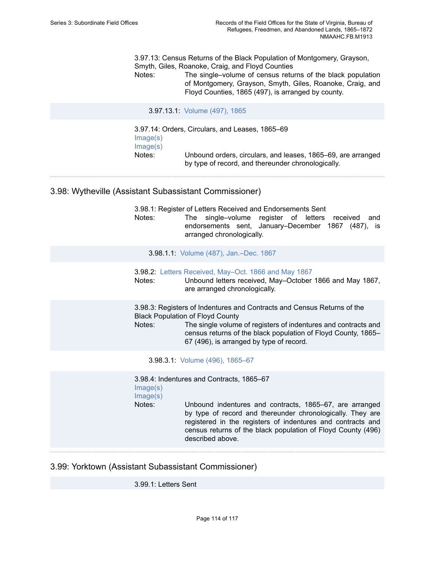3.97.13: Census Returns of the Black Population of Montgomery, Grayson, Smyth, Giles, Roanoke, Craig, and Floyd Counties

Notes: The single–volume of census returns of the black population of Montgomery, Grayson, Smyth, Giles, Roanoke, Craig, and Floyd Counties, 1865 (497), is arranged by county.

3.97.13.1: [Volume](https://edan.si.edu/slideshow/slideshowViewer.htm?eadrefid=NMAAHC.FB.M1913_ref1707) (497), 1865

3.97.14: Orders, Circulars, and Leases, 1865–69 [Image\(s\)](https://edan.si.edu/slideshow/slideshowViewer.htm?eadrefid=NMAAHC.FB.M1913_ref1709_part1) [Image\(s\)](https://edan.si.edu/slideshow/slideshowViewer.htm?eadrefid=NMAAHC.FB.M1913_ref1709_part2) Notes: Unbound orders, circulars, and leases, 1865–69, are arranged by type of record, and thereunder chronologically.

3.98: Wytheville (Assistant Subassistant Commissioner)

3.98.1: Register of Letters Received and Endorsements Sent Notes: The single–volume register of letters received and endorsements sent, January–December 1867 (487), is arranged chronologically.

3.98.1.1: Volume (487), [Jan.–Dec.](https://edan.si.edu/slideshow/slideshowViewer.htm?eadrefid=NMAAHC.FB.M1913_ref1713) 1867

3.98.2: [Letters Received, May–Oct. 1866 and May 1867](https://edan.si.edu/slideshow/slideshowViewer.htm?eadrefid=NMAAHC.FB.M1913_ref1715) Notes: Unbound letters received, May–October 1866 and May 1867, are arranged chronologically.

3.98.3: Registers of Indentures and Contracts and Census Returns of the Black Population of Floyd County Notes: The single volume of registers of indentures and contracts and census returns of the black population of Floyd County, 1865– 67 (496), is arranged by type of record.

3.98.3.1: Volume (496), [1865–67](https://edan.si.edu/slideshow/slideshowViewer.htm?eadrefid=NMAAHC.FB.M1913_ref1718)

3.98.4: Indentures and Contracts, 1865–67

[Image\(s\)](https://edan.si.edu/slideshow/slideshowViewer.htm?eadrefid=NMAAHC.FB.M1913_ref1720_part1) [Image\(s\)](https://edan.si.edu/slideshow/slideshowViewer.htm?eadrefid=NMAAHC.FB.M1913_ref1720_part2)

Notes: Unbound indentures and contracts, 1865–67, are arranged by type of record and thereunder chronologically. They are registered in the registers of indentures and contracts and census returns of the black population of Floyd County (496) described above.

3.99: Yorktown (Assistant Subassistant Commissioner)

3.99.1: Letters Sent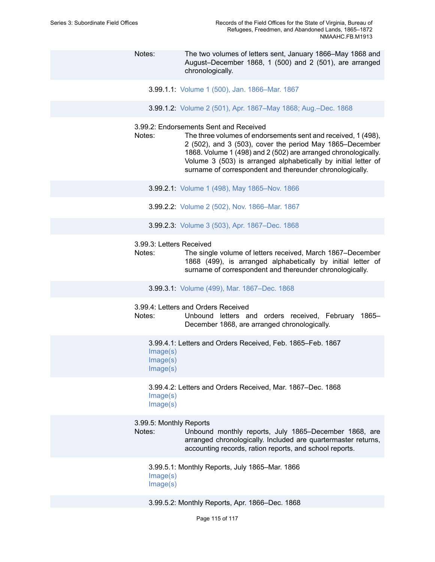Notes: The two volumes of letters sent, January 1866–May 1868 and August–December 1868, 1 (500) and 2 (501), are arranged chronologically. 3.99.1.1: Volume 1 (500), Jan. [1866–Mar.](https://edan.si.edu/slideshow/slideshowViewer.htm?eadrefid=NMAAHC.FB.M1913_ref1724) 1867 3.99.1.2: Volume 2 (501), Apr. [1867–May](https://edan.si.edu/slideshow/slideshowViewer.htm?eadrefid=NMAAHC.FB.M1913_ref1725) 1868; Aug.–Dec. 1868

# 3.99.2: Endorsements Sent and Received

- Notes: The three volumes of endorsements sent and received, 1 (498), 2 (502), and 3 (503), cover the period May 1865–December 1868. Volume 1 (498) and 2 (502) are arranged chronologically. Volume 3 (503) is arranged alphabetically by initial letter of surname of correspondent and thereunder chronologically.
	- 3.99.2.1: Volume 1 (498), May [1865–Nov.](https://edan.si.edu/slideshow/slideshowViewer.htm?eadrefid=NMAAHC.FB.M1913_ref1728) 1866
	- 3.99.2.2: Volume 2 (502), Nov. [1866–Mar.](https://edan.si.edu/slideshow/slideshowViewer.htm?eadrefid=NMAAHC.FB.M1913_ref1729) 1867
	- 3.99.2.3: Volume 3 (503), Apr. [1867–Dec.](https://edan.si.edu/slideshow/slideshowViewer.htm?eadrefid=NMAAHC.FB.M1913_ref1730) 1868
- 3.99.3: Letters Received
- Notes: The single volume of letters received, March 1867–December 1868 (499), is arranged alphabetically by initial letter of surname of correspondent and thereunder chronologically.
	- 3.99.3.1: Volume (499), Mar. [1867–Dec.](https://edan.si.edu/slideshow/slideshowViewer.htm?eadrefid=NMAAHC.FB.M1913_ref1733) 1868
- 3.99.4: Letters and Orders Received
- Notes: Unbound letters and orders received, February 1865– December 1868, are arranged chronologically.

3.99.4.1: Letters and Orders Received, Feb. 1865–Feb. 1867 [Image\(s\)](https://edan.si.edu/slideshow/slideshowViewer.htm?eadrefid=NMAAHC.FB.M1913_ref1736_part1) [Image\(s\)](https://edan.si.edu/slideshow/slideshowViewer.htm?eadrefid=NMAAHC.FB.M1913_ref1736_part2) [Image\(s\)](https://edan.si.edu/slideshow/slideshowViewer.htm?eadrefid=NMAAHC.FB.M1913_ref1736_part3)

3.99.4.2: Letters and Orders Received, Mar. 1867–Dec. 1868 [Image\(s\)](https://edan.si.edu/slideshow/slideshowViewer.htm?eadrefid=NMAAHC.FB.M1913_ref1737_part1) [Image\(s\)](https://edan.si.edu/slideshow/slideshowViewer.htm?eadrefid=NMAAHC.FB.M1913_ref1737_part2)

3.99.5: Monthly Reports

Notes: Unbound monthly reports, July 1865–December 1868, are arranged chronologically. Included are quartermaster returns, accounting records, ration reports, and school reports.

3.99.5.1: Monthly Reports, July 1865–Mar. 1866 [Image\(s\)](https://edan.si.edu/slideshow/slideshowViewer.htm?eadrefid=NMAAHC.FB.M1913_ref1740_part1) [Image\(s\)](https://edan.si.edu/slideshow/slideshowViewer.htm?eadrefid=NMAAHC.FB.M1913_ref1740_part2)

3.99.5.2: Monthly Reports, Apr. 1866–Dec. 1868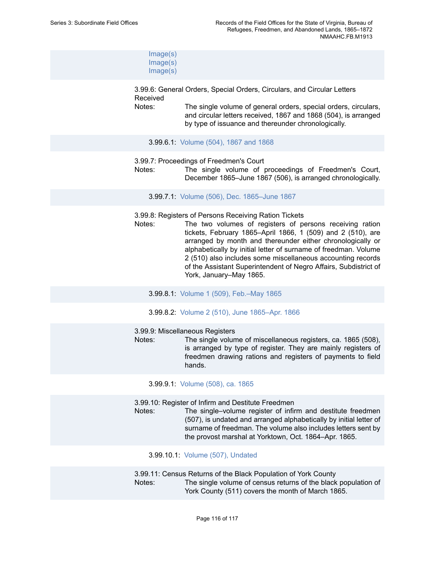| Image(s) |
|----------|
| Image(s) |
| Image(s) |

3.99.6: General Orders, Special Orders, Circulars, and Circular Letters Received

Notes: The single volume of general orders, special orders, circulars, and circular letters received, 1867 and 1868 (504), is arranged by type of issuance and thereunder chronologically.

- 3.99.6.1: [Volume](https://edan.si.edu/slideshow/slideshowViewer.htm?eadrefid=NMAAHC.FB.M1913_ref1744) (504), 1867 and 1868
- 3.99.7: Proceedings of Freedmen's Court

Notes: The single volume of proceedings of Freedmen's Court, December 1865–June 1867 (506), is arranged chronologically.

3.99.7.1: Volume (506), Dec. [1865–June](https://edan.si.edu/slideshow/slideshowViewer.htm?eadrefid=NMAAHC.FB.M1913_ref1747) 1867

- 3.99.8: Registers of Persons Receiving Ration Tickets
- Notes: The two volumes of registers of persons receiving ration tickets, February 1865–April 1866, 1 (509) and 2 (510), are arranged by month and thereunder either chronologically or alphabetically by initial letter of surname of freedman. Volume 2 (510) also includes some miscellaneous accounting records of the Assistant Superintendent of Negro Affairs, Subdistrict of York, January–May 1865.
	- 3.99.8.1: Volume 1 (509), [Feb.–May](https://edan.si.edu/slideshow/slideshowViewer.htm?eadrefid=NMAAHC.FB.M1913_ref1750) 1865
	- 3.99.8.2: Volume 2 (510), June [1865–Apr.](https://edan.si.edu/slideshow/slideshowViewer.htm?eadrefid=NMAAHC.FB.M1913_ref1751) 1866

#### 3.99.9: Miscellaneous Registers

Notes: The single volume of miscellaneous registers, ca. 1865 (508), is arranged by type of register. They are mainly registers of freedmen drawing rations and registers of payments to field hands.

3.99.9.1: [Volume](https://edan.si.edu/slideshow/slideshowViewer.htm?eadrefid=NMAAHC.FB.M1913_ref1754) (508), ca. 1865

3.99.10: Register of Infirm and Destitute Freedmen

Notes: The single–volume register of infirm and destitute freedmen (507), is undated and arranged alphabetically by initial letter of surname of freedman. The volume also includes letters sent by the provost marshal at Yorktown, Oct. 1864–Apr. 1865.

3.99.10.1: Volume (507), [Undated](https://edan.si.edu/slideshow/slideshowViewer.htm?eadrefid=NMAAHC.FB.M1913_ref1757)

3.99.11: Census Returns of the Black Population of York County Notes: The single volume of census returns of the black population of York County (511) covers the month of March 1865.